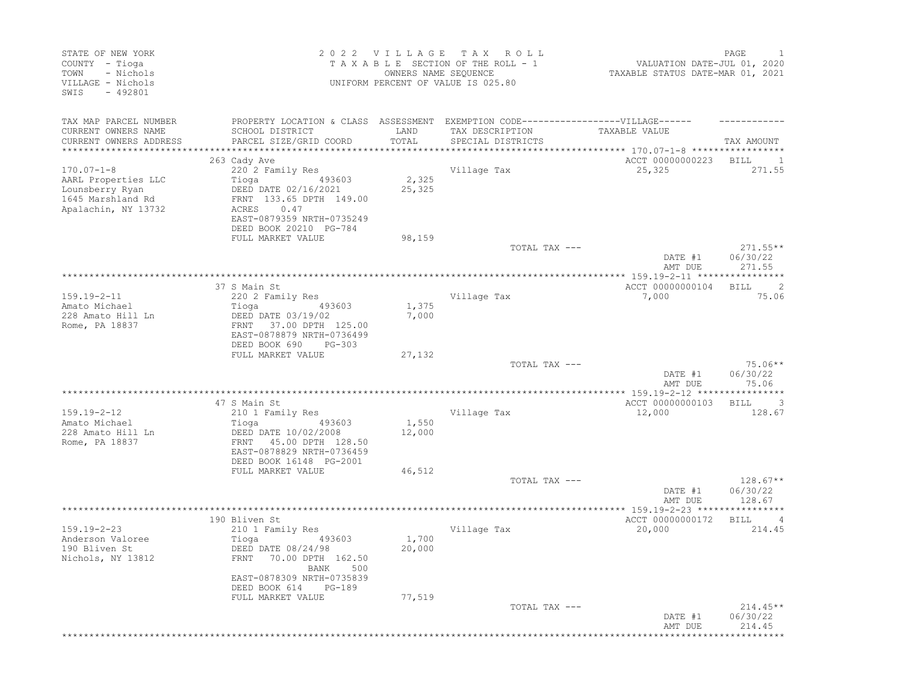| STATE OF NEW YORK<br>COUNTY - Tioga<br>- Nichols<br>TOWN<br>VILLAGE - Nichols<br>$-492801$<br>SWIS |                                                                                   | 2022 VILLAGE<br>OWNERS NAME SEQUENCE | T A X<br>ROLL<br>TAXABLE SECTION OF THE ROLL - 1<br>UNIFORM PERCENT OF VALUE IS 025.80 | VALUATION DATE-JUL 01, 2020<br>TAXABLE STATUS DATE-MAR 01, 2021 | PAGE                               |
|----------------------------------------------------------------------------------------------------|-----------------------------------------------------------------------------------|--------------------------------------|----------------------------------------------------------------------------------------|-----------------------------------------------------------------|------------------------------------|
| TAX MAP PARCEL NUMBER                                                                              | PROPERTY LOCATION & CLASS ASSESSMENT EXEMPTION CODE-----------------VILLAGE------ |                                      |                                                                                        |                                                                 |                                    |
| CURRENT OWNERS NAME                                                                                | SCHOOL DISTRICT                                                                   | LAND                                 | TAX DESCRIPTION                                                                        | TAXABLE VALUE                                                   |                                    |
| CURRENT OWNERS ADDRESS                                                                             | PARCEL SIZE/GRID COORD                                                            | TOTAL                                | SPECIAL DISTRICTS                                                                      |                                                                 | TAX AMOUNT                         |
|                                                                                                    | 263 Cady Ave                                                                      |                                      |                                                                                        | ACCT 00000000223                                                | <b>BILL</b><br>$\blacksquare$      |
| $170.07 - 1 - 8$                                                                                   | 220 2 Family Res                                                                  |                                      | Village Tax                                                                            | 25,325                                                          | 271.55                             |
| AARL Properties LLC                                                                                | Tioga<br>493603                                                                   | 2,325                                |                                                                                        |                                                                 |                                    |
| Lounsberry Ryan                                                                                    | DEED DATE 02/16/2021                                                              | 25,325                               |                                                                                        |                                                                 |                                    |
| 1645 Marshland Rd                                                                                  | FRNT 133.65 DPTH 149.00                                                           |                                      |                                                                                        |                                                                 |                                    |
| Apalachin, NY 13732                                                                                | 0.47<br>ACRES                                                                     |                                      |                                                                                        |                                                                 |                                    |
|                                                                                                    | EAST-0879359 NRTH-0735249                                                         |                                      |                                                                                        |                                                                 |                                    |
|                                                                                                    | DEED BOOK 20210 PG-784<br>FULL MARKET VALUE                                       | 98,159                               |                                                                                        |                                                                 |                                    |
|                                                                                                    |                                                                                   |                                      | TOTAL TAX ---                                                                          |                                                                 | $271.55**$                         |
|                                                                                                    |                                                                                   |                                      |                                                                                        | DATE #1<br>AMT DUE                                              | 06/30/22<br>271.55                 |
|                                                                                                    |                                                                                   |                                      |                                                                                        |                                                                 |                                    |
|                                                                                                    | 37 S Main St                                                                      |                                      |                                                                                        | ACCT 00000000104                                                | $\overline{\phantom{0}}$ 2<br>BILL |
| $159.19 - 2 - 11$                                                                                  | 220 2 Family Res                                                                  |                                      | Village Tax                                                                            | 7,000                                                           | 75.06                              |
| Amato Michael<br>228 Amato Hill Ln                                                                 | 493603<br>Tioga<br>DEED DATE 03/19/02                                             | 1,375<br>7,000                       |                                                                                        |                                                                 |                                    |
| Rome, PA 18837                                                                                     | FRNT 37.00 DPTH 125.00                                                            |                                      |                                                                                        |                                                                 |                                    |
|                                                                                                    | EAST-0878879 NRTH-0736499                                                         |                                      |                                                                                        |                                                                 |                                    |
|                                                                                                    | DEED BOOK 690<br>$PG-303$                                                         |                                      |                                                                                        |                                                                 |                                    |
|                                                                                                    | FULL MARKET VALUE                                                                 | 27,132                               |                                                                                        |                                                                 |                                    |
|                                                                                                    |                                                                                   |                                      | TOTAL TAX ---                                                                          |                                                                 | $75.06**$                          |
|                                                                                                    |                                                                                   |                                      |                                                                                        | DATE #1                                                         | 06/30/22<br>75.06                  |
|                                                                                                    |                                                                                   |                                      |                                                                                        | AMT DUE                                                         |                                    |
|                                                                                                    | 47 S Main St                                                                      |                                      |                                                                                        | ACCT 00000000103                                                | $\overline{\phantom{a}}$<br>BILL   |
| $159.19 - 2 - 12$                                                                                  | 210 1 Family Res                                                                  |                                      | Village Tax                                                                            | 12,000                                                          | 128.67                             |
| Amato Michael                                                                                      | Tioga<br>493603                                                                   | 1,550                                |                                                                                        |                                                                 |                                    |
| 228 Amato Hill Ln                                                                                  | DEED DATE 10/02/2008                                                              | 12,000                               |                                                                                        |                                                                 |                                    |
| Rome, PA 18837                                                                                     | FRNT 45.00 DPTH 128.50                                                            |                                      |                                                                                        |                                                                 |                                    |
|                                                                                                    | EAST-0878829 NRTH-0736459                                                         |                                      |                                                                                        |                                                                 |                                    |
|                                                                                                    | DEED BOOK 16148 PG-2001<br>FULL MARKET VALUE                                      | 46,512                               |                                                                                        |                                                                 |                                    |
|                                                                                                    |                                                                                   |                                      | TOTAL TAX ---                                                                          |                                                                 | $128.67**$                         |
|                                                                                                    |                                                                                   |                                      |                                                                                        | DATE #1                                                         | 06/30/22                           |
|                                                                                                    |                                                                                   |                                      |                                                                                        | AMT DUE                                                         | 128.67                             |
|                                                                                                    |                                                                                   |                                      |                                                                                        |                                                                 |                                    |
|                                                                                                    | 190 Bliven St                                                                     |                                      |                                                                                        | ACCT 00000000172                                                | BILL<br>- 4                        |
| $159.19 - 2 - 23$                                                                                  | 210 1 Family Res                                                                  |                                      | Village Tax                                                                            | 20,000                                                          | 214.45                             |
| Anderson Valoree                                                                                   | 493603<br>Tioga                                                                   | 1,700                                |                                                                                        |                                                                 |                                    |
| 190 Bliven St<br>Nichols, NY 13812                                                                 | DEED DATE 08/24/98<br>FRNT 70.00 DPTH 162.50                                      | 20,000                               |                                                                                        |                                                                 |                                    |
|                                                                                                    | BANK 500                                                                          |                                      |                                                                                        |                                                                 |                                    |
|                                                                                                    | EAST-0878309 NRTH-0735839                                                         |                                      |                                                                                        |                                                                 |                                    |
|                                                                                                    | DEED BOOK 614<br>PG-189                                                           |                                      |                                                                                        |                                                                 |                                    |
|                                                                                                    | FULL MARKET VALUE                                                                 | 77,519                               |                                                                                        |                                                                 |                                    |
|                                                                                                    |                                                                                   |                                      | TOTAL TAX ---                                                                          |                                                                 | $214.45**$                         |
|                                                                                                    |                                                                                   |                                      |                                                                                        | DATE #1                                                         | 06/30/22                           |
|                                                                                                    |                                                                                   |                                      |                                                                                        | AMT DUE                                                         | 214.45                             |
|                                                                                                    |                                                                                   |                                      |                                                                                        |                                                                 |                                    |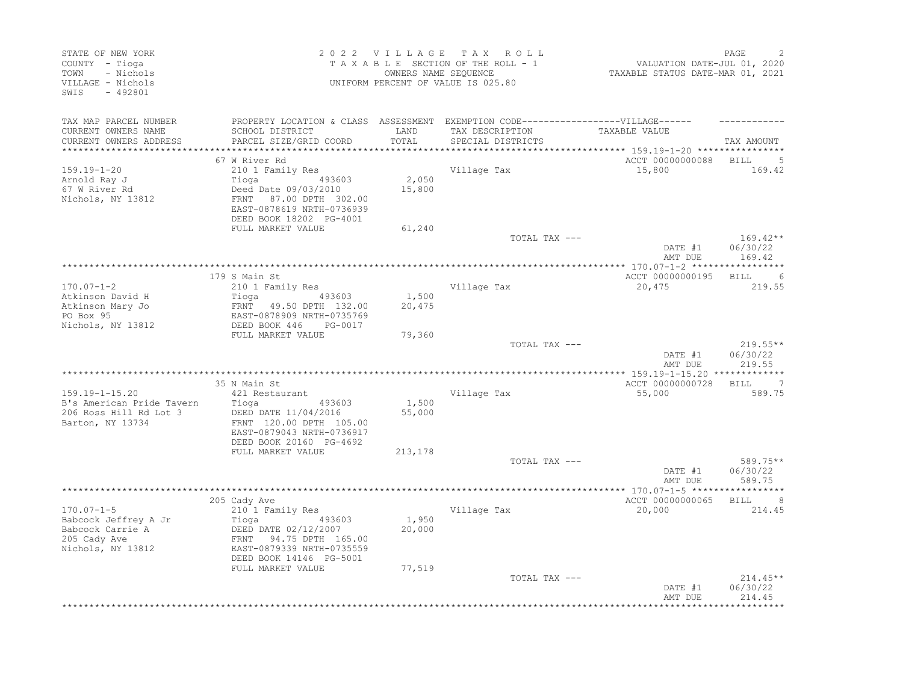| 2022 VILLAGE<br>STATE OF NEW YORK<br>COUNTY - Tioga<br>- Nichols<br>TOWN<br>VILLAGE - Nichols<br>$-492801$<br>SWIS |                                                                                                                |                 | TAX ROLL<br>TAXABLE SECTION OF THE ROLL - 1<br>OWNERS NAME SEQUENCE<br>UNIFORM PERCENT OF VALUE IS 025.80 |                                                         | PAGE<br>VALUATION DATE-JUL 01, 2020<br>TAXABLE STATUS DATE-MAR 01, 2021 |  |
|--------------------------------------------------------------------------------------------------------------------|----------------------------------------------------------------------------------------------------------------|-----------------|-----------------------------------------------------------------------------------------------------------|---------------------------------------------------------|-------------------------------------------------------------------------|--|
| TAX MAP PARCEL NUMBER                                                                                              | PROPERTY LOCATION & CLASS ASSESSMENT EXEMPTION CODE-----------------VILLAGE------                              |                 |                                                                                                           |                                                         |                                                                         |  |
| CURRENT OWNERS NAME<br>CURRENT OWNERS ADDRESS                                                                      | SCHOOL DISTRICT<br>PARCEL SIZE/GRID COORD                                                                      | LAND<br>TOTAL   | TAX DESCRIPTION<br>SPECIAL DISTRICTS                                                                      | TAXABLE VALUE<br>********* 159.19-1-20 **************** | TAX AMOUNT                                                              |  |
|                                                                                                                    | 67 W River Rd                                                                                                  |                 |                                                                                                           | ACCT 00000000088                                        | <b>BILL</b><br>-5                                                       |  |
| $159.19 - 1 - 20$                                                                                                  | 210 1 Family Res                                                                                               |                 | Village Tax                                                                                               | 15,800                                                  | 169.42                                                                  |  |
| Arnold Ray J<br>67 W River Rd                                                                                      | Tioga<br>493603<br>Deed Date 09/03/2010                                                                        | 2,050<br>15,800 |                                                                                                           |                                                         |                                                                         |  |
| Nichols, NY 13812                                                                                                  | FRNT 87.00 DPTH 302.00<br>EAST-0878619 NRTH-0736939<br>DEED BOOK 18202 PG-4001                                 |                 |                                                                                                           |                                                         |                                                                         |  |
|                                                                                                                    | FULL MARKET VALUE                                                                                              | 61,240          |                                                                                                           |                                                         |                                                                         |  |
|                                                                                                                    |                                                                                                                |                 | TOTAL TAX ---                                                                                             | DATE #1<br>AMT DUE                                      | $169.42**$<br>06/30/22<br>169.42                                        |  |
|                                                                                                                    |                                                                                                                |                 |                                                                                                           |                                                         |                                                                         |  |
|                                                                                                                    | 179 S Main St                                                                                                  |                 |                                                                                                           | ACCT 00000000195 BILL                                   | $6\overline{6}$                                                         |  |
| $170.07 - 1 - 2$                                                                                                   | 210 1 Family Res                                                                                               |                 | Village Tax                                                                                               | 20,475                                                  | 219.55                                                                  |  |
| Atkinson David H<br>Atkinson Mary Jo                                                                               | FRNT 49.50 DPTH 132.00                                                                                         | 1,500<br>20,475 |                                                                                                           |                                                         |                                                                         |  |
| PO Box 95                                                                                                          | EAST-0878909 NRTH-0735769                                                                                      |                 |                                                                                                           |                                                         |                                                                         |  |
| Nichols, NY 13812                                                                                                  | DEED BOOK 446<br>PG-0017                                                                                       |                 |                                                                                                           |                                                         |                                                                         |  |
|                                                                                                                    | FULL MARKET VALUE                                                                                              | 79,360          |                                                                                                           |                                                         | $219.55**$                                                              |  |
|                                                                                                                    |                                                                                                                |                 | TOTAL TAX ---                                                                                             | DATE #1<br>AMT DUE                                      | 06/30/22<br>219.55                                                      |  |
|                                                                                                                    |                                                                                                                |                 |                                                                                                           |                                                         |                                                                         |  |
|                                                                                                                    | 35 N Main St                                                                                                   |                 |                                                                                                           | ACCT 00000000728 BILL                                   | $\overline{7}$                                                          |  |
| 159.19-1-15.20<br>B's American Pride Tavern                                                                        | 421 Restaurant<br>Tioga<br>493603                                                                              | 1,500           | Village Tax                                                                                               | 55,000                                                  | 589.75                                                                  |  |
| 206 Ross Hill Rd Lot 3<br>Barton, NY 13734                                                                         | DEED DATE 11/04/2016<br>FRNT 120.00 DPTH 105.00<br>EAST-0879043 NRTH-0736917                                   | 55,000          |                                                                                                           |                                                         |                                                                         |  |
|                                                                                                                    | DEED BOOK 20160 PG-4692<br>FULL MARKET VALUE                                                                   | 213,178         |                                                                                                           |                                                         |                                                                         |  |
|                                                                                                                    |                                                                                                                |                 | TOTAL TAX ---                                                                                             |                                                         | 589.75**                                                                |  |
|                                                                                                                    |                                                                                                                |                 |                                                                                                           | DATE #1<br>AMT DUE                                      | 06/30/22<br>589.75                                                      |  |
|                                                                                                                    |                                                                                                                |                 |                                                                                                           |                                                         |                                                                         |  |
| $170.07 - 1 - 5$                                                                                                   | 205 Cady Ave<br>210 1 Family Res                                                                               |                 | Village Tax                                                                                               | ACCT 00000000065 BILL 8<br>20,000                       | 214.45                                                                  |  |
| Babcock Jeffrey A Jr<br>Babcock Carrie A<br>205 Cady Ave<br>Nichols, NY 13812                                      | Tioga<br>DEED DATE 02/12/2007<br>FRNT 94.75 DPTH 165.00<br>FRNT 94.75 DPTH 165.00<br>EAST-0879339 NRTH-0735559 | 1,950<br>20,000 |                                                                                                           |                                                         |                                                                         |  |
|                                                                                                                    | FULL MARKET VALUE                                                                                              | 77,519          |                                                                                                           |                                                         | $214.45**$                                                              |  |
|                                                                                                                    |                                                                                                                |                 | TOTAL TAX ---                                                                                             | DATE #1<br>AMT DUE                                      | 06/30/22<br>214.45                                                      |  |
|                                                                                                                    |                                                                                                                |                 |                                                                                                           |                                                         |                                                                         |  |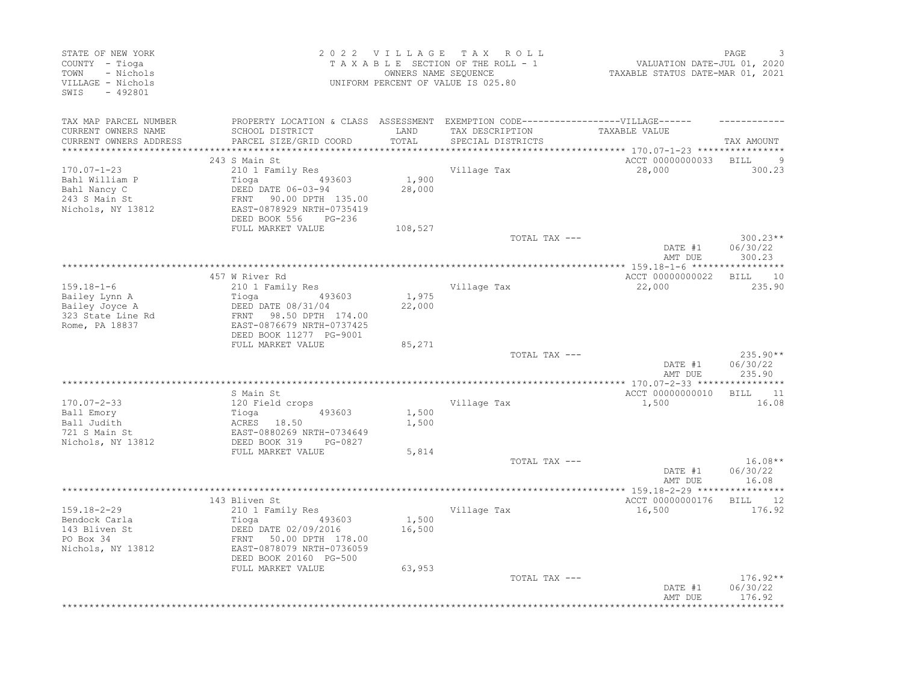| STATE OF NEW YORK<br>COUNTY - Tioga<br>TOWN<br>- Nichols<br>VILLAGE - Nichols<br>$-492801$<br>SWIS |                                                                                                                                                               |                 | 2022 VILLAGE TAX ROLL<br>TAXABLE SECTION OF THE ROLL - 1<br>OWNERS NAME SEQUENCE<br>UNIFORM PERCENT OF VALUE IS 025.80    | VALUATION DATE-JUL 01, 2020<br>TAXABLE STATUS DATE-MAR 01, 2021 | PAGE                             |
|----------------------------------------------------------------------------------------------------|---------------------------------------------------------------------------------------------------------------------------------------------------------------|-----------------|---------------------------------------------------------------------------------------------------------------------------|-----------------------------------------------------------------|----------------------------------|
| TAX MAP PARCEL NUMBER<br>CURRENT OWNERS NAME<br>CURRENT OWNERS ADDRESS                             | SCHOOL DISTRICT<br>PARCEL SIZE/GRID COORD                                                                                                                     | LAND<br>TOTAL   | PROPERTY LOCATION & CLASS ASSESSMENT EXEMPTION CODE-----------------VILLAGE------<br>TAX DESCRIPTION<br>SPECIAL DISTRICTS | TAXABLE VALUE                                                   | TAX AMOUNT                       |
| **********************                                                                             |                                                                                                                                                               |                 |                                                                                                                           |                                                                 |                                  |
| $170.07 - 1 - 23$<br>Bahl William P<br>Bahl Nancy C<br>243 S Main St<br>Nichols, NY 13812          | 243 S Main St<br>210 1 Family Res<br>493603<br>Tioga<br>DEED DATE 06-03-94<br>FRNT 90.00 DPTH 135.00<br>EAST-0878929 NRTH-0735419<br>DEED BOOK 556 PG-236     | 1,900<br>28,000 | Village Tax                                                                                                               | ACCT 00000000033<br>28,000                                      | BILL<br>300.23                   |
|                                                                                                    | FULL MARKET VALUE                                                                                                                                             | 108,527         | TOTAL TAX ---                                                                                                             |                                                                 | $300.23**$                       |
|                                                                                                    |                                                                                                                                                               |                 |                                                                                                                           | DATE #1<br>AMT DUE                                              | 06/30/22<br>300.23               |
|                                                                                                    | 457 W River Rd                                                                                                                                                |                 |                                                                                                                           | ACCT 00000000022                                                | <b>BILL</b><br>10                |
| $159.18 - 1 - 6$<br>Bailey Lynn A<br>Bailey Joyce A<br>323 State Line Rd<br>Rome, PA 18837         | 210 1 Family Res<br>493603<br>Tioga<br>DEED DATE 08/31/04<br>FRNT 98.50 DPTH 174.00<br>EAST-0876679 NRTH-0737425<br>DEED BOOK 11277 PG-9001                   | 1,975<br>22,000 | Village Tax                                                                                                               | 22,000                                                          | 235.90                           |
|                                                                                                    | FULL MARKET VALUE                                                                                                                                             | 85,271          |                                                                                                                           |                                                                 |                                  |
|                                                                                                    |                                                                                                                                                               |                 | TOTAL TAX ---                                                                                                             | DATE #1<br>AMT DUE                                              | $235.90**$<br>06/30/22<br>235.90 |
|                                                                                                    | S Main St                                                                                                                                                     |                 |                                                                                                                           | ACCT 00000000010                                                | BILL 11                          |
| $170.07 - 2 - 33$<br>Ball Emory<br>Ball Judith<br>721 S Main St<br>Nichols, NY 13812               | 120 Field crops<br>493603<br>Tioga<br>ACRES 18.50<br>EAST-0880269 NRTH-0734649<br>DEED BOOK 319<br>PG-0827                                                    | 1,500<br>1,500  | Village Tax                                                                                                               | 1,500                                                           | 16.08                            |
|                                                                                                    | FULL MARKET VALUE                                                                                                                                             | 5,814           | TOTAL TAX ---                                                                                                             | DATE #1<br>AMT DUE                                              | $16.08**$<br>06/30/22<br>16.08   |
|                                                                                                    |                                                                                                                                                               |                 |                                                                                                                           |                                                                 |                                  |
| $159.18 - 2 - 29$<br>Bendock Carla<br>143 Bliven St<br>PO Box 34<br>Nichols, NY 13812              | 143 Bliven St<br>210 1 Family Res<br>Tioga<br>493603<br>DEED DATE 02/09/2016<br>FRNT 50.00 DPTH 178.00<br>EAST-0878079 NRTH-0736059<br>DEED BOOK 20160 PG-500 | 1,500<br>16,500 | Village Tax                                                                                                               | ACCT 00000000176<br>16,500                                      | BILL 12<br>176.92                |
|                                                                                                    | FULL MARKET VALUE                                                                                                                                             | 63,953          | TOTAL TAX ---                                                                                                             | DATE #1<br>AMT DUE                                              | $176.92**$<br>06/30/22<br>176.92 |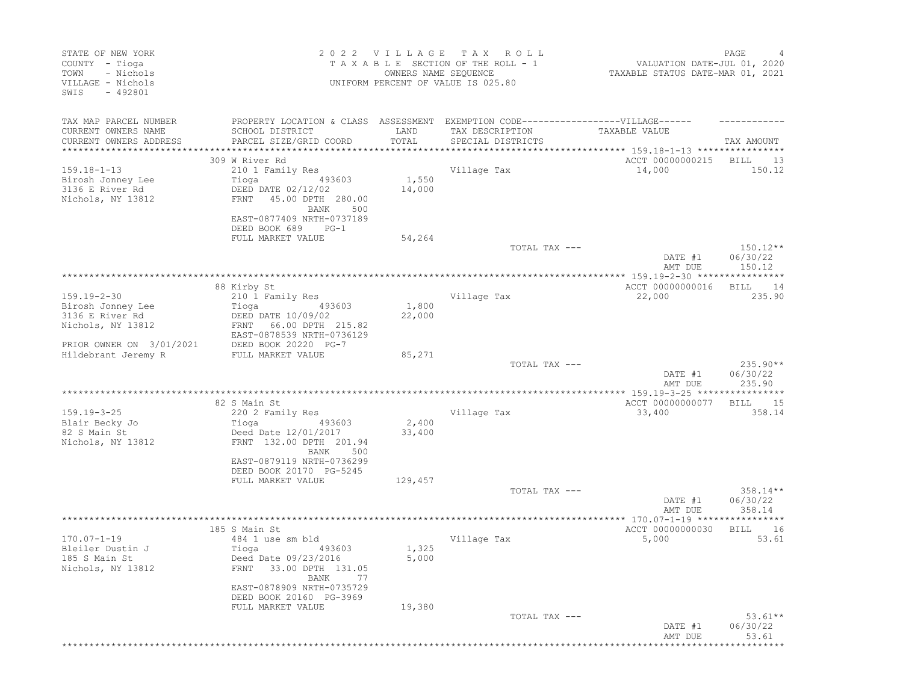| STATE OF NEW YORK<br>COUNTY - Tioga<br>- Nichols<br>TOWN<br>VILLAGE - Nichols<br>SWIS<br>$-492801$ |                                                                                                             | 2022 VILLAGE TAX<br>OWNERS NAME SEQUENCE | ROLL<br>TAXABLE SECTION OF THE ROLL - 1<br>UNIFORM PERCENT OF VALUE IS 025.80 | VALUATION DATE-JUL 01, 2020<br>TAXABLE STATUS DATE-MAR 01, 2021 | PAGE                             |
|----------------------------------------------------------------------------------------------------|-------------------------------------------------------------------------------------------------------------|------------------------------------------|-------------------------------------------------------------------------------|-----------------------------------------------------------------|----------------------------------|
| TAX MAP PARCEL NUMBER<br>CURRENT OWNERS NAME                                                       | PROPERTY LOCATION & CLASS ASSESSMENT EXEMPTION CODE-----------------VILLAGE------<br>SCHOOL DISTRICT        | LAND                                     | TAX DESCRIPTION                                                               | TAXABLE VALUE                                                   |                                  |
| CURRENT OWNERS ADDRESS<br>***********************                                                  | PARCEL SIZE/GRID COORD                                                                                      | TOTAL                                    | SPECIAL DISTRICTS                                                             |                                                                 | TAX AMOUNT                       |
|                                                                                                    | 309 W River Rd                                                                                              |                                          |                                                                               | ACCT 00000000215                                                | BILL<br>13                       |
| $159.18 - 1 - 13$                                                                                  | 210 1 Family Res                                                                                            |                                          | Village Tax                                                                   | 14,000                                                          | 150.12                           |
| Birosh Jonney Lee<br>3136 E River Rd<br>Nichols, NY 13812                                          | 493603<br>Tioga<br>DEED DATE 02/12/02<br>FRNT 45.00 DPTH 280.00<br>500<br>BANK<br>EAST-0877409 NRTH-0737189 | 1,550<br>14,000                          |                                                                               |                                                                 |                                  |
|                                                                                                    | DEED BOOK 689<br>$PG-1$                                                                                     |                                          |                                                                               |                                                                 |                                  |
|                                                                                                    | FULL MARKET VALUE                                                                                           | 54,264                                   |                                                                               |                                                                 |                                  |
|                                                                                                    |                                                                                                             |                                          | TOTAL TAX ---                                                                 | DATE #1<br>AMT DUE                                              | $150.12**$<br>06/30/22<br>150.12 |
|                                                                                                    |                                                                                                             |                                          |                                                                               |                                                                 |                                  |
|                                                                                                    | 88 Kirby St                                                                                                 |                                          |                                                                               | ACCT 00000000016                                                | BILL<br>14<br>235.90             |
| $159.19 - 2 - 30$<br>Birosh Jonney Lee                                                             | 210 1 Family Res<br>Tioga<br>493603                                                                         | 1,800                                    | Village Tax                                                                   | 22,000                                                          |                                  |
| 3136 E River Rd                                                                                    | DEED DATE 10/09/02                                                                                          | 22,000                                   |                                                                               |                                                                 |                                  |
| Nichols, NY 13812                                                                                  | FRNT 66.00 DPTH 215.82<br>EAST-0878539 NRTH-0736129                                                         |                                          |                                                                               |                                                                 |                                  |
| PRIOR OWNER ON 3/01/2021                                                                           | DEED BOOK 20220 PG-7                                                                                        |                                          |                                                                               |                                                                 |                                  |
| Hildebrant Jeremy R                                                                                | FULL MARKET VALUE                                                                                           | 85,271                                   |                                                                               |                                                                 |                                  |
|                                                                                                    |                                                                                                             |                                          | TOTAL TAX ---                                                                 | DATE #1<br>AMT DUE                                              | $235.90**$<br>06/30/22<br>235.90 |
|                                                                                                    |                                                                                                             |                                          |                                                                               |                                                                 |                                  |
|                                                                                                    | 82 S Main St                                                                                                |                                          |                                                                               | ACCT 00000000077                                                | <b>BILL</b><br>15                |
| $159.19 - 3 - 25$                                                                                  | 220 2 Family Res                                                                                            | 2,400                                    | Village Tax                                                                   | 33,400                                                          | 358.14                           |
| Blair Becky Jo<br>82 S Main St                                                                     | Tioga<br>493603<br>Deed Date 12/01/2017                                                                     | 33,400                                   |                                                                               |                                                                 |                                  |
| Nichols, NY 13812                                                                                  | FRNT 132.00 DPTH 201.94<br>500<br>BANK                                                                      |                                          |                                                                               |                                                                 |                                  |
|                                                                                                    | EAST-0879119 NRTH-0736299<br>DEED BOOK 20170 PG-5245                                                        |                                          |                                                                               |                                                                 |                                  |
|                                                                                                    | FULL MARKET VALUE                                                                                           | 129,457                                  |                                                                               |                                                                 |                                  |
|                                                                                                    |                                                                                                             |                                          | TOTAL TAX ---                                                                 |                                                                 | $358.14**$                       |
|                                                                                                    |                                                                                                             |                                          |                                                                               | DATE #1<br>AMT DUE                                              | 06/30/22<br>358.14               |
|                                                                                                    |                                                                                                             |                                          |                                                                               |                                                                 |                                  |
|                                                                                                    | 185 S Main St                                                                                               |                                          |                                                                               | ACCT 00000000030                                                | 16<br>BILL                       |
| $170.07 - 1 - 19$                                                                                  | 484 1 use sm bld                                                                                            |                                          | Village Tax                                                                   | 5,000                                                           | 53.61                            |
| Bleiler Dustin J                                                                                   | Tioga<br>493603                                                                                             | 1,325                                    |                                                                               |                                                                 |                                  |
| 185 S Main St<br>Nichols, NY 13812                                                                 | Deed Date 09/23/2016<br>33.00 DPTH 131.05<br>FRNT<br>BANK<br>77                                             | 5,000                                    |                                                                               |                                                                 |                                  |
|                                                                                                    | EAST-0878909 NRTH-0735729<br>DEED BOOK 20160 PG-3969                                                        |                                          |                                                                               |                                                                 |                                  |
|                                                                                                    | FULL MARKET VALUE                                                                                           | 19,380                                   |                                                                               |                                                                 |                                  |
|                                                                                                    |                                                                                                             |                                          | TOTAL TAX ---                                                                 | DATE #1<br>AMT DUE                                              | $53.61**$<br>06/30/22<br>53.61   |
|                                                                                                    |                                                                                                             |                                          |                                                                               |                                                                 |                                  |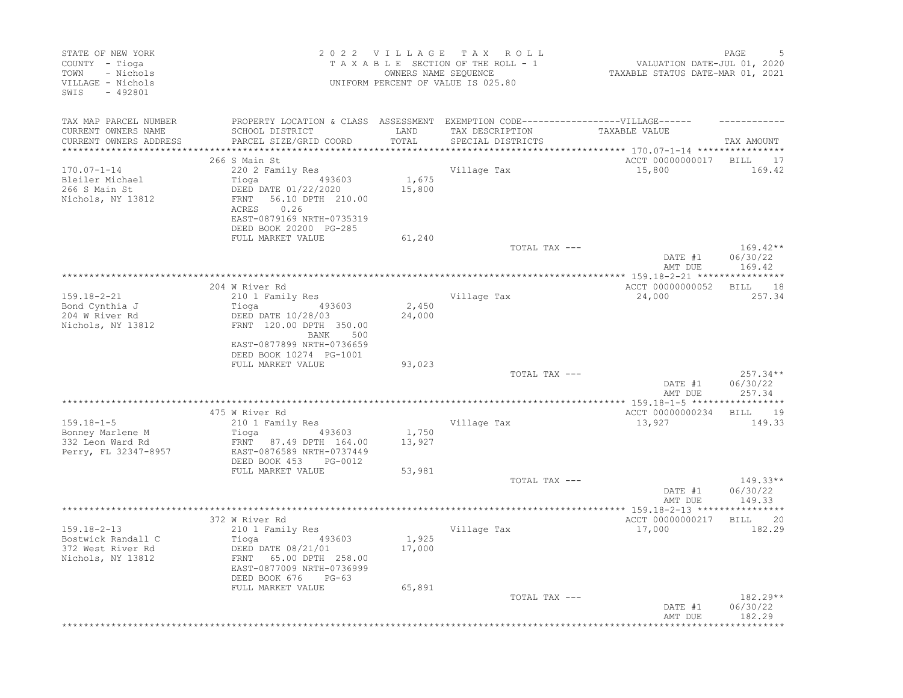| STATE OF NEW YORK<br>COUNTY - Tioga<br>- Nichols<br>TOWN<br>VILLAGE - Nichols<br>SWIS<br>$-492801$ | 2022 VILLAGE TAX ROLL<br>TAXABLE SECTION OF THE ROLL - 1<br>OWNERS NAME SEOUENCE<br>UNIFORM PERCENT OF VALUE IS 025.80 |                   |                                                                                   | VALUATION DATE-JUL 01, 2020<br>TAXABLE STATUS DATE-MAR 01, 2021 | PAGE               |
|----------------------------------------------------------------------------------------------------|------------------------------------------------------------------------------------------------------------------------|-------------------|-----------------------------------------------------------------------------------|-----------------------------------------------------------------|--------------------|
| TAX MAP PARCEL NUMBER                                                                              |                                                                                                                        |                   | PROPERTY LOCATION & CLASS ASSESSMENT EXEMPTION CODE-----------------VILLAGE------ |                                                                 |                    |
| CURRENT OWNERS NAME                                                                                | SCHOOL DISTRICT                                                                                                        | LAND              | TAX DESCRIPTION                                                                   | TAXABLE VALUE                                                   |                    |
| CURRENT OWNERS ADDRESS                                                                             | PARCEL SIZE/GRID COORD                                                                                                 | TOTAL<br>******** | SPECIAL DISTRICTS                                                                 | *********** 170.07-1-14 ***************                         | TAX AMOUNT         |
|                                                                                                    | 266 S Main St                                                                                                          |                   |                                                                                   | ACCT 00000000017                                                | BILL 17            |
| $170.07 - 1 - 14$                                                                                  | 220 2 Family Res                                                                                                       |                   | Village Tax                                                                       | 15,800                                                          | 169.42             |
| Bleiler Michael                                                                                    | 493603<br>Tioga                                                                                                        | 1,675             |                                                                                   |                                                                 |                    |
| 266 S Main St                                                                                      | DEED DATE 01/22/2020                                                                                                   | 15,800            |                                                                                   |                                                                 |                    |
| Nichols, NY 13812                                                                                  | 56.10 DPTH 210.00<br>FRNT<br>0.26<br>ACRES                                                                             |                   |                                                                                   |                                                                 |                    |
|                                                                                                    | EAST-0879169 NRTH-0735319                                                                                              |                   |                                                                                   |                                                                 |                    |
|                                                                                                    | DEED BOOK 20200 PG-285                                                                                                 |                   |                                                                                   |                                                                 |                    |
|                                                                                                    | FULL MARKET VALUE                                                                                                      | 61,240            |                                                                                   |                                                                 |                    |
|                                                                                                    |                                                                                                                        |                   | TOTAL TAX ---                                                                     |                                                                 | $169.42**$         |
|                                                                                                    |                                                                                                                        |                   |                                                                                   | DATE #1<br>AMT DUE                                              | 06/30/22<br>169.42 |
|                                                                                                    |                                                                                                                        |                   |                                                                                   |                                                                 |                    |
|                                                                                                    | 204 W River Rd                                                                                                         |                   |                                                                                   | ACCT 00000000052                                                | <b>BILL</b><br>18  |
| $159.18 - 2 - 21$                                                                                  | 210 1 Family Res                                                                                                       |                   | Village Tax                                                                       | 24,000                                                          | 257.34             |
| Bond Cynthia J<br>204 W River Rd                                                                   | Tioga<br>493603<br>DEED DATE 10/28/03                                                                                  | 2,450<br>24,000   |                                                                                   |                                                                 |                    |
| Nichols, NY 13812                                                                                  | FRNT 120.00 DPTH 350.00                                                                                                |                   |                                                                                   |                                                                 |                    |
|                                                                                                    | BANK<br>500                                                                                                            |                   |                                                                                   |                                                                 |                    |
|                                                                                                    | EAST-0877899 NRTH-0736659                                                                                              |                   |                                                                                   |                                                                 |                    |
|                                                                                                    | DEED BOOK 10274 PG-1001<br>FULL MARKET VALUE                                                                           | 93,023            |                                                                                   |                                                                 |                    |
|                                                                                                    |                                                                                                                        |                   | TOTAL TAX ---                                                                     |                                                                 | $257.34**$         |
|                                                                                                    |                                                                                                                        |                   |                                                                                   | DATE #1                                                         | 06/30/22           |
|                                                                                                    |                                                                                                                        |                   |                                                                                   | AMT DUE                                                         | 257.34             |
|                                                                                                    | 475 W River Rd                                                                                                         |                   |                                                                                   | ACCT 00000000234                                                | BILL 19            |
| $159.18 - 1 - 5$                                                                                   | 210 1 Family Res                                                                                                       |                   | Village Tax                                                                       | 13,927                                                          | 149.33             |
| Bonney Marlene M                                                                                   | 493603<br>Tioga                                                                                                        | 1,750             |                                                                                   |                                                                 |                    |
| 332 Leon Ward Rd                                                                                   | FRNT 87.49 DPTH 164.00                                                                                                 | 13,927            |                                                                                   |                                                                 |                    |
| Perry, FL 32347-8957                                                                               | EAST-0876589 NRTH-0737449                                                                                              |                   |                                                                                   |                                                                 |                    |
|                                                                                                    | DEED BOOK 453<br>PG-0012<br>FULL MARKET VALUE                                                                          | 53,981            |                                                                                   |                                                                 |                    |
|                                                                                                    |                                                                                                                        |                   | TOTAL TAX ---                                                                     |                                                                 | $149.33**$         |
|                                                                                                    |                                                                                                                        |                   |                                                                                   | DATE #1                                                         | 06/30/22           |
|                                                                                                    |                                                                                                                        |                   |                                                                                   | AMT DUE                                                         | 149.33             |
|                                                                                                    | 372 W River Rd                                                                                                         |                   |                                                                                   | ************ 159.18-2-13 *****<br>ACCT 00000000217              | <b>BILL</b><br>20  |
| $159.18 - 2 - 13$                                                                                  | 210 1 Family Res                                                                                                       |                   | Village Tax                                                                       | 17,000                                                          | 182.29             |
| Bostwick Randall C                                                                                 | Tioga<br>493603                                                                                                        | 1,925             |                                                                                   |                                                                 |                    |
| 372 West River Rd                                                                                  | DEED DATE 08/21/01                                                                                                     | 17,000            |                                                                                   |                                                                 |                    |
| Nichols, NY 13812                                                                                  | 65.00 DPTH 258.00<br>FRNT                                                                                              |                   |                                                                                   |                                                                 |                    |
|                                                                                                    | EAST-0877009 NRTH-0736999<br>DEED BOOK 676<br>$PG-63$                                                                  |                   |                                                                                   |                                                                 |                    |
|                                                                                                    | FULL MARKET VALUE                                                                                                      | 65,891            |                                                                                   |                                                                 |                    |
|                                                                                                    |                                                                                                                        |                   | TOTAL TAX ---                                                                     |                                                                 | $182.29**$         |
|                                                                                                    |                                                                                                                        |                   |                                                                                   | DATE #1                                                         | 06/30/22           |
|                                                                                                    |                                                                                                                        |                   |                                                                                   | AMT DUE                                                         | 182.29             |
|                                                                                                    |                                                                                                                        |                   |                                                                                   |                                                                 |                    |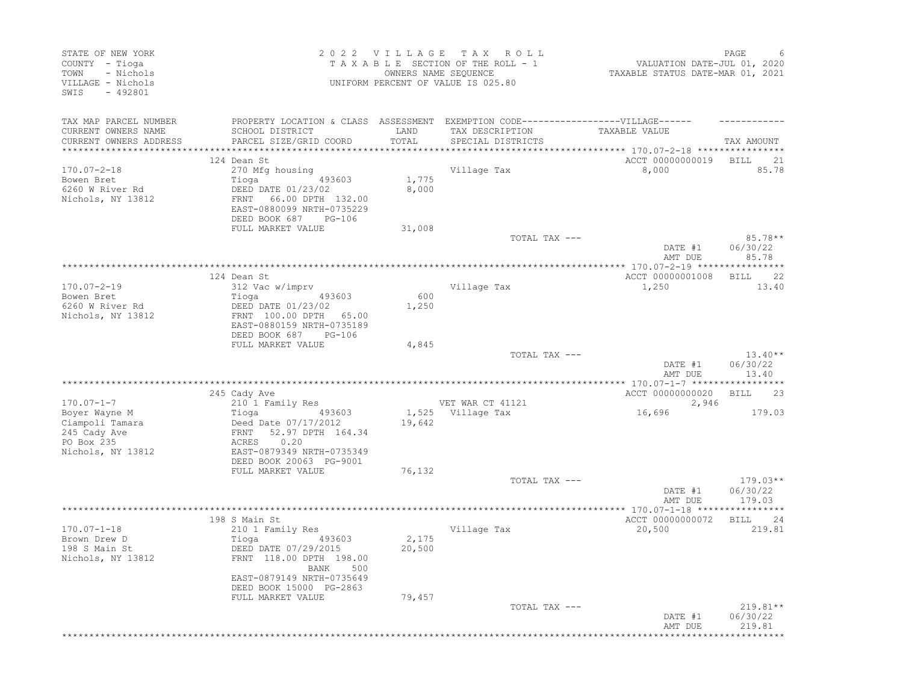| STATE OF NEW YORK<br>COUNTY - Tioga<br>- Nichols<br>TOWN<br>VILLAGE - Nichols<br>$-492801$<br>SWIS |                                                                                                                                                               | OWNERS NAME SEQUENCE | 2022 VILLAGE TAX ROLL<br>TAXABLE SECTION OF THE ROLL - 1<br>UNIFORM PERCENT OF VALUE IS 025.80                            | VALUATION DATE-JUL 01, 2020<br>TAXABLE STATUS DATE-MAR 01, 2021 | PAGE                           |
|----------------------------------------------------------------------------------------------------|---------------------------------------------------------------------------------------------------------------------------------------------------------------|----------------------|---------------------------------------------------------------------------------------------------------------------------|-----------------------------------------------------------------|--------------------------------|
| TAX MAP PARCEL NUMBER<br>CURRENT OWNERS NAME<br>CURRENT OWNERS ADDRESS<br>*********************    | SCHOOL DISTRICT<br>PARCEL SIZE/GRID COORD                                                                                                                     | LAND<br>TOTAL        | PROPERTY LOCATION & CLASS ASSESSMENT EXEMPTION CODE-----------------VILLAGE------<br>TAX DESCRIPTION<br>SPECIAL DISTRICTS | TAXABLE VALUE                                                   | TAX AMOUNT                     |
| $170.07 - 2 - 18$<br>Bowen Bret<br>6260 W River Rd<br>Nichols, NY 13812                            | 124 Dean St<br>270 Mfg housing<br>Tioga<br>493603<br>DEED DATE 01/23/02<br>FRNT 66.00 DPTH 132.00                                                             | 1,775<br>8,000       | Village Tax                                                                                                               | ACCT 00000000019<br>8,000                                       | BILL<br>21<br>85.78            |
|                                                                                                    | EAST-0880099 NRTH-0735229<br>DEED BOOK 687<br>PG-106<br>FULL MARKET VALUE                                                                                     | 31,008               | TOTAL TAX ---                                                                                                             |                                                                 | $85.78**$                      |
|                                                                                                    |                                                                                                                                                               |                      |                                                                                                                           | DATE #1<br>AMT DUE                                              | 06/30/22<br>85.78              |
|                                                                                                    | 124 Dean St                                                                                                                                                   |                      |                                                                                                                           | ACCT 00000001008                                                | BILL 22                        |
| $170.07 - 2 - 19$<br>Bowen Bret<br>6260 W River Rd<br>Nichols, NY 13812                            | 312 Vac w/imprv<br>Tioga<br>493603<br>DEED DATE 01/23/02<br>FRNT 100.00 DPTH 65.00<br>EAST-0880159 NRTH-0735189                                               | 600<br>1,250         | Village Tax                                                                                                               | 1,250                                                           | 13.40                          |
|                                                                                                    | DEED BOOK 687<br>PG-106                                                                                                                                       |                      |                                                                                                                           |                                                                 |                                |
|                                                                                                    | FULL MARKET VALUE                                                                                                                                             | 4,845                | TOTAL TAX ---                                                                                                             | DATE #1<br>AMT DUE                                              | $13.40**$<br>06/30/22<br>13.40 |
|                                                                                                    |                                                                                                                                                               |                      |                                                                                                                           |                                                                 |                                |
| $170.07 - 1 - 7$                                                                                   | 245 Cady Ave<br>210 1 Family Res                                                                                                                              |                      | VET WAR CT 41121                                                                                                          | ACCT 00000000020<br>2,946                                       | 23<br>BILL                     |
| Boyer Wayne M<br>Ciampoli Tamara<br>245 Cady Ave<br>PO Box 235<br>Nichols, NY 13812                | Tioga<br>493603<br>Deed Date 07/17/2012<br>FRNT 52.97 DPTH 164.34<br>0.20<br>ACRES<br>EAST-0879349 NRTH-0735349<br>DEED BOOK 20063 PG-9001                    | 19,642               | 1,525 Village Tax                                                                                                         | 16,696                                                          | 179.03                         |
|                                                                                                    | FULL MARKET VALUE                                                                                                                                             | 76,132               | TOTAL TAX ---                                                                                                             |                                                                 | $179.03**$                     |
|                                                                                                    |                                                                                                                                                               |                      |                                                                                                                           | DATE #1<br>AMT DUE                                              | 06/30/22<br>179.03             |
|                                                                                                    |                                                                                                                                                               |                      |                                                                                                                           | *********** 170.07-1-18 *****************                       |                                |
|                                                                                                    | 198 S Main St                                                                                                                                                 |                      |                                                                                                                           | ACCT 00000000072                                                | 24<br>BILL                     |
| $170.07 - 1 - 18$<br>Brown Drew D<br>198 S Main St<br>Nichols, NY 13812                            | 210 1 Family Res<br>493603<br>Tioga<br>DEED DATE 07/29/2015<br>FRNT 118.00 DPTH 198.00<br>BANK<br>500<br>EAST-0879149 NRTH-0735649<br>DEED BOOK 15000 PG-2863 | 2,175<br>20,500      | Village Tax                                                                                                               | 20,500                                                          | 219.81                         |
|                                                                                                    | FULL MARKET VALUE                                                                                                                                             | 79,457               | TOTAL TAX ---                                                                                                             | DATE #1                                                         | $219.81**$<br>06/30/22         |
|                                                                                                    |                                                                                                                                                               |                      |                                                                                                                           | AMT DUE                                                         | 219.81                         |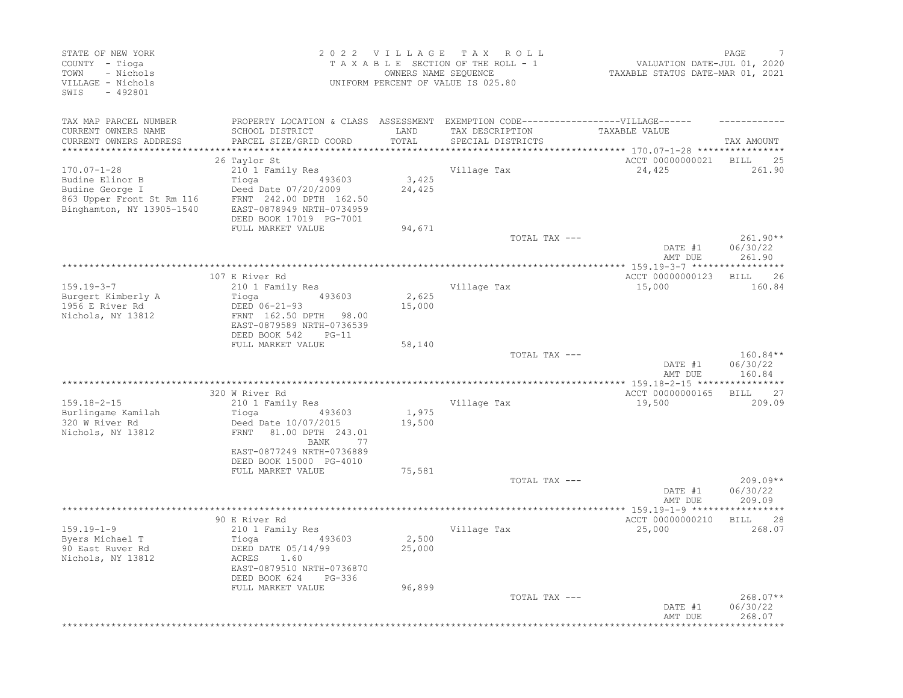| STATE OF NEW YORK<br>COUNTY - Tioga<br>- Nichols<br>TOWN<br>VILLAGE - Nichols<br>SWIS<br>$-492801$ | 2022 VILLAGE TAX<br>ROLL<br>TAXABLE SECTION OF THE ROLL - 1<br>OWNERS NAME SEQUENCE<br>UNIFORM PERCENT OF VALUE IS 025.80 |               |                                                                                   | PAGE<br>VALUATION DATE-JUL 01, 2020<br>TAXABLE STATUS DATE-MAR 01, 2021 |                        |
|----------------------------------------------------------------------------------------------------|---------------------------------------------------------------------------------------------------------------------------|---------------|-----------------------------------------------------------------------------------|-------------------------------------------------------------------------|------------------------|
| TAX MAP PARCEL NUMBER                                                                              |                                                                                                                           |               | PROPERTY LOCATION & CLASS ASSESSMENT EXEMPTION CODE-----------------VILLAGE------ |                                                                         |                        |
| CURRENT OWNERS NAME<br>CURRENT OWNERS ADDRESS                                                      | SCHOOL DISTRICT<br>PARCEL SIZE/GRID COORD                                                                                 | LAND<br>TOTAL | TAX DESCRIPTION                                                                   | TAXABLE VALUE                                                           |                        |
|                                                                                                    |                                                                                                                           | ************* | SPECIAL DISTRICTS                                                                 | ******************** 170.07-1-28 **************                         | TAX AMOUNT             |
|                                                                                                    | 26 Taylor St                                                                                                              |               |                                                                                   | ACCT 00000000021                                                        | BILL<br>25             |
| $170.07 - 1 - 28$                                                                                  | 210 1 Family Res                                                                                                          |               | Village Tax                                                                       | 24,425                                                                  | 261.90                 |
| Budine Elinor B                                                                                    | 493603<br>Tioga                                                                                                           | 3,425         |                                                                                   |                                                                         |                        |
| Budine George I                                                                                    | Deed Date 07/20/2009                                                                                                      | 24,425        |                                                                                   |                                                                         |                        |
| 863 Upper Front St Rm 116                                                                          | FRNT 242.00 DPTH 162.50                                                                                                   |               |                                                                                   |                                                                         |                        |
| Binghamton, NY 13905-1540                                                                          | EAST-0878949 NRTH-0734959<br>DEED BOOK 17019 PG-7001                                                                      |               |                                                                                   |                                                                         |                        |
|                                                                                                    | FULL MARKET VALUE                                                                                                         | 94,671        |                                                                                   |                                                                         |                        |
|                                                                                                    |                                                                                                                           |               | TOTAL TAX ---                                                                     |                                                                         | $261.90**$             |
|                                                                                                    |                                                                                                                           |               |                                                                                   | DATE #1                                                                 | 06/30/22               |
|                                                                                                    |                                                                                                                           |               |                                                                                   | AMT DUE                                                                 | 261.90                 |
|                                                                                                    |                                                                                                                           |               |                                                                                   |                                                                         |                        |
| $159.19 - 3 - 7$                                                                                   | 107 E River Rd<br>210 1 Family Res                                                                                        |               | Village Tax                                                                       | ACCT 00000000123<br>15,000                                              | BILL<br>26<br>160.84   |
| Burgert Kimberly A                                                                                 | 493603<br>Tioga                                                                                                           | 2,625         |                                                                                   |                                                                         |                        |
| 1956 E River Rd                                                                                    | DEED 06-21-93                                                                                                             | 15,000        |                                                                                   |                                                                         |                        |
| Nichols, NY 13812                                                                                  | FRNT 162.50 DPTH 98.00                                                                                                    |               |                                                                                   |                                                                         |                        |
|                                                                                                    | EAST-0879589 NRTH-0736539                                                                                                 |               |                                                                                   |                                                                         |                        |
|                                                                                                    | DEED BOOK 542<br>$PG-11$                                                                                                  |               |                                                                                   |                                                                         |                        |
|                                                                                                    | FULL MARKET VALUE                                                                                                         | 58,140        |                                                                                   |                                                                         |                        |
|                                                                                                    |                                                                                                                           |               | TOTAL TAX ---                                                                     | DATE #1                                                                 | $160.84**$<br>06/30/22 |
|                                                                                                    |                                                                                                                           |               |                                                                                   | AMT DUE                                                                 | 160.84                 |
|                                                                                                    |                                                                                                                           |               |                                                                                   |                                                                         |                        |
|                                                                                                    | 320 W River Rd                                                                                                            |               |                                                                                   | ACCT 00000000165                                                        | <b>BILL</b><br>27      |
| $159.18 - 2 - 15$                                                                                  | 210 1 Family Res                                                                                                          |               | Village Tax                                                                       | 19,500                                                                  | 209.09                 |
| Burlingame Kamilah                                                                                 | 493603<br>Tioga                                                                                                           | 1,975         |                                                                                   |                                                                         |                        |
| 320 W River Rd<br>Nichols, NY 13812                                                                | Deed Date 10/07/2015<br>FRNT<br>81.00 DPTH 243.01                                                                         | 19,500        |                                                                                   |                                                                         |                        |
|                                                                                                    | BANK<br>77                                                                                                                |               |                                                                                   |                                                                         |                        |
|                                                                                                    | EAST-0877249 NRTH-0736889                                                                                                 |               |                                                                                   |                                                                         |                        |
|                                                                                                    | DEED BOOK 15000 PG-4010                                                                                                   |               |                                                                                   |                                                                         |                        |
|                                                                                                    | FULL MARKET VALUE                                                                                                         | 75,581        |                                                                                   |                                                                         |                        |
|                                                                                                    |                                                                                                                           |               | TOTAL TAX ---                                                                     |                                                                         | $209.09**$             |
|                                                                                                    |                                                                                                                           |               |                                                                                   | DATE #1                                                                 | 06/30/22<br>209.09     |
|                                                                                                    |                                                                                                                           |               |                                                                                   | AMT DUE                                                                 |                        |
|                                                                                                    | 90 E River Rd                                                                                                             |               |                                                                                   | ACCT 00000000210                                                        | <b>BILL</b><br>28      |
| $159.19 - 1 - 9$                                                                                   | 210 1 Family Res                                                                                                          |               | Village Tax                                                                       | 25,000                                                                  | 268.07                 |
| Byers Michael T                                                                                    | 493603<br>Tioga                                                                                                           | 2,500         |                                                                                   |                                                                         |                        |
| 90 East Ruver Rd                                                                                   | DEED DATE 05/14/99                                                                                                        | 25,000        |                                                                                   |                                                                         |                        |
| Nichols, NY 13812                                                                                  | ACRES<br>1.60                                                                                                             |               |                                                                                   |                                                                         |                        |
|                                                                                                    | EAST-0879510 NRTH-0736870<br>DEED BOOK 624<br>PG-336                                                                      |               |                                                                                   |                                                                         |                        |
|                                                                                                    | FULL MARKET VALUE                                                                                                         | 96,899        |                                                                                   |                                                                         |                        |
|                                                                                                    |                                                                                                                           |               | TOTAL TAX ---                                                                     |                                                                         | 268.07**               |
|                                                                                                    |                                                                                                                           |               |                                                                                   | DATE #1                                                                 | 06/30/22               |
|                                                                                                    |                                                                                                                           |               |                                                                                   | AMT DUE                                                                 | 268.07                 |
|                                                                                                    |                                                                                                                           |               |                                                                                   |                                                                         | *************          |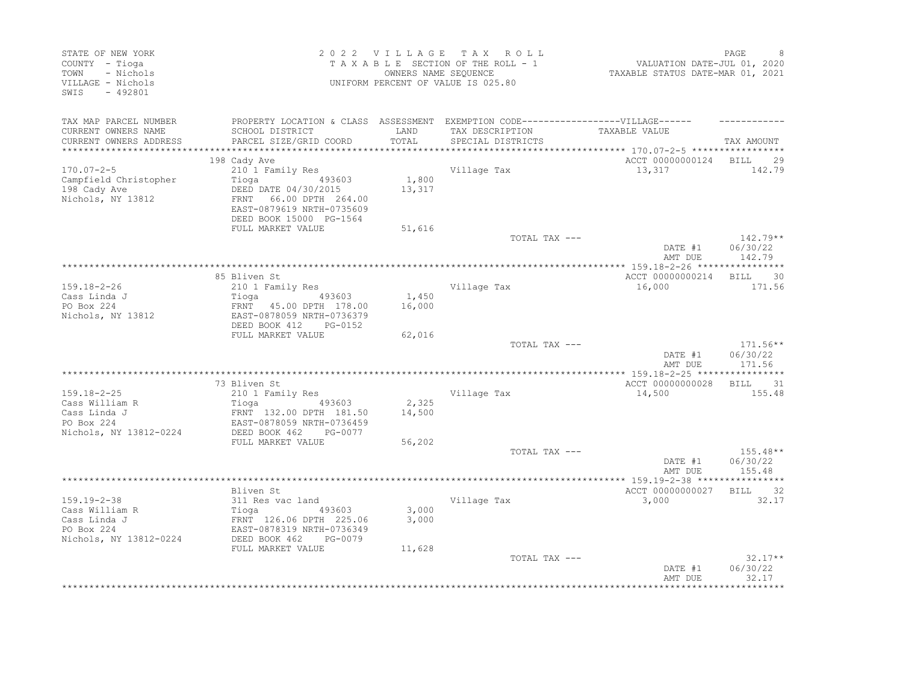| STATE OF NEW YORK<br>COUNTY - Tioga<br>- Nichols<br>TOWN<br>VILLAGE - Nichols<br>SWTS<br>$-492801$ |                                                                                                      |                 | 2022 VILLAGE TAX ROLL<br>TAXABLE SECTION OF THE ROLL - 1<br>OWNERS NAME SEQUENCE<br>UNIFORM PERCENT OF VALUE IS 025.80 | VALUATION DATE-JUL 01, 2020<br>TAXABLE STATUS DATE-MAR 01, 2021 | PAGE                           |
|----------------------------------------------------------------------------------------------------|------------------------------------------------------------------------------------------------------|-----------------|------------------------------------------------------------------------------------------------------------------------|-----------------------------------------------------------------|--------------------------------|
| TAX MAP PARCEL NUMBER<br>CURRENT OWNERS NAME                                                       | PROPERTY LOCATION & CLASS ASSESSMENT EXEMPTION CODE-----------------VILLAGE------<br>SCHOOL DISTRICT | LAND            | TAX DESCRIPTION                                                                                                        | TAXABLE VALUE                                                   |                                |
| CURRENT OWNERS ADDRESS<br>***********************                                                  | PARCEL SIZE/GRID COORD                                                                               | TOTAL           | SPECIAL DISTRICTS                                                                                                      |                                                                 | TAX AMOUNT                     |
|                                                                                                    | 198 Cady Ave                                                                                         |                 |                                                                                                                        | ACCT 00000000124 BILL 29                                        |                                |
| $170.07 - 2 - 5$                                                                                   | 210 1 Family Res                                                                                     |                 | Village Tax                                                                                                            | 13,317                                                          | 142.79                         |
| Campfield Christopher                                                                              | Tioga 493603                                                                                         | 1,800           |                                                                                                                        |                                                                 |                                |
| 198 Cady Ave                                                                                       | DEED DATE 04/30/2015                                                                                 | 13,317          |                                                                                                                        |                                                                 |                                |
| Nichols, NY 13812                                                                                  | FRNT 66.00 DPTH 264.00                                                                               |                 |                                                                                                                        |                                                                 |                                |
|                                                                                                    | EAST-0879619 NRTH-0735609                                                                            |                 |                                                                                                                        |                                                                 |                                |
|                                                                                                    | DEED BOOK 15000 PG-1564<br>FULL MARKET VALUE                                                         |                 |                                                                                                                        |                                                                 |                                |
|                                                                                                    |                                                                                                      | 51,616          | TOTAL TAX ---                                                                                                          |                                                                 | $142.79**$                     |
|                                                                                                    |                                                                                                      |                 |                                                                                                                        | DATE #1<br>AMT DUE                                              | 06/30/22<br>142.79             |
|                                                                                                    |                                                                                                      |                 |                                                                                                                        |                                                                 |                                |
|                                                                                                    | 85 Bliven St                                                                                         |                 |                                                                                                                        | ACCT 00000000214 BILL 30                                        |                                |
| $159.18 - 2 - 26$                                                                                  | 210 1 Family Res                                                                                     |                 | Village Tax                                                                                                            | 16,000                                                          | 171.56                         |
| Cass Linda J<br>PO Box 224                                                                         | FRNT 45.00 DPTH 178.00                                                                               | 1,450<br>16,000 |                                                                                                                        |                                                                 |                                |
| Nichols, NY 13812                                                                                  | EAST-0878059 NRTH-0736379<br>DEED BOOK 412<br>PG-0152                                                |                 |                                                                                                                        |                                                                 |                                |
|                                                                                                    | FULL MARKET VALUE                                                                                    | 62,016          |                                                                                                                        |                                                                 |                                |
|                                                                                                    |                                                                                                      |                 | TOTAL TAX ---                                                                                                          | DATE #1                                                         | $171.56**$<br>06/30/22         |
|                                                                                                    |                                                                                                      |                 |                                                                                                                        | AMT DUE                                                         | 171.56                         |
|                                                                                                    | 73 Bliven St                                                                                         |                 |                                                                                                                        | ACCT 00000000028                                                | BILL 31                        |
| $159.18 - 2 - 25$                                                                                  | 210 1 Family Res                                                                                     |                 | Village Tax                                                                                                            | 14,500                                                          | 155.48                         |
| Cass William R                                                                                     |                                                                                                      | 2,325           |                                                                                                                        |                                                                 |                                |
| Cass Linda J                                                                                       |                                                                                                      | 14,500          |                                                                                                                        |                                                                 |                                |
| PO Box 224<br>Nichols, NY 13812-0224                                                               | EAST-0878059 NRTH-0736459<br>DEED BOOK 462<br>PG-0077                                                |                 |                                                                                                                        |                                                                 |                                |
|                                                                                                    | FULL MARKET VALUE                                                                                    | 56,202          |                                                                                                                        |                                                                 |                                |
|                                                                                                    |                                                                                                      |                 | TOTAL TAX ---                                                                                                          |                                                                 | $155.48**$                     |
|                                                                                                    |                                                                                                      |                 |                                                                                                                        | DATE #1<br>AMT DUE                                              | 06/30/22<br>155.48             |
|                                                                                                    |                                                                                                      |                 |                                                                                                                        |                                                                 |                                |
| $159.19 - 2 - 38$                                                                                  | Bliven St                                                                                            |                 |                                                                                                                        | ACCT 00000000027                                                | BILL 32<br>32.17               |
| Cass William R                                                                                     | 311 Res vac land                                                                                     | 3,000           | Village Tax                                                                                                            | 3,000                                                           |                                |
| Cass Linda J                                                                                       |                                                                                                      | 3,000           |                                                                                                                        |                                                                 |                                |
| $PO$ Box $224$                                                                                     | EAST-0878319 NRTH-0736349                                                                            |                 |                                                                                                                        |                                                                 |                                |
| Nichols, NY 13812-0224                                                                             | DEED BOOK 462<br>PG-0079                                                                             |                 |                                                                                                                        |                                                                 |                                |
|                                                                                                    | FULL MARKET VALUE                                                                                    | 11,628          |                                                                                                                        |                                                                 |                                |
|                                                                                                    |                                                                                                      |                 | TOTAL TAX ---                                                                                                          | DATE #1<br>AMT DUE                                              | $32.17**$<br>06/30/22<br>32.17 |
|                                                                                                    |                                                                                                      |                 |                                                                                                                        |                                                                 |                                |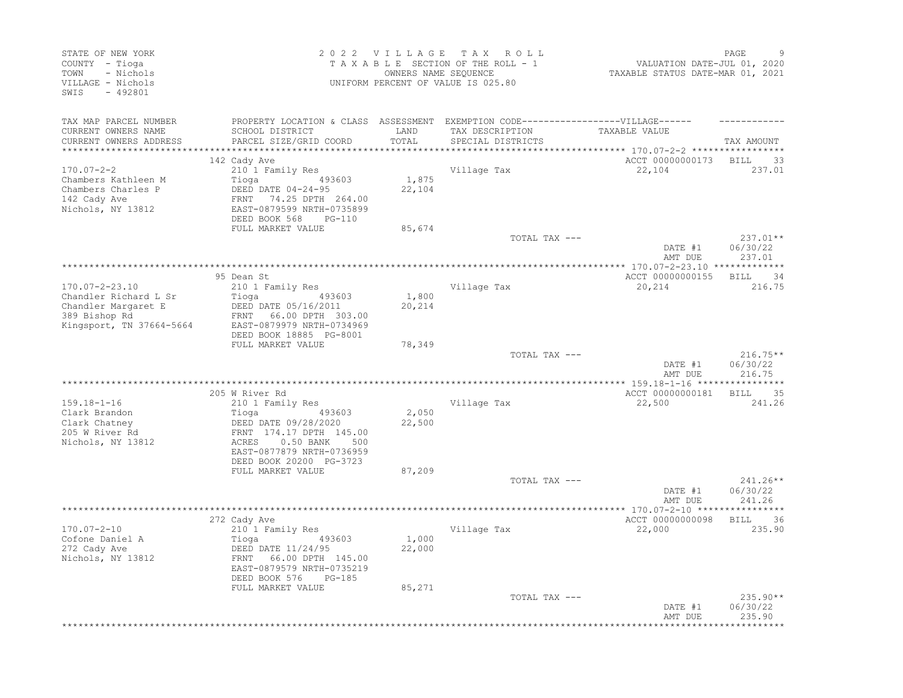| PROPERTY LOCATION & CLASS ASSESSMENT EXEMPTION CODE-----------------VILLAGE------<br>TAX MAP PARCEL NUMBER<br>TAXABLE VALUE<br>CURRENT OWNERS NAME<br>SCHOOL DISTRICT<br>LAND<br>TAX DESCRIPTION<br>PARCEL SIZE/GRID COORD<br>TOTAL<br>CURRENT OWNERS ADDRESS<br>SPECIAL DISTRICTS<br>TAX AMOUNT<br>*********************<br>**************************** 170.07-2-2 *****************<br>142 Cady Ave<br>ACCT 00000000173<br><b>BILL</b><br>33<br>$170.07 - 2 - 2$<br>210 1 Family Res<br>Village Tax<br>237.01<br>22,104<br>Chambers Kathleen M<br>Tioga 493603<br>1,875<br>Chambers Charles P<br>DEED DATE 04-24-95<br>22,104<br>FRNT<br>74.25 DPTH 264.00<br>EAST-0879599 NRTH-0735899<br>DEED BOOK 568<br>PG-110<br>FULL MARKET VALUE<br>85,674<br>TOTAL TAX ---<br>$237.01**$<br>DATE #1<br>06/30/22<br>AMT DUE<br>237.01<br>95 Dean St<br>ACCT 00000000155<br>34<br>BILL<br>210 1 Family Res<br>216.75<br>Village Tax<br>20,214<br>1,800<br>Chandler Richard L Sr<br>Tioga<br>493603<br>Chandler Margaret E<br>DEED DATE 05/16/2011<br>20,214<br>FRNT 66.00 DPTH 303.00<br>EAST-0879979 NRTH-0734969<br>DEED BOOK 18885 PG-8001<br>FULL MARKET VALUE<br>78,349<br>$216.75**$<br>TOTAL TAX ---<br>06/30/22<br>DATE #1<br>216.75<br>AMT DUE<br>ACCT 00000000181<br>205 W River Rd<br>BILL<br>35<br>$159.18 - 1 - 16$<br>210 1 Family Res<br>Village Tax<br>22,500<br>241.26<br>2,050<br>Clark Brandon<br>493603<br>Tioga<br>22,500<br>Clark Chatney<br>DEED DATE 09/28/2020<br>205 W River Rd<br>FRNT 174.17 DPTH 145.00<br>$0.50$ BANK<br>ACRES<br>500<br>EAST-0877879 NRTH-0736959<br>DEED BOOK 20200 PG-3723<br>FULL MARKET VALUE<br>87,209<br>241.26**<br>TOTAL TAX ---<br>06/30/22<br>DATE #1<br>241.26<br>AMT DUE<br>******* 170.07-2-10 ****<br>272 Cady Ave<br>ACCT 00000000098<br><b>BILL</b><br>36<br>$170.07 - 2 - 10$<br>Village Tax<br>22,000<br>235.90<br>210 1 Family Res<br>Cofone Daniel A<br>1,000<br>Tioga<br>493603<br>22,000<br>272 Cady Ave<br>DEED DATE 11/24/95<br>66.00 DPTH 145.00<br>FRNT<br>EAST-0879579 NRTH-0735219<br>DEED BOOK 576<br>PG-185<br>FULL MARKET VALUE<br>85,271<br>TOTAL TAX ---<br>$235.90**$<br>06/30/22<br>DATE #1<br>235.90<br>AMT DUE | STATE OF NEW YORK<br>COUNTY - Tioga<br>- Nichols<br>TOWN<br>VILLAGE - Nichols<br>SWIS<br>$-492801$ | 2022 VILLAGE | TAX ROLL<br>TAXABLE SECTION OF THE ROLL - 1<br>OWNERS NAME SEQUENCE<br>UNIFORM PERCENT OF VALUE IS 025.80 | VALUATION DATE-JUL 01, 2020<br>VALUATION DATE-JUL 01, 2020<br>TAXABLE STATUS DATE-MAR 01, 2021 | PAGE |
|---------------------------------------------------------------------------------------------------------------------------------------------------------------------------------------------------------------------------------------------------------------------------------------------------------------------------------------------------------------------------------------------------------------------------------------------------------------------------------------------------------------------------------------------------------------------------------------------------------------------------------------------------------------------------------------------------------------------------------------------------------------------------------------------------------------------------------------------------------------------------------------------------------------------------------------------------------------------------------------------------------------------------------------------------------------------------------------------------------------------------------------------------------------------------------------------------------------------------------------------------------------------------------------------------------------------------------------------------------------------------------------------------------------------------------------------------------------------------------------------------------------------------------------------------------------------------------------------------------------------------------------------------------------------------------------------------------------------------------------------------------------------------------------------------------------------------------------------------------------------------------------------------------------------------------------------------------------------------------------------------------------------------------------------------------------------------------------------------------------------------------------------------------------------------------------------|----------------------------------------------------------------------------------------------------|--------------|-----------------------------------------------------------------------------------------------------------|------------------------------------------------------------------------------------------------|------|
|                                                                                                                                                                                                                                                                                                                                                                                                                                                                                                                                                                                                                                                                                                                                                                                                                                                                                                                                                                                                                                                                                                                                                                                                                                                                                                                                                                                                                                                                                                                                                                                                                                                                                                                                                                                                                                                                                                                                                                                                                                                                                                                                                                                             |                                                                                                    |              |                                                                                                           |                                                                                                |      |
|                                                                                                                                                                                                                                                                                                                                                                                                                                                                                                                                                                                                                                                                                                                                                                                                                                                                                                                                                                                                                                                                                                                                                                                                                                                                                                                                                                                                                                                                                                                                                                                                                                                                                                                                                                                                                                                                                                                                                                                                                                                                                                                                                                                             | 142 Cady Ave<br>Nichols, NY 13812                                                                  |              |                                                                                                           |                                                                                                |      |
|                                                                                                                                                                                                                                                                                                                                                                                                                                                                                                                                                                                                                                                                                                                                                                                                                                                                                                                                                                                                                                                                                                                                                                                                                                                                                                                                                                                                                                                                                                                                                                                                                                                                                                                                                                                                                                                                                                                                                                                                                                                                                                                                                                                             |                                                                                                    |              |                                                                                                           |                                                                                                |      |
|                                                                                                                                                                                                                                                                                                                                                                                                                                                                                                                                                                                                                                                                                                                                                                                                                                                                                                                                                                                                                                                                                                                                                                                                                                                                                                                                                                                                                                                                                                                                                                                                                                                                                                                                                                                                                                                                                                                                                                                                                                                                                                                                                                                             |                                                                                                    |              |                                                                                                           |                                                                                                |      |
|                                                                                                                                                                                                                                                                                                                                                                                                                                                                                                                                                                                                                                                                                                                                                                                                                                                                                                                                                                                                                                                                                                                                                                                                                                                                                                                                                                                                                                                                                                                                                                                                                                                                                                                                                                                                                                                                                                                                                                                                                                                                                                                                                                                             | 170.07-2-23.10<br>389 Bishop Rd<br>Kingsport, TN 37664-5664                                        |              |                                                                                                           |                                                                                                |      |
|                                                                                                                                                                                                                                                                                                                                                                                                                                                                                                                                                                                                                                                                                                                                                                                                                                                                                                                                                                                                                                                                                                                                                                                                                                                                                                                                                                                                                                                                                                                                                                                                                                                                                                                                                                                                                                                                                                                                                                                                                                                                                                                                                                                             |                                                                                                    |              |                                                                                                           |                                                                                                |      |
|                                                                                                                                                                                                                                                                                                                                                                                                                                                                                                                                                                                                                                                                                                                                                                                                                                                                                                                                                                                                                                                                                                                                                                                                                                                                                                                                                                                                                                                                                                                                                                                                                                                                                                                                                                                                                                                                                                                                                                                                                                                                                                                                                                                             |                                                                                                    |              |                                                                                                           |                                                                                                |      |
|                                                                                                                                                                                                                                                                                                                                                                                                                                                                                                                                                                                                                                                                                                                                                                                                                                                                                                                                                                                                                                                                                                                                                                                                                                                                                                                                                                                                                                                                                                                                                                                                                                                                                                                                                                                                                                                                                                                                                                                                                                                                                                                                                                                             | Nichols, NY 13812                                                                                  |              |                                                                                                           |                                                                                                |      |
|                                                                                                                                                                                                                                                                                                                                                                                                                                                                                                                                                                                                                                                                                                                                                                                                                                                                                                                                                                                                                                                                                                                                                                                                                                                                                                                                                                                                                                                                                                                                                                                                                                                                                                                                                                                                                                                                                                                                                                                                                                                                                                                                                                                             |                                                                                                    |              |                                                                                                           |                                                                                                |      |
|                                                                                                                                                                                                                                                                                                                                                                                                                                                                                                                                                                                                                                                                                                                                                                                                                                                                                                                                                                                                                                                                                                                                                                                                                                                                                                                                                                                                                                                                                                                                                                                                                                                                                                                                                                                                                                                                                                                                                                                                                                                                                                                                                                                             |                                                                                                    |              |                                                                                                           |                                                                                                |      |
|                                                                                                                                                                                                                                                                                                                                                                                                                                                                                                                                                                                                                                                                                                                                                                                                                                                                                                                                                                                                                                                                                                                                                                                                                                                                                                                                                                                                                                                                                                                                                                                                                                                                                                                                                                                                                                                                                                                                                                                                                                                                                                                                                                                             | Nichols, NY 13812                                                                                  |              |                                                                                                           |                                                                                                |      |
|                                                                                                                                                                                                                                                                                                                                                                                                                                                                                                                                                                                                                                                                                                                                                                                                                                                                                                                                                                                                                                                                                                                                                                                                                                                                                                                                                                                                                                                                                                                                                                                                                                                                                                                                                                                                                                                                                                                                                                                                                                                                                                                                                                                             |                                                                                                    |              |                                                                                                           |                                                                                                |      |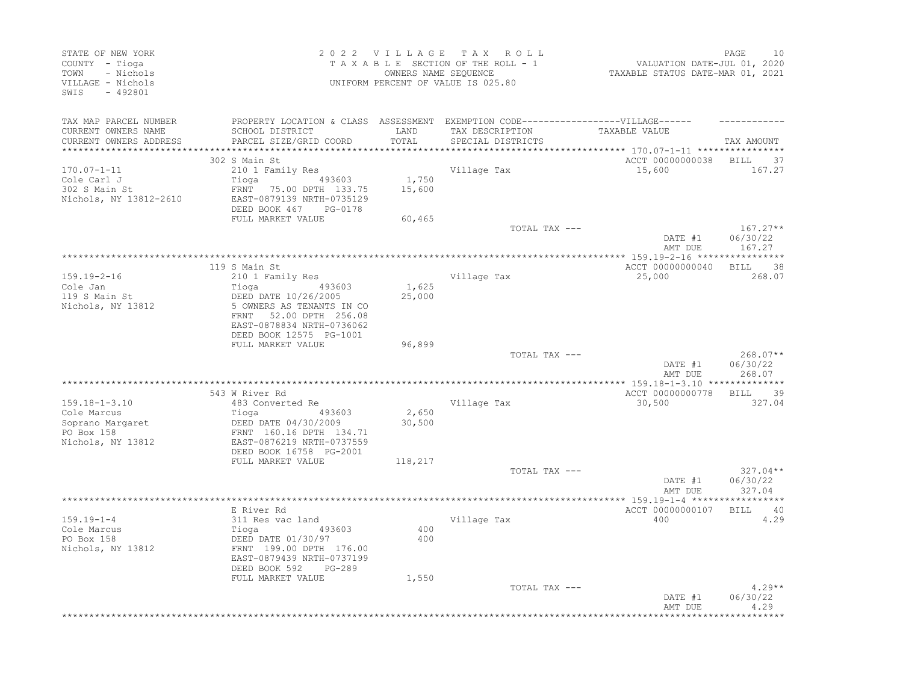| STATE OF NEW YORK<br>COUNTY - Tioga<br>- Nichols<br>TOWN<br>VILLAGE - Nichols<br>$-492801$<br>SWIS |                                                                                                                                                                  |                 | 2022 VILLAGE TAX ROLL<br>TAXABLE SECTION OF THE ROLL - 1<br>OWNERS NAME SEQUENCE<br>UNIFORM PERCENT OF VALUE IS 025.80    | VALUATION DATE-JUL 01, 2020<br>TAXABLE STATUS DATE-MAR 01, 2021 | 10<br>PAGE                       |
|----------------------------------------------------------------------------------------------------|------------------------------------------------------------------------------------------------------------------------------------------------------------------|-----------------|---------------------------------------------------------------------------------------------------------------------------|-----------------------------------------------------------------|----------------------------------|
| TAX MAP PARCEL NUMBER<br>CURRENT OWNERS NAME<br>CURRENT OWNERS ADDRESS<br>************************ | SCHOOL DISTRICT<br>PARCEL SIZE/GRID COORD                                                                                                                        | LAND<br>TOTAL   | PROPERTY LOCATION & CLASS ASSESSMENT EXEMPTION CODE-----------------VILLAGE------<br>TAX DESCRIPTION<br>SPECIAL DISTRICTS | TAXABLE VALUE                                                   | TAX AMOUNT                       |
| $170.07 - 1 - 11$                                                                                  | 302 S Main St<br>210 1 Family Res                                                                                                                                |                 | Village Tax                                                                                                               | ACCT 00000000038<br>15,600                                      | <b>BILL</b><br>37<br>167.27      |
| Cole Carl J<br>302 S Main St<br>Nichols, NY 13812-2610                                             | 493603<br>Tioga<br>FRNT 75.00 DPTH 133.75<br>EAST-0879139 NRTH-0735129<br>DEED BOOK 467<br>PG-0178                                                               | 1,750<br>15,600 |                                                                                                                           |                                                                 |                                  |
|                                                                                                    | FULL MARKET VALUE                                                                                                                                                | 60,465          | TOTAL TAX ---                                                                                                             | DATE #1<br>AMT DUE                                              | $167.27**$<br>06/30/22<br>167.27 |
|                                                                                                    |                                                                                                                                                                  |                 |                                                                                                                           |                                                                 |                                  |
| $159.19 - 2 - 16$<br>Cole Jan<br>119 S Main St<br>Nichols, NY 13812                                | 119 S Main St<br>210 1 Family Res<br>493603<br>Tioga<br>DEED DATE 10/26/2005<br>5 OWNERS AS TENANTS IN CO<br>FRNT 52.00 DPTH 256.08<br>EAST-0878834 NRTH-0736062 | 1,625<br>25,000 | Village Tax                                                                                                               | ACCT 00000000040<br>25,000                                      | BILL<br>38<br>268.07             |
|                                                                                                    | DEED BOOK 12575 PG-1001                                                                                                                                          |                 |                                                                                                                           |                                                                 |                                  |
|                                                                                                    | FULL MARKET VALUE                                                                                                                                                | 96,899          | TOTAL TAX ---                                                                                                             | DATE #1<br>AMT DUE                                              | $268.07**$<br>06/30/22<br>268.07 |
|                                                                                                    |                                                                                                                                                                  |                 |                                                                                                                           |                                                                 |                                  |
| $159.18 - 1 - 3.10$                                                                                | 543 W River Rd<br>483 Converted Re                                                                                                                               |                 | Village Tax                                                                                                               | ACCT 00000000778<br>30,500                                      | BILL 39<br>327.04                |
| Cole Marcus<br>Soprano Margaret<br>PO Box 158<br>Nichols, NY 13812                                 | Tioga<br>493603<br>DEED DATE 04/30/2009<br>FRNT 160.16 DPTH 134.71<br>EAST-0876219 NRTH-0737559                                                                  | 2,650<br>30,500 |                                                                                                                           |                                                                 |                                  |
|                                                                                                    | DEED BOOK 16758 PG-2001<br>FULL MARKET VALUE                                                                                                                     | 118,217         |                                                                                                                           |                                                                 |                                  |
|                                                                                                    |                                                                                                                                                                  |                 | TOTAL TAX ---                                                                                                             | DATE #1<br>AMT DUE                                              | $327.04**$<br>06/30/22<br>327.04 |
|                                                                                                    | E River Rd                                                                                                                                                       |                 |                                                                                                                           | ACCT 00000000107                                                | BILL 40                          |
| $159.19 - 1 - 4$<br>Cole Marcus<br>PO Box 158<br>Nichols, NY 13812                                 | 311 Res vac land<br>493603<br>Tioga<br>DEED DATE 01/30/97<br>FRNT 199.00 DPTH 176.00<br>EAST-0879439 NRTH-0737199                                                | 400<br>400      | Village Tax                                                                                                               | 400                                                             | 4.29                             |
|                                                                                                    | DEED BOOK 592<br>PG-289<br>FULL MARKET VALUE                                                                                                                     | 1,550           | TOTAL TAX ---                                                                                                             | DATE #1<br>AMT DUE                                              | $4.29**$<br>06/30/22<br>4.29     |
|                                                                                                    |                                                                                                                                                                  |                 |                                                                                                                           |                                                                 |                                  |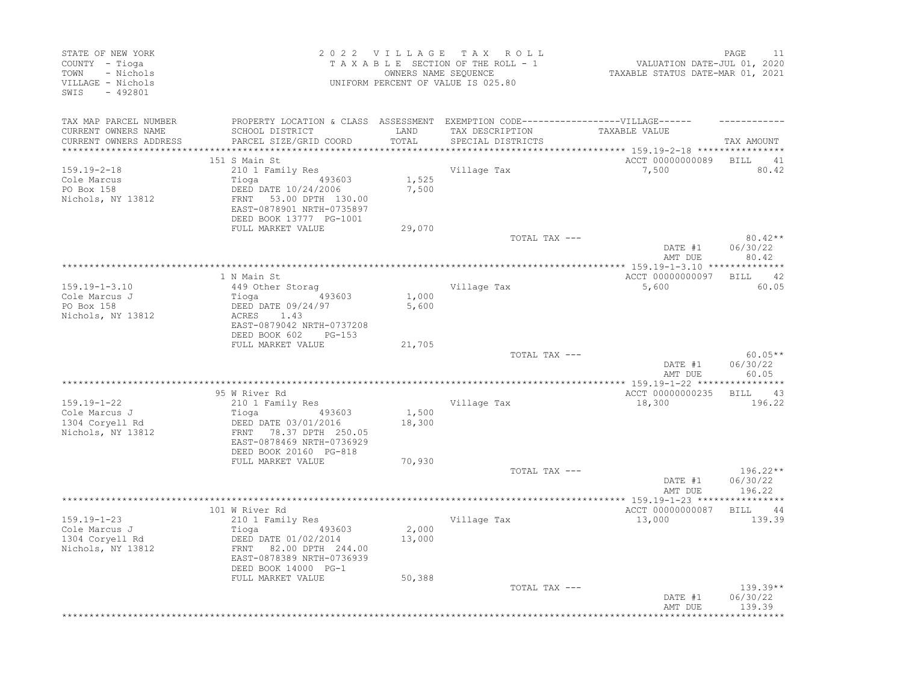| STATE OF NEW YORK<br>COUNTY - Tioga<br>- Nichols<br>TOWN<br>VILLAGE - Nichols<br>SWIS<br>$-492801$ |                                                                                                                                                              |                 | 2022 VILLAGE TAX ROLL<br>TAXABLE SECTION OF THE ROLL - 1<br>OWNERS NAME SEQUENCE<br>UNIFORM PERCENT OF VALUE IS 025.80 | valuation DATE-JUL 01, 2020<br>TAXABLE STATUS DATE-MAR 01, 2021 | 11<br>PAGE                       |
|----------------------------------------------------------------------------------------------------|--------------------------------------------------------------------------------------------------------------------------------------------------------------|-----------------|------------------------------------------------------------------------------------------------------------------------|-----------------------------------------------------------------|----------------------------------|
| TAX MAP PARCEL NUMBER<br>CURRENT OWNERS NAME<br>CURRENT OWNERS ADDRESS                             | PROPERTY LOCATION & CLASS ASSESSMENT EXEMPTION CODE-----------------VILLAGE------<br>SCHOOL DISTRICT<br>PARCEL SIZE/GRID COORD                               | LAND<br>TOTAL   | TAX DESCRIPTION<br>SPECIAL DISTRICTS<br>*********************************                                              | TAXABLE VALUE<br>*********** 159.19-2-18 ****************       | TAX AMOUNT                       |
|                                                                                                    | 151 S Main St                                                                                                                                                |                 |                                                                                                                        | ACCT 00000000089 BILL                                           | 41                               |
| $159.19 - 2 - 18$<br>Cole Marcus<br>PO Box 158<br>Nichols, NY 13812                                | 210 1 Family Res<br>493603<br>Tioga<br>DEED DATE 10/24/2006<br>FRNT 53.00 DPTH 130.00<br>EAST-0878901 NRTH-0735897<br>DEED BOOK 13777 PG-1001                | 1,525<br>7,500  | Village Tax                                                                                                            | 7,500                                                           | 80.42                            |
|                                                                                                    | FULL MARKET VALUE                                                                                                                                            | 29,070          |                                                                                                                        |                                                                 |                                  |
|                                                                                                    |                                                                                                                                                              |                 | TOTAL TAX ---                                                                                                          | DATE #1<br>AMT DUE                                              | $80.42**$<br>06/30/22<br>80.42   |
|                                                                                                    |                                                                                                                                                              |                 |                                                                                                                        |                                                                 |                                  |
| $159.19 - 1 - 3.10$<br>Cole Marcus J<br>PO Box 158<br>Nichols, NY 13812                            | 1 N Main St<br>449 Other Storag<br>Tioga<br>493603<br>DEED DATE 09/24/97<br>ACRES<br>1.43<br>EAST-0879042 NRTH-0737208                                       | 1,000<br>5,600  | Village Tax                                                                                                            | ACCT 00000000097<br>5,600                                       | BILL 42<br>60.05                 |
|                                                                                                    | DEED BOOK 602<br>$PG-153$<br>FULL MARKET VALUE                                                                                                               | 21,705          |                                                                                                                        |                                                                 |                                  |
|                                                                                                    |                                                                                                                                                              |                 | TOTAL TAX ---                                                                                                          | DATE #1<br>AMT DUE                                              | $60.05**$<br>06/30/22<br>60.05   |
|                                                                                                    |                                                                                                                                                              |                 |                                                                                                                        |                                                                 |                                  |
|                                                                                                    | 95 W River Rd                                                                                                                                                |                 |                                                                                                                        | ACCT 00000000235                                                | BILL 43                          |
| 159.19-1-22                                                                                        | 210 1 Family Res                                                                                                                                             |                 | Village Tax                                                                                                            | 18,300                                                          | 196.22                           |
| Cole Marcus J<br>1304 Coryell Rd<br>Nichols, NY 13812                                              | Tioga<br>493603<br>DEED DATE 03/01/2016<br>FRNT 78.37 DPTH 250.05<br>EAST-0878469 NRTH-0736929<br>DEED BOOK 20160 PG-818                                     | 1,500<br>18,300 |                                                                                                                        |                                                                 |                                  |
|                                                                                                    | FULL MARKET VALUE                                                                                                                                            | 70,930          |                                                                                                                        |                                                                 |                                  |
|                                                                                                    |                                                                                                                                                              |                 | TOTAL TAX ---                                                                                                          | DATE #1<br>AMT DUE                                              | $196.22**$<br>06/30/22<br>196.22 |
|                                                                                                    |                                                                                                                                                              |                 |                                                                                                                        |                                                                 |                                  |
| $159.19 - 1 - 23$<br>Cole Marcus J<br>1304 Coryell Rd<br>Nichols, NY 13812                         | 101 W River Rd<br>210 1 Family Res<br>493603<br>Tioga<br>DEED DATE 01/02/2014<br>FRNT 82.00 DPTH 244.00<br>EAST-0878389 NRTH-0736939<br>DEED BOOK 14000 PG-1 | 2,000<br>13,000 | Village Tax                                                                                                            | ACCT 00000000087<br>13,000                                      | BILL 44<br>139.39                |
|                                                                                                    | FULL MARKET VALUE                                                                                                                                            | 50,388          | TOTAL TAX ---                                                                                                          | DATE #1<br>AMT DUE                                              | $139.39**$<br>06/30/22<br>139.39 |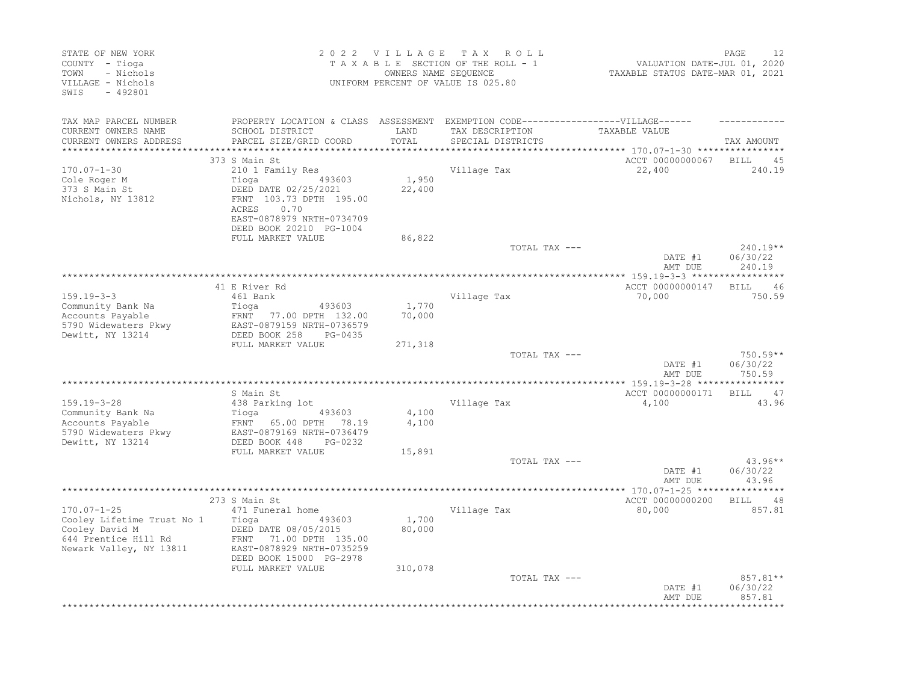| STATE OF NEW YORK<br>COUNTY - Tioga<br>- Nichols<br>TOWN<br>VILLAGE - Nichols<br>$-492801$<br>SWIS                   |                                                                                                                                                                                        | 2022 VILLAGE               | T A X<br>ROLL<br>TAXABLE SECTION OF THE ROLL - 1<br>OWNERS NAME SEQUENCE<br>UNIFORM PERCENT OF VALUE IS 025.80            | VALUATION DATE-JUL 01, 2020<br>TAXABLE STATUS DATE-MAR 01, 2021 | PAGE<br>12                       |
|----------------------------------------------------------------------------------------------------------------------|----------------------------------------------------------------------------------------------------------------------------------------------------------------------------------------|----------------------------|---------------------------------------------------------------------------------------------------------------------------|-----------------------------------------------------------------|----------------------------------|
| TAX MAP PARCEL NUMBER<br>CURRENT OWNERS NAME<br>CURRENT OWNERS ADDRESS                                               | SCHOOL DISTRICT<br>PARCEL SIZE/GRID COORD                                                                                                                                              | LAND<br>TOTAL              | PROPERTY LOCATION & CLASS ASSESSMENT EXEMPTION CODE-----------------VILLAGE------<br>TAX DESCRIPTION<br>SPECIAL DISTRICTS | TAXABLE VALUE                                                   | TAX AMOUNT                       |
| *************************                                                                                            | 373 S Main St                                                                                                                                                                          |                            |                                                                                                                           | ACCT 00000000067                                                | <b>BILL</b>                      |
| $170.07 - 1 - 30$<br>Cole Roger M<br>373 S Main St<br>Nichols, NY 13812                                              | 210 1 Family Res<br>Tioga<br>493603<br>DEED DATE 02/25/2021<br>FRNT 103.73 DPTH 195.00<br>0.70<br>ACRES<br>EAST-0878979 NRTH-0734709<br>DEED BOOK 20210 PG-1004                        | 1,950<br>22,400            | Village Tax                                                                                                               | 22,400                                                          | 45<br>240.19                     |
|                                                                                                                      | FULL MARKET VALUE                                                                                                                                                                      | 86,822                     | TOTAL TAX ---                                                                                                             | DATE #1<br>AMT DUE                                              | $240.19**$<br>06/30/22<br>240.19 |
|                                                                                                                      | 41 E River Rd                                                                                                                                                                          |                            |                                                                                                                           | ACCT 00000000147                                                | BILL<br>46                       |
| $159.19 - 3 - 3$<br>Community Bank Na<br>Accounts Payable<br>5790 Widewaters Pkwy<br>Dewitt, NY 13214                | 461 Bank<br>Tioga<br>493603<br>FRNT 77.00 DPTH 132.00<br>EAST-0879159 NRTH-0736579<br>DEED BOOK 258<br>PG-0435                                                                         | 1,770<br>70,000            | Village Tax                                                                                                               | 70,000                                                          | 750.59                           |
|                                                                                                                      | FULL MARKET VALUE                                                                                                                                                                      | 271,318                    | TOTAL TAX ---                                                                                                             | DATE #1<br>AMT DUE                                              | $750.59**$<br>06/30/22<br>750.59 |
|                                                                                                                      |                                                                                                                                                                                        |                            |                                                                                                                           |                                                                 |                                  |
| $159.19 - 3 - 28$<br>Community Bank Na<br>Accounts Payable<br>5790 Widewaters Pkwy<br>Dewitt, NY 13214               | S Main St<br>438 Parking lot<br>493603<br>Tioga<br>FRNT 65.00 DPTH<br>78.19<br>EAST-0879169 NRTH-0736479<br>DEED BOOK 448<br>PG-0232                                                   | 4,100<br>4,100             | Village Tax                                                                                                               | ACCT 00000000171<br>4,100                                       | BILL 47<br>43.96                 |
|                                                                                                                      | FULL MARKET VALUE                                                                                                                                                                      | 15,891                     | TOTAL TAX ---                                                                                                             | DATE #1<br>AMT DUE                                              | $43.96**$<br>06/30/22<br>43.96   |
|                                                                                                                      |                                                                                                                                                                                        |                            |                                                                                                                           | *** 170.07-1-25 ***                                             | ********                         |
| $170.07 - 1 - 25$<br>Cooley Lifetime Trust No 1<br>Cooley David M<br>644 Prentice Hill Rd<br>Newark Valley, NY 13811 | 273 S Main St<br>471 Funeral home<br>Tioga<br>493603<br>DEED DATE 08/05/2015<br>FRNT<br>71.00 DPTH 135.00<br>EAST-0878929 NRTH-0735259<br>DEED BOOK 15000 PG-2978<br>FULL MARKET VALUE | 1,700<br>80,000<br>310,078 | Village Tax                                                                                                               | ACCT 00000000200<br>80,000                                      | <b>BILL</b><br>48<br>857.81      |
|                                                                                                                      |                                                                                                                                                                                        |                            | TOTAL TAX ---                                                                                                             | DATE #1<br>AMT DUE                                              | 857.81**<br>06/30/22<br>857.81   |
|                                                                                                                      |                                                                                                                                                                                        |                            |                                                                                                                           |                                                                 |                                  |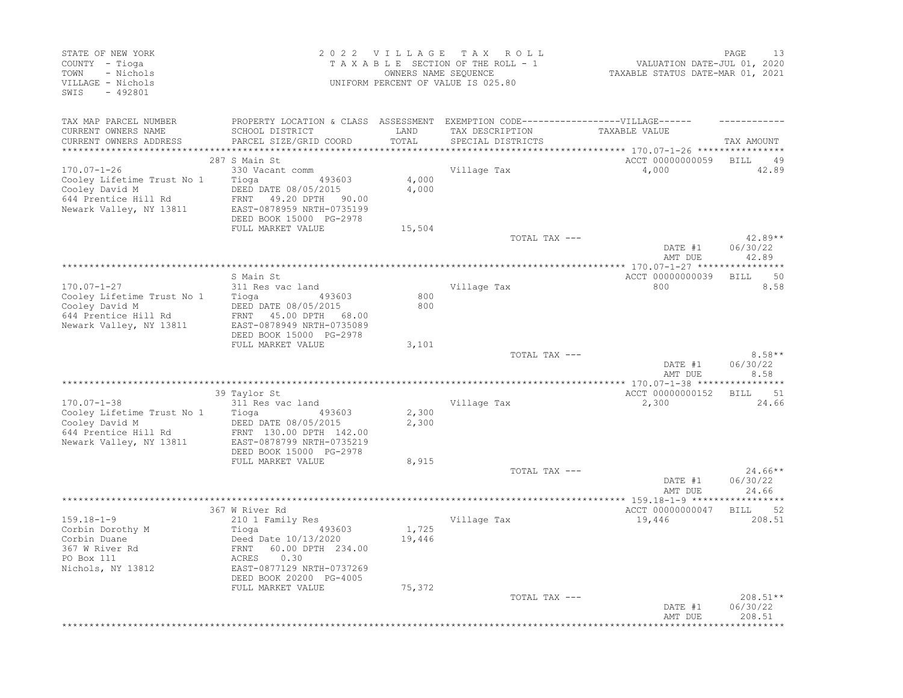| STATE OF NEW YORK<br>COUNTY - Tioga<br>- Nichols<br>TOWN<br>VILLAGE - Nichols<br>$-492801$<br>SWIS                   |                                                                                                                                                                   | 2022 VILLAGE<br>OWNERS NAME SEQUENCE | T A X<br>ROLL<br>TAXABLE SECTION OF THE ROLL - 1<br>UNIFORM PERCENT OF VALUE IS 025.80 | VALUATION DATE-JUL 01, 2020<br>TAXABLE STATUS DATE-MAR 01, 2021              | 13<br>PAGE                     |
|----------------------------------------------------------------------------------------------------------------------|-------------------------------------------------------------------------------------------------------------------------------------------------------------------|--------------------------------------|----------------------------------------------------------------------------------------|------------------------------------------------------------------------------|--------------------------------|
| TAX MAP PARCEL NUMBER<br>CURRENT OWNERS NAME                                                                         | PROPERTY LOCATION & CLASS ASSESSMENT EXEMPTION CODE----------------VILLAGE------<br>SCHOOL DISTRICT                                                               | LAND                                 | TAX DESCRIPTION                                                                        | TAXABLE VALUE                                                                |                                |
| CURRENT OWNERS ADDRESS<br>****************                                                                           | PARCEL SIZE/GRID COORD                                                                                                                                            | TOTAL<br>**********                  | SPECIAL DISTRICTS                                                                      |                                                                              | TAX AMOUNT                     |
|                                                                                                                      | 287 S Main St                                                                                                                                                     |                                      |                                                                                        | *************************** 170.07-1-26 ****************<br>ACCT 00000000059 | <b>BILL</b><br>49              |
| $170.07 - 1 - 26$<br>Cooley Lifetime Trust No 1<br>Cooley David M<br>644 Prentice Hill Rd<br>Newark Valley, NY 13811 | 330 Vacant comm<br>493603<br>Tioga<br>DEED DATE 08/05/2015<br>FRNT<br>49.20 DPTH 90.00<br>EAST-0878959 NRTH-0735199<br>DEED BOOK 15000 PG-2978                    | 4,000<br>4,000                       | Village Tax                                                                            | 4,000                                                                        | 42.89                          |
|                                                                                                                      | FULL MARKET VALUE                                                                                                                                                 | 15,504                               |                                                                                        |                                                                              |                                |
|                                                                                                                      |                                                                                                                                                                   |                                      | TOTAL TAX ---                                                                          | DATE #1                                                                      | $42.89**$<br>06/30/22          |
|                                                                                                                      |                                                                                                                                                                   |                                      |                                                                                        | AMT DUE                                                                      | 42.89                          |
|                                                                                                                      |                                                                                                                                                                   |                                      |                                                                                        |                                                                              |                                |
| $170.07 - 1 - 27$                                                                                                    | S Main St<br>311 Res vac land                                                                                                                                     |                                      | Village Tax                                                                            | ACCT 00000000039<br>800                                                      | 50<br><b>BILL</b><br>8.58      |
| Cooley Lifetime Trust No 1                                                                                           | Tioga<br>493603                                                                                                                                                   | 800                                  |                                                                                        |                                                                              |                                |
| Cooley David M                                                                                                       | DEED DATE 08/05/2015                                                                                                                                              | 800                                  |                                                                                        |                                                                              |                                |
| 644 Prentice Hill Rd<br>Newark Valley, NY 13811                                                                      | 45.00 DPTH<br>FRNT<br>68.00<br>EAST-0878949 NRTH-0735089<br>DEED BOOK 15000 PG-2978                                                                               |                                      |                                                                                        |                                                                              |                                |
|                                                                                                                      | FULL MARKET VALUE                                                                                                                                                 | 3,101                                |                                                                                        |                                                                              |                                |
|                                                                                                                      |                                                                                                                                                                   |                                      | TOTAL TAX ---                                                                          | DATE #1<br>AMT DUE                                                           | $8.58**$<br>06/30/22<br>8.58   |
|                                                                                                                      |                                                                                                                                                                   |                                      |                                                                                        |                                                                              |                                |
|                                                                                                                      | 39 Taylor St                                                                                                                                                      |                                      |                                                                                        | ACCT 00000000152                                                             | 51<br>BILL                     |
| $170.07 - 1 - 38$                                                                                                    | 311 Res vac land                                                                                                                                                  |                                      | Village Tax                                                                            | 2,300                                                                        | 24.66                          |
| Cooley Lifetime Trust No 1<br>Cooley David M<br>644 Prentice Hill Rd<br>Newark Valley, NY 13811                      | Tioga<br>493603<br>DEED DATE 08/05/2015<br>FRNT 130.00 DPTH 142.00<br>EAST-0878799 NRTH-0735219<br>DEED BOOK 15000 PG-2978                                        | 2,300<br>2,300                       |                                                                                        |                                                                              |                                |
|                                                                                                                      | FULL MARKET VALUE                                                                                                                                                 | 8,915                                |                                                                                        |                                                                              |                                |
|                                                                                                                      |                                                                                                                                                                   |                                      | TOTAL TAX ---                                                                          | DATE #1<br>AMT DUE                                                           | $24.66**$<br>06/30/22<br>24.66 |
|                                                                                                                      |                                                                                                                                                                   |                                      |                                                                                        | *** 159.18-1-9 ******                                                        |                                |
|                                                                                                                      | 367 W River Rd                                                                                                                                                    |                                      |                                                                                        | ACCT 00000000047                                                             | 52<br><b>BILL</b>              |
| $159.18 - 1 - 9$<br>Corbin Dorothy M<br>Corbin Duane<br>367 W River Rd<br>PO Box 111<br>Nichols, NY 13812            | 210 1 Family Res<br>Tioga<br>493603<br>Deed Date 10/13/2020<br>60.00 DPTH 234.00<br>FRNT<br>0.30<br>ACRES<br>EAST-0877129 NRTH-0737269<br>DEED BOOK 20200 PG-4005 | 1,725<br>19,446                      | Village Tax                                                                            | 19,446                                                                       | 208.51                         |
|                                                                                                                      | FULL MARKET VALUE                                                                                                                                                 | 75,372                               |                                                                                        |                                                                              |                                |
|                                                                                                                      |                                                                                                                                                                   |                                      | TOTAL TAX ---                                                                          | DATE #1<br>AMT DUE                                                           | 208.51**<br>06/30/22<br>208.51 |
|                                                                                                                      |                                                                                                                                                                   |                                      |                                                                                        |                                                                              |                                |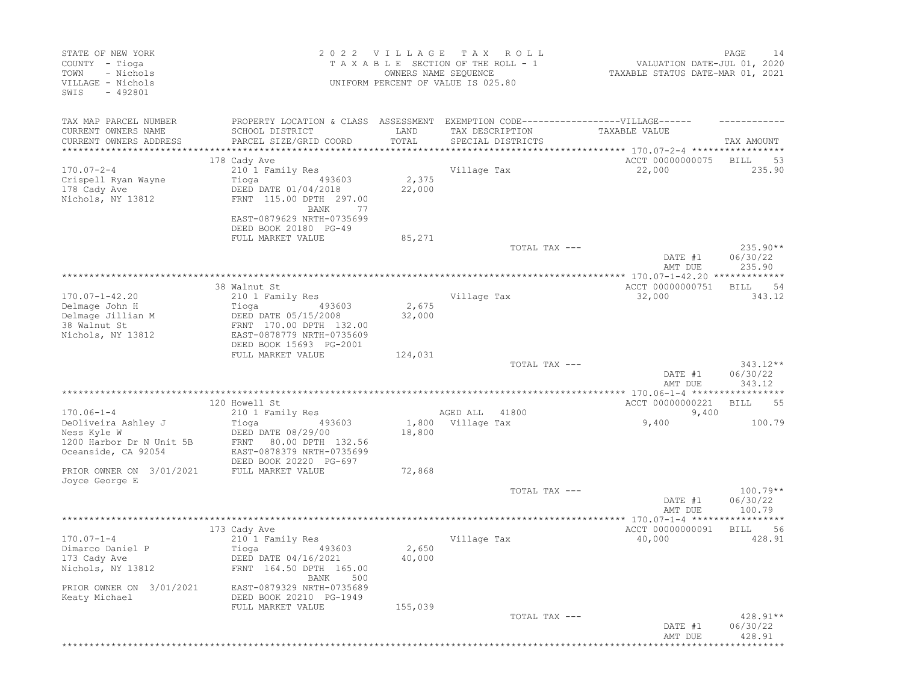| STATE OF NEW YORK<br>COUNTY - Tioga<br>- Nichols<br>TOWN<br>VILLAGE - Nichols<br>$-492801$<br>SWIS                                    |                                                                                                                                                                                     | 2022 VILLAGE<br>OWNERS NAME SEQUENCE | T A X<br>R O L L<br>TAXABLE SECTION OF THE ROLL - 1<br>UNIFORM PERCENT OF VALUE IS 025.80 | VALUATION DATE-JUL 01, 2020<br>TAXABLE STATUS DATE-MAR 01, 2021 | PAGE<br>14                       |
|---------------------------------------------------------------------------------------------------------------------------------------|-------------------------------------------------------------------------------------------------------------------------------------------------------------------------------------|--------------------------------------|-------------------------------------------------------------------------------------------|-----------------------------------------------------------------|----------------------------------|
| TAX MAP PARCEL NUMBER<br>CURRENT OWNERS NAME<br>CURRENT OWNERS ADDRESS<br>**********************                                      | PROPERTY LOCATION & CLASS ASSESSMENT EXEMPTION CODE-----------------VILLAGE------<br>SCHOOL DISTRICT<br>PARCEL SIZE/GRID COORD                                                      | LAND<br>TOTAL                        | TAX DESCRIPTION<br>SPECIAL DISTRICTS                                                      | TAXABLE VALUE                                                   | TAX AMOUNT                       |
| $170.07 - 2 - 4$<br>Crispell Ryan Wayne<br>178 Cady Ave<br>Nichols, NY 13812                                                          | 178 Cady Ave<br>210 1 Family Res<br>493603<br>Tioga<br>DEED DATE 01/04/2018<br>FRNT 115.00 DPTH 297.00<br>BANK<br>77<br>EAST-0879629 NRTH-0735699<br>DEED BOOK 20180 PG-49          | 2,375<br>22,000                      | Village Tax                                                                               | ACCT 00000000075<br>22,000                                      | 53<br>BILL<br>235.90             |
|                                                                                                                                       | FULL MARKET VALUE                                                                                                                                                                   | 85,271                               | TOTAL TAX ---                                                                             | DATE #1<br>AMT DUE                                              | $235.90**$<br>06/30/22<br>235.90 |
| $170.07 - 1 - 42.20$<br>Delmage John H<br>Delmage Jillian M<br>38 Walnut St<br>Nichols, NY 13812                                      | 38 Walnut St<br>210 1 Family Res<br>493603<br>Tioga<br>DEED DATE 05/15/2008<br>FRNT 170.00 DPTH 132.00<br>EAST-0878779 NRTH-0735609<br>DEED BOOK 15693 PG-2001                      | 2,675<br>32,000                      | Village Tax                                                                               | ACCT 00000000751<br>32,000                                      | -54<br>BILL<br>343.12            |
|                                                                                                                                       | FULL MARKET VALUE                                                                                                                                                                   | 124,031                              | TOTAL TAX ---                                                                             | DATE #1<br>AMT DUE                                              | $343.12**$<br>06/30/22<br>343.12 |
| $170.06 - 1 - 4$<br>DeOliveira Ashley J<br>Ness Kyle W<br>1200 Harbor Dr N Unit 5B<br>Oceanside, CA 92054<br>PRIOR OWNER ON 3/01/2021 | 120 Howell St<br>210 1 Family Res<br>Tioga<br>493603<br>DEED DATE 08/29/00<br>80.00 DPTH 132.56<br>FRNT<br>EAST-0878379 NRTH-0735699<br>DEED BOOK 20220 PG-697<br>FULL MARKET VALUE | 18,800<br>72,868                     | AGED ALL<br>41800<br>1,800 Village Tax                                                    | ACCT 00000000221<br>9,400<br>9,400                              | 55<br>BILL<br>100.79             |
| Joyce George E                                                                                                                        |                                                                                                                                                                                     |                                      | TOTAL TAX ---                                                                             | DATE #1<br>AMT DUE                                              | $100.79**$<br>06/30/22<br>100.79 |
| $170.07 - 1 - 4$<br>Dimarco Daniel P<br>173 Cady Ave<br>Nichols, NY 13812<br>PRIOR OWNER ON 3/01/2021<br>Keaty Michael                | 173 Cady Ave<br>210 1 Family Res<br>Tioga<br>493603<br>DEED DATE 04/16/2021<br>FRNT 164.50 DPTH 165.00<br>500<br>BANK<br>EAST-0879329 NRTH-0735689<br>DEED BOOK 20210 PG-1949       | 2,650<br>40,000                      | Village Tax                                                                               | ACCT 00000000091<br>40,000                                      | <b>BILL</b><br>56<br>428.91      |
|                                                                                                                                       | FULL MARKET VALUE                                                                                                                                                                   | 155,039                              | TOTAL TAX ---                                                                             | DATE #1<br>AMT DUE                                              | $428.91**$<br>06/30/22<br>428.91 |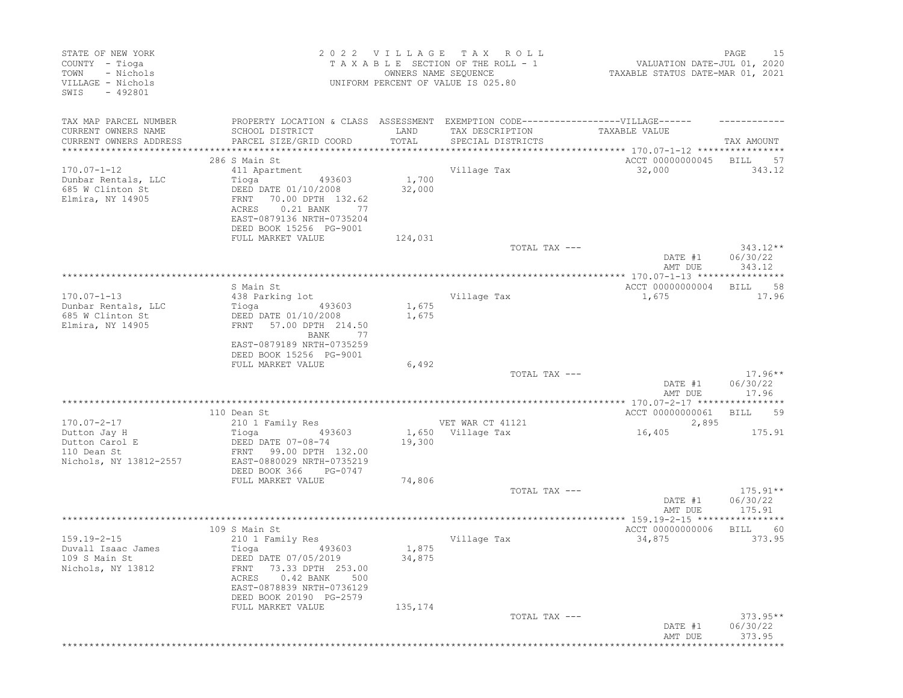| STATE OF NEW YORK<br>COUNTY - Tioga<br>- Nichols<br>TOWN<br>VILLAGE - Nichols<br>SWIS<br>$-492801$ |                                                                                                                                                                              | 2022 VILLAGE    | T A X<br>R O L L<br>TAXABLE SECTION OF THE ROLL - 1<br>OWNERS NAME SEQUENCE<br>UNIFORM PERCENT OF VALUE IS 025.80 | VALUATION DATE-JUL 01, 2020<br>TAXABLE STATUS DATE-MAR 01, 2021 | PAGE<br>15                       |
|----------------------------------------------------------------------------------------------------|------------------------------------------------------------------------------------------------------------------------------------------------------------------------------|-----------------|-------------------------------------------------------------------------------------------------------------------|-----------------------------------------------------------------|----------------------------------|
| TAX MAP PARCEL NUMBER<br>CURRENT OWNERS NAME                                                       | PROPERTY LOCATION & CLASS ASSESSMENT EXEMPTION CODE-----------------VILLAGE------<br>SCHOOL DISTRICT                                                                         | LAND            | TAX DESCRIPTION                                                                                                   | TAXABLE VALUE                                                   |                                  |
| CURRENT OWNERS ADDRESS<br>***********************                                                  | PARCEL SIZE/GRID COORD                                                                                                                                                       | TOTAL           | SPECIAL DISTRICTS                                                                                                 |                                                                 | TAX AMOUNT                       |
|                                                                                                    | 286 S Main St                                                                                                                                                                |                 |                                                                                                                   | ACCT 00000000045                                                | BILL<br>57                       |
| $170.07 - 1 - 12$                                                                                  | 411 Apartment                                                                                                                                                                |                 | Village Tax                                                                                                       | 32,000                                                          | 343.12                           |
| Dunbar Rentals, LLC<br>685 W Clinton St<br>Elmira, NY 14905                                        | Tioga<br>493603<br>DEED DATE 01/10/2008<br>FRNT<br>70.00 DPTH 132.62<br>0.21 BANK<br>77<br>ACRES<br>EAST-0879136 NRTH-0735204<br>DEED BOOK 15256 PG-9001                     | 1,700<br>32,000 |                                                                                                                   |                                                                 |                                  |
|                                                                                                    | FULL MARKET VALUE                                                                                                                                                            | 124,031         |                                                                                                                   |                                                                 |                                  |
|                                                                                                    |                                                                                                                                                                              |                 | TOTAL TAX ---                                                                                                     | DATE #1<br>AMT DUE                                              | $343.12**$<br>06/30/22<br>343.12 |
|                                                                                                    |                                                                                                                                                                              |                 |                                                                                                                   |                                                                 |                                  |
|                                                                                                    | S Main St                                                                                                                                                                    |                 |                                                                                                                   | ACCT 00000000004                                                | 58<br>BILL                       |
| $170.07 - 1 - 13$<br>Dunbar Rentals, LLC                                                           | 438 Parking lot<br>Tioga<br>493603                                                                                                                                           | 1,675           | Village Tax                                                                                                       | 1,675                                                           | 17.96                            |
| 685 W Clinton St<br>Elmira, NY 14905                                                               | DEED DATE 01/10/2008<br>57.00 DPTH 214.50<br>FRNT<br>BANK<br>77<br>EAST-0879189 NRTH-0735259                                                                                 | 1,675           |                                                                                                                   |                                                                 |                                  |
|                                                                                                    | DEED BOOK 15256 PG-9001                                                                                                                                                      |                 |                                                                                                                   |                                                                 |                                  |
|                                                                                                    | FULL MARKET VALUE                                                                                                                                                            | 6,492           | TOTAL TAX ---                                                                                                     |                                                                 | $17.96**$                        |
|                                                                                                    |                                                                                                                                                                              |                 |                                                                                                                   | DATE #1<br>AMT DUE                                              | 06/30/22<br>17.96                |
|                                                                                                    |                                                                                                                                                                              |                 |                                                                                                                   |                                                                 |                                  |
| $170.07 - 2 - 17$                                                                                  | 110 Dean St<br>210 1 Family Res                                                                                                                                              |                 | VET WAR CT 41121                                                                                                  | ACCT 00000000061<br>2,895                                       | 59<br>BILL                       |
| Dutton Jay H                                                                                       | Tioga<br>493603                                                                                                                                                              |                 | 1,650 Village Tax                                                                                                 | 16,405                                                          | 175.91                           |
| Dutton Carol E<br>110 Dean St<br>Nichols, NY 13812-2557                                            | DEED DATE 07-08-74<br>FRNT 99.00 DPTH 132.00<br>EAST-0880029 NRTH-0735219<br>DEED BOOK 366<br>PG-0747                                                                        | 19,300          |                                                                                                                   |                                                                 |                                  |
|                                                                                                    | FULL MARKET VALUE                                                                                                                                                            | 74,806          |                                                                                                                   |                                                                 |                                  |
|                                                                                                    |                                                                                                                                                                              |                 | TOTAL TAX ---                                                                                                     | DATE #1<br>AMT DUE                                              | $175.91**$<br>06/30/22<br>175.91 |
|                                                                                                    |                                                                                                                                                                              |                 |                                                                                                                   |                                                                 |                                  |
|                                                                                                    | 109 S Main St                                                                                                                                                                |                 |                                                                                                                   | ACCT 00000000006                                                | <b>BILL</b><br>- 60              |
| $159.19 - 2 - 15$<br>Duvall Isaac James<br>109 S Main St<br>Nichols, NY 13812                      | 210 1 Family Res<br>Tioga<br>493603<br>DEED DATE 07/05/2019<br>FRNT 73.33 DPTH 253.00<br>$0.42$ BANK<br>ACRES<br>500<br>EAST-0878839 NRTH-0736129<br>DEED BOOK 20190 PG-2579 | 1,875<br>34,875 | Village Tax                                                                                                       | 34,875                                                          | 373.95                           |
|                                                                                                    | FULL MARKET VALUE                                                                                                                                                            | 135,174         |                                                                                                                   |                                                                 |                                  |
|                                                                                                    |                                                                                                                                                                              |                 | TOTAL TAX ---                                                                                                     | DATE #1<br>AMT DUE                                              | $373.95**$<br>06/30/22<br>373.95 |
|                                                                                                    |                                                                                                                                                                              |                 |                                                                                                                   |                                                                 |                                  |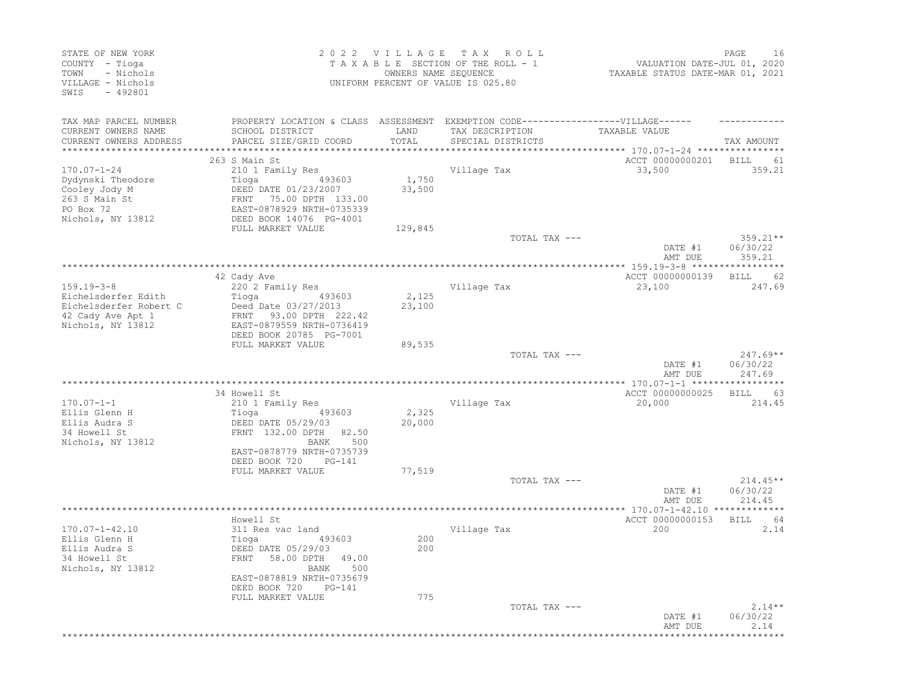| STATE OF NEW YORK<br>COUNTY - Tioga<br>- Nichols<br>TOWN<br>VILLAGE - Nichols<br>SWIS<br>$-492801$ |                                                                                                                                | 2022 VILLAGE<br>OWNERS NAME SEQUENCE | T A X<br>R O L L<br>TAXABLE SECTION OF THE ROLL - 1<br>UNIFORM PERCENT OF VALUE IS 025.80 | VALUATION DATE-JUL 01, 2020<br>TAXABLE STATUS DATE-MAR 01, 2021 | PAGE<br>16                   |
|----------------------------------------------------------------------------------------------------|--------------------------------------------------------------------------------------------------------------------------------|--------------------------------------|-------------------------------------------------------------------------------------------|-----------------------------------------------------------------|------------------------------|
| TAX MAP PARCEL NUMBER<br>CURRENT OWNERS NAME<br>CURRENT OWNERS ADDRESS                             | PROPERTY LOCATION & CLASS ASSESSMENT EXEMPTION CODE-----------------VILLAGE------<br>SCHOOL DISTRICT<br>PARCEL SIZE/GRID COORD | LAND<br>TOTAL                        | TAX DESCRIPTION<br>SPECIAL DISTRICTS                                                      | TAXABLE VALUE                                                   | TAX AMOUNT                   |
| ***********************                                                                            |                                                                                                                                |                                      |                                                                                           |                                                                 |                              |
|                                                                                                    | 263 S Main St                                                                                                                  |                                      |                                                                                           | ACCT 00000000201                                                | BILL<br>61                   |
| $170.07 - 1 - 24$                                                                                  | 210 1 Family Res                                                                                                               |                                      | Village Tax                                                                               | 33,500                                                          | 359.21                       |
| Dydynski Theodore                                                                                  | Tioga<br>493603                                                                                                                | 1,750                                |                                                                                           |                                                                 |                              |
| Cooley Jody M<br>263 S Main St                                                                     | DEED DATE 01/23/2007                                                                                                           | 33,500                               |                                                                                           |                                                                 |                              |
| PO Box 72                                                                                          | FRNT 75.00 DPTH 133.00<br>EAST-0878929 NRTH-0735339                                                                            |                                      |                                                                                           |                                                                 |                              |
| Nichols, NY 13812                                                                                  | DEED BOOK 14076 PG-4001                                                                                                        |                                      |                                                                                           |                                                                 |                              |
|                                                                                                    | FULL MARKET VALUE                                                                                                              | 129,845                              |                                                                                           |                                                                 |                              |
|                                                                                                    |                                                                                                                                |                                      | TOTAL TAX ---                                                                             |                                                                 | $359.21**$                   |
|                                                                                                    |                                                                                                                                |                                      |                                                                                           | DATE #1                                                         | 06/30/22                     |
|                                                                                                    |                                                                                                                                |                                      |                                                                                           | AMT DUE                                                         | 359.21                       |
|                                                                                                    | 42 Cady Ave                                                                                                                    |                                      |                                                                                           | ACCT 00000000139                                                | 62<br>BILL                   |
| $159.19 - 3 - 8$                                                                                   | 220 2 Family Res                                                                                                               |                                      | Village Tax                                                                               | 23,100                                                          | 247.69                       |
| Eichelsderfer Edith                                                                                | Tioga<br>493603                                                                                                                | 2,125                                |                                                                                           |                                                                 |                              |
| Eichelsderfer Robert C                                                                             | Deed Date 03/27/2013                                                                                                           | 23,100                               |                                                                                           |                                                                 |                              |
| 42 Cady Ave Apt 1                                                                                  | 93.00 DPTH 222.42<br>FRNT                                                                                                      |                                      |                                                                                           |                                                                 |                              |
| Nichols, NY 13812                                                                                  | EAST-0879559 NRTH-0736419                                                                                                      |                                      |                                                                                           |                                                                 |                              |
|                                                                                                    | DEED BOOK 20785 PG-7001<br>FULL MARKET VALUE                                                                                   | 89,535                               |                                                                                           |                                                                 |                              |
|                                                                                                    |                                                                                                                                |                                      | TOTAL TAX ---                                                                             |                                                                 | $247.69**$                   |
|                                                                                                    |                                                                                                                                |                                      |                                                                                           | DATE #1<br>AMT DUE                                              | 06/30/22<br>247.69           |
|                                                                                                    |                                                                                                                                |                                      |                                                                                           |                                                                 |                              |
| $170.07 - 1 - 1$                                                                                   | 34 Howell St                                                                                                                   |                                      |                                                                                           | ACCT 00000000025<br>20,000                                      | <b>BILL</b><br>-63<br>214.45 |
| Ellis Glenn H                                                                                      | 210 1 Family Res<br>Tioga<br>493603                                                                                            | 2,325                                | Village Tax                                                                               |                                                                 |                              |
| Ellis Audra S                                                                                      | DEED DATE 05/29/03                                                                                                             | 20,000                               |                                                                                           |                                                                 |                              |
| 34 Howell St                                                                                       | FRNT 132.00 DPTH<br>82.50                                                                                                      |                                      |                                                                                           |                                                                 |                              |
| Nichols, NY 13812                                                                                  | 500<br>BANK                                                                                                                    |                                      |                                                                                           |                                                                 |                              |
|                                                                                                    | EAST-0878779 NRTH-0735739                                                                                                      |                                      |                                                                                           |                                                                 |                              |
|                                                                                                    | DEED BOOK 720<br>PG-141<br>FULL MARKET VALUE                                                                                   | 77,519                               |                                                                                           |                                                                 |                              |
|                                                                                                    |                                                                                                                                |                                      | TOTAL TAX ---                                                                             |                                                                 | $214.45**$                   |
|                                                                                                    |                                                                                                                                |                                      |                                                                                           | DATE #1<br>AMT DUE                                              | 06/30/22<br>214.45           |
|                                                                                                    |                                                                                                                                |                                      |                                                                                           |                                                                 | ******                       |
|                                                                                                    | Howell St                                                                                                                      |                                      |                                                                                           | ACCT 00000000153                                                | 64<br>BILL                   |
| $170.07 - 1 - 42.10$                                                                               | 311 Res vac land                                                                                                               |                                      | Village Tax                                                                               | 200                                                             | 2.14                         |
| Ellis Glenn H<br>Ellis Audra S                                                                     | Tioga<br>493603<br>DEED DATE 05/29/03                                                                                          | 200<br>200                           |                                                                                           |                                                                 |                              |
| 34 Howell St                                                                                       | FRNT 58.00 DPTH 49.00                                                                                                          |                                      |                                                                                           |                                                                 |                              |
| Nichols, NY 13812                                                                                  | BANK 500                                                                                                                       |                                      |                                                                                           |                                                                 |                              |
|                                                                                                    | EAST-0878819 NRTH-0735679                                                                                                      |                                      |                                                                                           |                                                                 |                              |
|                                                                                                    | DEED BOOK 720<br>PG-141                                                                                                        |                                      |                                                                                           |                                                                 |                              |
|                                                                                                    | FULL MARKET VALUE                                                                                                              | 775                                  |                                                                                           |                                                                 |                              |
|                                                                                                    |                                                                                                                                |                                      | TOTAL TAX ---                                                                             | DATE #1<br>AMT DUE                                              | $2.14**$<br>06/30/22<br>2.14 |
|                                                                                                    |                                                                                                                                |                                      |                                                                                           |                                                                 |                              |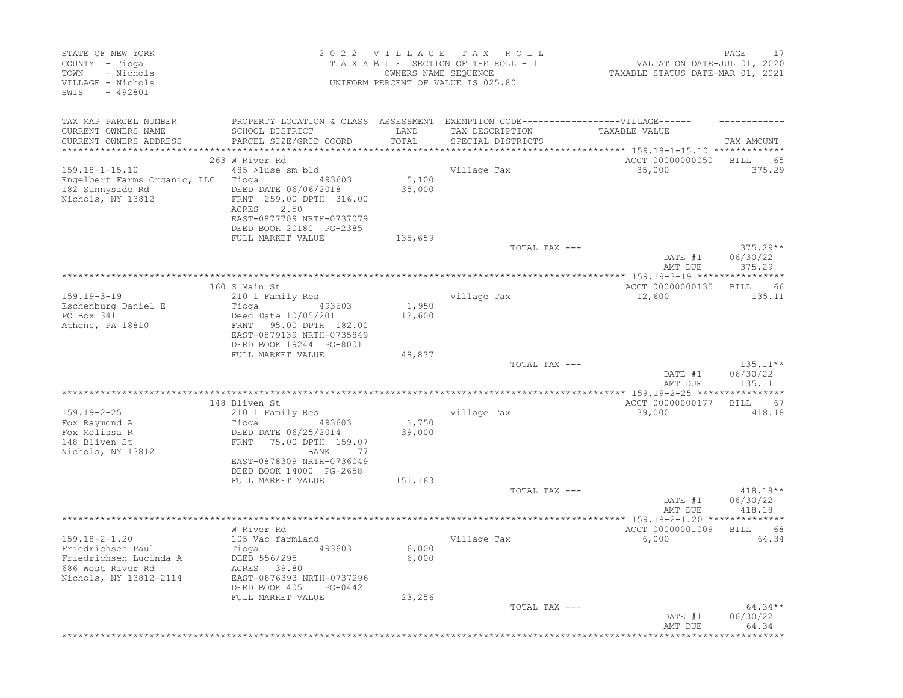| STATE OF NEW YORK<br>COUNTY - Tioga<br>- Nichols<br>TOWN<br>VILLAGE - Nichols<br>SWIS<br>$-492801$ |                                                                                   | 2022 VILLAGE TAX<br>OWNERS NAME SEQUENCE | R O L L<br>TAXABLE SECTION OF THE ROLL - 1<br>UNIFORM PERCENT OF VALUE IS 025.80 | VALUATION DATE-JUL 01, 2020<br>TAXABLE STATUS DATE-MAR 01, 2021 | 17<br>PAGE             |
|----------------------------------------------------------------------------------------------------|-----------------------------------------------------------------------------------|------------------------------------------|----------------------------------------------------------------------------------|-----------------------------------------------------------------|------------------------|
| TAX MAP PARCEL NUMBER                                                                              | PROPERTY LOCATION & CLASS ASSESSMENT EXEMPTION CODE-----------------VILLAGE------ |                                          |                                                                                  |                                                                 |                        |
| CURRENT OWNERS NAME                                                                                | SCHOOL DISTRICT                                                                   | LAND                                     | TAX DESCRIPTION                                                                  | TAXABLE VALUE                                                   |                        |
| CURRENT OWNERS ADDRESS<br>***********************                                                  | PARCEL SIZE/GRID COORD<br>****************************                            | TOTAL                                    | SPECIAL DISTRICTS                                                                |                                                                 | TAX AMOUNT             |
|                                                                                                    | 263 W River Rd                                                                    |                                          |                                                                                  | ACCT 00000000050                                                | BILL<br>65             |
| $159.18 - 1 - 15.10$                                                                               | 485 >luse sm bld                                                                  |                                          | Village Tax                                                                      | 35,000                                                          | 375.29                 |
| Engelbert Farms Organic, LLC                                                                       | Tioga<br>493603                                                                   | 5,100                                    |                                                                                  |                                                                 |                        |
| 182 Sunnyside Rd<br>Nichols, NY 13812                                                              | DEED DATE 06/06/2018<br>FRNT 259.00 DPTH 316.00                                   | 35,000                                   |                                                                                  |                                                                 |                        |
|                                                                                                    | 2.50<br>ACRES                                                                     |                                          |                                                                                  |                                                                 |                        |
|                                                                                                    | EAST-0877709 NRTH-0737079                                                         |                                          |                                                                                  |                                                                 |                        |
|                                                                                                    | DEED BOOK 20180 PG-2385                                                           |                                          |                                                                                  |                                                                 |                        |
|                                                                                                    | FULL MARKET VALUE                                                                 | 135,659                                  |                                                                                  |                                                                 |                        |
|                                                                                                    |                                                                                   |                                          | TOTAL TAX ---                                                                    | DATE #1                                                         | $375.29**$<br>06/30/22 |
|                                                                                                    |                                                                                   |                                          |                                                                                  | AMT DUE                                                         | 375.29                 |
|                                                                                                    |                                                                                   |                                          |                                                                                  |                                                                 |                        |
|                                                                                                    | 160 S Main St                                                                     |                                          |                                                                                  | ACCT 00000000135                                                | BILL<br>66             |
| $159.19 - 3 - 19$<br>Eschenburg Daniel E                                                           | 210 1 Family Res<br>Tioga<br>493603                                               | 1,950                                    | Village Tax                                                                      | 12,600                                                          | 135.11                 |
| PO Box 341                                                                                         | Deed Date 10/05/2011                                                              | 12,600                                   |                                                                                  |                                                                 |                        |
| Athens, PA 18810                                                                                   | 95.00 DPTH 182.00<br>FRNT                                                         |                                          |                                                                                  |                                                                 |                        |
|                                                                                                    | EAST-0879139 NRTH-0735849                                                         |                                          |                                                                                  |                                                                 |                        |
|                                                                                                    | DEED BOOK 19244 PG-8001<br>FULL MARKET VALUE                                      | 48,837                                   |                                                                                  |                                                                 |                        |
|                                                                                                    |                                                                                   |                                          | TOTAL TAX ---                                                                    |                                                                 | $135.11**$             |
|                                                                                                    |                                                                                   |                                          |                                                                                  | DATE #1                                                         | 06/30/22               |
|                                                                                                    |                                                                                   |                                          |                                                                                  | AMT DUE                                                         | 135.11                 |
|                                                                                                    | 148 Bliven St                                                                     |                                          |                                                                                  | ACCT 00000000177                                                | 67<br>BILL             |
| $159.19 - 2 - 25$                                                                                  | 210 1 Family Res                                                                  |                                          | Village Tax                                                                      | 39,000                                                          | 418.18                 |
| Fox Raymond A                                                                                      | Tioga<br>493603                                                                   | 1,750                                    |                                                                                  |                                                                 |                        |
| Fox Melissa R                                                                                      | DEED DATE 06/25/2014                                                              | 39,000                                   |                                                                                  |                                                                 |                        |
| 148 Bliven St                                                                                      | FRNT<br>75.00 DPTH 159.07                                                         |                                          |                                                                                  |                                                                 |                        |
| Nichols, NY 13812                                                                                  | BANK<br>-77<br>EAST-0878309 NRTH-0736049                                          |                                          |                                                                                  |                                                                 |                        |
|                                                                                                    | DEED BOOK 14000 PG-2658                                                           |                                          |                                                                                  |                                                                 |                        |
|                                                                                                    | FULL MARKET VALUE                                                                 | 151,163                                  |                                                                                  |                                                                 |                        |
|                                                                                                    |                                                                                   |                                          | TOTAL TAX ---                                                                    |                                                                 | $418.18**$             |
|                                                                                                    |                                                                                   |                                          |                                                                                  | DATE #1<br>AMT DUE                                              | 06/30/22<br>418.18     |
|                                                                                                    |                                                                                   |                                          |                                                                                  |                                                                 |                        |
|                                                                                                    | W River Rd                                                                        |                                          |                                                                                  | ACCT 00000001009                                                | BILL<br>68             |
| $159.18 - 2 - 1.20$                                                                                | 105 Vac farmland                                                                  |                                          | Village Tax                                                                      | 6,000                                                           | 64.34                  |
| Friedrichsen Paul<br>Friedrichsen Lucinda A                                                        | 493603<br>Tioga<br>DEED 556/295                                                   | 6,000<br>6,000                           |                                                                                  |                                                                 |                        |
| 686 West River Rd                                                                                  | ACRES 39.80                                                                       |                                          |                                                                                  |                                                                 |                        |
| Nichols, NY 13812-2114                                                                             | EAST-0876393 NRTH-0737296                                                         |                                          |                                                                                  |                                                                 |                        |
|                                                                                                    | DEED BOOK 405<br>PG-0442                                                          |                                          |                                                                                  |                                                                 |                        |
|                                                                                                    | FULL MARKET VALUE                                                                 | 23,256                                   |                                                                                  |                                                                 |                        |
|                                                                                                    |                                                                                   |                                          | TOTAL TAX ---                                                                    | DATE #1                                                         | 64.34**<br>06/30/22    |
|                                                                                                    |                                                                                   |                                          |                                                                                  | AMT DUE                                                         | 64.34                  |
|                                                                                                    |                                                                                   |                                          |                                                                                  |                                                                 |                        |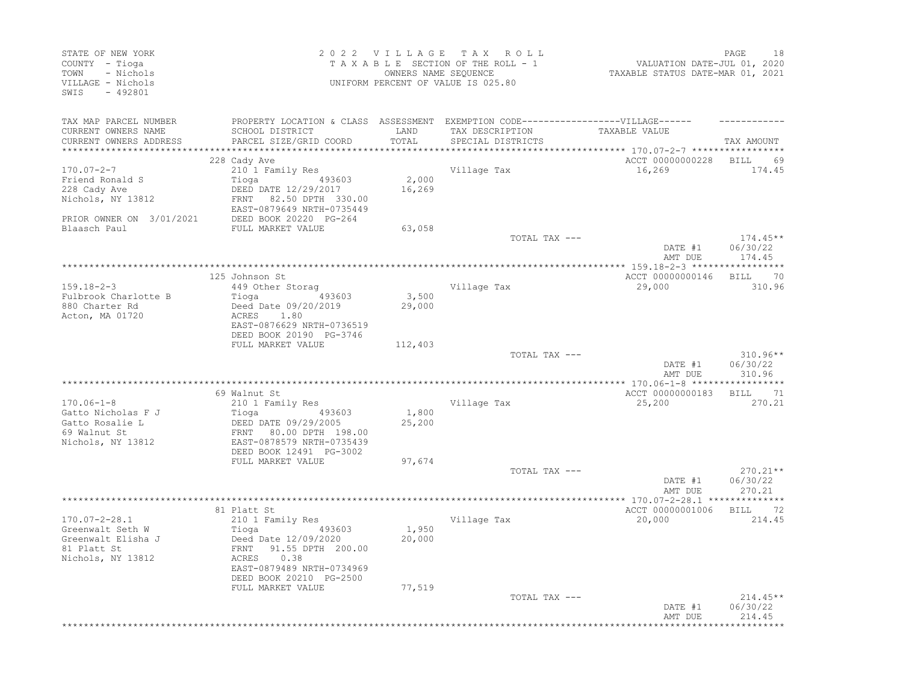| STATE OF NEW YORK<br>COUNTY - Tioga<br>- Nichols<br>TOWN<br>VILLAGE - Nichols<br>SWIS<br>$-492801$ |                                                                                   | 2022 VILLAGE<br>OWNERS NAME SEQUENCE | TAX ROLL<br>TAXABLE SECTION OF THE ROLL - 1<br>UNIFORM PERCENT OF VALUE IS 025.80 | VALUATION DATE-JUL 01, 2020<br>TAXABLE STATUS DATE-MAR 01, 2021 | PAGE<br>18             |
|----------------------------------------------------------------------------------------------------|-----------------------------------------------------------------------------------|--------------------------------------|-----------------------------------------------------------------------------------|-----------------------------------------------------------------|------------------------|
| TAX MAP PARCEL NUMBER                                                                              | PROPERTY LOCATION & CLASS ASSESSMENT EXEMPTION CODE-----------------VILLAGE------ |                                      |                                                                                   |                                                                 |                        |
| CURRENT OWNERS NAME                                                                                | SCHOOL DISTRICT                                                                   | LAND                                 | TAX DESCRIPTION                                                                   | TAXABLE VALUE                                                   |                        |
| CURRENT OWNERS ADDRESS<br>*********************                                                    | PARCEL SIZE/GRID COORD                                                            | TOTAL                                | SPECIAL DISTRICTS                                                                 | **************************** 170.07-2-7 *****************       | TAX AMOUNT             |
|                                                                                                    | 228 Cady Ave                                                                      |                                      |                                                                                   | ACCT 00000000228                                                | BILL<br>69             |
| $170.07 - 2 - 7$                                                                                   | 210 1 Family Res                                                                  |                                      | Village Tax                                                                       | 16,269                                                          | 174.45                 |
| Friend Ronald S                                                                                    | Tioga<br>493603                                                                   | 2,000                                |                                                                                   |                                                                 |                        |
| 228 Cady Ave                                                                                       | DEED DATE 12/29/2017                                                              | 16,269                               |                                                                                   |                                                                 |                        |
| Nichols, NY 13812                                                                                  | 82.50 DPTH 330.00<br>FRNT                                                         |                                      |                                                                                   |                                                                 |                        |
|                                                                                                    | EAST-0879649 NRTH-0735449                                                         |                                      |                                                                                   |                                                                 |                        |
| PRIOR OWNER ON 3/01/2021<br>Blaasch Paul                                                           | DEED BOOK 20220 PG-264<br>FULL MARKET VALUE                                       | 63,058                               |                                                                                   |                                                                 |                        |
|                                                                                                    |                                                                                   |                                      | TOTAL TAX ---                                                                     |                                                                 | $174.45**$             |
|                                                                                                    |                                                                                   |                                      |                                                                                   | DATE #1                                                         | 06/30/22               |
|                                                                                                    |                                                                                   |                                      |                                                                                   | AMT DUE                                                         | 174.45                 |
|                                                                                                    | 125 Johnson St                                                                    |                                      |                                                                                   | ACCT 00000000146                                                | BILL<br>70             |
| $159.18 - 2 - 3$                                                                                   | 449 Other Storag                                                                  |                                      | Village Tax                                                                       | 29,000                                                          | 310.96                 |
| Fulbrook Charlotte B                                                                               | Tioga<br>493603                                                                   | 3,500                                |                                                                                   |                                                                 |                        |
| 880 Charter Rd                                                                                     | Deed Date 09/20/2019                                                              | 29,000                               |                                                                                   |                                                                 |                        |
| Acton, MA 01720                                                                                    | ACRES<br>1.80                                                                     |                                      |                                                                                   |                                                                 |                        |
|                                                                                                    | EAST-0876629 NRTH-0736519<br>DEED BOOK 20190 PG-3746                              |                                      |                                                                                   |                                                                 |                        |
|                                                                                                    | FULL MARKET VALUE                                                                 | 112,403                              |                                                                                   |                                                                 |                        |
|                                                                                                    |                                                                                   |                                      | TOTAL TAX ---                                                                     |                                                                 | $310.96**$             |
|                                                                                                    |                                                                                   |                                      |                                                                                   | DATE #1                                                         | 06/30/22               |
|                                                                                                    |                                                                                   |                                      |                                                                                   | AMT DUE                                                         | 310.96                 |
|                                                                                                    |                                                                                   |                                      |                                                                                   |                                                                 |                        |
| $170.06 - 1 - 8$                                                                                   | 69 Walnut St<br>210 1 Family Res                                                  |                                      | Village Tax                                                                       | ACCT 00000000183<br>25,200                                      | 71<br>BILL<br>270.21   |
| Gatto Nicholas F J                                                                                 | Tioga<br>493603                                                                   | 1,800                                |                                                                                   |                                                                 |                        |
| Gatto Rosalie L                                                                                    | DEED DATE 09/29/2005                                                              | 25,200                               |                                                                                   |                                                                 |                        |
| 69 Walnut St                                                                                       | FRNT<br>80.00 DPTH 198.00                                                         |                                      |                                                                                   |                                                                 |                        |
| Nichols, NY 13812                                                                                  | EAST-0878579 NRTH-0735439                                                         |                                      |                                                                                   |                                                                 |                        |
|                                                                                                    | DEED BOOK 12491 PG-3002                                                           |                                      |                                                                                   |                                                                 |                        |
|                                                                                                    | FULL MARKET VALUE                                                                 | 97,674                               |                                                                                   |                                                                 |                        |
|                                                                                                    |                                                                                   |                                      | TOTAL TAX ---                                                                     | DATE #1                                                         | $270.21**$<br>06/30/22 |
|                                                                                                    |                                                                                   |                                      |                                                                                   | AMT DUE                                                         | 270.21                 |
|                                                                                                    |                                                                                   |                                      |                                                                                   |                                                                 |                        |
|                                                                                                    | 81 Platt St                                                                       |                                      |                                                                                   | ACCT 00000001006                                                | 72<br><b>BILL</b>      |
| $170.07 - 2 - 28.1$                                                                                | 210 1 Family Res                                                                  |                                      | Village Tax                                                                       | 20,000                                                          | 214.45                 |
| Greenwalt Seth W                                                                                   | 493603<br>Tioga                                                                   | 1,950                                |                                                                                   |                                                                 |                        |
| Greenwalt Elisha J<br>81 Platt St                                                                  | Deed Date 12/09/2020<br>91.55 DPTH 200.00<br>FRNT                                 | 20,000                               |                                                                                   |                                                                 |                        |
| Nichols, NY 13812                                                                                  | 0.38<br>ACRES                                                                     |                                      |                                                                                   |                                                                 |                        |
|                                                                                                    | EAST-0879489 NRTH-0734969                                                         |                                      |                                                                                   |                                                                 |                        |
|                                                                                                    | DEED BOOK 20210 PG-2500                                                           |                                      |                                                                                   |                                                                 |                        |
|                                                                                                    | FULL MARKET VALUE                                                                 | 77,519                               |                                                                                   |                                                                 |                        |
|                                                                                                    |                                                                                   |                                      | TOTAL TAX ---                                                                     |                                                                 | $214.45**$             |
|                                                                                                    |                                                                                   |                                      |                                                                                   | DATE #1<br>AMT DUE                                              | 06/30/22<br>214.45     |
|                                                                                                    |                                                                                   |                                      |                                                                                   |                                                                 |                        |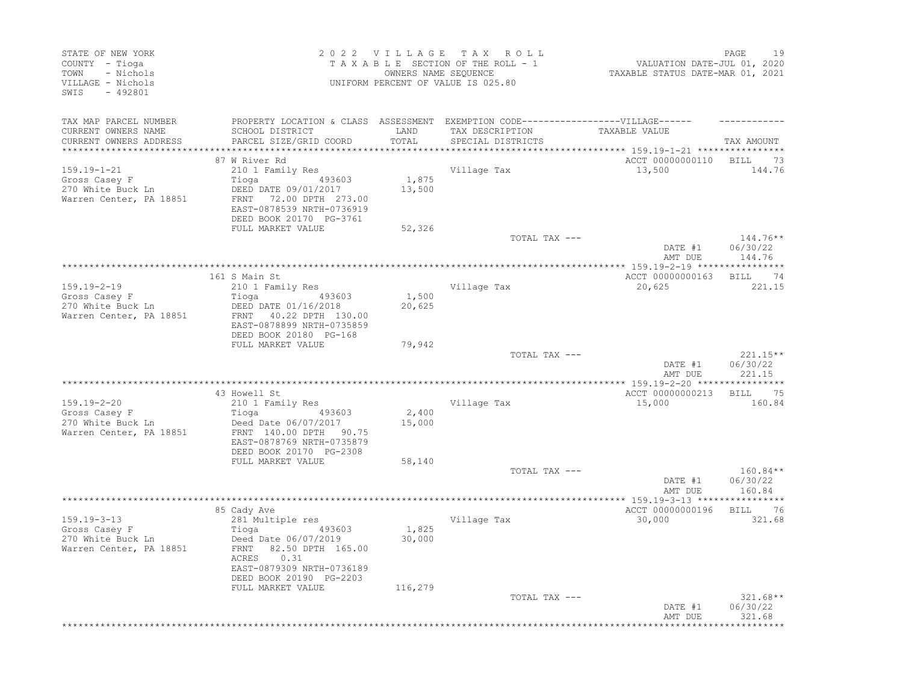| STATE OF NEW YORK<br>COUNTY - Tioga<br>- Nichols<br>TOWN<br>VILLAGE - Nichols<br>$-492801$<br>SWIS |                                                                                  | 2022 VILLAGE | TAX ROLL<br>TAXABLE SECTION OF THE ROLL - 1<br>OWNERS NAME SEQUENCE<br>UNIFORM PERCENT OF VALUE IS 025.80 | VALUATION DATE-JUL 01, 2020<br>TAXABLE STATUS DATE-MAR 01, 2021                | PAGE<br>19           |
|----------------------------------------------------------------------------------------------------|----------------------------------------------------------------------------------|--------------|-----------------------------------------------------------------------------------------------------------|--------------------------------------------------------------------------------|----------------------|
| TAX MAP PARCEL NUMBER                                                                              | PROPERTY LOCATION & CLASS ASSESSMENT EXEMPTION CODE----------------VILLAGE------ |              |                                                                                                           |                                                                                |                      |
| CURRENT OWNERS NAME                                                                                | SCHOOL DISTRICT                                                                  | LAND         | TAX DESCRIPTION                                                                                           | TAXABLE VALUE                                                                  |                      |
| CURRENT OWNERS ADDRESS<br>*************************                                                | PARCEL SIZE/GRID COORD                                                           | TOTAL        | SPECIAL DISTRICTS                                                                                         |                                                                                | TAX AMOUNT           |
|                                                                                                    | 87 W River Rd                                                                    |              |                                                                                                           | ***************************** 159.19-1-21 ****************<br>ACCT 00000000110 | BILL 73              |
| 159.19-1-21                                                                                        | 210 1 Family Res                                                                 |              | Village Tax                                                                                               | 13,500                                                                         | 144.76               |
| Gross Casey F                                                                                      | 493603<br>Tioga                                                                  | 1,875        |                                                                                                           |                                                                                |                      |
| 270 White Buck Ln                                                                                  | DEED DATE 09/01/2017                                                             | 13,500       |                                                                                                           |                                                                                |                      |
| Warren Center, PA 18851                                                                            | 72.00 DPTH 273.00<br>FRNT                                                        |              |                                                                                                           |                                                                                |                      |
|                                                                                                    | EAST-0878539 NRTH-0736919                                                        |              |                                                                                                           |                                                                                |                      |
|                                                                                                    | DEED BOOK 20170 PG-3761<br>FULL MARKET VALUE                                     | 52,326       |                                                                                                           |                                                                                |                      |
|                                                                                                    |                                                                                  |              | TOTAL TAX ---                                                                                             |                                                                                | $144.76***$          |
|                                                                                                    |                                                                                  |              |                                                                                                           | DATE #1                                                                        | 06/30/22             |
|                                                                                                    |                                                                                  |              |                                                                                                           | AMT DUE                                                                        | 144.76               |
|                                                                                                    |                                                                                  |              |                                                                                                           |                                                                                |                      |
| 159.19-2-19                                                                                        | 161 S Main St<br>210 1 Family Res                                                |              | Village Tax                                                                                               | ACCT 00000000163<br>20,625                                                     | 74<br>BILL<br>221.15 |
| Gross Casey F                                                                                      | 493603<br>Tioga                                                                  | 1,500        |                                                                                                           |                                                                                |                      |
| 270 White Buck Ln                                                                                  | DEED DATE 01/16/2018                                                             | 20,625       |                                                                                                           |                                                                                |                      |
| Warren Center, PA 18851                                                                            | FRNT 40.22 DPTH 130.00                                                           |              |                                                                                                           |                                                                                |                      |
|                                                                                                    | EAST-0878899 NRTH-0735859                                                        |              |                                                                                                           |                                                                                |                      |
|                                                                                                    | DEED BOOK 20180 PG-168<br>FULL MARKET VALUE                                      | 79,942       |                                                                                                           |                                                                                |                      |
|                                                                                                    |                                                                                  |              | TOTAL TAX ---                                                                                             |                                                                                | $221.15**$           |
|                                                                                                    |                                                                                  |              |                                                                                                           | DATE #1                                                                        | 06/30/22             |
|                                                                                                    |                                                                                  |              |                                                                                                           | AMT DUE                                                                        | 221.15               |
|                                                                                                    |                                                                                  |              |                                                                                                           |                                                                                |                      |
| 159.19-2-20                                                                                        | 43 Howell St<br>210 1 Family Res                                                 |              | Village Tax                                                                                               | ACCT 00000000213<br>15,000                                                     | 75<br>BILL<br>160.84 |
| Gross Casey F                                                                                      | Tioga<br>493603                                                                  | 2,400        |                                                                                                           |                                                                                |                      |
| 270 White Buck Ln                                                                                  | Deed Date 06/07/2017                                                             | 15,000       |                                                                                                           |                                                                                |                      |
| Warren Center, PA 18851                                                                            | FRNT 140.00 DPTH 90.75                                                           |              |                                                                                                           |                                                                                |                      |
|                                                                                                    | EAST-0878769 NRTH-0735879                                                        |              |                                                                                                           |                                                                                |                      |
|                                                                                                    | DEED BOOK 20170 PG-2308<br>FULL MARKET VALUE                                     | 58,140       |                                                                                                           |                                                                                |                      |
|                                                                                                    |                                                                                  |              | TOTAL TAX ---                                                                                             |                                                                                | $160.84**$           |
|                                                                                                    |                                                                                  |              |                                                                                                           | DATE #1                                                                        | 06/30/22             |
|                                                                                                    |                                                                                  |              |                                                                                                           | AMT DUE                                                                        | 160.84               |
|                                                                                                    |                                                                                  |              |                                                                                                           |                                                                                |                      |
|                                                                                                    | 85 Cady Ave<br>281 Multiple res                                                  |              |                                                                                                           | ACCT 00000000196                                                               | 76<br><b>BILL</b>    |
| 159.19-3-13<br>Gross Casey F                                                                       | 493603<br>Tioga                                                                  | 1,825        | Village Tax                                                                                               | 30,000                                                                         | 321.68               |
| 270 White Buck Ln                                                                                  | Deed Date 06/07/2019                                                             | 30,000       |                                                                                                           |                                                                                |                      |
| Warren Center, PA 18851                                                                            | 82.50 DPTH 165.00<br>FRNT                                                        |              |                                                                                                           |                                                                                |                      |
|                                                                                                    | 0.31<br>ACRES                                                                    |              |                                                                                                           |                                                                                |                      |
|                                                                                                    | EAST-0879309 NRTH-0736189                                                        |              |                                                                                                           |                                                                                |                      |
|                                                                                                    | DEED BOOK 20190 PG-2203<br>FULL MARKET VALUE                                     | 116,279      |                                                                                                           |                                                                                |                      |
|                                                                                                    |                                                                                  |              | TOTAL TAX ---                                                                                             |                                                                                | $321.68**$           |
|                                                                                                    |                                                                                  |              |                                                                                                           | DATE #1                                                                        | 06/30/22             |
|                                                                                                    |                                                                                  |              |                                                                                                           | AMT DUE                                                                        | 321.68               |
|                                                                                                    |                                                                                  |              |                                                                                                           |                                                                                |                      |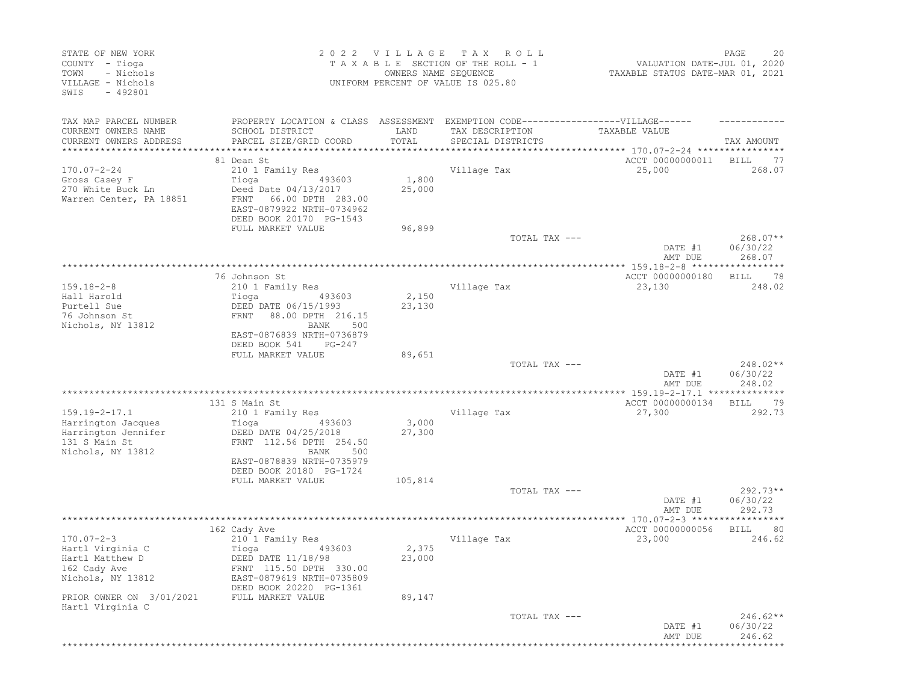| STATE OF NEW YORK<br>COUNTY - Tioga<br>- Nichols<br>TOWN<br>VILLAGE - Nichols<br>$-492801$<br>SWIS     |                                                                                                                                                                | 2022 VILLAGE<br>OWNERS NAME SEQUENCE | T A X<br>R O L L<br>TAXABLE SECTION OF THE ROLL - 1<br>UNIFORM PERCENT OF VALUE IS 025.80 | VALUATION DATE-JUL 01, 2020<br>TAXABLE STATUS DATE-MAR 01, 2021 | PAGE<br>20                       |
|--------------------------------------------------------------------------------------------------------|----------------------------------------------------------------------------------------------------------------------------------------------------------------|--------------------------------------|-------------------------------------------------------------------------------------------|-----------------------------------------------------------------|----------------------------------|
| TAX MAP PARCEL NUMBER<br>CURRENT OWNERS NAME<br>CURRENT OWNERS ADDRESS                                 | PROPERTY LOCATION & CLASS ASSESSMENT EXEMPTION CODE-----------------VILLAGE------<br>SCHOOL DISTRICT<br>PARCEL SIZE/GRID COORD                                 | LAND<br>TOTAL                        | TAX DESCRIPTION<br>SPECIAL DISTRICTS                                                      | TAXABLE VALUE                                                   | TAX AMOUNT                       |
|                                                                                                        |                                                                                                                                                                |                                      |                                                                                           |                                                                 |                                  |
| $170.07 - 2 - 24$<br>Gross Casey F<br>270 White Buck Ln<br>Warren Center, PA 18851                     | 81 Dean St<br>210 1 Family Res<br>Tioga<br>493603<br>Deed Date 04/13/2017<br>66.00 DPTH 283.00<br>FRNT<br>EAST-0879922 NRTH-0734962<br>DEED BOOK 20170 PG-1543 | 1,800<br>25,000                      | Village Tax                                                                               | ACCT 00000000011<br>25,000                                      | <b>BILL</b><br>-77<br>268.07     |
|                                                                                                        | FULL MARKET VALUE                                                                                                                                              | 96,899                               | TOTAL TAX ---                                                                             | DATE #1<br>AMT DUE                                              | $268.07**$<br>06/30/22<br>268.07 |
|                                                                                                        |                                                                                                                                                                |                                      |                                                                                           |                                                                 |                                  |
| $159.18 - 2 - 8$<br>Hall Harold<br>Purtell Sue<br>76 Johnson St<br>Nichols, NY 13812                   | 76 Johnson St<br>210 1 Family Res<br>493603<br>Tioga<br>DEED DATE 06/15/1993<br>88.00 DPTH 216.15<br>FRNT<br>BANK<br>500<br>EAST-0876839 NRTH-0736879          | 2,150<br>23,130                      | Village Tax                                                                               | ACCT 00000000180<br>23,130                                      | 78<br>BILL<br>248.02             |
|                                                                                                        | DEED BOOK 541<br>$PG-247$<br>FULL MARKET VALUE                                                                                                                 | 89,651                               | TOTAL TAX ---                                                                             | DATE #1<br>AMT DUE                                              | 248.02**<br>06/30/22<br>248.02   |
|                                                                                                        |                                                                                                                                                                |                                      |                                                                                           |                                                                 |                                  |
| $159.19 - 2 - 17.1$<br>Harrington Jacques<br>Harrington Jennifer<br>131 S Main St<br>Nichols, NY 13812 | 131 S Main St<br>210 1 Family Res<br>493603<br>Tioga<br>DEED DATE 04/25/2018<br>FRNT 112.56 DPTH 254.50<br>BANK<br>500<br>EAST-0878839 NRTH-0735979            | 3,000<br>27,300                      | Village Tax                                                                               | ACCT 00000000134<br>27,300                                      | 79<br>BILL<br>292.73             |
|                                                                                                        | DEED BOOK 20180 PG-1724<br>FULL MARKET VALUE                                                                                                                   | 105,814                              |                                                                                           |                                                                 |                                  |
|                                                                                                        |                                                                                                                                                                |                                      | TOTAL TAX ---                                                                             | DATE #1<br>AMT DUE                                              | 292.73**<br>06/30/22<br>292.73   |
|                                                                                                        |                                                                                                                                                                |                                      |                                                                                           |                                                                 |                                  |
| $170.07 - 2 - 3$<br>Hartl Virginia C<br>Hartl Matthew D<br>162 Cady Ave<br>Nichols, NY 13812           | 162 Cady Ave<br>210 1 Family Res<br>Tioga<br>493603<br>DEED DATE 11/18/98<br>FRNT 115.50 DPTH 330.00<br>EAST-0879619 NRTH-0735809<br>DEED BOOK 20220 PG-1361   | 2,375<br>23,000                      | Village Tax                                                                               | ACCT 00000000056<br>23,000                                      | 80<br><b>BILL</b><br>246.62      |
| PRIOR OWNER ON 3/01/2021<br>Hartl Virginia C                                                           | FULL MARKET VALUE                                                                                                                                              | 89,147                               |                                                                                           |                                                                 |                                  |
|                                                                                                        |                                                                                                                                                                |                                      | TOTAL TAX ---                                                                             | DATE #1<br>AMT DUE                                              | $246.62**$<br>06/30/22<br>246.62 |
|                                                                                                        |                                                                                                                                                                |                                      |                                                                                           | ***********                                                     | ***************                  |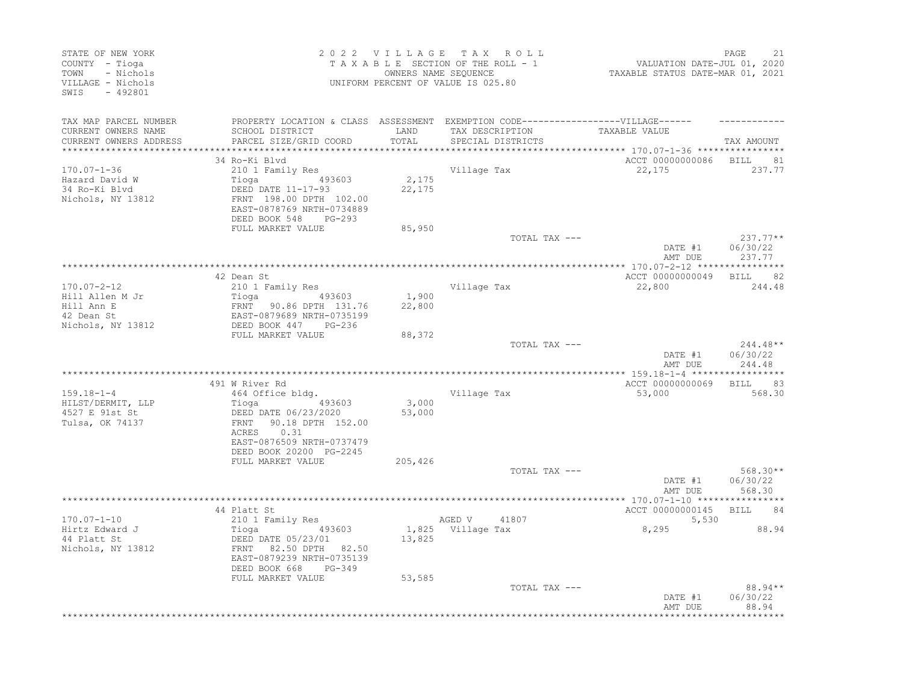| STATE OF NEW YORK<br>COUNTY - Tioga<br>- Nichols<br>TOWN<br>VILLAGE - Nichols<br>SWIS - 492801 |                                                                                                                                              |                 | 2022 VILLAGE TAX ROLL<br>TAXABLE SECTION OF THE ROLL - 1<br>OWNERS NAME SEQUENCE<br>UNIFORM PERCENT OF VALUE IS 025.80 | VALUATION DATE-JUL 01, 2020<br>TAXABLE STATUS DATE-MAR 01, 2021 | PAGE<br>21                       |
|------------------------------------------------------------------------------------------------|----------------------------------------------------------------------------------------------------------------------------------------------|-----------------|------------------------------------------------------------------------------------------------------------------------|-----------------------------------------------------------------|----------------------------------|
| TAX MAP PARCEL NUMBER                                                                          | PROPERTY LOCATION & CLASS ASSESSMENT EXEMPTION CODE----------------VILLAGE------                                                             |                 |                                                                                                                        |                                                                 |                                  |
| CURRENT OWNERS NAME<br>CURRENT OWNERS ADDRESS<br>***********************                       | SCHOOL DISTRICT<br>PARCEL SIZE/GRID COORD                                                                                                    | LAND<br>TOTAL   | TAX DESCRIPTION<br>SPECIAL DISTRICTS                                                                                   | TAXABLE VALUE                                                   | TAX AMOUNT                       |
|                                                                                                | 34 Ro-Ki Blvd                                                                                                                                |                 |                                                                                                                        | ACCT 00000000086 BILL                                           | 81                               |
| $170.07 - 1 - 36$<br>Hazard David W<br>34 Ro-Ki Blvd<br>Nichols, NY 13812                      | 210 1 Family Res<br>493603<br>Tioga<br>DEED DATE 11-17-93<br>FRNT 198.00 DPTH 102.00<br>EAST-0878769 NRTH-0734889<br>DEED BOOK 548<br>PG-293 | 2,175<br>22,175 | Village Tax                                                                                                            | 22,175                                                          | 237.77                           |
|                                                                                                | FULL MARKET VALUE                                                                                                                            | 85,950          | TOTAL TAX ---                                                                                                          |                                                                 | $237.77**$                       |
|                                                                                                |                                                                                                                                              |                 |                                                                                                                        | DATE #1<br>AMT DUE                                              | 06/30/22<br>237.77               |
|                                                                                                |                                                                                                                                              |                 |                                                                                                                        |                                                                 |                                  |
| $170.07 - 2 - 12$<br>Hill Allen M Jr<br>Hill Ann E<br>42 Dean St<br>Nichols, NY 13812          | 42 Dean St<br>210 1 Family Res<br>Tioga (193603)<br>FRNT 90.86 DPTH 131.76<br>EAST-0879689 NRTH-0735199<br>DEED BOOK 447 PG-236              | 1,900<br>22,800 | Village Tax                                                                                                            | ACCT 00000000049<br>22,800                                      | BILL 82<br>244.48                |
|                                                                                                | FULL MARKET VALUE                                                                                                                            | 88,372          |                                                                                                                        |                                                                 |                                  |
|                                                                                                |                                                                                                                                              |                 | TOTAL TAX ---                                                                                                          | DATE #1<br>AMT DUE                                              | $244.48**$<br>06/30/22<br>244.48 |
|                                                                                                | 491 W River Rd                                                                                                                               |                 |                                                                                                                        | ACCT 00000000069                                                | BILL 83                          |
| $159.18 - 1 - 4$<br>HILST/DERMIT, LLP<br>4527 E 91st St<br>Tulsa, OK 74137                     | 464 Office bldg.<br>Tioga (193603)<br>DEED DATE 06/23/2020<br>FRNT 90.18 DPTH 152.00<br>0.31<br>ACRES<br>EAST-0876509 NRTH-0737479           | 3,000<br>53,000 | Village Tax                                                                                                            | 53,000                                                          | 568.30                           |
|                                                                                                | DEED BOOK 20200 PG-2245                                                                                                                      |                 |                                                                                                                        |                                                                 |                                  |
|                                                                                                | FULL MARKET VALUE                                                                                                                            | 205,426         | TOTAL TAX ---                                                                                                          | DATE #1                                                         | $568.30**$<br>06/30/22           |
|                                                                                                |                                                                                                                                              |                 |                                                                                                                        | AMT DUE                                                         | 568.30                           |
|                                                                                                |                                                                                                                                              |                 |                                                                                                                        |                                                                 |                                  |
| $170.07 - 1 - 10$                                                                              | 44 Platt St<br>210 1 Family Res                                                                                                              |                 | 41807                                                                                                                  | ACCT 00000000145                                                | <b>BILL</b><br>84                |
| Hirtz Edward J<br>44 Platt St<br>Nichols, NY 13812                                             | 493603<br>Tioga<br>DEED DATE 05/23/01<br>FRNT<br>82.50 DPTH 82.50<br>EAST-0879239 NRTH-0735139<br>DEED BOOK 668<br>PG-349                    | 13,825          | AGED V<br>1,825 Village Tax                                                                                            | 5,530<br>8,295                                                  | 88.94                            |
|                                                                                                | FULL MARKET VALUE                                                                                                                            | 53,585          | TOTAL TAX ---                                                                                                          | DATE #1<br>AMT DUE                                              | 88.94**<br>06/30/22<br>88.94     |
|                                                                                                |                                                                                                                                              |                 |                                                                                                                        |                                                                 |                                  |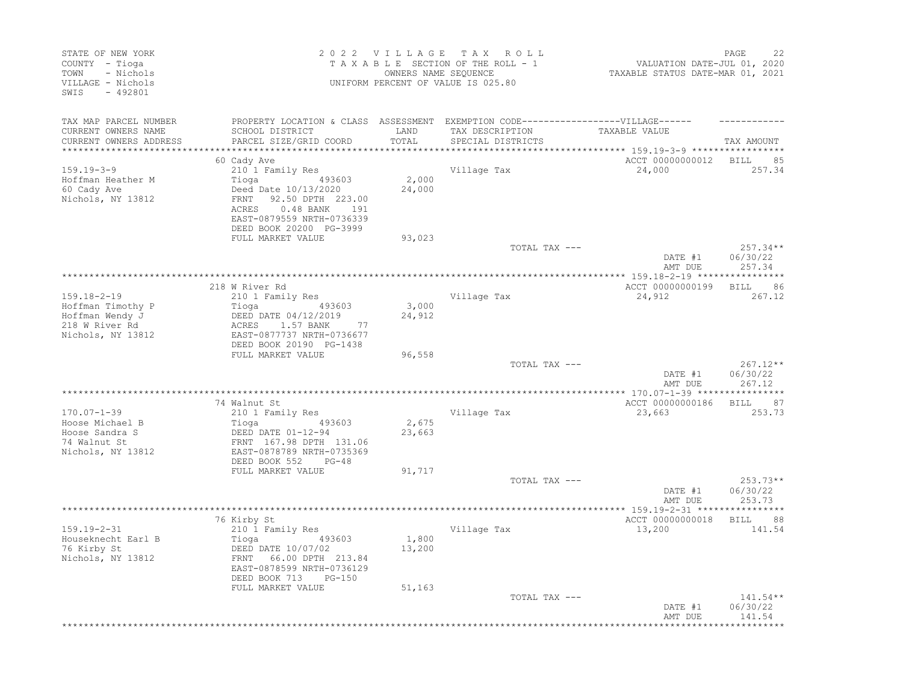| STATE OF NEW YORK<br>COUNTY - Tioga<br>TOWN<br>- Nichols<br>VILLAGE - Nichols<br>SWIS<br>$-492801$ |                                                                                                                                                                            |                     | 2022 VILLAGE TAX ROLL<br>TAXABLE SECTION OF THE ROLL - 1<br>OWNERS NAME SEQUENCE<br>UNIFORM PERCENT OF VALUE IS 025.80 | VALUATION DATE-JUL 01, 2020<br>TAXABLE STATUS DATE-MAR 01, 2021 | PAGE<br>22                       |
|----------------------------------------------------------------------------------------------------|----------------------------------------------------------------------------------------------------------------------------------------------------------------------------|---------------------|------------------------------------------------------------------------------------------------------------------------|-----------------------------------------------------------------|----------------------------------|
| TAX MAP PARCEL NUMBER<br>CURRENT OWNERS NAME                                                       | SCHOOL DISTRICT                                                                                                                                                            | LAND                | PROPERTY LOCATION & CLASS ASSESSMENT EXEMPTION CODE-----------------VILLAGE------<br>TAX DESCRIPTION                   | TAXABLE VALUE                                                   |                                  |
| CURRENT OWNERS ADDRESS<br>*******************                                                      | PARCEL SIZE/GRID COORD                                                                                                                                                     | TOTAL<br>********** | SPECIAL DISTRICTS                                                                                                      | *************************** 159.19-3-9 ****************         | TAX AMOUNT                       |
|                                                                                                    | 60 Cady Ave                                                                                                                                                                |                     |                                                                                                                        | ACCT 00000000012                                                | <b>BILL</b><br>85                |
| $159.19 - 3 - 9$<br>Hoffman Heather M<br>60 Cady Ave<br>Nichols, NY 13812                          | 210 1 Family Res<br>493603<br>Tioga<br>Deed Date 10/13/2020<br>FRNT<br>92.50 DPTH 223.00<br>0.48 BANK 191<br>ACRES<br>EAST-0879559 NRTH-0736339<br>DEED BOOK 20200 PG-3999 | 2,000<br>24,000     | Village Tax                                                                                                            | 24,000                                                          | 257.34                           |
|                                                                                                    | FULL MARKET VALUE                                                                                                                                                          | 93,023              |                                                                                                                        |                                                                 |                                  |
|                                                                                                    |                                                                                                                                                                            |                     | TOTAL TAX ---                                                                                                          | DATE #1<br>AMT DUE                                              | $257.34**$<br>06/30/22<br>257.34 |
|                                                                                                    |                                                                                                                                                                            |                     |                                                                                                                        |                                                                 |                                  |
| $159.18 - 2 - 19$                                                                                  | 218 W River Rd<br>210 1 Family Res                                                                                                                                         |                     | Village Tax                                                                                                            | ACCT 00000000199<br>24,912                                      | 86<br><b>BILL</b><br>267.12      |
| Hoffman Timothy P<br>Hoffman Wendy J<br>218 W River Rd<br>Nichols, NY 13812                        | Tioga<br>493603<br>DEED DATE 04/12/2019<br>1.57 BANK<br>77<br>ACRES<br>EAST-0877737 NRTH-0736677<br>DEED BOOK 20190 PG-1438                                                | 3,000<br>24,912     |                                                                                                                        |                                                                 |                                  |
|                                                                                                    | FULL MARKET VALUE                                                                                                                                                          | 96,558              |                                                                                                                        |                                                                 |                                  |
|                                                                                                    |                                                                                                                                                                            |                     | TOTAL TAX ---                                                                                                          | DATE #1<br>AMT DUE                                              | $267.12**$<br>06/30/22<br>267.12 |
|                                                                                                    | 74 Walnut St                                                                                                                                                               |                     |                                                                                                                        | ACCT 00000000186                                                | 87<br><b>BILL</b>                |
| $170.07 - 1 - 39$<br>Hoose Michael B<br>Hoose Sandra S<br>74 Walnut St<br>Nichols, NY 13812        | 210 1 Family Res<br>Tioga<br>493603<br>DEED DATE 01-12-94<br>FRNT 167.98 DPTH 131.06<br>EAST-0878789 NRTH-0735369                                                          | 2,675<br>23,663     | Village Tax                                                                                                            | 23,663                                                          | 253.73                           |
|                                                                                                    | DEED BOOK 552<br>$PG-48$<br>FULL MARKET VALUE                                                                                                                              | 91,717              |                                                                                                                        |                                                                 |                                  |
|                                                                                                    |                                                                                                                                                                            |                     | TOTAL TAX ---                                                                                                          | DATE #1<br>AMT DUE                                              | 253.73**<br>06/30/22<br>253.73   |
|                                                                                                    |                                                                                                                                                                            |                     |                                                                                                                        | ACCT 00000000018                                                | **********<br><b>BILL</b><br>88  |
| $159.19 - 2 - 31$<br>Houseknecht Earl B<br>76 Kirby St<br>Nichols, NY 13812                        | 76 Kirby St<br>210 1 Family Res<br>493603<br>Tioga<br>DEED DATE 10/07/02<br>66.00 DPTH 213.84<br>FRNT<br>EAST-0878599 NRTH-0736129                                         | 1,800<br>13,200     | Village Tax                                                                                                            | 13,200                                                          | 141.54                           |
|                                                                                                    | DEED BOOK 713<br>PG-150<br>FULL MARKET VALUE                                                                                                                               | 51,163              | TOTAL TAX ---                                                                                                          | DATE #1<br>AMT DUE                                              | $141.54**$<br>06/30/22<br>141.54 |
|                                                                                                    |                                                                                                                                                                            |                     |                                                                                                                        |                                                                 |                                  |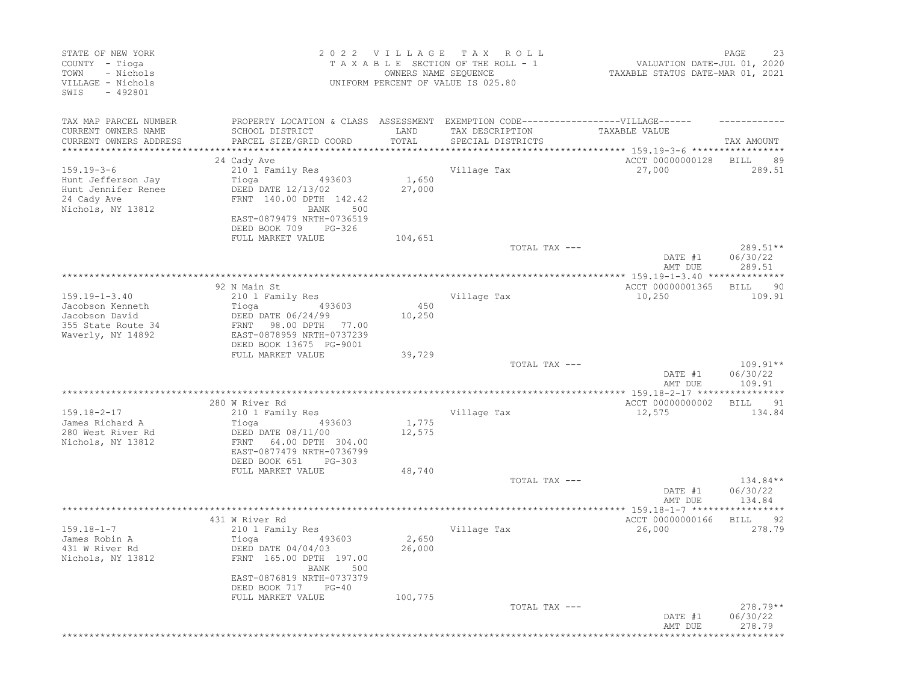| STATE OF NEW YORK<br>COUNTY - Tioga<br>- Nichols<br>TOWN<br>VILLAGE - Nichols<br>$-492801$<br>SWIS |                                                                                   | 2022 VILLAGE TAX<br>OWNERS NAME SEQUENCE | R O L L<br>TAXABLE SECTION OF THE ROLL - 1<br>UNIFORM PERCENT OF VALUE IS 025.80 | VALUATION DATE-JUL 01, 2020<br>TAXABLE STATUS DATE-MAR 01, 2021 | PAGE<br>23                  |
|----------------------------------------------------------------------------------------------------|-----------------------------------------------------------------------------------|------------------------------------------|----------------------------------------------------------------------------------|-----------------------------------------------------------------|-----------------------------|
| TAX MAP PARCEL NUMBER                                                                              | PROPERTY LOCATION & CLASS ASSESSMENT EXEMPTION CODE-----------------VILLAGE------ |                                          |                                                                                  |                                                                 |                             |
| CURRENT OWNERS NAME                                                                                | SCHOOL DISTRICT                                                                   | LAND                                     | TAX DESCRIPTION                                                                  | TAXABLE VALUE                                                   |                             |
| CURRENT OWNERS ADDRESS                                                                             | PARCEL SIZE/GRID COORD                                                            | TOTAL                                    | SPECIAL DISTRICTS                                                                |                                                                 | TAX AMOUNT                  |
| **********************                                                                             |                                                                                   |                                          |                                                                                  |                                                                 |                             |
| $159.19 - 3 - 6$                                                                                   | 24 Cady Ave<br>210 1 Family Res                                                   |                                          |                                                                                  | ACCT 00000000128<br>27,000                                      | <b>BILL</b><br>89<br>289.51 |
| Hunt Jefferson Jay                                                                                 | Tioga<br>493603                                                                   | 1,650                                    | Village Tax                                                                      |                                                                 |                             |
| Hunt Jennifer Renee                                                                                | DEED DATE 12/13/02                                                                | 27,000                                   |                                                                                  |                                                                 |                             |
| 24 Cady Ave                                                                                        | FRNT 140.00 DPTH 142.42                                                           |                                          |                                                                                  |                                                                 |                             |
| Nichols, NY 13812                                                                                  | BANK<br>500                                                                       |                                          |                                                                                  |                                                                 |                             |
|                                                                                                    | EAST-0879479 NRTH-0736519                                                         |                                          |                                                                                  |                                                                 |                             |
|                                                                                                    | DEED BOOK 709<br>PG-326                                                           |                                          |                                                                                  |                                                                 |                             |
|                                                                                                    | FULL MARKET VALUE                                                                 | 104,651                                  |                                                                                  |                                                                 |                             |
|                                                                                                    |                                                                                   |                                          | TOTAL TAX ---                                                                    |                                                                 | $289.51**$                  |
|                                                                                                    |                                                                                   |                                          |                                                                                  | DATE #1<br>AMT DUE                                              | 06/30/22<br>289.51          |
|                                                                                                    |                                                                                   |                                          |                                                                                  |                                                                 |                             |
|                                                                                                    | 92 N Main St                                                                      |                                          |                                                                                  | ACCT 00000001365                                                | 90<br>BILL                  |
| $159.19 - 1 - 3.40$                                                                                | 210 1 Family Res                                                                  |                                          | Village Tax                                                                      | 10,250                                                          | 109.91                      |
| Jacobson Kenneth                                                                                   | Tioga<br>493603                                                                   | 450                                      |                                                                                  |                                                                 |                             |
| Jacobson David                                                                                     | DEED DATE 06/24/99                                                                | 10,250                                   |                                                                                  |                                                                 |                             |
| 355 State Route 34                                                                                 | 98.00 DPTH 77.00<br>FRNT<br>EAST-0878959 NRTH-0737239                             |                                          |                                                                                  |                                                                 |                             |
| Waverly, NY 14892                                                                                  | DEED BOOK 13675 PG-9001                                                           |                                          |                                                                                  |                                                                 |                             |
|                                                                                                    | FULL MARKET VALUE                                                                 | 39,729                                   |                                                                                  |                                                                 |                             |
|                                                                                                    |                                                                                   |                                          | TOTAL TAX ---                                                                    |                                                                 | $109.91**$                  |
|                                                                                                    |                                                                                   |                                          |                                                                                  | DATE #1                                                         | 06/30/22                    |
|                                                                                                    |                                                                                   |                                          |                                                                                  | AMT DUE                                                         | 109.91                      |
|                                                                                                    | 280 W River Rd                                                                    |                                          |                                                                                  | ACCT 00000000002                                                | BILL<br>91                  |
| $159.18 - 2 - 17$                                                                                  | 210 1 Family Res                                                                  |                                          | Village Tax                                                                      | 12,575                                                          | 134.84                      |
| James Richard A                                                                                    | Tioga<br>493603                                                                   | 1,775                                    |                                                                                  |                                                                 |                             |
| 280 West River Rd                                                                                  | DEED DATE 08/11/00                                                                | 12,575                                   |                                                                                  |                                                                 |                             |
| Nichols, NY 13812                                                                                  | 64.00 DPTH 304.00<br>FRNT                                                         |                                          |                                                                                  |                                                                 |                             |
|                                                                                                    | EAST-0877479 NRTH-0736799                                                         |                                          |                                                                                  |                                                                 |                             |
|                                                                                                    | DEED BOOK 651<br>$PG-303$                                                         |                                          |                                                                                  |                                                                 |                             |
|                                                                                                    | FULL MARKET VALUE                                                                 | 48,740                                   | TOTAL TAX ---                                                                    |                                                                 | $134.84**$                  |
|                                                                                                    |                                                                                   |                                          |                                                                                  | DATE #1                                                         | 06/30/22                    |
|                                                                                                    |                                                                                   |                                          |                                                                                  | AMT DUE                                                         | 134.84                      |
|                                                                                                    |                                                                                   |                                          |                                                                                  | ** 159.18-1-7 ******                                            |                             |
|                                                                                                    | 431 W River Rd                                                                    |                                          |                                                                                  | ACCT 00000000166                                                | BILL<br>92                  |
| $159.18 - 1 - 7$                                                                                   | 210 1 Family Res                                                                  |                                          | Village Tax                                                                      | 26,000                                                          | 278.79                      |
| James Robin A<br>431 W River Rd                                                                    | 493603<br>Tioga<br>DEED DATE 04/04/03                                             | 2,650<br>26,000                          |                                                                                  |                                                                 |                             |
| Nichols, NY 13812                                                                                  | FRNT 165.00 DPTH 197.00                                                           |                                          |                                                                                  |                                                                 |                             |
|                                                                                                    | BANK 500                                                                          |                                          |                                                                                  |                                                                 |                             |
|                                                                                                    | EAST-0876819 NRTH-0737379                                                         |                                          |                                                                                  |                                                                 |                             |
|                                                                                                    | DEED BOOK 717 PG-40                                                               |                                          |                                                                                  |                                                                 |                             |
|                                                                                                    | FULL MARKET VALUE                                                                 | 100,775                                  |                                                                                  |                                                                 |                             |
|                                                                                                    |                                                                                   |                                          | TOTAL TAX ---                                                                    |                                                                 | $278.79**$                  |
|                                                                                                    |                                                                                   |                                          |                                                                                  | DATE #1<br>AMT DUE                                              | 06/30/22<br>278.79          |
|                                                                                                    |                                                                                   |                                          |                                                                                  |                                                                 |                             |
|                                                                                                    |                                                                                   |                                          |                                                                                  |                                                                 |                             |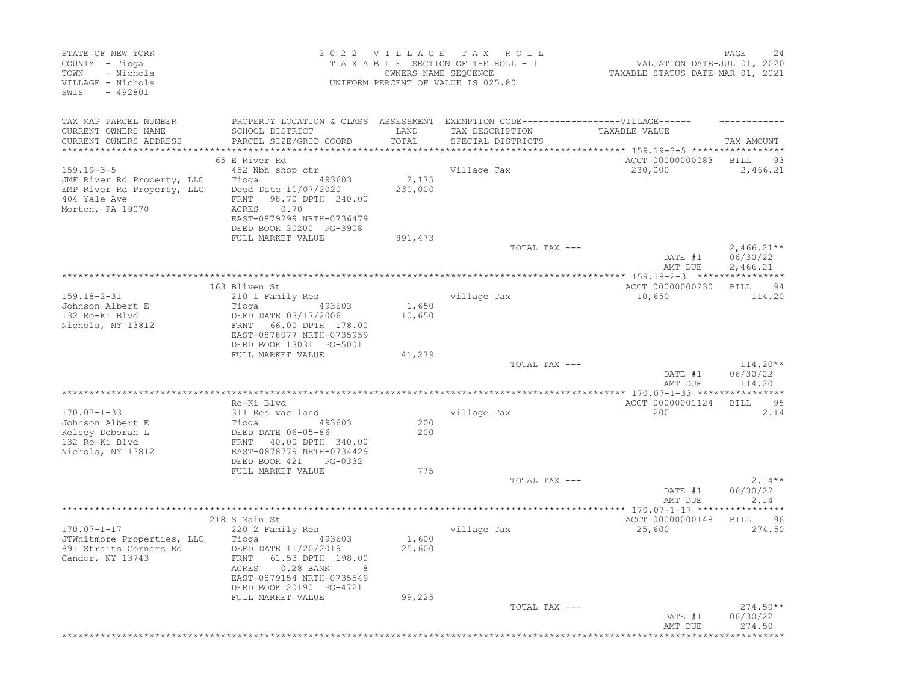| STATE OF NEW YORK<br>COUNTY - Tioga<br>- Nichols<br>TOWN<br>VILLAGE - Nichols<br>$-492801$<br>SWIS |                                                       | 2022 VILLAGE TAX<br>OWNERS NAME SEQUENCE | R O L L<br>TAXABLE SECTION OF THE ROLL - 1<br>UNIFORM PERCENT OF VALUE IS 025.80  | VALUATION DATE-JUL 01, 2020<br>TAXABLE STATUS DATE-MAR 01, 2021 | PAGE<br>24             |
|----------------------------------------------------------------------------------------------------|-------------------------------------------------------|------------------------------------------|-----------------------------------------------------------------------------------|-----------------------------------------------------------------|------------------------|
| TAX MAP PARCEL NUMBER                                                                              |                                                       |                                          | PROPERTY LOCATION & CLASS ASSESSMENT EXEMPTION CODE-----------------VILLAGE------ |                                                                 |                        |
| CURRENT OWNERS NAME                                                                                | SCHOOL DISTRICT                                       | LAND                                     | TAX DESCRIPTION                                                                   | TAXABLE VALUE                                                   |                        |
| CURRENT OWNERS ADDRESS                                                                             | PARCEL SIZE/GRID COORD                                | TOTAL                                    | SPECIAL DISTRICTS                                                                 |                                                                 | TAX AMOUNT             |
| **********************                                                                             | ****************************                          |                                          |                                                                                   |                                                                 |                        |
|                                                                                                    | 65 E River Rd                                         |                                          |                                                                                   | ACCT 00000000083                                                | BILL<br>93             |
| $159.19 - 3 - 5$                                                                                   | 452 Nbh shop ctr<br>493603                            | 2,175                                    | Village Tax                                                                       | 230,000                                                         | 2,466.21               |
| JMF River Rd Property, LLC<br>EMP River Rd Property, LLC                                           | Tioga<br>Deed Date 10/07/2020                         | 230,000                                  |                                                                                   |                                                                 |                        |
| 404 Yale Ave                                                                                       | FRNT<br>98.70 DPTH 240.00                             |                                          |                                                                                   |                                                                 |                        |
| Morton, PA 19070                                                                                   | 0.70<br>ACRES                                         |                                          |                                                                                   |                                                                 |                        |
|                                                                                                    | EAST-0879299 NRTH-0736479                             |                                          |                                                                                   |                                                                 |                        |
|                                                                                                    | DEED BOOK 20200 PG-3908                               |                                          |                                                                                   |                                                                 |                        |
|                                                                                                    | FULL MARKET VALUE                                     | 891,473                                  |                                                                                   |                                                                 |                        |
|                                                                                                    |                                                       |                                          | TOTAL TAX ---                                                                     |                                                                 | $2,466.21**$           |
|                                                                                                    |                                                       |                                          |                                                                                   | DATE #1                                                         | 06/30/22               |
|                                                                                                    |                                                       |                                          |                                                                                   | AMT DUE                                                         | 2,466.21               |
|                                                                                                    | 163 Bliven St                                         |                                          |                                                                                   | ACCT 00000000230                                                | 94<br>BILL             |
| $159.18 - 2 - 31$                                                                                  | 210 1 Family Res                                      |                                          | Village Tax                                                                       | 10,650                                                          | 114.20                 |
| Johnson Albert E                                                                                   | Tioga<br>493603                                       | 1,650                                    |                                                                                   |                                                                 |                        |
| 132 Ro-Ki Blvd                                                                                     | DEED DATE 03/17/2006                                  | 10,650                                   |                                                                                   |                                                                 |                        |
| Nichols, NY 13812                                                                                  | 66.00 DPTH 178.00<br>FRNT                             |                                          |                                                                                   |                                                                 |                        |
|                                                                                                    | EAST-0878077 NRTH-0735959                             |                                          |                                                                                   |                                                                 |                        |
|                                                                                                    | DEED BOOK 13031 PG-5001                               |                                          |                                                                                   |                                                                 |                        |
|                                                                                                    | FULL MARKET VALUE                                     | 41,279                                   | TOTAL TAX ---                                                                     |                                                                 |                        |
|                                                                                                    |                                                       |                                          |                                                                                   | DATE #1                                                         | $114.20**$<br>06/30/22 |
|                                                                                                    |                                                       |                                          |                                                                                   | AMT DUE                                                         | 114.20                 |
|                                                                                                    |                                                       |                                          |                                                                                   |                                                                 |                        |
|                                                                                                    | Ro-Ki Blvd                                            |                                          |                                                                                   | ACCT 00000001124                                                | 95<br>BILL             |
| $170.07 - 1 - 33$                                                                                  | 311 Res vac land                                      |                                          | Village Tax                                                                       | 200                                                             | 2.14                   |
| Johnson Albert E                                                                                   | Tioga<br>493603                                       | 200                                      |                                                                                   |                                                                 |                        |
| Kelsey Deborah L                                                                                   | DEED DATE 06-05-86                                    | 200                                      |                                                                                   |                                                                 |                        |
| 132 Ro-Ki Blvd                                                                                     | FRNT 40.00 DPTH 340.00                                |                                          |                                                                                   |                                                                 |                        |
| Nichols, NY 13812                                                                                  | EAST-0878779 NRTH-0734429<br>DEED BOOK 421<br>PG-0332 |                                          |                                                                                   |                                                                 |                        |
|                                                                                                    | FULL MARKET VALUE                                     | 775                                      |                                                                                   |                                                                 |                        |
|                                                                                                    |                                                       |                                          | TOTAL TAX ---                                                                     |                                                                 | $2.14**$               |
|                                                                                                    |                                                       |                                          |                                                                                   | DATE #1                                                         | 06/30/22               |
|                                                                                                    |                                                       |                                          |                                                                                   | AMT DUE                                                         | 2.14                   |
|                                                                                                    |                                                       |                                          | *********************                                                             | ** 170.07-1-17 *****                                            |                        |
|                                                                                                    | 218 S Main St                                         |                                          |                                                                                   | ACCT 00000000148                                                | 96<br>BILL             |
| $170.07 - 1 - 17$                                                                                  | 220 2 Family Res                                      |                                          | Village Tax                                                                       | 25,600                                                          | 274.50                 |
| JTWhitmore Properties, LLC<br>891 Straits Corners Rd                                               | Tioga<br>493603<br>DEED DATE 11/20/2019               | 1,600<br>25,600                          |                                                                                   |                                                                 |                        |
| Candor, NY 13743                                                                                   | FRNT 61.53 DPTH 198.00                                |                                          |                                                                                   |                                                                 |                        |
|                                                                                                    | ACRES 0.28 BANK<br>8                                  |                                          |                                                                                   |                                                                 |                        |
|                                                                                                    | EAST-0879154 NRTH-0735549                             |                                          |                                                                                   |                                                                 |                        |
|                                                                                                    | DEED BOOK 20190 PG-4721                               |                                          |                                                                                   |                                                                 |                        |
|                                                                                                    | FULL MARKET VALUE                                     | 99,225                                   |                                                                                   |                                                                 |                        |
|                                                                                                    |                                                       |                                          | TOTAL TAX ---                                                                     |                                                                 | $274.50**$             |
|                                                                                                    |                                                       |                                          |                                                                                   | DATE #1                                                         | 06/30/22               |
|                                                                                                    |                                                       |                                          |                                                                                   | AMT DUE                                                         | 274.50                 |
|                                                                                                    |                                                       |                                          |                                                                                   |                                                                 |                        |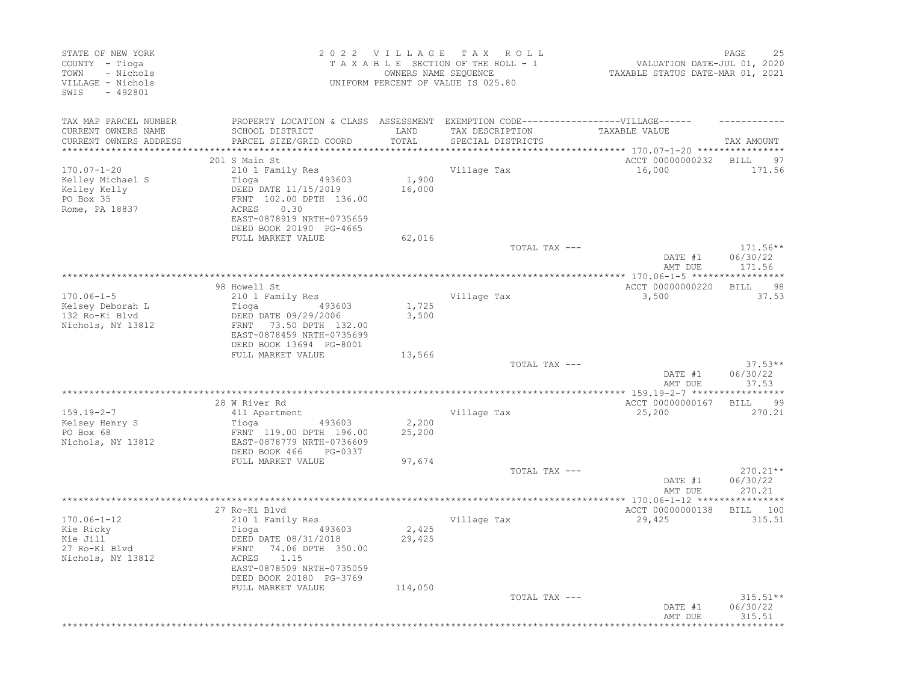| STATE OF NEW YORK<br>COUNTY - Tioga<br>- Nichols<br>TOWN<br>VILLAGE - Nichols<br>SWIS<br>$-492801$ |                                                                                   | OWNERS NAME SEQUENCE | 2022 VILLAGE TAX ROLL<br>TAXABLE SECTION OF THE ROLL - 1<br>UNIFORM PERCENT OF VALUE IS 025.80 | VALUATION DATE-JUL 01, 2020<br>TAXABLE STATUS DATE-MAR 01, 2021 | PAGE<br>25                     |
|----------------------------------------------------------------------------------------------------|-----------------------------------------------------------------------------------|----------------------|------------------------------------------------------------------------------------------------|-----------------------------------------------------------------|--------------------------------|
| TAX MAP PARCEL NUMBER                                                                              | PROPERTY LOCATION & CLASS ASSESSMENT EXEMPTION CODE-----------------VILLAGE------ |                      |                                                                                                |                                                                 |                                |
| CURRENT OWNERS NAME                                                                                | SCHOOL DISTRICT                                                                   | LAND                 | TAX DESCRIPTION                                                                                | TAXABLE VALUE                                                   |                                |
| CURRENT OWNERS ADDRESS                                                                             | PARCEL SIZE/GRID COORD                                                            | TOTAL                | SPECIAL DISTRICTS                                                                              |                                                                 | TAX AMOUNT                     |
| *********************                                                                              |                                                                                   |                      |                                                                                                |                                                                 |                                |
|                                                                                                    | 201 S Main St                                                                     |                      |                                                                                                | ACCT 00000000232                                                | <b>BILL</b><br>97              |
| $170.07 - 1 - 20$                                                                                  | 210 1 Family Res                                                                  |                      | Village Tax                                                                                    | 16,000                                                          | 171.56                         |
| Kelley Michael S                                                                                   | Tioga (193603)<br>DEED DATE 11/15/2019                                            | 1,900<br>16,000      |                                                                                                |                                                                 |                                |
| Kelley Kelly<br>PO Box 35                                                                          | FRNT 102.00 DPTH 136.00                                                           |                      |                                                                                                |                                                                 |                                |
| Rome, PA 18837                                                                                     | ACRES<br>0.30                                                                     |                      |                                                                                                |                                                                 |                                |
|                                                                                                    | EAST-0878919 NRTH-0735659                                                         |                      |                                                                                                |                                                                 |                                |
|                                                                                                    | DEED BOOK 20190 PG-4665                                                           |                      |                                                                                                |                                                                 |                                |
|                                                                                                    | FULL MARKET VALUE                                                                 | 62,016               |                                                                                                |                                                                 |                                |
|                                                                                                    |                                                                                   |                      | TOTAL TAX ---                                                                                  |                                                                 | $171.56**$                     |
|                                                                                                    |                                                                                   |                      |                                                                                                | DATE #1<br>AMT DUE                                              | 06/30/22<br>171.56             |
|                                                                                                    |                                                                                   |                      |                                                                                                |                                                                 |                                |
|                                                                                                    | 98 Howell St                                                                      |                      |                                                                                                | ACCT 00000000220                                                | <b>BILL</b><br>98              |
| $170.06 - 1 - 5$                                                                                   | 210 1 Family Res                                                                  |                      | Village Tax                                                                                    | 3,500                                                           | 37.53                          |
| Kelsey Deborah L                                                                                   | 493603<br>Tioga                                                                   | 1,725                |                                                                                                |                                                                 |                                |
| 132 Ro-Ki Blvd                                                                                     | DEED DATE 09/29/2006                                                              | 3,500                |                                                                                                |                                                                 |                                |
| Nichols, NY 13812                                                                                  | 73.50 DPTH 132.00<br>FRNT<br>EAST-0878459 NRTH-0735699                            |                      |                                                                                                |                                                                 |                                |
|                                                                                                    | DEED BOOK 13694 PG-8001                                                           |                      |                                                                                                |                                                                 |                                |
|                                                                                                    | FULL MARKET VALUE                                                                 | 13,566               |                                                                                                |                                                                 |                                |
|                                                                                                    |                                                                                   |                      | TOTAL TAX ---                                                                                  |                                                                 | $37.53**$                      |
|                                                                                                    |                                                                                   |                      |                                                                                                | DATE #1                                                         | 06/30/22                       |
|                                                                                                    |                                                                                   |                      |                                                                                                | AMT DUE                                                         | 37.53<br>* * * * * * * * * * * |
|                                                                                                    | 28 W River Rd                                                                     |                      |                                                                                                | ACCT 00000000167                                                | 99<br><b>BILL</b>              |
| $159.19 - 2 - 7$                                                                                   | 411 Apartment                                                                     |                      | Village Tax                                                                                    | 25,200                                                          | 270.21                         |
| Kelsey Henry S                                                                                     | Tioga<br>493603                                                                   | 2,200                |                                                                                                |                                                                 |                                |
| PO Box 68                                                                                          | FRNT 119.00 DPTH 196.00                                                           | 25,200               |                                                                                                |                                                                 |                                |
| Nichols, NY 13812                                                                                  | EAST-0878779 NRTH-0736609                                                         |                      |                                                                                                |                                                                 |                                |
|                                                                                                    | DEED BOOK 466<br>PG-0337                                                          |                      |                                                                                                |                                                                 |                                |
|                                                                                                    | FULL MARKET VALUE                                                                 | 97,674               |                                                                                                |                                                                 |                                |
|                                                                                                    |                                                                                   |                      | TOTAL TAX ---                                                                                  | DATE #1                                                         | $270.21**$<br>06/30/22         |
|                                                                                                    |                                                                                   |                      |                                                                                                | AMT DUE                                                         | 270.21                         |
|                                                                                                    |                                                                                   |                      |                                                                                                |                                                                 |                                |
|                                                                                                    | 27 Ro-Ki Blvd                                                                     |                      |                                                                                                | ACCT 00000000138                                                | BILL 100                       |
| $170.06 - 1 - 12$                                                                                  | 210 1 Family Res                                                                  |                      | Village Tax                                                                                    | 29,425                                                          | 315.51                         |
| Kie Ricky                                                                                          | 493603<br>Tioga                                                                   | 2,425                |                                                                                                |                                                                 |                                |
| Kie Jill<br>27 Ro-Ki Blvd                                                                          | DEED DATE 08/31/2018<br>74.06 DPTH 350.00<br>FRNT                                 | 29,425               |                                                                                                |                                                                 |                                |
| Nichols, NY 13812                                                                                  | 1.15<br>ACRES                                                                     |                      |                                                                                                |                                                                 |                                |
|                                                                                                    | EAST-0878509 NRTH-0735059                                                         |                      |                                                                                                |                                                                 |                                |
|                                                                                                    | DEED BOOK 20180 PG-3769                                                           |                      |                                                                                                |                                                                 |                                |
|                                                                                                    | FULL MARKET VALUE                                                                 | 114,050              |                                                                                                |                                                                 |                                |
|                                                                                                    |                                                                                   |                      | TOTAL TAX ---                                                                                  |                                                                 | $315.51**$                     |
|                                                                                                    |                                                                                   |                      |                                                                                                | DATE #1<br>AMT DUE                                              | 06/30/22<br>315.51             |
|                                                                                                    |                                                                                   |                      |                                                                                                |                                                                 |                                |
|                                                                                                    |                                                                                   |                      |                                                                                                |                                                                 |                                |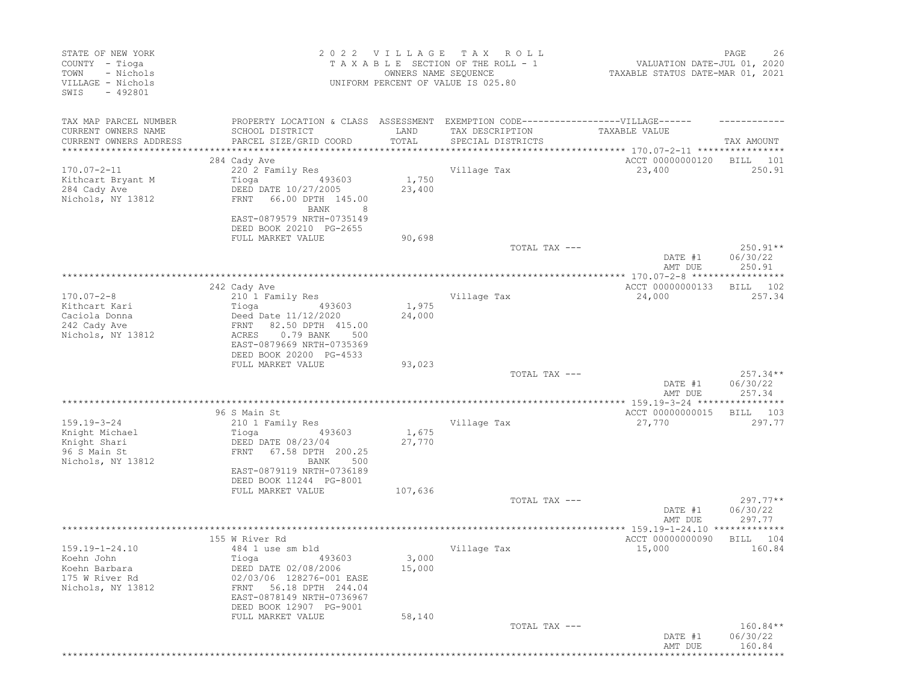| STATE OF NEW YORK<br>COUNTY - Tioga<br>- Nichols<br>TOWN<br>VILLAGE - Nichols<br>SWIS<br>$-492801$ |                                                                                                                                                                                                    | 2022 VILLAGE<br>OWNERS NAME SEQUENCE | T A X<br>R O L L<br>TAXABLE SECTION OF THE ROLL - 1<br>UNIFORM PERCENT OF VALUE IS 025.80 | VALUATION DATE-JUL 01, 2020<br>TAXABLE STATUS DATE-MAR 01, 2021              | PAGE<br>26                       |
|----------------------------------------------------------------------------------------------------|----------------------------------------------------------------------------------------------------------------------------------------------------------------------------------------------------|--------------------------------------|-------------------------------------------------------------------------------------------|------------------------------------------------------------------------------|----------------------------------|
| TAX MAP PARCEL NUMBER<br>CURRENT OWNERS NAME<br>CURRENT OWNERS ADDRESS                             | PROPERTY LOCATION & CLASS ASSESSMENT EXEMPTION CODE-----------------VILLAGE------<br>SCHOOL DISTRICT<br>PARCEL SIZE/GRID COORD<br>***************************                                      | LAND<br>TOTAL                        | TAX DESCRIPTION<br>SPECIAL DISTRICTS                                                      | TAXABLE VALUE                                                                | TAX AMOUNT                       |
| $170.07 - 2 - 11$<br>Kithcart Bryant M<br>284 Cady Ave<br>Nichols, NY 13812                        | 284 Cady Ave<br>220 2 Family Res<br>Tioga<br>493603<br>DEED DATE 10/27/2005<br>FRNT<br>66.00 DPTH 145.00<br>BANK<br>8<br>EAST-0879579 NRTH-0735149<br>DEED BOOK 20210 PG-2655<br>FULL MARKET VALUE | 1,750<br>23,400<br>90,698            | Village Tax                                                                               | ACCT 00000000120<br>23,400                                                   | BILL<br>101<br>250.91            |
|                                                                                                    |                                                                                                                                                                                                    |                                      | TOTAL TAX ---                                                                             | DATE #1<br>AMT DUE                                                           | $250.91**$<br>06/30/22<br>250.91 |
| $170.07 - 2 - 8$<br>Kithcart Kari<br>Caciola Donna<br>242 Cady Ave<br>Nichols, NY 13812            | 242 Cady Ave<br>210 1 Family Res<br>Tioga<br>493603<br>Deed Date 11/12/2020<br>82.50 DPTH 415.00<br>FRNT<br>0.79 BANK<br>ACRES<br>500<br>EAST-0879669 NRTH-0735369<br>DEED BOOK 20200 PG-4533      | 1,975<br>24,000                      | Village Tax                                                                               | ************** 170.07-2-8 ***********<br>ACCT 00000000133<br>24,000          | *****<br>102<br>BILL<br>257.34   |
|                                                                                                    | FULL MARKET VALUE                                                                                                                                                                                  | 93,023                               | TOTAL TAX ---                                                                             | DATE #1<br>AMT DUE                                                           | $257.34**$<br>06/30/22<br>257.34 |
| $159.19 - 3 - 24$<br>Knight Michael<br>Knight Shari<br>96 S Main St<br>Nichols, NY 13812           | 96 S Main St<br>210 1 Family Res<br>493603<br>Tioga<br>DEED DATE 08/23/04<br>67.58 DPTH 200.25<br>FRNT<br>BANK<br>500<br>EAST-0879119 NRTH-0736189                                                 | 1,675<br>27,770                      | Village Tax                                                                               | ACCT 00000000015<br>27,770                                                   | 103<br>BILL<br>297.77            |
|                                                                                                    | DEED BOOK 11244 PG-8001<br>FULL MARKET VALUE                                                                                                                                                       | 107,636                              | TOTAL TAX ---                                                                             | DATE #1<br>AMT DUE                                                           | $297.77**$<br>06/30/22<br>297.77 |
| $159.19 - 1 - 24.10$<br>Koehn John<br>Koehn Barbara<br>175 W River Rd<br>Nichols, NY 13812         | 155 W River Rd<br>484 1 use sm bld<br>493603<br>Tioga<br>DEED DATE 02/08/2006<br>02/03/06 128276-001 EASE<br>56.18 DPTH 244.04<br>FRNT<br>EAST-0878149 NRTH-0736967<br>DEED BOOK 12907 PG-9001     | 3,000<br>15,000                      | Village Tax                                                                               | ***************** 159.19-1-24.10 *************<br>ACCT 00000000090<br>15,000 | BILL<br>104<br>160.84            |
|                                                                                                    | FULL MARKET VALUE                                                                                                                                                                                  | 58,140                               | TOTAL TAX ---                                                                             | DATE #1<br>AMT DUE                                                           | 160.84**<br>06/30/22<br>160.84   |
|                                                                                                    |                                                                                                                                                                                                    |                                      |                                                                                           |                                                                              |                                  |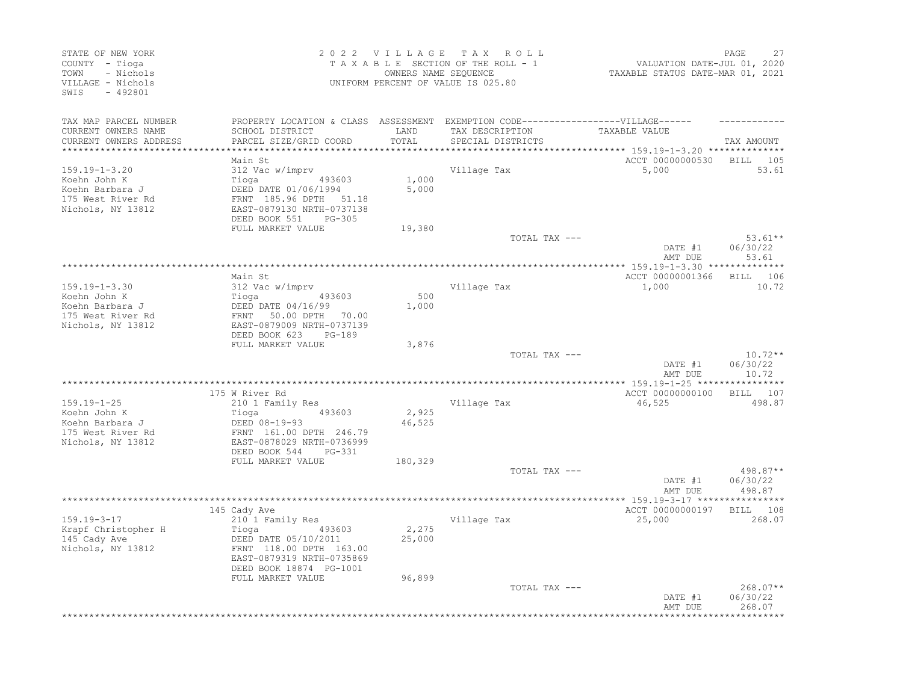| STATE OF NEW YORK<br>COUNTY - Tioga<br>- Nichols<br>TOWN<br>VILLAGE - Nichols<br>SWIS<br>$-492801$ |                                                                                                                                                                                     | 2022 VILLAGE TAX          | ROLL<br>TAXABLE SECTION OF THE ROLL - 1<br>OWNERS NAME SEQUENCE<br>UNIFORM PERCENT OF VALUE IS 025.80 | VALUATION DATE-JUL 01, 2020<br>TAXABLE STATUS DATE-MAR 01, 2021 | PAGE<br>27                                   |
|----------------------------------------------------------------------------------------------------|-------------------------------------------------------------------------------------------------------------------------------------------------------------------------------------|---------------------------|-------------------------------------------------------------------------------------------------------|-----------------------------------------------------------------|----------------------------------------------|
| TAX MAP PARCEL NUMBER<br>CURRENT OWNERS NAME<br>CURRENT OWNERS ADDRESS                             | PROPERTY LOCATION & CLASS ASSESSMENT EXEMPTION CODE-----------------VILLAGE------<br>SCHOOL DISTRICT<br>PARCEL SIZE/GRID COORD                                                      | LAND<br>TOTAL             | TAX DESCRIPTION<br>SPECIAL DISTRICTS                                                                  | TAXABLE VALUE                                                   | TAX AMOUNT                                   |
| **********************                                                                             | **************************                                                                                                                                                          |                           |                                                                                                       | ********************************* 159.19–1–3.20 **************  |                                              |
| $159.19 - 1 - 3.20$<br>Koehn John K<br>Koehn Barbara J<br>175 West River Rd<br>Nichols, NY 13812   | Main St<br>312 Vac w/imprv<br>Tioga<br>493603<br>DEED DATE 01/06/1994<br>FRNT 185.96 DPTH 51.18<br>EAST-0879130 NRTH-0737138<br>DEED BOOK 551<br>PG-305                             | 1,000<br>5,000            | Village Tax                                                                                           | ACCT 00000000530<br>5,000                                       | BILL<br>105<br>53.61                         |
|                                                                                                    | FULL MARKET VALUE                                                                                                                                                                   | 19,380                    |                                                                                                       |                                                                 |                                              |
|                                                                                                    |                                                                                                                                                                                     |                           | TOTAL TAX ---                                                                                         | DATE #1<br>AMT DUE                                              | $53.61**$<br>06/30/22<br>53.61               |
|                                                                                                    |                                                                                                                                                                                     |                           | ****************************                                                                          | *********** 159.19-1-3.30 ***************                       |                                              |
| $159.19 - 1 - 3.30$<br>Koehn John K<br>Koehn Barbara J<br>175 West River Rd<br>Nichols, NY 13812   | Main St<br>312 Vac w/imprv<br>Tioga<br>493603<br>DEED DATE 04/16/99<br>FRNT<br>50.00 DPTH 70.00<br>EAST-0879009 NRTH-0737139<br>DEED BOOK 623<br>PG-189                             | 500<br>1,000              | Village Tax                                                                                           | ACCT 00000001366<br>1,000                                       | BILL 106<br>10.72                            |
|                                                                                                    | FULL MARKET VALUE                                                                                                                                                                   | 3,876                     |                                                                                                       |                                                                 |                                              |
|                                                                                                    |                                                                                                                                                                                     |                           | TOTAL TAX ---                                                                                         | DATE #1<br>AMT DUE                                              | $10.72**$<br>06/30/22<br>10.72               |
|                                                                                                    |                                                                                                                                                                                     |                           |                                                                                                       |                                                                 |                                              |
|                                                                                                    | 175 W River Rd                                                                                                                                                                      |                           |                                                                                                       | ACCT 00000000100                                                | 107<br>BILL                                  |
| $159.19 - 1 - 25$<br>Koehn John K<br>Koehn Barbara J<br>175 West River Rd<br>Nichols, NY 13812     | 210 1 Family Res<br>493603<br>Tioga<br>DEED 08-19-93<br>FRNT 161.00 DPTH 246.79<br>EAST-0878029 NRTH-0736999<br>DEED BOOK 544<br>PG-331                                             | 2,925<br>46,525           | Village Tax                                                                                           | 46,525                                                          | 498.87                                       |
|                                                                                                    | FULL MARKET VALUE                                                                                                                                                                   | 180,329                   |                                                                                                       |                                                                 |                                              |
|                                                                                                    |                                                                                                                                                                                     |                           | TOTAL TAX ---                                                                                         | DATE #1<br>AMT DUE                                              | 498.87**<br>06/30/22<br>498.87               |
|                                                                                                    | *********************                                                                                                                                                               |                           | ***********************************                                                                   | ****************** 159.19-3-17 *****************                |                                              |
| $159.19 - 3 - 17$<br>Krapf Christopher H<br>145 Cady Ave<br>Nichols, NY 13812                      | 145 Cady Ave<br>210 1 Family Res<br>Tioga<br>493603<br>DEED DATE 05/10/2011<br>FRNT 118.00 DPTH 163.00<br>EAST-0879319 NRTH-0735869<br>DEED BOOK 18874 PG-1001<br>FULL MARKET VALUE | 2,275<br>25,000<br>96,899 | Village Tax                                                                                           | ACCT 00000000197<br>25,000                                      | BILL 108<br>268.07                           |
|                                                                                                    |                                                                                                                                                                                     |                           | TOTAL TAX ---                                                                                         | DATE #1<br>AMT DUE                                              | $268.07**$<br>06/30/22<br>268.07<br>******** |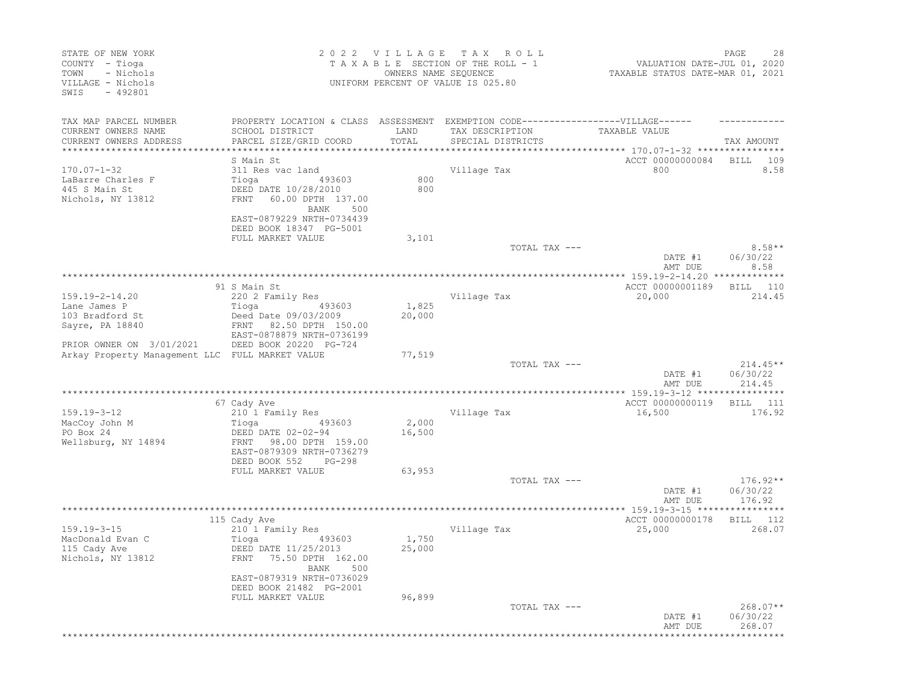| STATE OF NEW YORK<br>COUNTY - Tioga<br>- Nichols<br>TOWN<br>VILLAGE - Nichols<br>$-492801$<br>SWIS |                                                                                   | 2022 VILLAGE<br>OWNERS NAME SEQUENCE | T A X<br>R O L L<br>TAXABLE SECTION OF THE ROLL - 1<br>UNIFORM PERCENT OF VALUE IS 025.80 | VALUATION DATE-JUL 01, 2020<br>TAXABLE STATUS DATE-MAR 01, 2021 | PAGE<br>28             |
|----------------------------------------------------------------------------------------------------|-----------------------------------------------------------------------------------|--------------------------------------|-------------------------------------------------------------------------------------------|-----------------------------------------------------------------|------------------------|
| TAX MAP PARCEL NUMBER                                                                              | PROPERTY LOCATION & CLASS ASSESSMENT EXEMPTION CODE-----------------VILLAGE------ |                                      |                                                                                           |                                                                 |                        |
| CURRENT OWNERS NAME                                                                                | SCHOOL DISTRICT                                                                   | LAND                                 | TAX DESCRIPTION                                                                           | TAXABLE VALUE                                                   |                        |
| CURRENT OWNERS ADDRESS<br>**************************                                               | PARCEL SIZE/GRID COORD                                                            | TOTAL                                | SPECIAL DISTRICTS                                                                         |                                                                 | TAX AMOUNT             |
|                                                                                                    | S Main St                                                                         |                                      |                                                                                           | ACCT 00000000084                                                | 109<br>BILL            |
| $170.07 - 1 - 32$                                                                                  | 311 Res vac land                                                                  |                                      | Village Tax                                                                               | 800                                                             | 8.58                   |
| LaBarre Charles F                                                                                  | Tioga<br>493603                                                                   | 800                                  |                                                                                           |                                                                 |                        |
| 445 S Main St                                                                                      | DEED DATE 10/28/2010                                                              | 800                                  |                                                                                           |                                                                 |                        |
| Nichols, NY 13812                                                                                  | <b>FRNT</b><br>60.00 DPTH 137.00                                                  |                                      |                                                                                           |                                                                 |                        |
|                                                                                                    | BANK<br>500<br>EAST-0879229 NRTH-0734439                                          |                                      |                                                                                           |                                                                 |                        |
|                                                                                                    | DEED BOOK 18347 PG-5001                                                           |                                      |                                                                                           |                                                                 |                        |
|                                                                                                    | FULL MARKET VALUE                                                                 | 3,101                                |                                                                                           |                                                                 |                        |
|                                                                                                    |                                                                                   |                                      | TOTAL TAX ---                                                                             |                                                                 | $8.58**$               |
|                                                                                                    |                                                                                   |                                      |                                                                                           | DATE #1                                                         | 06/30/22               |
|                                                                                                    |                                                                                   |                                      |                                                                                           | AMT DUE                                                         | 8.58                   |
|                                                                                                    | 91 S Main St                                                                      |                                      |                                                                                           | ACCT 00000001189                                                | 110<br>BILL            |
| 159.19-2-14.20                                                                                     | 220 2 Family Res                                                                  |                                      | Village Tax                                                                               | 20,000                                                          | 214.45                 |
| Lane James P                                                                                       | Tioga<br>493603                                                                   | 1,825                                |                                                                                           |                                                                 |                        |
| 103 Bradford St                                                                                    | Deed Date 09/03/2009                                                              | 20,000                               |                                                                                           |                                                                 |                        |
| Sayre, PA 18840                                                                                    | 82.50 DPTH 150.00<br>FRNT<br>EAST-0878879 NRTH-0736199                            |                                      |                                                                                           |                                                                 |                        |
| PRIOR OWNER ON 3/01/2021                                                                           | DEED BOOK 20220 PG-724                                                            |                                      |                                                                                           |                                                                 |                        |
| Arkay Property Management LLC FULL MARKET VALUE                                                    |                                                                                   | 77,519                               |                                                                                           |                                                                 |                        |
|                                                                                                    |                                                                                   |                                      | TOTAL TAX ---                                                                             |                                                                 | $214.45**$             |
|                                                                                                    |                                                                                   |                                      |                                                                                           | DATE #1                                                         | 06/30/22<br>214.45     |
|                                                                                                    |                                                                                   |                                      |                                                                                           | AMT DUE                                                         |                        |
|                                                                                                    | 67 Cady Ave                                                                       |                                      |                                                                                           | ACCT 00000000119                                                | 111<br>BILL            |
| $159.19 - 3 - 12$                                                                                  | 210 1 Family Res                                                                  |                                      | Village Tax                                                                               | 16,500                                                          | 176.92                 |
| MacCoy John M                                                                                      | Tioga<br>493603                                                                   | 2,000                                |                                                                                           |                                                                 |                        |
| PO Box 24<br>Wellsburg, NY 14894                                                                   | DEED DATE 02-02-94<br>98.00 DPTH 159.00<br>FRNT                                   | 16,500                               |                                                                                           |                                                                 |                        |
|                                                                                                    | EAST-0879309 NRTH-0736279                                                         |                                      |                                                                                           |                                                                 |                        |
|                                                                                                    | DEED BOOK 552<br>PG-298                                                           |                                      |                                                                                           |                                                                 |                        |
|                                                                                                    | FULL MARKET VALUE                                                                 | 63,953                               |                                                                                           |                                                                 |                        |
|                                                                                                    |                                                                                   |                                      | TOTAL TAX ---                                                                             |                                                                 | $176.92**$             |
|                                                                                                    |                                                                                   |                                      |                                                                                           | DATE #1<br>AMT DUE                                              | 06/30/22<br>176.92     |
|                                                                                                    |                                                                                   |                                      |                                                                                           |                                                                 | ******                 |
|                                                                                                    | 115 Cady Ave                                                                      |                                      |                                                                                           | ACCT 00000000178                                                | 112<br>BILL            |
| $159.19 - 3 - 15$                                                                                  | 210 1 Family Res                                                                  |                                      | Village Tax                                                                               | 25,000                                                          | 268.07                 |
| MacDonald Evan C                                                                                   | Tioga<br>493603                                                                   | 1,750                                |                                                                                           |                                                                 |                        |
| 115 Cady Ave<br>Nichols, NY 13812                                                                  | DEED DATE 11/25/2013<br>FRNT 75.50 DPTH 162.00                                    | 25,000                               |                                                                                           |                                                                 |                        |
|                                                                                                    | BANK 500                                                                          |                                      |                                                                                           |                                                                 |                        |
|                                                                                                    | EAST-0879319 NRTH-0736029                                                         |                                      |                                                                                           |                                                                 |                        |
|                                                                                                    | DEED BOOK 21482 PG-2001                                                           |                                      |                                                                                           |                                                                 |                        |
|                                                                                                    | FULL MARKET VALUE                                                                 | 96,899                               |                                                                                           |                                                                 |                        |
|                                                                                                    |                                                                                   |                                      | TOTAL TAX ---                                                                             | DATE #1                                                         | $268.07**$<br>06/30/22 |
|                                                                                                    |                                                                                   |                                      |                                                                                           | AMT DUE                                                         | 268.07                 |
|                                                                                                    |                                                                                   |                                      |                                                                                           |                                                                 |                        |
|                                                                                                    |                                                                                   |                                      |                                                                                           |                                                                 |                        |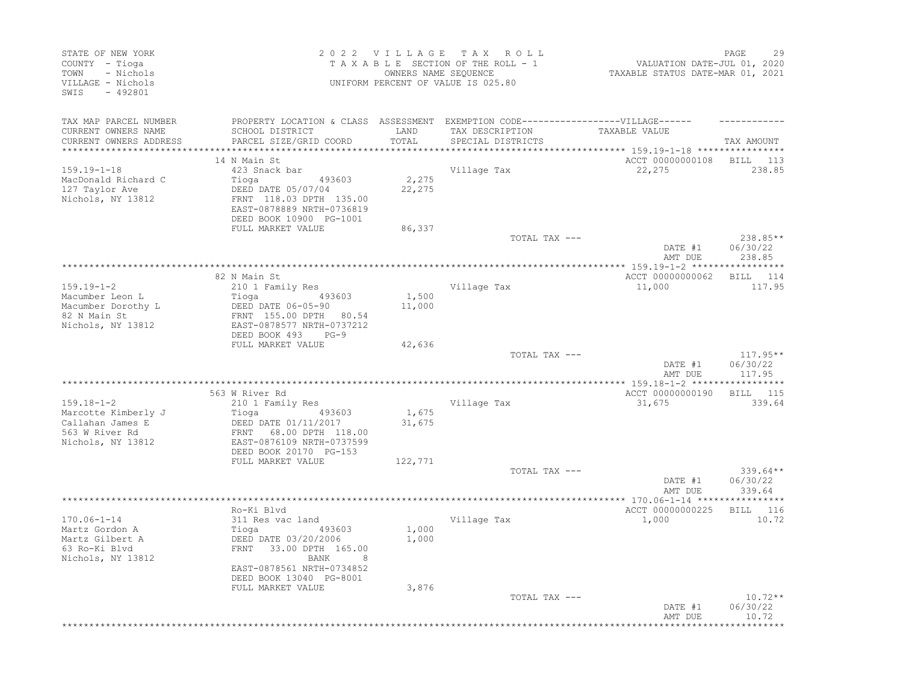| STATE OF NEW YORK<br>COUNTY - Tioga<br>TOWN<br>- Nichols<br>VILLAGE - Nichols<br>SWIS<br>$-492801$ |                                                                                                                                                                                |                           | 2022 VILLAGE TAX ROLL<br>TAXABLE SECTION OF THE ROLL - 1<br>OWNERS NAME SEQUENCE<br>UNIFORM PERCENT OF VALUE IS 025.80 | VALUATION DATE-JUL 01, 2020<br>TAXABLE STATUS DATE-MAR 01, 2021       | 29<br>PAGE                       |
|----------------------------------------------------------------------------------------------------|--------------------------------------------------------------------------------------------------------------------------------------------------------------------------------|---------------------------|------------------------------------------------------------------------------------------------------------------------|-----------------------------------------------------------------------|----------------------------------|
| TAX MAP PARCEL NUMBER<br>CURRENT OWNERS NAME<br>CURRENT OWNERS ADDRESS                             | PROPERTY LOCATION & CLASS ASSESSMENT EXEMPTION CODE-----------------VILLAGE------<br>SCHOOL DISTRICT<br>PARCEL SIZE/GRID COORD                                                 | LAND<br>TOTAL             | TAX DESCRIPTION<br>SPECIAL DISTRICTS                                                                                   | TAXABLE VALUE                                                         | TAX AMOUNT                       |
| $159.19 - 1 - 18$<br>MacDonald Richard C<br>127 Taylor Ave<br>Nichols, NY 13812                    | 14 N Main St<br>423 Snack bar<br>Tioga<br>493603<br>DEED DATE 05/07/04<br>FRNT 118.03 DPTH 135.00<br>EAST-0878889 NRTH-0736819<br>DEED BOOK 10900 PG-1001<br>FULL MARKET VALUE | 2,275<br>22,275<br>86,337 | Village Tax                                                                                                            | ********** 159.19-1-18 ****************<br>ACCT 00000000108<br>22,275 | BILL 113<br>238.85               |
|                                                                                                    |                                                                                                                                                                                |                           | TOTAL TAX ---                                                                                                          |                                                                       | 238.85**                         |
|                                                                                                    |                                                                                                                                                                                |                           |                                                                                                                        | DATE #1<br>AMT DUE                                                    | 06/30/22<br>238.85               |
|                                                                                                    | 82 N Main St                                                                                                                                                                   |                           |                                                                                                                        | *** 159.19-1-2 ******<br>ACCT 00000000062                             | BILL 114                         |
| $159.19 - 1 - 2$                                                                                   | 210 1 Family Res                                                                                                                                                               |                           | Village Tax                                                                                                            | 11,000                                                                | 117.95                           |
| Macumber Leon L<br>Macumber Dorothy L<br>82 N Main St<br>Nichols, NY 13812                         | 493603<br>Tioga<br>DEED DATE 06-05-90<br>FRNT 155.00 DPTH 80.54<br>EAST-0878577 NRTH-0737212<br>DEED BOOK 493<br>$PG-9$<br>FULL MARKET VALUE                                   | 1,500<br>11,000<br>42,636 |                                                                                                                        |                                                                       |                                  |
|                                                                                                    |                                                                                                                                                                                |                           | TOTAL TAX ---                                                                                                          | DATE #1<br>AMT DUE                                                    | $117.95**$<br>06/30/22<br>117.95 |
|                                                                                                    |                                                                                                                                                                                |                           |                                                                                                                        |                                                                       |                                  |
| $159.18 - 1 - 2$                                                                                   | 563 W River Rd<br>210 1 Family Res                                                                                                                                             |                           | Village Tax                                                                                                            | ACCT 00000000190<br>31,675                                            | BILL 115<br>339.64               |
| Marcotte Kimberly J<br>Callahan James E<br>563 W River Rd<br>Nichols, NY 13812                     | Tioga<br>493603<br>DEED DATE 01/11/2017<br>FRNT 68.00 DPTH 118.00<br>EAST-0876109 NRTH-0737599<br>DEED BOOK 20170 PG-153                                                       | 1,675<br>31,675           |                                                                                                                        |                                                                       |                                  |
|                                                                                                    | FULL MARKET VALUE                                                                                                                                                              | 122,771                   | TOTAL TAX ---                                                                                                          |                                                                       | $339.64**$                       |
|                                                                                                    |                                                                                                                                                                                |                           |                                                                                                                        | DATE #1<br>AMT DUE                                                    | 06/30/22<br>339.64               |
|                                                                                                    | Ro-Ki Blvd                                                                                                                                                                     |                           |                                                                                                                        | ACCT 00000000225                                                      | BILL 116                         |
| $170.06 - 1 - 14$<br>Martz Gordon A<br>Martz Gilbert A<br>63 Ro-Ki Blvd<br>Nichols, NY 13812       | 311 Res vac land<br>493603<br>Tioga<br>DEED DATE 03/20/2006<br>FRNT 33.00 DPTH 165.00<br>8<br>BANK<br>EAST-0878561 NRTH-0734852<br>DEED BOOK 13040 PG-8001                     | 1,000<br>1,000            | Village Tax                                                                                                            | 1,000                                                                 | 10.72                            |
|                                                                                                    | FULL MARKET VALUE                                                                                                                                                              | 3,876                     | TOTAL TAX ---                                                                                                          | DATE #1<br>AMT DUE                                                    | $10.72**$<br>06/30/22<br>10.72   |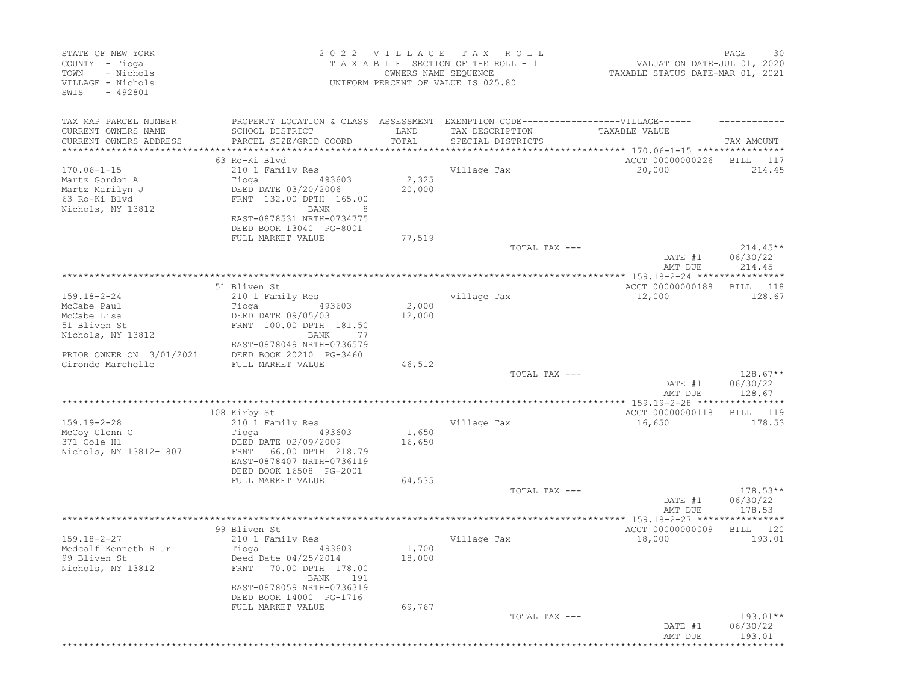| STATE OF NEW YORK<br>COUNTY - Tioga<br>- Nichols<br>TOWN<br>VILLAGE - Nichols<br>SWIS<br>$-492801$ |                                                                                                      | 2022 VILLAGE<br>OWNERS NAME SEQUENCE | T A X<br>ROLL<br>TAXABLE SECTION OF THE ROLL - 1<br>UNIFORM PERCENT OF VALUE IS 025.80 | VALUATION DATE-JUL 01, 2020<br>TAXABLE STATUS DATE-MAR 01, 2021 | PAGE<br>30                       |
|----------------------------------------------------------------------------------------------------|------------------------------------------------------------------------------------------------------|--------------------------------------|----------------------------------------------------------------------------------------|-----------------------------------------------------------------|----------------------------------|
| TAX MAP PARCEL NUMBER<br>CURRENT OWNERS NAME                                                       | PROPERTY LOCATION & CLASS ASSESSMENT EXEMPTION CODE-----------------VILLAGE------<br>SCHOOL DISTRICT | LAND                                 | TAX DESCRIPTION                                                                        | TAXABLE VALUE                                                   |                                  |
| CURRENT OWNERS ADDRESS<br>**********************                                                   | PARCEL SIZE/GRID COORD                                                                               | TOTAL                                | SPECIAL DISTRICTS                                                                      |                                                                 | TAX AMOUNT                       |
|                                                                                                    | 63 Ro-Ki Blvd                                                                                        |                                      |                                                                                        | ACCT 00000000226                                                | BILL<br>117                      |
| $170.06 - 1 - 15$                                                                                  | 210 1 Family Res                                                                                     |                                      | Village Tax                                                                            | 20,000                                                          | 214.45                           |
| Martz Gordon A<br>Martz Marilyn J<br>63 Ro-Ki Blvd<br>Nichols, NY 13812                            | Tioga<br>493603<br>DEED DATE 03/20/2006<br>FRNT 132.00 DPTH 165.00<br>BANK                           | 2,325<br>20,000                      |                                                                                        |                                                                 |                                  |
|                                                                                                    | EAST-0878531 NRTH-0734775<br>DEED BOOK 13040 PG-8001                                                 |                                      |                                                                                        |                                                                 |                                  |
|                                                                                                    | FULL MARKET VALUE                                                                                    | 77,519                               | TOTAL TAX ---                                                                          |                                                                 | $214.45**$                       |
|                                                                                                    |                                                                                                      |                                      |                                                                                        | DATE #1<br>AMT DUE                                              | 06/30/22<br>214.45               |
|                                                                                                    |                                                                                                      |                                      |                                                                                        |                                                                 |                                  |
|                                                                                                    | 51 Bliven St                                                                                         |                                      |                                                                                        | ACCT 00000000188                                                | 118<br>BILL                      |
| $159.18 - 2 - 24$<br>McCabe Paul                                                                   | 210 1 Family Res<br>Tioga<br>493603                                                                  | 2,000                                | Village Tax                                                                            | 12,000                                                          | 128.67                           |
| McCabe Lisa<br>51 Bliven St<br>Nichols, NY 13812                                                   | DEED DATE 09/05/03<br>FRNT 100.00 DPTH 181.50<br>BANK<br>-77                                         | 12,000                               |                                                                                        |                                                                 |                                  |
| PRIOR OWNER ON 3/01/2021                                                                           | EAST-0878049 NRTH-0736579<br>DEED BOOK 20210 PG-3460                                                 |                                      |                                                                                        |                                                                 |                                  |
| Girondo Marchelle                                                                                  | FULL MARKET VALUE                                                                                    | 46,512                               |                                                                                        |                                                                 |                                  |
|                                                                                                    |                                                                                                      |                                      | TOTAL TAX ---                                                                          | DATE #1<br>AMT DUE                                              | $128.67**$<br>06/30/22<br>128.67 |
|                                                                                                    |                                                                                                      |                                      |                                                                                        |                                                                 |                                  |
| $159.19 - 2 - 28$                                                                                  | 108 Kirby St<br>210 1 Family Res                                                                     |                                      | Village Tax                                                                            | ACCT 00000000118<br>16,650                                      | BILL 119<br>178.53               |
| McCoy Glenn C<br>371 Cole Hl<br>Nichols, NY 13812-1807                                             | Tioga<br>493603<br>DEED DATE 02/09/2009<br>66.00 DPTH 218.79<br>FRNT                                 | 1,650<br>16,650                      |                                                                                        |                                                                 |                                  |
|                                                                                                    | EAST-0878407 NRTH-0736119<br>DEED BOOK 16508 PG-2001                                                 |                                      |                                                                                        |                                                                 |                                  |
|                                                                                                    | FULL MARKET VALUE                                                                                    | 64,535                               | TOTAL TAX ---                                                                          | DATE #1                                                         | $178.53**$<br>06/30/22           |
|                                                                                                    |                                                                                                      |                                      |                                                                                        | AMT DUE                                                         | 178.53                           |
|                                                                                                    |                                                                                                      |                                      |                                                                                        |                                                                 |                                  |
| $159.18 - 2 - 27$<br>Medcalf Kenneth R Jr                                                          | 99 Bliven St<br>210 1 Family Res<br>Tioga<br>493603                                                  | 1,700                                | Village Tax                                                                            | ACCT 00000000009<br>18,000                                      | BILL<br>120<br>193.01            |
| 99 Bliven St<br>Nichols, NY 13812                                                                  | Deed Date 04/25/2014<br>70.00 DPTH 178.00<br>FRNT<br>BANK<br>191                                     | 18,000                               |                                                                                        |                                                                 |                                  |
|                                                                                                    | EAST-0878059 NRTH-0736319<br>DEED BOOK 14000 PG-1716                                                 |                                      |                                                                                        |                                                                 |                                  |
|                                                                                                    | FULL MARKET VALUE                                                                                    | 69,767                               | TOTAL TAX ---                                                                          | DATE #1<br>AMT DUE                                              | $193.01**$<br>06/30/22<br>193.01 |
|                                                                                                    |                                                                                                      |                                      |                                                                                        | *********************************                               |                                  |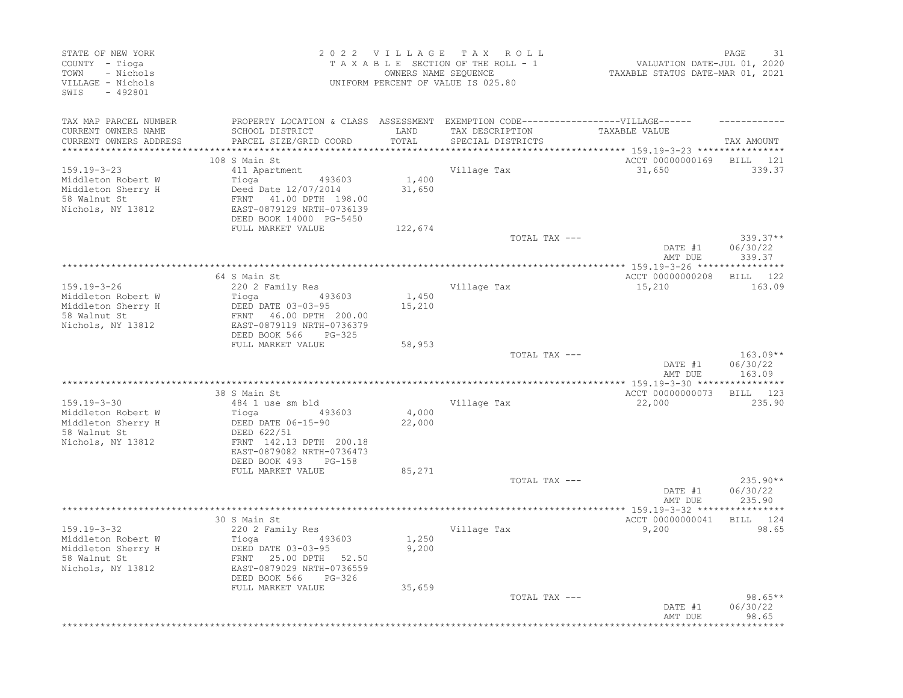| STATE OF NEW YORK<br>COUNTY - Tioga<br>- Nichols<br>TOWN<br>VILLAGE - Nichols<br>SWIS<br>$-492801$ |                                                                                                                                  |                 | 2022 VILLAGE TAX ROLL<br>TAXABLE SECTION OF THE ROLL - 1<br>OWNERS NAME SEQUENCE<br>UNIFORM PERCENT OF VALUE IS 025.80 | VALUATION DATE-JUL 01, 2020<br>TAXABLE STATUS DATE-MAR 01, 2021 | 31<br>PAGE                       |
|----------------------------------------------------------------------------------------------------|----------------------------------------------------------------------------------------------------------------------------------|-----------------|------------------------------------------------------------------------------------------------------------------------|-----------------------------------------------------------------|----------------------------------|
| TAX MAP PARCEL NUMBER<br>CURRENT OWNERS NAME<br>CURRENT OWNERS ADDRESS                             | PROPERTY LOCATION & CLASS ASSESSMENT EXEMPTION CODE-----------------VILLAGE------<br>SCHOOL DISTRICT<br>PARCEL SIZE/GRID COORD   | LAND<br>TOTAL   | TAX DESCRIPTION<br>SPECIAL DISTRICTS                                                                                   | TAXABLE VALUE                                                   | TAX AMOUNT                       |
|                                                                                                    |                                                                                                                                  | *********       |                                                                                                                        | *********** 159.19-3-23 ****************                        |                                  |
| $159.19 - 3 - 23$<br>Middleton Robert W<br>Middleton Sherry H<br>58 Walnut St<br>Nichols, NY 13812 | 108 S Main St<br>411 Apartment<br>Tioga<br>493603<br>Deed Date 12/07/2014<br>FRNT 41.00 DPTH 198.00<br>EAST-0879129 NRTH-0736139 | 1,400<br>31,650 | Village Tax                                                                                                            | ACCT 00000000169 BILL 121<br>31,650                             | 339.37                           |
|                                                                                                    | DEED BOOK 14000 PG-5450                                                                                                          |                 |                                                                                                                        |                                                                 |                                  |
|                                                                                                    | FULL MARKET VALUE                                                                                                                | 122,674         | TOTAL TAX ---                                                                                                          |                                                                 | $339.37**$                       |
|                                                                                                    |                                                                                                                                  |                 |                                                                                                                        | DATE #1<br>AMT DUE                                              | 06/30/22<br>339.37               |
|                                                                                                    |                                                                                                                                  |                 |                                                                                                                        |                                                                 |                                  |
| 159.19-3-26                                                                                        | 64 S Main St<br>220 2 Family Res                                                                                                 |                 | Village Tax                                                                                                            | ACCT 00000000208<br>15,210                                      | BILL 122<br>163.09               |
| Middleton Robert W<br>Middleton Sherry H<br>58 Walnut St                                           | 493603<br>Tioga<br>-<br>DEED DATE 03-03-95<br>FRNT 46.00 DPTH 200.00<br>EAST-0879119 NRTH-0736379                                | 1,450<br>15,210 |                                                                                                                        |                                                                 |                                  |
| Nichols, NY 13812                                                                                  | DEED BOOK 566<br>PG-325<br>FULL MARKET VALUE                                                                                     | 58,953          |                                                                                                                        |                                                                 |                                  |
|                                                                                                    |                                                                                                                                  |                 | TOTAL TAX ---                                                                                                          | DATE #1<br>AMT DUE                                              | $163.09**$<br>06/30/22<br>163.09 |
|                                                                                                    |                                                                                                                                  |                 |                                                                                                                        |                                                                 |                                  |
|                                                                                                    | 38 S Main St                                                                                                                     |                 |                                                                                                                        | ACCT 00000000073 BILL 123                                       |                                  |
| $159.19 - 3 - 30$<br>Middleton Robert W<br>Middleton Sherry H<br>58 Walnut St<br>Nichols, NY 13812 | 484 1 use sm bld<br>493603<br>Tioga<br>DEED DATE 06-15-90<br>DEED 622/51<br>FRNT 142.13 DPTH 200.18<br>EAST-0879082 NRTH-0736473 | 4,000<br>22,000 | Village Tax                                                                                                            | 22,000                                                          | 235.90                           |
|                                                                                                    | DEED BOOK 493<br>$PG-158$                                                                                                        |                 |                                                                                                                        |                                                                 |                                  |
|                                                                                                    | FULL MARKET VALUE                                                                                                                | 85,271          |                                                                                                                        |                                                                 |                                  |
|                                                                                                    |                                                                                                                                  |                 | TOTAL TAX ---                                                                                                          | DATE #1<br>AMT DUE                                              | 235.90**<br>06/30/22<br>235.90   |
|                                                                                                    |                                                                                                                                  |                 |                                                                                                                        |                                                                 | ***********                      |
| 159.19-3-32<br>Middleton Robert W<br>Middleton Sherry H<br>58 Walnut St<br>Nichols, NY 13812       | 30 S Main St<br>220 2 Family Res<br>493603<br>Tioga<br>DEED DATE 03-03-95<br>FRNT 25.00 DPTH 52.50<br>EAST-0879029 NRTH-0736559  | 1,250<br>9,200  | Village Tax                                                                                                            | ACCT 00000000041<br>9,200                                       | BILL 124<br>98.65                |
|                                                                                                    | DEED BOOK 566<br>PG-326<br>FULL MARKET VALUE                                                                                     | 35,659          |                                                                                                                        |                                                                 |                                  |
|                                                                                                    |                                                                                                                                  |                 | TOTAL TAX ---                                                                                                          | DATE #1<br>AMT DUE                                              | $98.65**$<br>06/30/22<br>98.65   |
|                                                                                                    |                                                                                                                                  |                 |                                                                                                                        |                                                                 | ***********                      |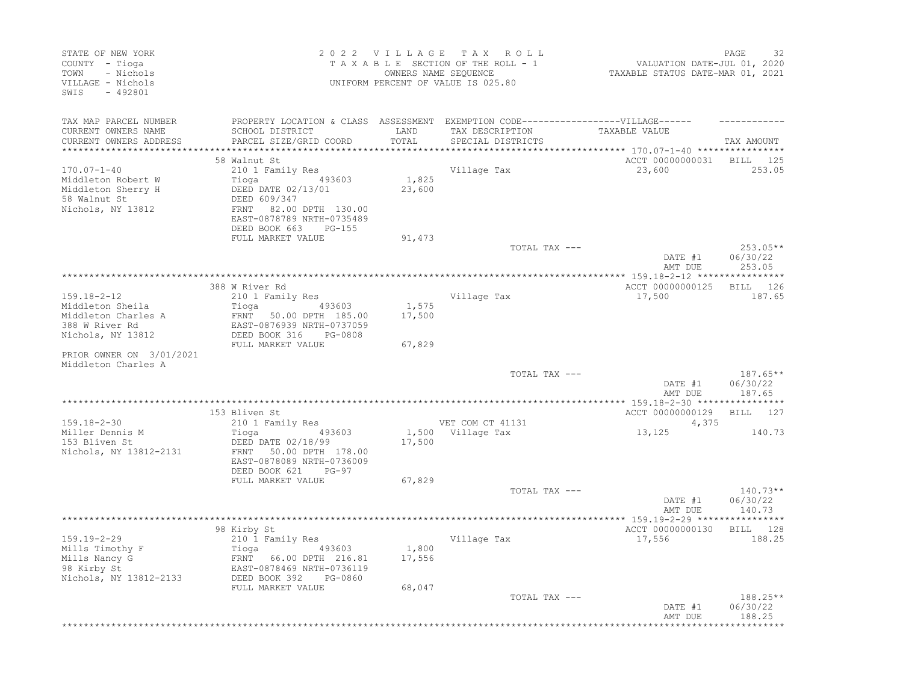| STATE OF NEW YORK<br>COUNTY - Tioga<br>- Nichols<br>TOWN<br>VILLAGE - Nichols<br>SWIS<br>$-492801$ |                                                                                                                                                          |                 | 2022 VILLAGE TAX ROLL<br>TAXABLE SECTION OF THE ROLL - 1<br>OWNERS NAME SEQUENCE<br>UNIFORM PERCENT OF VALUE IS 025.80 | VALUATION DATE-JUL 01, 2020<br>TAXABLE STATUS DATE-MAR 01, 2021  | PAGE<br>32                       |
|----------------------------------------------------------------------------------------------------|----------------------------------------------------------------------------------------------------------------------------------------------------------|-----------------|------------------------------------------------------------------------------------------------------------------------|------------------------------------------------------------------|----------------------------------|
| TAX MAP PARCEL NUMBER<br>CURRENT OWNERS NAME                                                       | PROPERTY LOCATION & CLASS ASSESSMENT EXEMPTION CODE-----------------VILLAGE------<br>SCHOOL DISTRICT                                                     | LAND            | TAX DESCRIPTION                                                                                                        | TAXABLE VALUE                                                    |                                  |
| CURRENT OWNERS ADDRESS<br>**********************                                                   | PARCEL SIZE/GRID COORD                                                                                                                                   | TOTAL           | SPECIAL DISTRICTS                                                                                                      | ********************************** 170.07-1-40 ***************** | TAX AMOUNT                       |
|                                                                                                    | 58 Walnut St                                                                                                                                             |                 |                                                                                                                        | ACCT 00000000031                                                 | BILL 125                         |
| $170.07 - 1 - 40$<br>Middleton Robert W<br>Middleton Sherry H<br>58 Walnut St<br>Nichols, NY 13812 | 210 1 Family Res<br>Tioga 493603<br>DEED DATE 02/13/01<br>DEED 609/347<br>FRNT 82.00 DPTH 130.00<br>EAST-0878789 NRTH-0735489<br>DEED BOOK 663<br>PG-155 | 1,825<br>23,600 | Village Tax                                                                                                            | 23,600                                                           | 253.05                           |
|                                                                                                    | FULL MARKET VALUE                                                                                                                                        | 91,473          |                                                                                                                        |                                                                  |                                  |
|                                                                                                    |                                                                                                                                                          |                 | TOTAL TAX ---                                                                                                          | DATE #1<br>AMT DUE                                               | 253.05**<br>06/30/22<br>253.05   |
|                                                                                                    |                                                                                                                                                          |                 |                                                                                                                        |                                                                  |                                  |
|                                                                                                    | 388 W River Rd                                                                                                                                           |                 |                                                                                                                        | ACCT 00000000125                                                 | <b>BILL</b><br>126               |
| $159.18 - 2 - 12$<br>Middleton Sheila                                                              | 210 1 Family Res<br>Tioga<br>493603                                                                                                                      | 1,575           | Village Tax                                                                                                            | 17,500                                                           | 187.65                           |
| Middleton Charles A<br>388 W River Rd<br>Nichols, NY 13812                                         | FRNT 50.00 DPTH 185.00<br>EAST-0876939 NRTH-0737059<br>DEED BOOK 316<br>PG-0808                                                                          | 17,500          |                                                                                                                        |                                                                  |                                  |
|                                                                                                    | FULL MARKET VALUE                                                                                                                                        | 67,829          |                                                                                                                        |                                                                  |                                  |
| PRIOR OWNER ON 3/01/2021<br>Middleton Charles A                                                    |                                                                                                                                                          |                 |                                                                                                                        |                                                                  |                                  |
|                                                                                                    |                                                                                                                                                          |                 | TOTAL TAX ---                                                                                                          | DATE #1<br>AMT DUE                                               | $187.65**$<br>06/30/22<br>187.65 |
|                                                                                                    |                                                                                                                                                          |                 |                                                                                                                        |                                                                  |                                  |
| $159.18 - 2 - 30$                                                                                  | 153 Bliven St                                                                                                                                            |                 | VET COM CT 41131                                                                                                       | ACCT 00000000129                                                 | BILL 127                         |
| Miller Dennis M                                                                                    | 210 1 Family Res<br>Tioga<br>493603                                                                                                                      |                 | 1,500 Village Tax                                                                                                      | 4,375<br>13,125                                                  | 140.73                           |
| 153 Bliven St<br>Nichols, NY 13812-2131                                                            | DEED DATE 02/18/99<br>50.00 DPTH 178.00<br>FRNT<br>EAST-0878089 NRTH-0736009<br>DEED BOOK 621<br>PG-97                                                   | 17,500          |                                                                                                                        |                                                                  |                                  |
|                                                                                                    | FULL MARKET VALUE                                                                                                                                        | 67,829          |                                                                                                                        |                                                                  |                                  |
|                                                                                                    |                                                                                                                                                          |                 | TOTAL TAX ---                                                                                                          | DATE #1<br>AMT DUE                                               | $140.73**$<br>06/30/22<br>140.73 |
|                                                                                                    |                                                                                                                                                          |                 |                                                                                                                        |                                                                  |                                  |
| $159.19 - 2 - 29$                                                                                  | 98 Kirby St<br>210 1 Family Res                                                                                                                          |                 | Village Tax                                                                                                            | ACCT 00000000130<br>17,556                                       | BILL 128<br>188.25               |
| Mills Timothy F<br>Mills Nancy G<br>98 Kirby St<br>Nichols, NY 13812-2133                          | Tioga<br>493603<br>FRNT 66.00 DPTH 216.81<br>EAST-0878469 NRTH-0736119<br>DEED BOOK 392<br>PG-0860                                                       | 1,800<br>17,556 |                                                                                                                        |                                                                  |                                  |
|                                                                                                    | FULL MARKET VALUE                                                                                                                                        | 68,047          | TOTAL TAX ---                                                                                                          |                                                                  | $188.25**$                       |
|                                                                                                    |                                                                                                                                                          |                 |                                                                                                                        | DATE #1<br>AMT DUE                                               | 06/30/22<br>188.25               |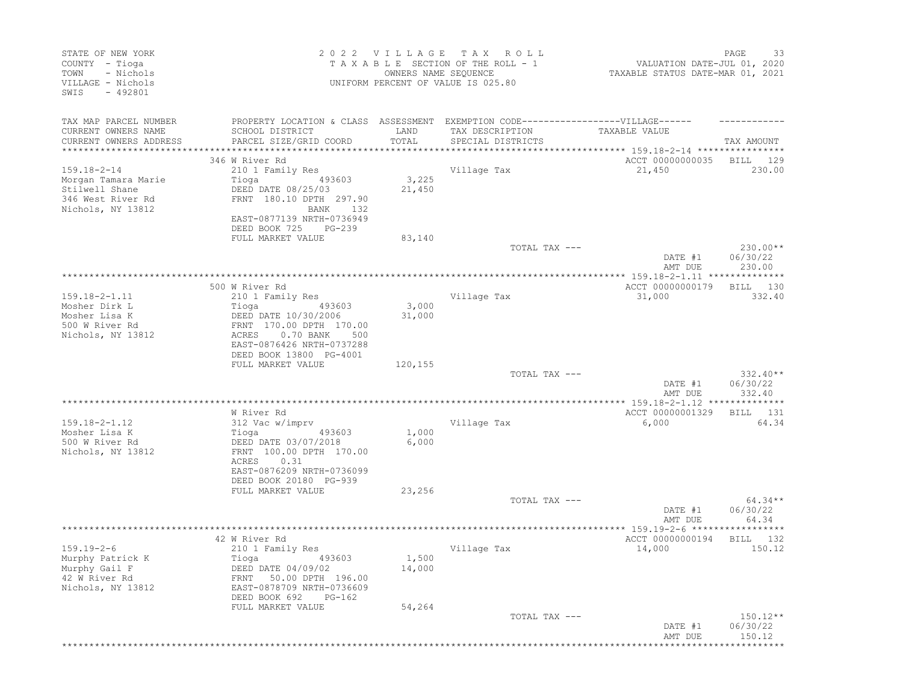| STATE OF NEW YORK<br>COUNTY - Tioga<br>- Nichols<br>TOWN<br>VILLAGE - Nichols<br>SWIS<br>$-492801$ |                                                                                                                                           | 2022 VILLAGE<br>OWNERS NAME SEQUENCE | T A X<br>R O L L<br>TAXABLE SECTION OF THE ROLL - 1<br>UNIFORM PERCENT OF VALUE IS 025.80 | VALUATION DATE-JUL 01, 2020<br>TAXABLE STATUS DATE-MAR 01, 2021 | 33<br>PAGE                       |
|----------------------------------------------------------------------------------------------------|-------------------------------------------------------------------------------------------------------------------------------------------|--------------------------------------|-------------------------------------------------------------------------------------------|-----------------------------------------------------------------|----------------------------------|
| TAX MAP PARCEL NUMBER<br>CURRENT OWNERS NAME                                                       | PROPERTY LOCATION & CLASS ASSESSMENT EXEMPTION CODE-----------------VILLAGE------<br>SCHOOL DISTRICT                                      | LAND                                 | TAX DESCRIPTION                                                                           | TAXABLE VALUE                                                   |                                  |
| CURRENT OWNERS ADDRESS<br>*********************                                                    | PARCEL SIZE/GRID COORD                                                                                                                    | TOTAL                                | SPECIAL DISTRICTS                                                                         |                                                                 | TAX AMOUNT                       |
|                                                                                                    | 346 W River Rd                                                                                                                            |                                      |                                                                                           | ACCT 00000000035                                                | BILL<br>129                      |
| $159.18 - 2 - 14$                                                                                  | 210 1 Family Res                                                                                                                          |                                      | Village Tax                                                                               | 21,450                                                          | 230.00                           |
| Morgan Tamara Marie<br>Stilwell Shane<br>346 West River Rd<br>Nichols, NY 13812                    | Tioga<br>493603<br>DEED DATE 08/25/03<br>FRNT 180.10 DPTH 297.90<br>BANK<br>132<br>EAST-0877139 NRTH-0736949<br>DEED BOOK 725<br>$PG-239$ | 3,225<br>21,450                      |                                                                                           |                                                                 |                                  |
|                                                                                                    | FULL MARKET VALUE                                                                                                                         | 83,140                               |                                                                                           |                                                                 |                                  |
|                                                                                                    |                                                                                                                                           |                                      | TOTAL TAX ---                                                                             | DATE #1                                                         | $230.00**$<br>06/30/22           |
|                                                                                                    |                                                                                                                                           |                                      |                                                                                           | AMT DUE                                                         | 230.00                           |
|                                                                                                    | 500 W River Rd                                                                                                                            |                                      |                                                                                           | ACCT 00000000179                                                | 130<br>BILL                      |
| $159.18 - 2 - 1.11$                                                                                | 210 1 Family Res                                                                                                                          |                                      | Village Tax                                                                               | 31,000                                                          | 332.40                           |
| Mosher Dirk L                                                                                      | Tioga<br>493603                                                                                                                           | 3,000                                |                                                                                           |                                                                 |                                  |
| Mosher Lisa K                                                                                      | DEED DATE 10/30/2006                                                                                                                      | 31,000                               |                                                                                           |                                                                 |                                  |
| 500 W River Rd<br>Nichols, NY 13812                                                                | FRNT 170.00 DPTH 170.00<br>ACRES<br>0.70 BANK<br>500<br>EAST-0876426 NRTH-0737288<br>DEED BOOK 13800 PG-4001                              |                                      |                                                                                           |                                                                 |                                  |
|                                                                                                    | FULL MARKET VALUE                                                                                                                         | 120,155                              |                                                                                           |                                                                 |                                  |
|                                                                                                    |                                                                                                                                           |                                      | TOTAL TAX ---                                                                             | DATE #1<br>AMT DUE                                              | $332.40**$<br>06/30/22<br>332.40 |
|                                                                                                    |                                                                                                                                           |                                      |                                                                                           |                                                                 |                                  |
|                                                                                                    | W River Rd                                                                                                                                |                                      |                                                                                           | ACCT 00000001329                                                | BILL<br>131                      |
| $159.18 - 2 - 1.12$                                                                                | 312 Vac w/imprv                                                                                                                           |                                      | Village Tax                                                                               | 6,000                                                           | 64.34                            |
| Mosher Lisa K                                                                                      | Tioga<br>493603                                                                                                                           | 1,000                                |                                                                                           |                                                                 |                                  |
| 500 W River Rd<br>Nichols, NY 13812                                                                | DEED DATE 03/07/2018<br>FRNT 100.00 DPTH 170.00<br>ACRES<br>0.31<br>EAST-0876209 NRTH-0736099                                             | 6,000                                |                                                                                           |                                                                 |                                  |
|                                                                                                    | DEED BOOK 20180 PG-939                                                                                                                    |                                      |                                                                                           |                                                                 |                                  |
|                                                                                                    | FULL MARKET VALUE                                                                                                                         | 23,256                               | TOTAL TAX ---                                                                             |                                                                 | 64.34**                          |
|                                                                                                    |                                                                                                                                           |                                      |                                                                                           | DATE #1<br>AMT DUE                                              | 06/30/22<br>64.34                |
|                                                                                                    |                                                                                                                                           |                                      |                                                                                           |                                                                 |                                  |
|                                                                                                    | 42 W River Rd                                                                                                                             |                                      |                                                                                           | ACCT 00000000194                                                | BILL<br>132                      |
| $159.19 - 2 - 6$<br>Murphy Patrick K                                                               | 210 1 Family Res                                                                                                                          |                                      | Village Tax                                                                               | 14,000                                                          | 150.12                           |
| Murphy Gail F                                                                                      | Tioga 493603<br>DEED DATE 04/09/02                                                                                                        | 1,500<br>14,000                      |                                                                                           |                                                                 |                                  |
| 42 W River Rd                                                                                      | 50.00 DPTH 196.00<br>FRNT                                                                                                                 |                                      |                                                                                           |                                                                 |                                  |
| Nichols, NY 13812                                                                                  | EAST-0878709 NRTH-0736609<br>PG-162                                                                                                       |                                      |                                                                                           |                                                                 |                                  |
|                                                                                                    | DEED BOOK 692<br>FULL MARKET VALUE                                                                                                        | 54,264                               |                                                                                           |                                                                 |                                  |
|                                                                                                    |                                                                                                                                           |                                      | TOTAL TAX ---                                                                             |                                                                 | $150.12**$                       |
|                                                                                                    |                                                                                                                                           |                                      |                                                                                           | DATE #1<br>AMT DUE                                              | 06/30/22<br>150.12               |
|                                                                                                    |                                                                                                                                           |                                      |                                                                                           |                                                                 |                                  |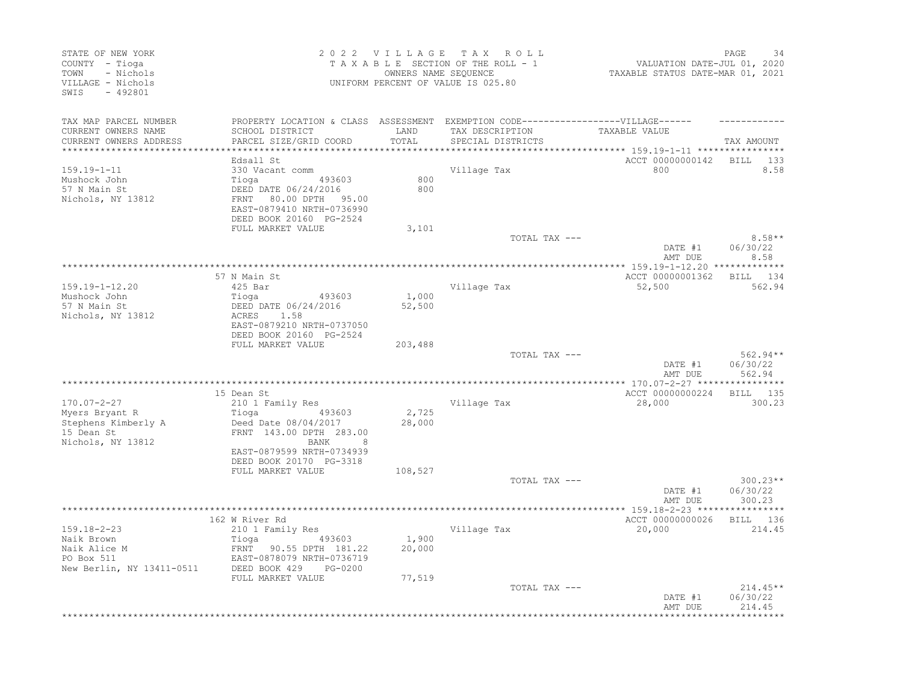| STATE OF NEW YORK<br>COUNTY - Tioga<br>- Nichols<br>TOWN<br>VILLAGE - Nichols<br>$-492801$<br>SWIS |                                                                                                                                                    | 2022 VILLAGE<br>OWNERS NAME SEQUENCE | T A X<br>ROLL<br>TAXABLE SECTION OF THE ROLL - 1<br>UNIFORM PERCENT OF VALUE IS 025.80 | VALUATION DATE-JUL 01, 2020<br>TAXABLE STATUS DATE-MAR 01, 2021       | PAGE<br>34                       |
|----------------------------------------------------------------------------------------------------|----------------------------------------------------------------------------------------------------------------------------------------------------|--------------------------------------|----------------------------------------------------------------------------------------|-----------------------------------------------------------------------|----------------------------------|
| TAX MAP PARCEL NUMBER                                                                              | PROPERTY LOCATION & CLASS ASSESSMENT EXEMPTION CODE-----------------VILLAGE------                                                                  |                                      |                                                                                        |                                                                       |                                  |
| CURRENT OWNERS NAME<br>CURRENT OWNERS ADDRESS<br>*****************                                 | SCHOOL DISTRICT<br>PARCEL SIZE/GRID COORD                                                                                                          | LAND<br>TOTAL                        | TAX DESCRIPTION<br>SPECIAL DISTRICTS                                                   | TAXABLE VALUE<br>***************************** 159.19-1-11 ********** | TAX AMOUNT                       |
|                                                                                                    | Edsall St                                                                                                                                          |                                      |                                                                                        | ACCT 00000000142                                                      | <b>BILL</b><br>133               |
| $159.19 - 1 - 11$<br>Mushock John<br>57 N Main St<br>Nichols, NY 13812                             | 330 Vacant comm<br>Tioga<br>493603<br>DEED DATE 06/24/2016<br>FRNT<br>80.00 DPTH<br>95.00<br>EAST-0879410 NRTH-0736990<br>DEED BOOK 20160 PG-2524  | 800<br>800                           | Village Tax                                                                            | 800                                                                   | 8.58                             |
|                                                                                                    | FULL MARKET VALUE                                                                                                                                  | 3,101                                |                                                                                        |                                                                       | $8.58**$                         |
|                                                                                                    |                                                                                                                                                    |                                      | TOTAL TAX ---                                                                          | DATE #1<br>AMT DUE                                                    | 06/30/22<br>8.58                 |
|                                                                                                    |                                                                                                                                                    |                                      |                                                                                        |                                                                       |                                  |
| $159.19 - 1 - 12.20$                                                                               | 57 N Main St<br>$425$ Bar                                                                                                                          |                                      | Village Tax                                                                            | ACCT 00000001362<br>52,500                                            | BILL 134<br>562.94               |
| Mushock John<br>57 N Main St                                                                       | Tioga<br>493603<br>DEED DATE 06/24/2016                                                                                                            | 1,000<br>52,500                      |                                                                                        |                                                                       |                                  |
| Nichols, NY 13812                                                                                  | 1.58<br>ACRES<br>EAST-0879210 NRTH-0737050<br>DEED BOOK 20160 PG-2524<br>FULL MARKET VALUE                                                         | 203,488                              |                                                                                        |                                                                       |                                  |
|                                                                                                    |                                                                                                                                                    |                                      | TOTAL TAX ---                                                                          |                                                                       | $562.94**$                       |
|                                                                                                    |                                                                                                                                                    |                                      |                                                                                        | DATE #1<br>AMT DUE                                                    | 06/30/22<br>562.94               |
|                                                                                                    |                                                                                                                                                    |                                      |                                                                                        |                                                                       |                                  |
| $170.07 - 2 - 27$                                                                                  | 15 Dean St<br>210 1 Family Res                                                                                                                     |                                      | Village Tax                                                                            | ACCT 00000000224<br>28,000                                            | <b>BILL</b><br>135<br>300.23     |
| Myers Bryant R                                                                                     | Tioga<br>493603                                                                                                                                    | 2,725                                |                                                                                        |                                                                       |                                  |
| Stephens Kimberly A<br>15 Dean St<br>Nichols, NY 13812                                             | Deed Date 08/04/2017<br>FRNT 143.00 DPTH 283.00<br><b>BANK</b><br>8<br>EAST-0879599 NRTH-0734939<br>DEED BOOK 20170 PG-3318                        | 28,000                               |                                                                                        |                                                                       |                                  |
|                                                                                                    | FULL MARKET VALUE                                                                                                                                  | 108,527                              |                                                                                        |                                                                       |                                  |
|                                                                                                    |                                                                                                                                                    |                                      | TOTAL TAX ---                                                                          | DATE #1<br>AMT DUE                                                    | $300.23**$<br>06/30/22<br>300.23 |
|                                                                                                    |                                                                                                                                                    |                                      |                                                                                        | **** 159.18-2-23 ****************                                     |                                  |
| $159.18 - 2 - 23$<br>Naik Brown<br>Naik Alice M<br>PO Box 511<br>New Berlin, NY 13411-0511         | 162 W River Rd<br>210 1 Family Res<br>Tioga<br>493603<br><b>FRNT</b><br>90.55 DPTH 181.22<br>EAST-0878079 NRTH-0736719<br>DEED BOOK 429<br>PG-0200 | 1,900<br>20,000                      | Village Tax                                                                            | ACCT 00000000026<br>20,000                                            | BILL 136<br>214.45               |
|                                                                                                    | FULL MARKET VALUE                                                                                                                                  | 77,519                               | TOTAL TAX ---                                                                          | DATE #1                                                               | $214.45**$<br>06/30/22           |
|                                                                                                    |                                                                                                                                                    |                                      |                                                                                        | AMT DUE                                                               | 214.45                           |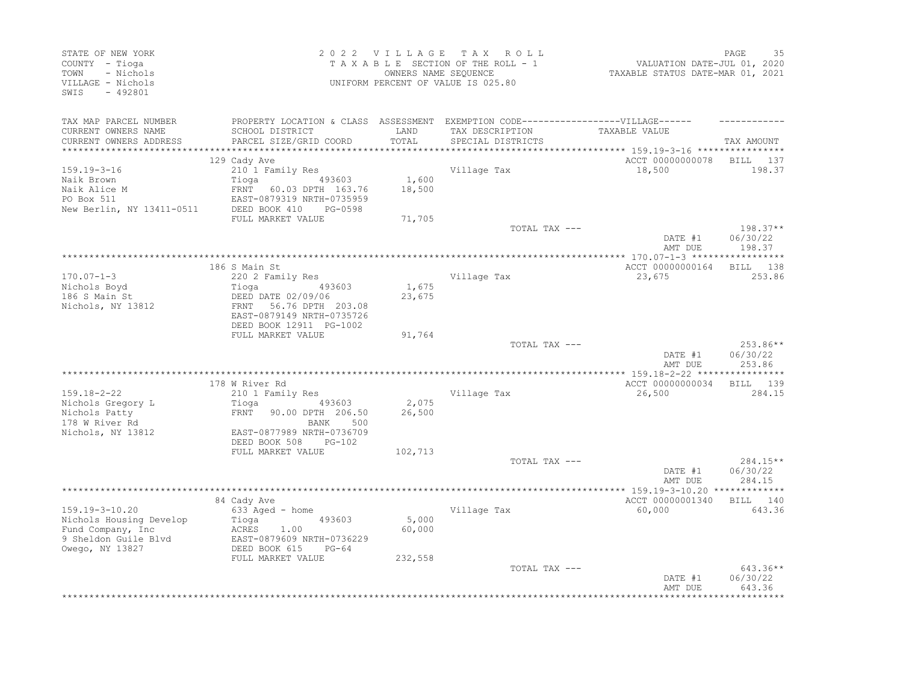| STATE OF NEW YORK<br>COUNTY - Tioga<br>- Nichols<br>TOWN<br>VILLAGE - Nichols<br>$-492801$<br>SWIS |                                                                                                                                | 2022 VILLAGE    | TAX ROLL<br>TAXABLE SECTION OF THE ROLL - 1<br>OWNERS NAME SEQUENCE<br>UNIFORM PERCENT OF VALUE IS 025.80 | VALUATION DATE-JUL 01, 2020<br>TAXABLE STATUS DATE-MAR 01, 2021 | PAGE<br>35                       |
|----------------------------------------------------------------------------------------------------|--------------------------------------------------------------------------------------------------------------------------------|-----------------|-----------------------------------------------------------------------------------------------------------|-----------------------------------------------------------------|----------------------------------|
| TAX MAP PARCEL NUMBER<br>CURRENT OWNERS NAME<br>CURRENT OWNERS ADDRESS                             | PROPERTY LOCATION & CLASS ASSESSMENT EXEMPTION CODE-----------------VILLAGE------<br>SCHOOL DISTRICT<br>PARCEL SIZE/GRID COORD | LAND<br>TOTAL   | TAX DESCRIPTION<br>SPECIAL DISTRICTS                                                                      | TAXABLE VALUE                                                   | TAX AMOUNT                       |
|                                                                                                    |                                                                                                                                |                 |                                                                                                           |                                                                 |                                  |
|                                                                                                    | 129 Cady Ave                                                                                                                   |                 |                                                                                                           | ACCT 00000000078                                                | BILL 137                         |
| $159.19 - 3 - 16$<br>Naik Brown<br>Naik Alice M<br>PO Box 511<br>New Berlin, NY 13411-0511         | 210 1 Family Res<br>493603<br>Tioga<br>FRNT 60.03 DPTH 163.76<br>EAST-0879319 NRTH-0735959<br>DEED BOOK 410<br>PG-0598         | 1,600<br>18,500 | Village Tax                                                                                               | 18,500                                                          | 198.37                           |
|                                                                                                    | FULL MARKET VALUE                                                                                                              | 71,705          |                                                                                                           |                                                                 |                                  |
|                                                                                                    |                                                                                                                                |                 | TOTAL TAX ---                                                                                             | DATE #1<br>AMT DUE                                              | $198.37**$<br>06/30/22<br>198.37 |
|                                                                                                    |                                                                                                                                |                 |                                                                                                           |                                                                 | * * * * * * * * * * *            |
| $170.07 - 1 - 3$                                                                                   | 186 S Main St<br>220 2 Family Res                                                                                              |                 | Village Tax                                                                                               | ACCT 00000000164<br>23,675                                      | BILL 138<br>253.86               |
| Nichols Boyd<br>186 S Main St                                                                      | 493603<br>Tioga<br>DEED DATE 02/09/06                                                                                          | 1,675<br>23,675 |                                                                                                           |                                                                 |                                  |
| Nichols, NY 13812                                                                                  | FRNT 56.76 DPTH 203.08<br>EAST-0879149 NRTH-0735726<br>DEED BOOK 12911 PG-1002                                                 |                 |                                                                                                           |                                                                 |                                  |
|                                                                                                    | FULL MARKET VALUE                                                                                                              | 91,764          |                                                                                                           |                                                                 |                                  |
|                                                                                                    |                                                                                                                                |                 | TOTAL TAX ---                                                                                             | DATE #1<br>AMT DUE                                              | 253.86**<br>06/30/22<br>253.86   |
|                                                                                                    |                                                                                                                                |                 |                                                                                                           |                                                                 |                                  |
| 159.18-2-22<br>Nichols Gregory L                                                                   | 178 W River Rd<br>210 1 Family Res<br>Tioga (193603)                                                                           | 2,075           | Village Tax                                                                                               | ACCT 00000000034<br>26,500                                      | BILL 139<br>284.15               |
| Nichols Patty<br>178 W River Rd                                                                    | FRNT<br>90.00 DPTH 206.50<br>BANK<br>500                                                                                       | 26,500          |                                                                                                           |                                                                 |                                  |
| Nichols, NY 13812                                                                                  | EAST-0877989 NRTH-0736709<br>DEED BOOK 508<br>PG-102<br>FULL MARKET VALUE                                                      | 102,713         |                                                                                                           |                                                                 |                                  |
|                                                                                                    |                                                                                                                                |                 | TOTAL TAX ---                                                                                             | DATE #1<br>AMT DUE                                              | $284.15**$<br>06/30/22<br>284.15 |
|                                                                                                    |                                                                                                                                |                 |                                                                                                           |                                                                 |                                  |
| 159.19-3-10.20                                                                                     | 84 Cady Ave<br>633 Aged - home                                                                                                 |                 | Village Tax                                                                                               | ACCT 00000001340<br>60,000                                      | BILL 140<br>643.36               |
| Nichols Housing Develop<br>Fund Company, Inc<br>9 Sheldon Guile Blvd<br>Owego, NY 13827            | Tioga 493603<br>ACRES<br>1.00<br>EAST-0879609 NRTH-0736229<br>DEED BOOK 615<br>$PG-64$                                         | 5,000<br>60,000 |                                                                                                           |                                                                 |                                  |
|                                                                                                    | FULL MARKET VALUE                                                                                                              | 232,558         |                                                                                                           |                                                                 |                                  |
|                                                                                                    |                                                                                                                                |                 | TOTAL TAX ---                                                                                             | DATE #1<br>AMT DUE                                              | 643.36**<br>06/30/22<br>643.36   |
|                                                                                                    |                                                                                                                                |                 |                                                                                                           |                                                                 |                                  |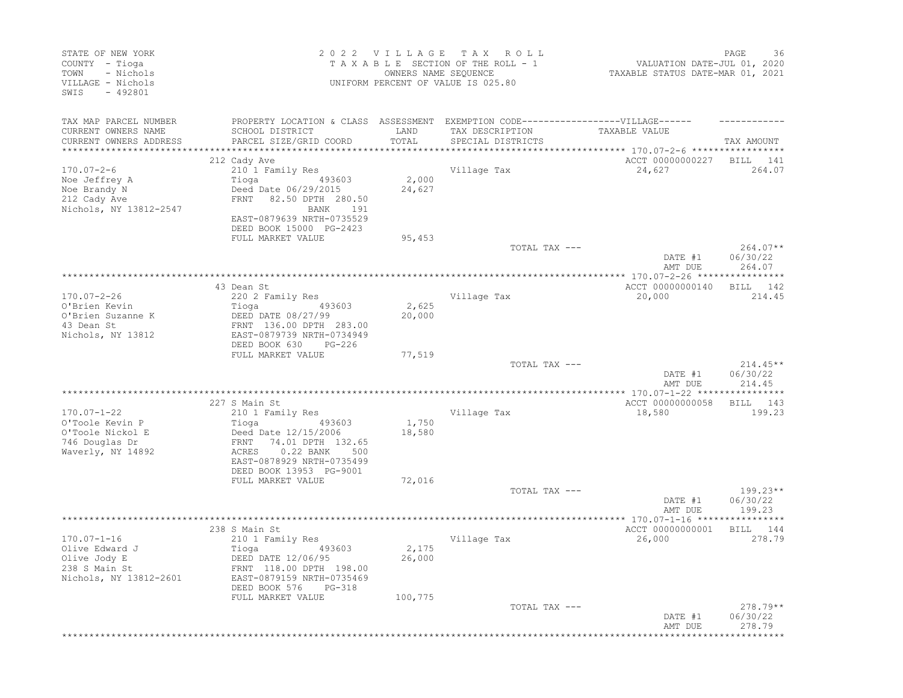| STATE OF NEW YORK<br>COUNTY - Tioga<br>- Nichols<br>TOWN<br>VILLAGE - Nichols<br>SWIS<br>$-492801$ |                                                                                                                                                                                                                       | 2022 VILLAGE TAX<br>OWNERS NAME SEQUENCE | R O L L<br>TAXABLE SECTION OF THE ROLL - 1<br>UNIFORM PERCENT OF VALUE IS 025.80 | VALUATION DATE-JUL 01, 2020<br>TAXABLE STATUS DATE-MAR 01, 2021 | PAGE<br>36                       |
|----------------------------------------------------------------------------------------------------|-----------------------------------------------------------------------------------------------------------------------------------------------------------------------------------------------------------------------|------------------------------------------|----------------------------------------------------------------------------------|-----------------------------------------------------------------|----------------------------------|
| TAX MAP PARCEL NUMBER<br>CURRENT OWNERS NAME<br>CURRENT OWNERS ADDRESS                             | PROPERTY LOCATION & CLASS ASSESSMENT EXEMPTION CODE-----------------VILLAGE------<br>SCHOOL DISTRICT<br>PARCEL SIZE/GRID COORD                                                                                        | LAND<br>TOTAL                            | TAX DESCRIPTION<br>SPECIAL DISTRICTS                                             | TAXABLE VALUE                                                   | TAX AMOUNT                       |
| ******************                                                                                 | ******************************                                                                                                                                                                                        |                                          |                                                                                  |                                                                 |                                  |
| $170.07 - 2 - 6$<br>Noe Jeffrey A<br>Noe Brandy N<br>212 Cady Ave<br>Nichols, NY 13812-2547        | 212 Cady Ave<br>210 1 Family Res<br>493603<br>Tioga<br>Deed Date 06/29/2015<br>FRNT<br>82.50 DPTH 280.50<br>BANK<br>191<br>EAST-0879639 NRTH-0735529<br>DEED BOOK 15000 PG-2423                                       | 2,000<br>24,627                          | Village Tax                                                                      | ACCT 00000000227<br>24,627                                      | BILL<br>141<br>264.07            |
|                                                                                                    | FULL MARKET VALUE                                                                                                                                                                                                     | 95,453                                   | TOTAL TAX ---                                                                    | DATE #1                                                         | $264.07**$<br>06/30/22           |
|                                                                                                    |                                                                                                                                                                                                                       |                                          |                                                                                  | AMT DUE                                                         | 264.07                           |
| $170.07 - 2 - 26$<br>O'Brien Kevin<br>O'Brien Suzanne K<br>43 Dean St<br>Nichols, NY 13812         | 43 Dean St<br>220 2 Family Res<br>493603<br>Tioga<br>DEED DATE 08/27/99<br>FRNT 136.00 DPTH 283.00<br>EAST-0879739 NRTH-0734949                                                                                       | 2,625<br>20,000                          | Village Tax                                                                      | ACCT 00000000140<br>20,000                                      | 142<br>BILL<br>214.45            |
|                                                                                                    | DEED BOOK 630<br>$PG-226$<br>FULL MARKET VALUE                                                                                                                                                                        | 77,519                                   | TOTAL TAX ---                                                                    | DATE #1<br>AMT DUE                                              | $214.45**$<br>06/30/22<br>214.45 |
|                                                                                                    |                                                                                                                                                                                                                       |                                          | ***********************************                                              | *************** 170.07-1-22 *****************                   |                                  |
| $170.07 - 1 - 22$<br>O'Toole Kevin P<br>O'Toole Nickol E<br>746 Douglas Dr<br>Waverly, NY 14892    | 227 S Main St<br>210 1 Family Res<br>Tioga<br>493603<br>Deed Date 12/15/2006<br>74.01 DPTH 132.65<br>FRNT<br>$0.22$ BANK<br>ACRES<br>500<br>EAST-0878929 NRTH-0735499<br>DEED BOOK 13953 PG-9001<br>FULL MARKET VALUE | 1,750<br>18,580<br>72,016                | Village Tax                                                                      | ACCT 00000000058<br>18,580                                      | BILL<br>143<br>199.23            |
|                                                                                                    |                                                                                                                                                                                                                       |                                          | TOTAL TAX ---                                                                    | DATE #1<br>AMT DUE                                              | $199.23**$<br>06/30/22<br>199.23 |
|                                                                                                    |                                                                                                                                                                                                                       |                                          |                                                                                  |                                                                 |                                  |
| $170.07 - 1 - 16$<br>Olive Edward J<br>Olive Jody E<br>238 S Main St<br>Nichols, NY 13812-2601     | 238 S Main St<br>210 1 Family Res<br>Tioga<br>493603<br>DEED DATE 12/06/95<br>FRNT 118.00 DPTH 198.00<br>EAST-0879159 NRTH-0735469<br>DEED BOOK 576<br>PG-318<br>FULL MARKET VALUE                                    | 2,175<br>26,000<br>100,775               | Village Tax                                                                      | ACCT 00000000001<br>26,000                                      | BILL<br>144<br>278.79            |
|                                                                                                    |                                                                                                                                                                                                                       |                                          | TOTAL TAX ---                                                                    | DATE #1<br>AMT DUE                                              | $278.79**$<br>06/30/22<br>278.79 |
|                                                                                                    |                                                                                                                                                                                                                       |                                          |                                                                                  |                                                                 | *********                        |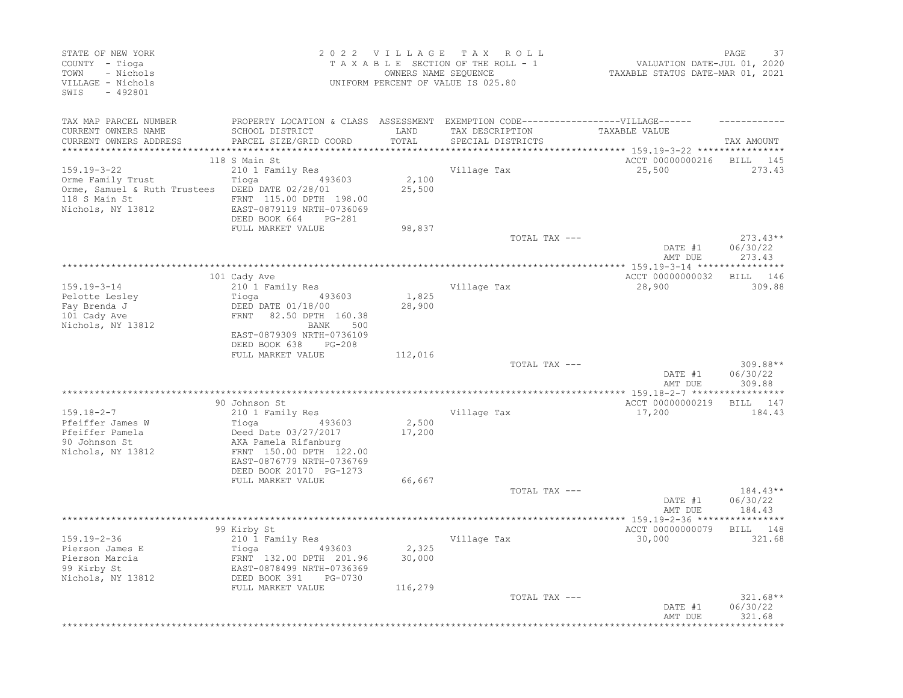| STATE OF NEW YORK<br>COUNTY - Tioga<br>TOWN<br>- Nichols<br>VILLAGE - Nichols<br>SWIS<br>$-492801$                              |                                                                                                                                                           |                             | 2022 VILLAGE TAX ROLL<br>TAXABLE SECTION OF THE ROLL - 1<br>OWNERS NAME SEQUENCE<br>UNIFORM PERCENT OF VALUE IS 025.80 | VALUATION DATE-JUL 01, 2020<br>TAXABLE STATUS DATE-MAR 01, 2021                           | PAGE<br>37                       |
|---------------------------------------------------------------------------------------------------------------------------------|-----------------------------------------------------------------------------------------------------------------------------------------------------------|-----------------------------|------------------------------------------------------------------------------------------------------------------------|-------------------------------------------------------------------------------------------|----------------------------------|
| TAX MAP PARCEL NUMBER<br>CURRENT OWNERS NAME<br>CURRENT OWNERS ADDRESS                                                          | PROPERTY LOCATION & CLASS ASSESSMENT EXEMPTION CODE-----------------VILLAGE------<br>SCHOOL DISTRICT<br>PARCEL SIZE/GRID COORD                            | LAND<br>TOTAL<br>********** | TAX DESCRIPTION<br>SPECIAL DISTRICTS                                                                                   | TAXABLE VALUE                                                                             | TAX AMOUNT                       |
| $159.19 - 3 - 22$<br>Orme Family Trust<br>Orme, Samuel & Ruth Trustees DEED DATE 02/28/01<br>118 S Main St<br>Nichols, NY 13812 | 118 S Main St<br>210 1 Family Res<br>Tioga 493603<br>FRNT 115.00 DPTH 198.00<br>EAST-0879119 NRTH-0736069<br>DEED BOOK 664<br>PG-281<br>FULL MARKET VALUE | 2,100<br>25,500<br>98,837   | Village Tax                                                                                                            | ********************* 159.19-3-22 ****************<br>ACCT 00000000216 BILL 145<br>25,500 | 273.43                           |
|                                                                                                                                 |                                                                                                                                                           |                             | TOTAL TAX ---                                                                                                          |                                                                                           | $273.43**$                       |
|                                                                                                                                 |                                                                                                                                                           |                             |                                                                                                                        | DATE #1<br>AMT DUE                                                                        | 06/30/22<br>273.43               |
|                                                                                                                                 | 101 Cady Ave                                                                                                                                              |                             |                                                                                                                        | ACCT 00000000032                                                                          | BILL 146                         |
| 159.19-3-14                                                                                                                     | 210 <sup>1</sup> Family Res                                                                                                                               |                             | Village Tax                                                                                                            | 28,900                                                                                    | 309.88                           |
| Pelotte Lesley<br>Fay Brenda J<br>101 Cady Ave<br>Nichols, NY 13812                                                             | 493603<br>Tioga<br>DEED DATE 01/18/00<br>FRNT 82.50 DPTH 160.38<br>BANK 500<br>EAST-0879309 NRTH-0736109<br>DEED BOOK 638<br>PG-208                       | 1,825<br>28,900             |                                                                                                                        |                                                                                           |                                  |
|                                                                                                                                 | FULL MARKET VALUE                                                                                                                                         | 112,016                     | TOTAL TAX ---                                                                                                          | DATE #1<br>AMT DUE                                                                        | 309.88**<br>06/30/22<br>309.88   |
| $159.18 - 2 - 7$<br>Pfeiffer James W<br>Pfeiffer Pamela<br>90 Johnson St<br>Nichols, NY 13812                                   | 90 Johnson St<br>210 1 Family Res<br>Deed Date 03/27/2017<br>AKA Pamela Rifanburg<br>FRNT 150.00 DPTH 122.00<br>EAST-0876779 NRTH-0736769                 | 2,500<br>17,200             | Village Tax                                                                                                            | ACCT 00000000219<br>17,200                                                                | BILL 147<br>184.43               |
|                                                                                                                                 | DEED BOOK 20170 PG-1273<br>FULL MARKET VALUE                                                                                                              | 66,667                      | TOTAL TAX ---                                                                                                          | DATE #1<br>AMT DUE                                                                        | $184.43**$<br>06/30/22<br>184.43 |
|                                                                                                                                 |                                                                                                                                                           |                             |                                                                                                                        |                                                                                           |                                  |
| $159.19 - 2 - 36$<br>Pierson James E<br>Pierson Marcia<br>99 Kirby St<br>Nichols, NY 13812                                      | 99 Kirby St<br>210 1 Family Res<br>FRNT 132.00 DPTH 201.96<br>EAST-0878499 NRTH-0736369<br>DEED BOOK 391<br>PG-0730                                       | 2,325<br>30,000             | Village Tax                                                                                                            | ACCT 00000000079 BILL 148<br>30,000                                                       | 321.68                           |
|                                                                                                                                 | FULL MARKET VALUE                                                                                                                                         | 116,279                     | TOTAL TAX ---                                                                                                          | DATE #1<br>AMT DUE                                                                        | $321.68**$<br>06/30/22<br>321.68 |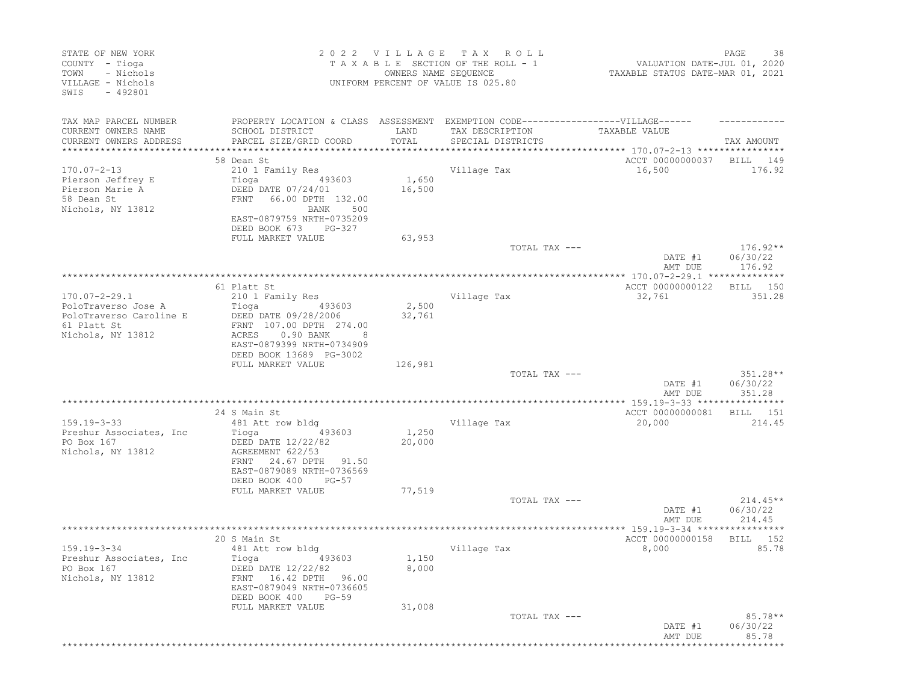| STATE OF NEW YORK<br>COUNTY - Tioga<br>- Nichols<br>TOWN<br>VILLAGE - Nichols<br>SWIS<br>$-492801$ |                                                                                                                                                            | 2022 VILLAGE<br>OWNERS NAME SEQUENCE | T A X<br>ROLL<br>TAXABLE SECTION OF THE ROLL - 1<br>UNIFORM PERCENT OF VALUE IS 025.80 | VALUATION DATE-JUL 01, 2020<br>TAXABLE STATUS DATE-MAR 01, 2021 | PAGE<br>38                       |
|----------------------------------------------------------------------------------------------------|------------------------------------------------------------------------------------------------------------------------------------------------------------|--------------------------------------|----------------------------------------------------------------------------------------|-----------------------------------------------------------------|----------------------------------|
| TAX MAP PARCEL NUMBER<br>CURRENT OWNERS NAME<br>CURRENT OWNERS ADDRESS                             | PROPERTY LOCATION & CLASS ASSESSMENT EXEMPTION CODE-----------------VILLAGE------<br>SCHOOL DISTRICT<br>PARCEL SIZE/GRID COORD                             | LAND<br>TOTAL                        | TAX DESCRIPTION<br>SPECIAL DISTRICTS                                                   | TAXABLE VALUE                                                   | TAX AMOUNT                       |
| ***************                                                                                    |                                                                                                                                                            |                                      | *************************                                                              | ******************** 170.07-2-13 ****************               |                                  |
|                                                                                                    | 58 Dean St                                                                                                                                                 |                                      |                                                                                        | ACCT 00000000037                                                | BILL<br>149                      |
| $170.07 - 2 - 13$                                                                                  | 210 1 Family Res                                                                                                                                           |                                      | Village Tax                                                                            | 16,500                                                          | 176.92                           |
| Pierson Jeffrey E<br>Pierson Marie A<br>58 Dean St<br>Nichols, NY 13812                            | Tioga<br>493603<br>DEED DATE 07/24/01<br>FRNT<br>66.00 DPTH 132.00<br>BANK<br>500                                                                          | 1,650<br>16,500                      |                                                                                        |                                                                 |                                  |
|                                                                                                    | EAST-0879759 NRTH-0735209<br>DEED BOOK 673<br>PG-327                                                                                                       |                                      |                                                                                        |                                                                 |                                  |
|                                                                                                    | FULL MARKET VALUE                                                                                                                                          | 63,953                               | TOTAL TAX ---                                                                          |                                                                 | $176.92**$                       |
|                                                                                                    |                                                                                                                                                            |                                      |                                                                                        | DATE #1<br>AMT DUE                                              | 06/30/22<br>176.92               |
|                                                                                                    |                                                                                                                                                            |                                      |                                                                                        |                                                                 |                                  |
|                                                                                                    | 61 Platt St                                                                                                                                                |                                      |                                                                                        | ACCT 00000000122                                                | 150<br>BILL                      |
| $170.07 - 2 - 29.1$<br>PoloTraverso Jose A                                                         | 210 1 Family Res<br>Tioga<br>493603                                                                                                                        | 2,500                                | Village Tax                                                                            | 32,761                                                          | 351.28                           |
| PoloTraverso Caroline E<br>61 Platt St<br>Nichols, NY 13812                                        | DEED DATE 09/28/2006<br>FRNT 107.00 DPTH 274.00<br>0.90 BANK<br>ACRES<br>8<br>EAST-0879399 NRTH-0734909                                                    | 32,761                               |                                                                                        |                                                                 |                                  |
|                                                                                                    | DEED BOOK 13689 PG-3002<br>FULL MARKET VALUE                                                                                                               | 126,981                              |                                                                                        |                                                                 |                                  |
|                                                                                                    |                                                                                                                                                            |                                      | TOTAL TAX ---                                                                          | DATE #1                                                         | $351.28**$<br>06/30/22           |
|                                                                                                    |                                                                                                                                                            |                                      |                                                                                        | AMT DUE                                                         | 351.28                           |
|                                                                                                    | 24 S Main St                                                                                                                                               |                                      |                                                                                        | ACCT 00000000081                                                | BILL<br>151                      |
| $159.19 - 3 - 33$                                                                                  | 481 Att row bldg                                                                                                                                           |                                      | Village Tax                                                                            | 20,000                                                          | 214.45                           |
| Preshur Associates, Inc.<br>PO Box 167<br>Nichols, NY 13812                                        | 493603<br>Tioga<br>DEED DATE 12/22/82<br>AGREEMENT 622/53<br>24.67 DPTH<br>FRNT<br>91.50<br>EAST-0879089 NRTH-0736569<br>DEED BOOK 400<br>$PG-57$          | 1,250<br>20,000                      |                                                                                        |                                                                 |                                  |
|                                                                                                    | FULL MARKET VALUE                                                                                                                                          | 77,519                               |                                                                                        |                                                                 |                                  |
|                                                                                                    |                                                                                                                                                            |                                      | TOTAL TAX ---                                                                          | DATE #1<br>AMT DUE                                              | $214.45**$<br>06/30/22<br>214.45 |
|                                                                                                    |                                                                                                                                                            |                                      |                                                                                        |                                                                 |                                  |
| $159.19 - 3 - 34$<br>Preshur Associates, Inc.<br>PO Box 167<br>Nichols, NY 13812                   | 20 S Main St<br>481 Att row bldg<br>Tioga (193603)<br>DEED DATE 12/22/82<br>FRNT 16.42 DPTH 96.00<br>EAST-0879049 NRTH-0736605<br>DEED BOOK 400<br>$PG-59$ | 1,150<br>8,000                       | Village Tax                                                                            | ACCT 00000000158<br>8,000                                       | 152<br>BILL<br>85.78             |
|                                                                                                    | FULL MARKET VALUE                                                                                                                                          | 31,008                               |                                                                                        |                                                                 |                                  |
|                                                                                                    |                                                                                                                                                            |                                      | TOTAL TAX ---                                                                          | DATE #1<br>AMT DUE                                              | $85.78**$<br>06/30/22<br>85.78   |
|                                                                                                    |                                                                                                                                                            |                                      |                                                                                        | **************************                                      |                                  |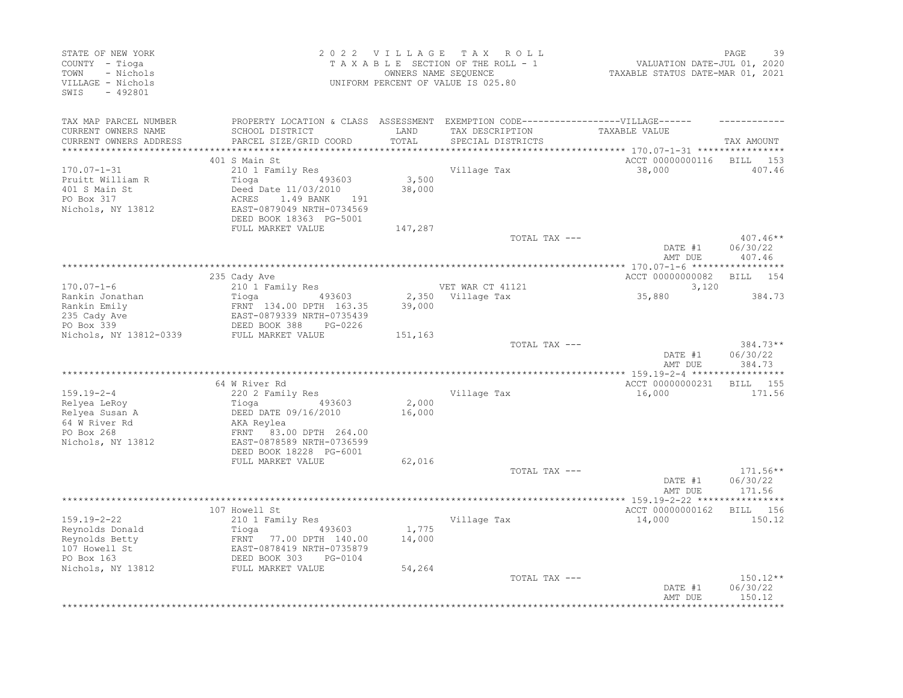| STATE OF NEW YORK<br>COUNTY - Tioga<br>TOWN<br>- Nichols<br>VILLAGE - Nichols<br>$-492801$<br>SWIS         |                                                                                                                                                                              | 2022 VILLAGE              | T A X<br>R O L L<br>TAXABLE SECTION OF THE ROLL - 1<br>OWNERS NAME SEQUENCE<br>UNIFORM PERCENT OF VALUE IS 025.80 | VALUATION DATE-JUL 01, 2020<br>TAXABLE STATUS DATE-MAR 01, 2021 | PAGE<br>39                       |
|------------------------------------------------------------------------------------------------------------|------------------------------------------------------------------------------------------------------------------------------------------------------------------------------|---------------------------|-------------------------------------------------------------------------------------------------------------------|-----------------------------------------------------------------|----------------------------------|
| TAX MAP PARCEL NUMBER<br>CURRENT OWNERS NAME<br>CURRENT OWNERS ADDRESS                                     | PROPERTY LOCATION & CLASS ASSESSMENT EXEMPTION CODE----------------VILLAGE------<br>SCHOOL DISTRICT<br>PARCEL SIZE/GRID COORD                                                | LAND<br>TOTAL             | TAX DESCRIPTION<br>SPECIAL DISTRICTS                                                                              | TAXABLE VALUE                                                   | TAX AMOUNT                       |
| *************************                                                                                  |                                                                                                                                                                              |                           |                                                                                                                   |                                                                 |                                  |
| $170.07 - 1 - 31$<br>Pruitt William R<br>401 S Main St<br>PO Box 317<br>Nichols, NY 13812                  | 401 S Main St<br>210 1 Family Res<br>Tioga<br>493603<br>Deed Date 11/03/2010<br>ACRES<br>1.49 BANK<br>191<br>EAST-0879049 NRTH-0734569<br>DEED BOOK 18363 PG-5001            | 3,500<br>38,000           | Village Tax                                                                                                       | ACCT 00000000116<br>38,000                                      | 153<br>BILL<br>407.46            |
|                                                                                                            | FULL MARKET VALUE                                                                                                                                                            | 147,287                   |                                                                                                                   |                                                                 |                                  |
|                                                                                                            |                                                                                                                                                                              |                           | TOTAL TAX ---                                                                                                     | DATE #1<br>AMT DUE                                              | $407.46**$<br>06/30/22<br>407.46 |
|                                                                                                            |                                                                                                                                                                              |                           |                                                                                                                   |                                                                 |                                  |
| $170.07 - 1 - 6$                                                                                           | 235 Cady Ave<br>210 1 Family Res                                                                                                                                             |                           | VET WAR CT 41121                                                                                                  | ACCT 00000000082<br>3,120                                       | <b>BILL</b><br>154               |
| Rankin Jonathan<br>Rankin Emily<br>235 Cady Ave<br>PO Box 339<br>Nichols, NY 13812-0339                    | 493603<br>Tioga<br>FRNT 134.00 DPTH 163.35<br>EAST-0879339 NRTH-0735439<br>DEED BOOK 388<br>PG-0226<br>FULL MARKET VALUE                                                     | 39,000<br>151,163         | 2,350 Village Tax                                                                                                 | 35,880                                                          | 384.73                           |
|                                                                                                            |                                                                                                                                                                              |                           | TOTAL TAX ---                                                                                                     | DATE #1<br>AMT DUE                                              | $384.73**$<br>06/30/22<br>384.73 |
|                                                                                                            |                                                                                                                                                                              |                           |                                                                                                                   | *** 159.19-2-4 ***                                              |                                  |
| $159.19 - 2 - 4$<br>Relyea LeRoy<br>Relyea Susan A<br>64 W River Rd<br>PO Box 268<br>Nichols, NY 13812     | 64 W River Rd<br>220 2 Family Res<br>Tioga<br>493603<br>DEED DATE 09/16/2010<br>AKA Reylea<br>FRNT 83.00 DPTH 264.00<br>EAST-0878589 NRTH-0736599<br>DEED BOOK 18228 PG-6001 | 2,000<br>16,000           | Village Tax                                                                                                       | ACCT 00000000231<br>16,000                                      | <b>BILL</b><br>155<br>171.56     |
|                                                                                                            | FULL MARKET VALUE                                                                                                                                                            | 62,016                    |                                                                                                                   |                                                                 |                                  |
|                                                                                                            |                                                                                                                                                                              |                           | TOTAL TAX ---                                                                                                     | DATE #1<br>AMT DUE                                              | $171.56**$<br>06/30/22<br>171.56 |
|                                                                                                            | 107 Howell St                                                                                                                                                                |                           |                                                                                                                   | **** 159.19-2-22 *****************<br>ACCT 00000000162          | BILL 156                         |
| $159.19 - 2 - 22$<br>Reynolds Donald<br>Reynolds Betty<br>107 Howell St<br>PO Box 163<br>Nichols, NY 13812 | 210 1 Family Res<br>Tioga<br>493603<br>FRNT 77.00 DPTH 140.00<br>EAST-0878419 NRTH-0735879<br>DEED BOOK 303<br>PG-0104<br>FULL MARKET VALUE                                  | 1,775<br>14,000<br>54,264 | Village Tax                                                                                                       | 14,000                                                          | 150.12                           |
|                                                                                                            |                                                                                                                                                                              |                           | TOTAL TAX ---                                                                                                     | DATE #1<br>AMT DUE                                              | 150.12**<br>06/30/22<br>150.12   |
|                                                                                                            |                                                                                                                                                                              |                           |                                                                                                                   |                                                                 |                                  |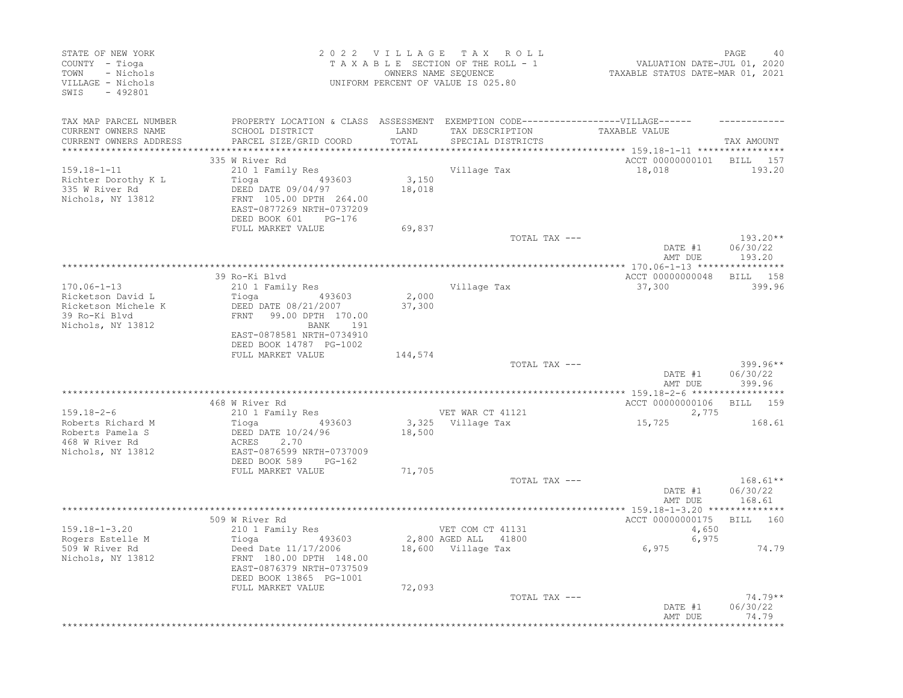| STATE OF NEW YORK<br>COUNTY - Tioga<br>- Nichols<br>TOWN<br>VILLAGE - Nichols<br>SWIS - 492801   |                                                                                                                                                                                  |                                        | 2022 VILLAGE TAX ROLL<br>TAXABLE SECTION OF THE ROLL - 1<br>OWNERS NAME SEQUENCE<br>UNIFORM PERCENT OF VALUE IS 025.80 | 40<br>2020, VALUATION DATE-JUL<br>2021, TAXABLE STATUS DATE-MAR | PAGE<br>40                       |
|--------------------------------------------------------------------------------------------------|----------------------------------------------------------------------------------------------------------------------------------------------------------------------------------|----------------------------------------|------------------------------------------------------------------------------------------------------------------------|-----------------------------------------------------------------|----------------------------------|
| TAX MAP PARCEL NUMBER<br>CURRENT OWNERS NAME<br>CURRENT OWNERS ADDRESS                           | PROPERTY LOCATION & CLASS ASSESSMENT EXEMPTION CODE----------------VILLAGE------<br>SCHOOL DISTRICT<br>PARCEL SIZE/GRID COORD                                                    | LAND<br>TOTAL<br>* * * * * * * * * * * | TAX DESCRIPTION<br>SPECIAL DISTRICTS                                                                                   | TAXABLE VALUE<br>************ 159.18-1-11 *****************     | TAX AMOUNT                       |
| $159.18 - 1 - 11$<br>Richter Dorothy K L<br>335 W River Rd<br>Nichols, NY 13812                  | 335 W River Rd<br>210 1 Family Res<br>Tioga 493603<br>DEED DATE 09/04/97<br>FRNT 105.00 DPTH 264.00<br>EAST-0877269 NRTH-0737209<br>DEED BOOK 601<br>PG-176<br>FULL MARKET VALUE | 3,150<br>18,018<br>69,837              | Village Tax                                                                                                            | ACCT 00000000101 BILL 157<br>18,018                             | 193.20                           |
|                                                                                                  |                                                                                                                                                                                  |                                        | TOTAL TAX ---                                                                                                          |                                                                 | $193.20**$                       |
|                                                                                                  |                                                                                                                                                                                  |                                        |                                                                                                                        | DATE #1<br>AMT DUE                                              | 06/30/22<br>193.20               |
|                                                                                                  | 39 Ro-Ki Blvd                                                                                                                                                                    |                                        |                                                                                                                        | ACCT 00000000048                                                | BILL 158                         |
| $170.06 - 1 - 13$                                                                                | 210 1 Family Res                                                                                                                                                                 |                                        | Village Tax                                                                                                            | 37,300                                                          | 399.96                           |
| Ricketson David L<br>Ricketson Michele K<br>39 Ro-Ki Blvd<br>Nichols, NY 13812                   | 493603<br>Tioga<br>DEED DATE 08/21/2007<br>FRNT 99.00 DPTH 170.00<br>BANK 191<br>EAST-0878581 NRTH-0734910<br>DEED BOOK 14787 PG-1002                                            | 2,000<br>37,300                        |                                                                                                                        |                                                                 |                                  |
|                                                                                                  | FULL MARKET VALUE                                                                                                                                                                | 144,574                                |                                                                                                                        |                                                                 |                                  |
|                                                                                                  |                                                                                                                                                                                  |                                        | TOTAL TAX ---                                                                                                          | DATE #1<br>AMT DUE                                              | $399.96**$<br>06/30/22<br>399.96 |
|                                                                                                  | 468 W River Rd                                                                                                                                                                   |                                        |                                                                                                                        | ACCT 00000000106 BILL 159                                       |                                  |
| $159.18 - 2 - 6$<br>Roberts Richard M<br>Roberts Pamela S<br>468 W River Rd<br>Nichols, NY 13812 | 210 1 Family Res<br>Tioga 193603<br>DEED DATE 10/24/96<br>ACRES 2.70<br>EAST-0876599 NRTH-0737009                                                                                | 18,500                                 | VET WAR CT 41121<br>3,325 Village Tax                                                                                  | 2,775<br>15,725                                                 | 168.61                           |
|                                                                                                  | DEED BOOK 589 PG-162<br>FULL MARKET VALUE                                                                                                                                        | 71,705                                 |                                                                                                                        |                                                                 |                                  |
|                                                                                                  |                                                                                                                                                                                  |                                        | TOTAL TAX ---                                                                                                          | DATE #1<br>AMT DUE                                              | $168.61**$<br>06/30/22<br>168.61 |
|                                                                                                  |                                                                                                                                                                                  |                                        |                                                                                                                        |                                                                 |                                  |
| $159.18 - 1 - 3.20$<br>Rogers Estelle M                                                          | 509 W River Rd<br>210 1 Family Res                                                                                                                                               |                                        | VET COM CT 41131<br>2,800 AGED ALL 41800                                                                               | ACCT 00000000175 BILL 160<br>4,650<br>6,975                     |                                  |
| 509 W River Rd<br>Nichols, NY 13812                                                              | Tioga 193603<br>Deed Date 11/17/2006<br>FRNT 180.00 DPTH 148.00<br>EAST-0876379 NRTH-0737509<br>DEED BOOK 13865 PG-1001                                                          |                                        | 18,600 Village Tax                                                                                                     | 6,975                                                           | 74.79                            |
|                                                                                                  | FULL MARKET VALUE                                                                                                                                                                | 72,093                                 | TOTAL TAX ---                                                                                                          | DATE #1<br>AMT DUE                                              | $74.79**$<br>06/30/22<br>74.79   |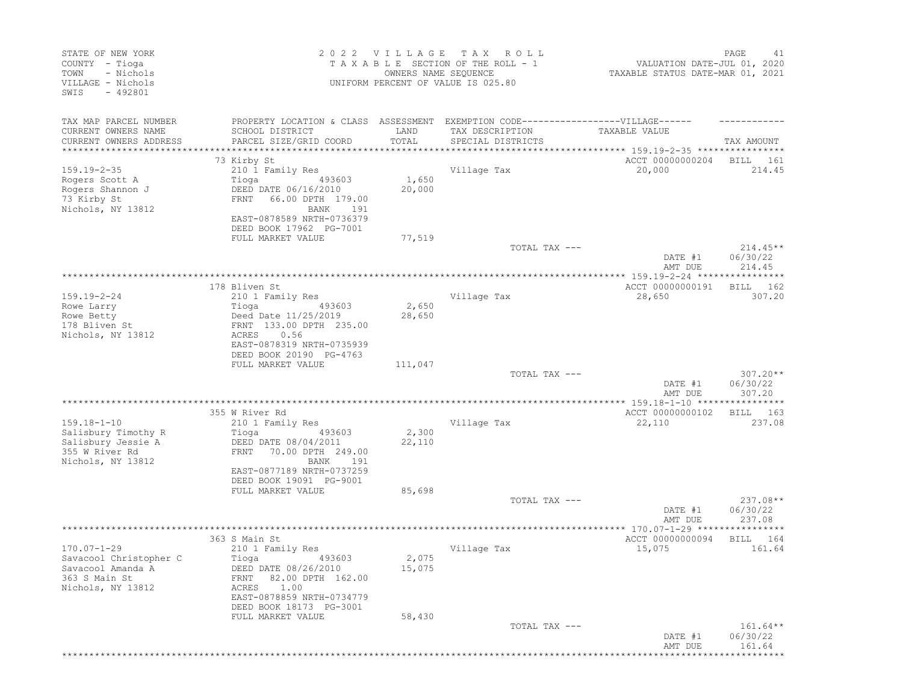| STATE OF NEW YORK<br>COUNTY - Tioga<br>- Nichols<br>TOWN<br>VILLAGE - Nichols<br>$-492801$<br>SWIS     |                                                                                                                                                                                    | 2022 VILLAGE<br>OWNERS NAME SEQUENCE | T A X<br>R O L L<br>TAXABLE SECTION OF THE ROLL - 1<br>UNIFORM PERCENT OF VALUE IS 025.80 | VALUATION DATE-JUL 01, 2020<br>TAXABLE STATUS DATE-MAR 01, 2021 | PAGE<br>41                       |
|--------------------------------------------------------------------------------------------------------|------------------------------------------------------------------------------------------------------------------------------------------------------------------------------------|--------------------------------------|-------------------------------------------------------------------------------------------|-----------------------------------------------------------------|----------------------------------|
| TAX MAP PARCEL NUMBER<br>CURRENT OWNERS NAME<br>CURRENT OWNERS ADDRESS<br>*********************        | PROPERTY LOCATION & CLASS ASSESSMENT<br>SCHOOL DISTRICT<br>PARCEL SIZE/GRID COORD                                                                                                  | LAND<br>TOTAL                        | EXEMPTION CODE-----------------VILLAGE------<br>TAX DESCRIPTION<br>SPECIAL DISTRICTS      | TAXABLE VALUE                                                   | TAX AMOUNT                       |
|                                                                                                        | 73 Kirby St                                                                                                                                                                        |                                      |                                                                                           | ACCT 00000000204                                                | BILL<br>161                      |
| $159.19 - 2 - 35$<br>Rogers Scott A<br>Rogers Shannon J<br>73 Kirby St<br>Nichols, NY 13812            | 210 1 Family Res<br>Tioga<br>493603<br>DEED DATE 06/16/2010<br>FRNT<br>66.00 DPTH 179.00<br>191<br>BANK<br>EAST-0878589 NRTH-0736379<br>DEED BOOK 17962 PG-7001                    | 1,650<br>20,000                      | Village Tax                                                                               | 20,000                                                          | 214.45                           |
|                                                                                                        | FULL MARKET VALUE                                                                                                                                                                  | 77,519                               | TOTAL TAX ---                                                                             |                                                                 | $214.45**$                       |
|                                                                                                        |                                                                                                                                                                                    |                                      |                                                                                           | DATE #1<br>AMT DUE                                              | 06/30/22<br>214.45               |
|                                                                                                        |                                                                                                                                                                                    |                                      |                                                                                           |                                                                 | $******$                         |
| $159.19 - 2 - 24$<br>Rowe Larry<br>Rowe Betty<br>178 Bliven St<br>Nichols, NY 13812                    | 178 Bliven St<br>210 1 Family Res<br>Tioga<br>493603<br>Deed Date 11/25/2019<br>FRNT 133.00 DPTH 235.00<br>0.56<br>ACRES<br>EAST-0878319 NRTH-0735939<br>DEED BOOK 20190 PG-4763   | 2,650<br>28,650                      | Village Tax                                                                               | ACCT 00000000191<br>28,650                                      | 162<br>BILL<br>307.20            |
|                                                                                                        | FULL MARKET VALUE                                                                                                                                                                  | 111,047                              | TOTAL TAX ---                                                                             | DATE #1<br>AMT DUE                                              | $307.20**$<br>06/30/22<br>307.20 |
|                                                                                                        |                                                                                                                                                                                    |                                      |                                                                                           |                                                                 |                                  |
| $159.18 - 1 - 10$<br>Salisbury Timothy R<br>Salisbury Jessie A<br>355 W River Rd<br>Nichols, NY 13812  | 355 W River Rd<br>210 1 Family Res<br>Tioga<br>493603<br>DEED DATE 08/04/2011<br>FRNT<br>70.00 DPTH 249.00<br>BANK<br>191<br>EAST-0877189 NRTH-0737259<br>DEED BOOK 19091 PG-9001  | 2,300<br>22,110                      | Village Tax                                                                               | ACCT 00000000102<br>22,110                                      | BILL<br>163<br>237.08            |
|                                                                                                        | FULL MARKET VALUE                                                                                                                                                                  | 85,698                               | TOTAL TAX ---                                                                             | DATE #1<br>AMT DUE                                              | $237.08**$<br>06/30/22<br>237.08 |
|                                                                                                        |                                                                                                                                                                                    |                                      |                                                                                           |                                                                 |                                  |
| $170.07 - 1 - 29$<br>Savacool Christopher C<br>Savacool Amanda A<br>363 S Main St<br>Nichols, NY 13812 | 363 S Main St<br>210 1 Family Res<br>Tioga<br>493603<br>DEED DATE 08/26/2010<br>82.00 DPTH 162.00<br>FRNT<br>ACRES<br>1.00<br>EAST-0878859 NRTH-0734779<br>DEED BOOK 18173 PG-3001 | 2,075<br>15,075                      | Village Tax                                                                               | ACCT 00000000094<br>15,075                                      | BILL<br>164<br>161.64            |
|                                                                                                        | FULL MARKET VALUE                                                                                                                                                                  | 58,430                               | TOTAL TAX ---                                                                             | DATE #1<br>AMT DUE                                              | $161.64**$<br>06/30/22<br>161.64 |
|                                                                                                        |                                                                                                                                                                                    |                                      |                                                                                           |                                                                 |                                  |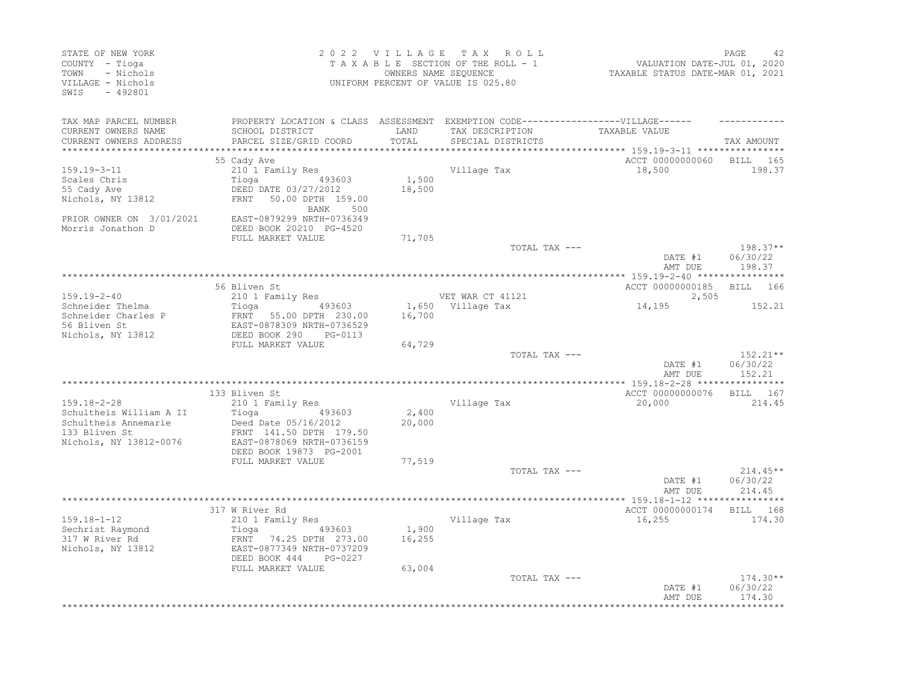| COUNTY - Tioga<br>- Nichols<br>TOWN<br>VILLAGE - Nichols<br>SWIS<br>$-492801$                                   |                                                                                                                                                                 | 2022 VILLAGE    | TAX ROLL<br>TAXABLE SECTION OF THE ROLL - 1<br>OWNERS NAME SEQUENCE<br>UNIFORM PERCENT OF VALUE IS 025.80                 | VALUATION DATE-JUL 01, 2020<br>TAXABLE STATUS DATE-MAR 01, 2021 | PAGE<br>42                       |
|-----------------------------------------------------------------------------------------------------------------|-----------------------------------------------------------------------------------------------------------------------------------------------------------------|-----------------|---------------------------------------------------------------------------------------------------------------------------|-----------------------------------------------------------------|----------------------------------|
| TAX MAP PARCEL NUMBER<br>CURRENT OWNERS NAME<br>CURRENT OWNERS ADDRESS<br>**************************            | SCHOOL DISTRICT<br>PARCEL SIZE/GRID COORD                                                                                                                       | LAND<br>TOTAL   | PROPERTY LOCATION & CLASS ASSESSMENT EXEMPTION CODE-----------------VILLAGE------<br>TAX DESCRIPTION<br>SPECIAL DISTRICTS | TAXABLE VALUE                                                   | TAX AMOUNT                       |
| $159.19 - 3 - 11$<br>Scales Chris<br>55 Cady Ave<br>Nichols, NY 13812<br>PRIOR OWNER ON 3/01/2021               | 55 Cady Ave<br>210 1 Family Res<br>Tioga<br>493603<br>DEED DATE 03/27/2012<br><b>FRNT</b><br>50.00 DPTH 159.00<br>BANK<br>500<br>EAST-0879299 NRTH-0736349      | 1,500<br>18,500 | Village Tax                                                                                                               | ACCT 00000000060<br>18,500                                      | BILL<br>165<br>198.37            |
| Morris Jonathon D                                                                                               | DEED BOOK 20210 PG-4520<br>FULL MARKET VALUE                                                                                                                    | 71,705          | TOTAL TAX ---                                                                                                             | DATE #1<br>AMT DUE                                              | 198.37**<br>06/30/22<br>198.37   |
|                                                                                                                 | 56 Bliven St                                                                                                                                                    |                 |                                                                                                                           | ACCT 00000000185                                                | 166<br>BILL                      |
| $159.19 - 2 - 40$<br>Schneider Thelma<br>Schneider Charles P<br>56 Bliven St<br>Nichols, NY 13812               | 210 1 Family Res<br>Tioga<br>493603<br>FRNT 55.00 DPTH 230.00<br>EAST-0878309 NRTH-0736529<br>DEED BOOK 290<br>PG-0113                                          | 16,700          | VET WAR CT 41121<br>1,650 Village Tax                                                                                     | 2,505<br>14,195                                                 | 152.21                           |
|                                                                                                                 | FULL MARKET VALUE                                                                                                                                               | 64,729          | TOTAL TAX ---                                                                                                             | DATE #1<br>AMT DUE                                              | 152.21**<br>06/30/22<br>152.21   |
| $159.18 - 2 - 28$<br>Schultheis William A II<br>Schultheis Annemarie<br>133 Bliven St<br>Nichols, NY 13812-0076 | 133 Bliven St<br>210 1 Family Res<br>Tioga<br>493603<br>Deed Date 05/16/2012<br>FRNT 141.50 DPTH 179.50<br>EAST-0878069 NRTH-0736159<br>DEED BOOK 19873 PG-2001 | 2,400<br>20,000 | Village Tax                                                                                                               | ACCT 00000000076<br>20,000                                      | BILL 167<br>214.45               |
|                                                                                                                 | FULL MARKET VALUE                                                                                                                                               | 77,519          | TOTAL TAX ---                                                                                                             | DATE #1<br>AMT DUE                                              | $214.45**$<br>06/30/22<br>214.45 |
|                                                                                                                 | 317 W River Rd                                                                                                                                                  |                 |                                                                                                                           | *** 159.18-1-12 *******<br>ACCT 00000000174                     | 168<br>BILL                      |
| $159.18 - 1 - 12$<br>Sechrist Raymond<br>317 W River Rd<br>Nichols, NY 13812                                    | 210 1 Family Res<br>Tioga<br>493603<br>74.25 DPTH 273.00<br>FRNT<br>EAST-0877349 NRTH-0737209<br>DEED BOOK 444<br>PG-0227                                       | 1,900<br>16,255 | Village Tax                                                                                                               | 16,255                                                          | 174.30                           |
|                                                                                                                 | FULL MARKET VALUE                                                                                                                                               | 63,004          | TOTAL TAX ---                                                                                                             | DATE #1<br>AMT DUE                                              | $174.30**$<br>06/30/22<br>174.30 |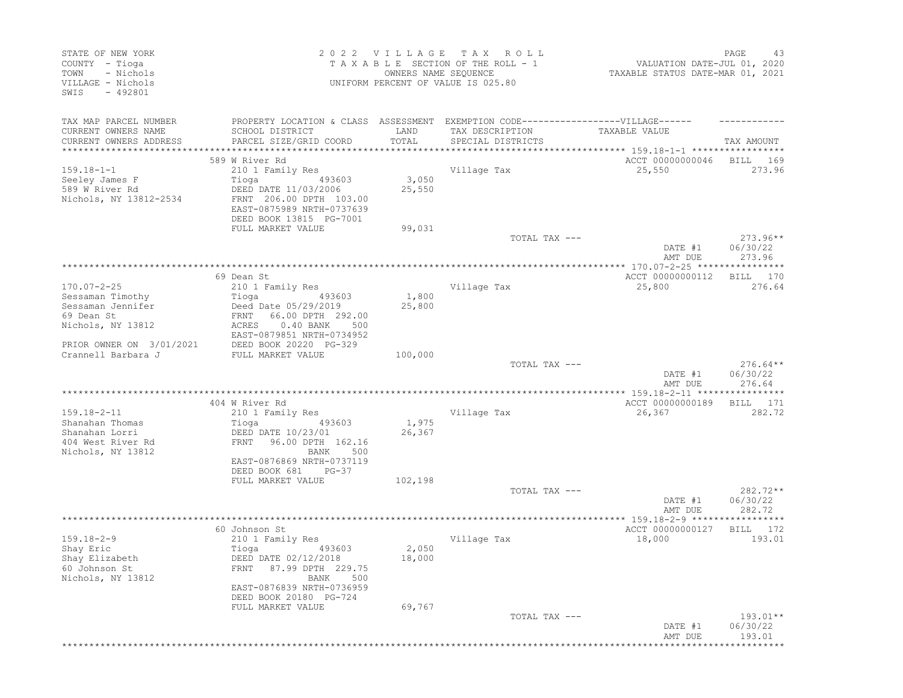| STATE OF NEW YORK<br>COUNTY - Tioga<br>- Nichols<br>TOWN<br>VILLAGE - Nichols<br>SWIS<br>$-492801$ |                                                                                                                            | 2022 VILLAGE<br>OWNERS NAME SEQUENCE | T A X<br>R O L L<br>TAXABLE SECTION OF THE ROLL - 1<br>UNIFORM PERCENT OF VALUE IS 025.80 | VALUATION DATE-JUL 01, 2020<br>TAXABLE STATUS DATE-MAR 01, 2021 | PAGE<br>43                       |
|----------------------------------------------------------------------------------------------------|----------------------------------------------------------------------------------------------------------------------------|--------------------------------------|-------------------------------------------------------------------------------------------|-----------------------------------------------------------------|----------------------------------|
| TAX MAP PARCEL NUMBER<br>CURRENT OWNERS NAME                                                       | PROPERTY LOCATION & CLASS ASSESSMENT EXEMPTION CODE-----------------VILLAGE------<br>SCHOOL DISTRICT                       | LAND                                 | TAX DESCRIPTION                                                                           | TAXABLE VALUE                                                   |                                  |
| CURRENT OWNERS ADDRESS<br>***********************                                                  | PARCEL SIZE/GRID COORD                                                                                                     | TOTAL                                | SPECIAL DISTRICTS                                                                         |                                                                 | TAX AMOUNT                       |
|                                                                                                    | 589 W River Rd                                                                                                             |                                      |                                                                                           | ACCT 00000000046                                                | BILL<br>- 169                    |
| $159.18 - 1 - 1$                                                                                   | 210 1 Family Res                                                                                                           |                                      | Village Tax                                                                               | 25,550                                                          | 273.96                           |
| Seeley James F<br>589 W River Rd<br>Nichols, NY 13812-2534                                         | Tioga<br>493603<br>DEED DATE 11/03/2006<br>FRNT 206.00 DPTH 103.00<br>EAST-0875989 NRTH-0737639<br>DEED BOOK 13815 PG-7001 | 3,050<br>25,550                      |                                                                                           |                                                                 |                                  |
|                                                                                                    | FULL MARKET VALUE                                                                                                          | 99,031                               |                                                                                           |                                                                 |                                  |
|                                                                                                    |                                                                                                                            |                                      | TOTAL TAX ---                                                                             | DATE #1<br>AMT DUE                                              | $273.96**$<br>06/30/22<br>273.96 |
|                                                                                                    |                                                                                                                            |                                      |                                                                                           |                                                                 |                                  |
| $170.07 - 2 - 25$                                                                                  | 69 Dean St<br>210 1 Family Res                                                                                             |                                      | Village Tax                                                                               | ACCT 00000000112<br>25,800                                      | 170<br>BILL<br>276.64            |
| Sessaman Timothy<br>Sessaman Jennifer                                                              | Tioga<br>493603                                                                                                            | 1,800                                |                                                                                           |                                                                 |                                  |
| 69 Dean St                                                                                         | Deed Date 05/29/2019<br>66.00 DPTH 292.00<br>FRNT                                                                          | 25,800                               |                                                                                           |                                                                 |                                  |
| Nichols, NY 13812                                                                                  | $0.40$ BANK<br>ACRES<br>500<br>EAST-0879851 NRTH-0734952                                                                   |                                      |                                                                                           |                                                                 |                                  |
| PRIOR OWNER ON 3/01/2021                                                                           | DEED BOOK 20220 PG-329                                                                                                     |                                      |                                                                                           |                                                                 |                                  |
| Crannell Barbara J                                                                                 | FULL MARKET VALUE                                                                                                          | 100,000                              |                                                                                           |                                                                 |                                  |
|                                                                                                    |                                                                                                                            |                                      | TOTAL TAX ---                                                                             | DATE #1<br>AMT DUE                                              | $276.64**$<br>06/30/22<br>276.64 |
|                                                                                                    |                                                                                                                            |                                      |                                                                                           | **************** 159.18-2-11 *****************                  |                                  |
|                                                                                                    | 404 W River Rd                                                                                                             |                                      |                                                                                           | ACCT 00000000189                                                | 171<br>BILL                      |
| $159.18 - 2 - 11$                                                                                  | 210 1 Family Res                                                                                                           |                                      | Village Tax                                                                               | 26,367                                                          | 282.72                           |
| Shanahan Thomas<br>Shanahan Lorri                                                                  | Tioga<br>493603<br>DEED DATE 10/23/01                                                                                      | 1,975<br>26,367                      |                                                                                           |                                                                 |                                  |
| 404 West River Rd                                                                                  | 96.00 DPTH 162.16<br>FRNT                                                                                                  |                                      |                                                                                           |                                                                 |                                  |
| Nichols, NY 13812                                                                                  | 500<br>BANK                                                                                                                |                                      |                                                                                           |                                                                 |                                  |
|                                                                                                    | EAST-0876869 NRTH-0737119<br>DEED BOOK 681<br>$PG-37$                                                                      |                                      |                                                                                           |                                                                 |                                  |
|                                                                                                    | FULL MARKET VALUE                                                                                                          | 102,198                              |                                                                                           |                                                                 |                                  |
|                                                                                                    |                                                                                                                            |                                      | TOTAL TAX ---                                                                             | DATE #1<br>AMT DUE                                              | 282.72**<br>06/30/22<br>282.72   |
|                                                                                                    |                                                                                                                            |                                      |                                                                                           |                                                                 |                                  |
|                                                                                                    | 60 Johnson St                                                                                                              |                                      |                                                                                           | ACCT 00000000127                                                | BILL<br>172                      |
| $159.18 - 2 - 9$                                                                                   | 210 1 Family Res                                                                                                           |                                      | Village Tax                                                                               | 18,000                                                          | 193.01                           |
| Shay Eric<br>Shay Elizabeth                                                                        | Tioga<br>493603<br>DEED DATE 02/12/2018                                                                                    | 2,050<br>18,000                      |                                                                                           |                                                                 |                                  |
| 60 Johnson St<br>Nichols, NY 13812                                                                 | FRNT 87.99 DPTH 229.75<br>500<br>BANK                                                                                      |                                      |                                                                                           |                                                                 |                                  |
|                                                                                                    | EAST-0876839 NRTH-0736959<br>DEED BOOK 20180 PG-724                                                                        |                                      |                                                                                           |                                                                 |                                  |
|                                                                                                    | FULL MARKET VALUE                                                                                                          | 69,767                               |                                                                                           |                                                                 |                                  |
|                                                                                                    |                                                                                                                            |                                      | TOTAL TAX ---                                                                             | DATE #1<br>AMT DUE                                              | $193.01**$<br>06/30/22<br>193.01 |
|                                                                                                    |                                                                                                                            |                                      |                                                                                           |                                                                 |                                  |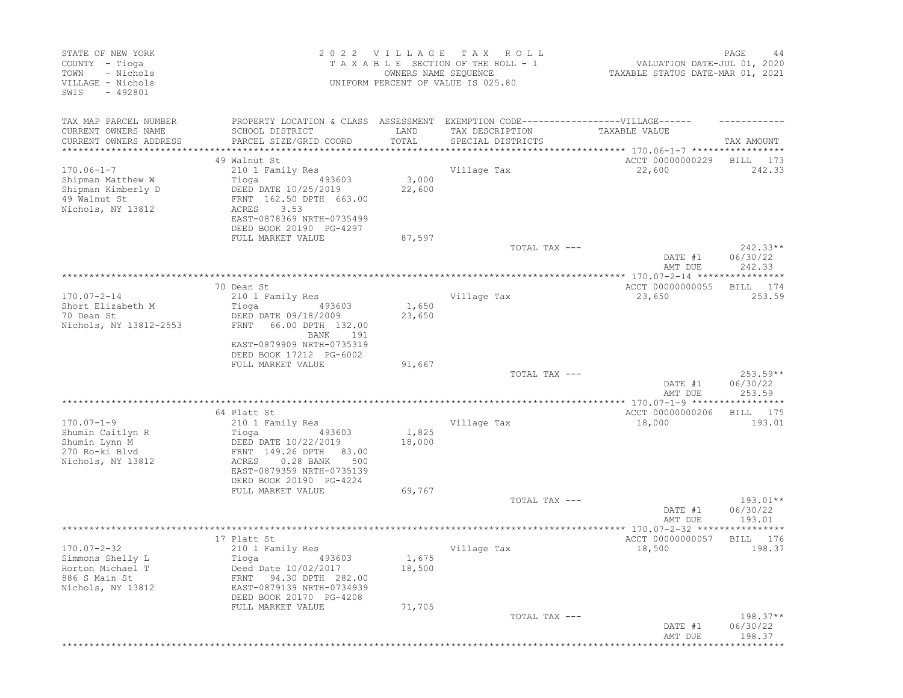| STATE OF NEW YORK<br>COUNTY - Tioga<br>- Nichols<br>TOWN<br>VILLAGE - Nichols<br>SWIS<br>$-492801$ |                                                                                                                                  | 2022 VILLAGE<br>OWNERS NAME SEQUENCE | T A X<br>R O L L<br>TAXABLE SECTION OF THE ROLL - 1<br>UNIFORM PERCENT OF VALUE IS 025.80 | VALUATION DATE-JUL 01, 2020<br>TAXABLE STATUS DATE-MAR 01, 2021 | PAGE<br>44                       |
|----------------------------------------------------------------------------------------------------|----------------------------------------------------------------------------------------------------------------------------------|--------------------------------------|-------------------------------------------------------------------------------------------|-----------------------------------------------------------------|----------------------------------|
| TAX MAP PARCEL NUMBER<br>CURRENT OWNERS NAME<br>CURRENT OWNERS ADDRESS                             | PROPERTY LOCATION & CLASS ASSESSMENT EXEMPTION CODE-----------------VILLAGE------<br>SCHOOL DISTRICT<br>PARCEL SIZE/GRID COORD   | LAND<br>TOTAL                        | TAX DESCRIPTION<br>SPECIAL DISTRICTS                                                      | TAXABLE VALUE                                                   | TAX AMOUNT                       |
| ***************                                                                                    |                                                                                                                                  | **************                       |                                                                                           | ******************** 170.06-1-7 *****************               |                                  |
|                                                                                                    | 49 Walnut St                                                                                                                     |                                      |                                                                                           | ACCT 00000000229                                                | BILL<br>173                      |
| $170.06 - 1 - 7$                                                                                   | 210 1 Family Res                                                                                                                 |                                      | Village Tax                                                                               | 22,600                                                          | 242.33                           |
| Shipman Matthew W<br>Shipman Kimberly D<br>49 Walnut St<br>Nichols, NY 13812                       | Tioga<br>493603<br>DEED DATE 10/25/2019<br>FRNT 162.50 DPTH 663.00<br>3.53<br>ACRES<br>EAST-0878369 NRTH-0735499                 | 3,000<br>22,600                      |                                                                                           |                                                                 |                                  |
|                                                                                                    | DEED BOOK 20190 PG-4297                                                                                                          |                                      |                                                                                           |                                                                 |                                  |
|                                                                                                    | FULL MARKET VALUE                                                                                                                | 87,597                               |                                                                                           |                                                                 |                                  |
|                                                                                                    |                                                                                                                                  |                                      | TOTAL TAX ---                                                                             | DATE #1<br>AMT DUE                                              | $242.33**$<br>06/30/22<br>242.33 |
|                                                                                                    |                                                                                                                                  |                                      |                                                                                           | *************** 170.07-2-14 *********                           | * * * * *                        |
|                                                                                                    | 70 Dean St                                                                                                                       |                                      |                                                                                           | ACCT 00000000055                                                | 174<br>BILL                      |
| $170.07 - 2 - 14$                                                                                  | 210 1 Family Res                                                                                                                 |                                      | Village Tax                                                                               | 23,650                                                          | 253.59                           |
| Short Elizabeth M<br>70 Dean St<br>Nichols, NY 13812-2553                                          | Tioga<br>493603<br>DEED DATE 09/18/2009<br>66.00 DPTH 132.00<br>FRNT                                                             | 1,650<br>23,650                      |                                                                                           |                                                                 |                                  |
|                                                                                                    | BANK<br>191<br>EAST-0879909 NRTH-0735319<br>DEED BOOK 17212 PG-6002<br>FULL MARKET VALUE                                         | 91,667                               |                                                                                           |                                                                 |                                  |
|                                                                                                    |                                                                                                                                  |                                      | TOTAL TAX ---                                                                             |                                                                 | $253.59**$                       |
|                                                                                                    |                                                                                                                                  |                                      |                                                                                           | DATE #1<br>AMT DUE                                              | 06/30/22<br>253.59               |
|                                                                                                    | 64 Platt St                                                                                                                      |                                      |                                                                                           | ACCT 00000000206                                                | BILL<br>175                      |
| $170.07 - 1 - 9$                                                                                   | 210 1 Family Res                                                                                                                 |                                      | Village Tax                                                                               | 18,000                                                          | 193.01                           |
| Shumin Caitlyn R<br>Shumin Lynn M<br>270 Ro-ki Blvd<br>Nichols, NY 13812                           | 493603<br>Tioga<br>DEED DATE 10/22/2019<br>FRNT 149.26 DPTH<br>83.00<br>$0.28$ BANK<br>ACRES<br>500<br>EAST-0879359 NRTH-0735139 | 1,825<br>18,000                      |                                                                                           |                                                                 |                                  |
|                                                                                                    | DEED BOOK 20190 PG-4224<br>FULL MARKET VALUE                                                                                     | 69,767                               |                                                                                           |                                                                 |                                  |
|                                                                                                    |                                                                                                                                  |                                      | TOTAL TAX ---                                                                             | DATE #1<br>AMT DUE                                              | $193.01**$<br>06/30/22<br>193.01 |
|                                                                                                    | ************************                                                                                                         |                                      | ***********************************                                                       | ***************** 170.07-2-32 ****************                  |                                  |
| $170.07 - 2 - 32$<br>Simmons Shelly L<br>Horton Michael T<br>886 S Main St                         | 17 Platt St<br>210 1 Family Res<br>Tioga 493603<br>Deed Date 10/02/2017<br>94.30 DPTH 282.00<br>FRNT                             | 1,675<br>18,500                      | Village Tax                                                                               | ACCT 00000000057<br>18,500                                      | BILL<br>176<br>198.37            |
| Nichols, NY 13812                                                                                  | EAST-0879139 NRTH-0734939<br>DEED BOOK 20170 PG-4208                                                                             |                                      |                                                                                           |                                                                 |                                  |
|                                                                                                    | FULL MARKET VALUE                                                                                                                | 71,705                               |                                                                                           |                                                                 |                                  |
|                                                                                                    |                                                                                                                                  |                                      | TOTAL TAX ---                                                                             | DATE #1<br>AMT DUE<br>*******************************           | $198.37**$<br>06/30/22<br>198.37 |
|                                                                                                    |                                                                                                                                  |                                      |                                                                                           |                                                                 |                                  |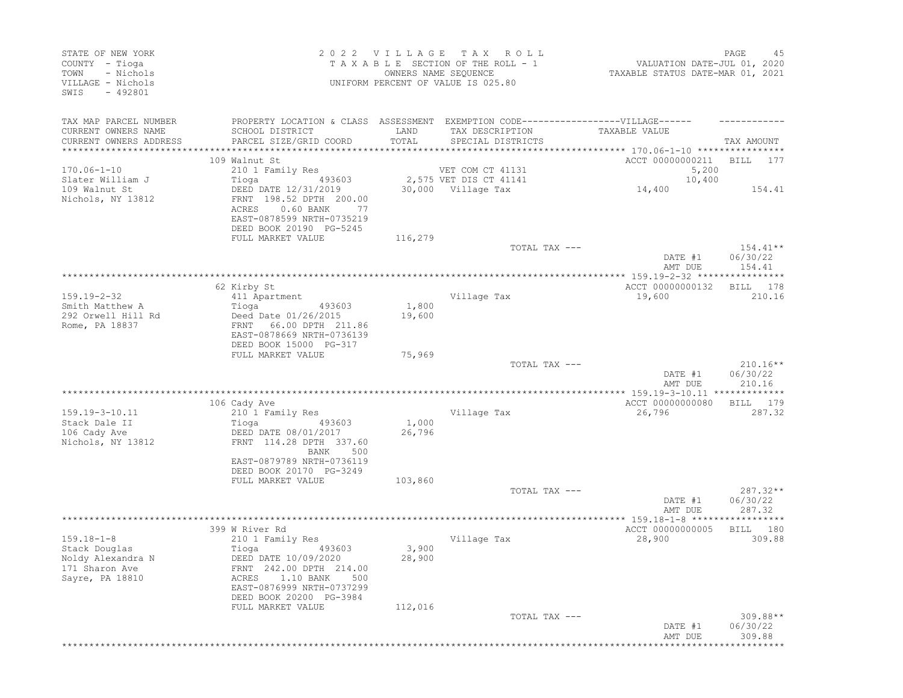| STATE OF NEW YORK<br>COUNTY - Tioga<br>- Nichols<br>TOWN<br>VILLAGE - Nichols<br>SWIS<br>- 492801                                                                     | 2022 VILLAGE TAX ROLL<br>UNIFORM PERCENT OF VALUE IS 025.80 | TAXABLE SECTION OF THE ROLL - 1<br>OWNERS NAME SEQUENCE                           | VALUATION DATE-JUL 01, 2020<br>TAXABLE STATUS DATE-MAR 01, 2021 | PAGE<br>45                       |
|-----------------------------------------------------------------------------------------------------------------------------------------------------------------------|-------------------------------------------------------------|-----------------------------------------------------------------------------------|-----------------------------------------------------------------|----------------------------------|
| TAX MAP PARCEL NUMBER                                                                                                                                                 |                                                             | PROPERTY LOCATION & CLASS ASSESSMENT EXEMPTION CODE-----------------VILLAGE------ |                                                                 |                                  |
| CURRENT OWNERS NAME<br>SCHOOL DISTRICT                                                                                                                                | LAND                                                        | TAX DESCRIPTION                                                                   | TAXABLE VALUE                                                   |                                  |
| PARCEL SIZE/GRID COORD<br>CURRENT OWNERS ADDRESS<br>**********************                                                                                            | TOTAL                                                       | SPECIAL DISTRICTS                                                                 |                                                                 | TAX AMOUNT                       |
| 109 Walnut St                                                                                                                                                         |                                                             |                                                                                   | ACCT 00000000211                                                | BILL 177                         |
| $170.06 - 1 - 10$<br>210 1 Family Res                                                                                                                                 |                                                             | VET COM CT 41131                                                                  | 5,200                                                           |                                  |
| Slater William J<br>Tioga                                                                                                                                             | 493603                                                      | 2,575 VET DIS CT 41141                                                            | 10,400                                                          |                                  |
| 109 Walnut St<br>DEED DATE 12/31/2019<br>Nichols, NY 13812<br>FRNT 198.52 DPTH 200.00<br>$0.60$ BANK<br>ACRES<br>EAST-0878599 NRTH-0735219<br>DEED BOOK 20190 PG-5245 | -77                                                         | 30,000 Village Tax                                                                | 14,400                                                          | 154.41                           |
| FULL MARKET VALUE                                                                                                                                                     | 116,279                                                     | TOTAL TAX ---                                                                     |                                                                 | $154.41**$                       |
|                                                                                                                                                                       |                                                             |                                                                                   | DATE #1<br>AMT DUE                                              | 06/30/22<br>154.41               |
|                                                                                                                                                                       |                                                             |                                                                                   |                                                                 |                                  |
| 62 Kirby St<br>$159.19 - 2 - 32$                                                                                                                                      |                                                             | Village Tax                                                                       | ACCT 00000000132<br>19,600                                      | BILL 178<br>210.16               |
| 411 Apartment<br>Smith Matthew A<br>Tioga                                                                                                                             | 1,800<br>493603                                             |                                                                                   |                                                                 |                                  |
| 292 Orwell Hill Rd<br>Deed Date 01/26/2015<br>Rome, PA 18837<br>FRNT 66.00 DPTH 211.86<br>EAST-0878669 NRTH-0736139<br>DEED BOOK 15000 PG-317                         | 19,600                                                      |                                                                                   |                                                                 |                                  |
| FULL MARKET VALUE                                                                                                                                                     | 75,969                                                      |                                                                                   |                                                                 |                                  |
|                                                                                                                                                                       |                                                             | TOTAL TAX ---                                                                     | DATE #1<br>AMT DUE                                              | $210.16**$<br>06/30/22<br>210.16 |
| 106 Cady Ave                                                                                                                                                          |                                                             |                                                                                   | ACCT 00000000080                                                | BILL 179                         |
| 159.19-3-10.11<br>210 1 Family Res                                                                                                                                    |                                                             | Village Tax                                                                       | 26,796                                                          | 287.32                           |
| Stack Dale II<br>Tioga<br>DEED DATE 08/01/2017<br>106 Cady Ave<br>Nichols, NY 13812<br>FRNT 114.28 DPTH 337.60<br>EAST-0879789 NRTH-0736119                           | 1,000<br>493603<br>26,796<br>BANK<br>500                    |                                                                                   |                                                                 |                                  |
| DEED BOOK 20170 PG-3249                                                                                                                                               |                                                             |                                                                                   |                                                                 |                                  |
| FULL MARKET VALUE                                                                                                                                                     | 103,860                                                     |                                                                                   |                                                                 |                                  |
|                                                                                                                                                                       |                                                             | TOTAL TAX ---                                                                     | DATE #1<br>AMT DUE                                              | $287.32**$<br>06/30/22<br>287.32 |
|                                                                                                                                                                       |                                                             |                                                                                   |                                                                 |                                  |
| 399 W River Rd<br>$159.18 - 1 - 8$<br>210 1 Family Res                                                                                                                |                                                             | Village Tax                                                                       | ACCT 00000000005<br>28,900                                      | BILL 180<br>309.88               |
| Stack Douglas<br>Tioga<br>Noldy Alexandra N<br>DEED DATE 10/09/2020<br>171 Sharon Ave<br>FRNT 242.00 DPTH 214.00<br>Sayre, PA 18810<br>1.10 BANK<br>ACRES             | 3,900<br>493603<br>28,900<br>500                            |                                                                                   |                                                                 |                                  |
| EAST-0876999 NRTH-0737299<br>DEED BOOK 20200 PG-3984                                                                                                                  |                                                             |                                                                                   |                                                                 |                                  |
| FULL MARKET VALUE                                                                                                                                                     | 112,016                                                     |                                                                                   |                                                                 |                                  |
|                                                                                                                                                                       |                                                             | TOTAL TAX ---                                                                     |                                                                 | $309.88**$                       |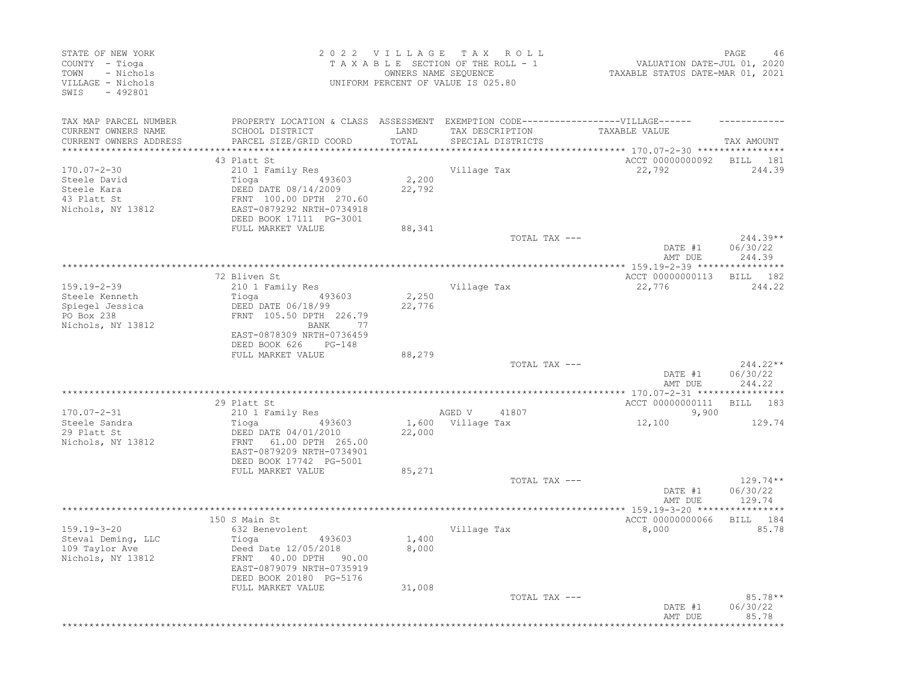| STATE OF NEW YORK<br>COUNTY - Tioga<br>- Nichols<br>TOWN<br>VILLAGE - Nichols<br>SWIS - 492801 |                                                                                                                                                                                 |                           | 2022 VILLAGE TAX ROLL<br>TAXABLE SECTION OF THE ROLL - 1<br>OWNERS NAME SEQUENCE<br>UNIFORM PERCENT OF VALUE IS 025.80 | VALUATION DATE-JUL 01, 2020<br>TAXABLE STATUS DATE-MAR 01, 2021 | PAGE<br>46                     |
|------------------------------------------------------------------------------------------------|---------------------------------------------------------------------------------------------------------------------------------------------------------------------------------|---------------------------|------------------------------------------------------------------------------------------------------------------------|-----------------------------------------------------------------|--------------------------------|
| TAX MAP PARCEL NUMBER<br>CURRENT OWNERS NAME<br>CURRENT OWNERS ADDRESS                         | PROPERTY LOCATION & CLASS ASSESSMENT EXEMPTION CODE-----------------VILLAGE------<br>SCHOOL DISTRICT<br>PARCEL SIZE/GRID COORD                                                  | LAND<br>TOTAL<br>******** | TAX DESCRIPTION<br>SPECIAL DISTRICTS                                                                                   | TAXABLE VALUE<br>*********** 170.07-2-30 *****************      | TAX AMOUNT                     |
| $170.07 - 2 - 30$<br>Steele David<br>Steele Kara<br>43 Platt St<br>Nichols, NY 13812           | 43 Platt St<br>210 1 Family Res<br>Tioga 493603<br>DEED DATE 08/14/2009<br>FRNT 100.00 DPTH 270.60<br>EAST-0879292 NRTH-0734918<br>DEED BOOK 17111 PG-3001<br>FULL MARKET VALUE | 2,200<br>22,792<br>88,341 | Village Tax                                                                                                            | ACCT 00000000092 BILL 181<br>22,792                             | 244.39                         |
|                                                                                                |                                                                                                                                                                                 |                           | TOTAL TAX ---                                                                                                          |                                                                 | $244.39**$                     |
|                                                                                                |                                                                                                                                                                                 |                           |                                                                                                                        | DATE #1                                                         | 06/30/22                       |
|                                                                                                | 72 Bliven St                                                                                                                                                                    |                           |                                                                                                                        | AMT DUE<br>ACCT 00000000113                                     | 244.39<br>BILL 182             |
| 159.19-2-39<br>Steele Kenneth<br>Spiegel Jessica<br>PO Box 238<br>Nichols, NY 13812            | 210 1 Family Res<br>493603<br>Tioga<br>DEED DATE 06/18/99<br>FRNT 105.50 DPTH 226.79<br>BANK 77<br>EAST-0878309 NRTH-0736459<br>DEED BOOK 626<br>$PG-148$                       | 2,250<br>22,776           | Village Tax                                                                                                            | 22,776                                                          | 244.22                         |
|                                                                                                | FULL MARKET VALUE                                                                                                                                                               | 88,279                    | TOTAL TAX ---                                                                                                          | DATE #1<br>AMT DUE                                              | 244.22**<br>06/30/22<br>244.22 |
|                                                                                                | 29 Platt St                                                                                                                                                                     |                           |                                                                                                                        | ACCT 00000000111 BILL 183                                       |                                |
| $170.07 - 2 - 31$<br>Steele Sandra<br>29 Platt St<br>Nichols, NY 13812                         | 210 1 Family Res<br>DEED DATE 04/01/2010<br>FRNT 61.00 DPTH 265.00<br>EAST-0879209 NRTH-0734901<br>DEED BOOK 17742 PG-5001                                                      | 22,000                    | AGED V 41807<br>1,600 Village Tax                                                                                      | 9,900<br>12,100                                                 | 129.74                         |
|                                                                                                | FULL MARKET VALUE                                                                                                                                                               | 85,271                    | TOTAL TAX ---                                                                                                          |                                                                 | $129.74**$                     |
|                                                                                                |                                                                                                                                                                                 |                           |                                                                                                                        | DATE #1<br>AMT DUE                                              | 06/30/22<br>129.74             |
|                                                                                                | 150 S Main St                                                                                                                                                                   |                           |                                                                                                                        | ACCT 00000000066                                                | BILL 184                       |
| 159.19-3-20<br>Steval Deming, LLC<br>109 Taylor Ave<br>Nichols, NY 13812                       | 632 Benevolent<br>Tioga 49360.<br>Deed Date 12/05/2018<br>493603<br>FRNT 40.00 DPTH 90.00<br>EAST-0879079 NRTH-0735919<br>DEED BOOK 20180 PG-5176                               | 1,400<br>8,000            | Village Tax                                                                                                            | 8,000                                                           | 85.78                          |
|                                                                                                | FULL MARKET VALUE                                                                                                                                                               | 31,008                    | TOTAL TAX ---                                                                                                          | DATE #1<br>AMT DUE                                              | $85.78**$<br>06/30/22<br>85.78 |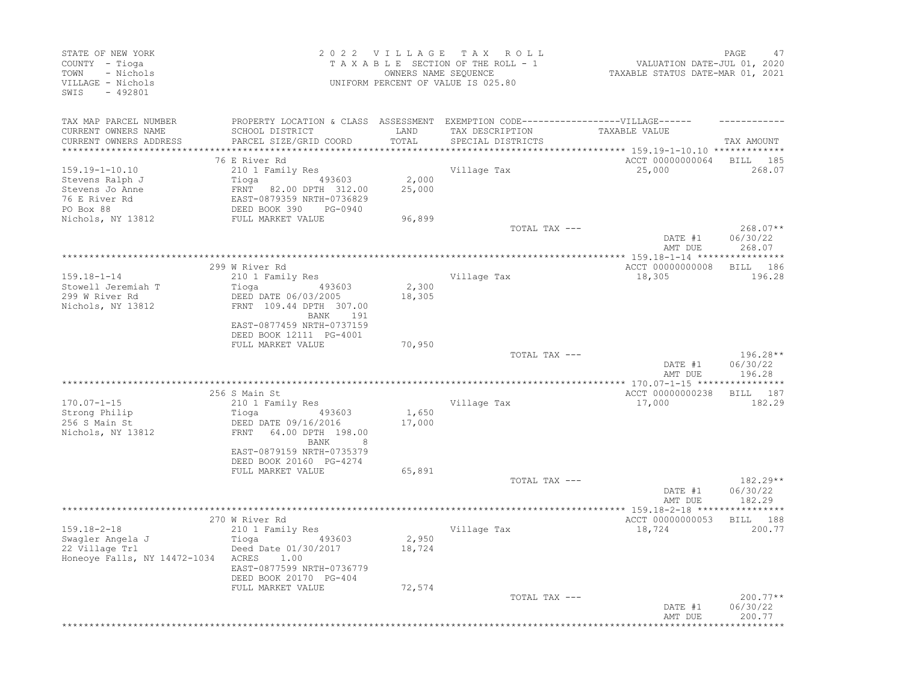| STATE OF NEW YORK<br>COUNTY - Tioga<br>- Nichols<br>TOWN<br>VILLAGE - Nichols<br>SWIS<br>$-492801$ |                                                                                   | 2022 VILLAGE<br>OWNERS NAME SEQUENCE | TAX ROLL<br>TAXABLE SECTION OF THE ROLL - 1<br>UNIFORM PERCENT OF VALUE IS 025.80 | VALUATION DATE-JUL 01, 2020<br>TAXABLE STATUS DATE-MAR 01, 2021 | PAGE<br>47                       |
|----------------------------------------------------------------------------------------------------|-----------------------------------------------------------------------------------|--------------------------------------|-----------------------------------------------------------------------------------|-----------------------------------------------------------------|----------------------------------|
| TAX MAP PARCEL NUMBER                                                                              | PROPERTY LOCATION & CLASS ASSESSMENT EXEMPTION CODE-----------------VILLAGE------ |                                      |                                                                                   |                                                                 |                                  |
| CURRENT OWNERS NAME                                                                                | SCHOOL DISTRICT                                                                   | LAND                                 | TAX DESCRIPTION                                                                   | TAXABLE VALUE                                                   |                                  |
| CURRENT OWNERS ADDRESS<br>*********************                                                    | PARCEL SIZE/GRID COORD                                                            | TOTAL                                | SPECIAL DISTRICTS                                                                 |                                                                 | TAX AMOUNT                       |
|                                                                                                    |                                                                                   |                                      |                                                                                   | *********************************159.19-1-10.10 **************  |                                  |
| $159.19 - 1 - 10.10$                                                                               | 76 E River Rd<br>210 1 Family Res                                                 |                                      | Village Tax                                                                       | ACCT 00000000064<br>25,000                                      | BILL 185<br>268.07               |
| Stevens Ralph J                                                                                    | 493603<br>Tioga                                                                   | 2,000                                |                                                                                   |                                                                 |                                  |
| Stevens Jo Anne                                                                                    | FRNT 82.00 DPTH 312.00                                                            | 25,000                               |                                                                                   |                                                                 |                                  |
| 76 E River Rd                                                                                      | EAST-0879359 NRTH-0736829                                                         |                                      |                                                                                   |                                                                 |                                  |
| PO Box 88                                                                                          | DEED BOOK 390<br>PG-0940                                                          |                                      |                                                                                   |                                                                 |                                  |
| Nichols, NY 13812                                                                                  | FULL MARKET VALUE                                                                 | 96,899                               |                                                                                   |                                                                 |                                  |
|                                                                                                    |                                                                                   |                                      | TOTAL TAX ---                                                                     | DATE #1<br>AMT DUE                                              | $268.07**$<br>06/30/22<br>268.07 |
|                                                                                                    |                                                                                   |                                      |                                                                                   |                                                                 |                                  |
|                                                                                                    | 299 W River Rd                                                                    |                                      |                                                                                   | ACCT 00000000008                                                | BILL 186                         |
| $159.18 - 1 - 14$<br>Stowell Jeremiah T                                                            | 210 1 Family Res<br>Tioga<br>493603                                               | 2,300                                | Village Tax                                                                       | 18,305                                                          | 196.28                           |
| 299 W River Rd                                                                                     | DEED DATE 06/03/2005                                                              | 18,305                               |                                                                                   |                                                                 |                                  |
| Nichols, NY 13812                                                                                  | FRNT 109.44 DPTH 307.00<br>BANK 191                                               |                                      |                                                                                   |                                                                 |                                  |
|                                                                                                    | EAST-0877459 NRTH-0737159<br>DEED BOOK 12111 PG-4001                              |                                      |                                                                                   |                                                                 |                                  |
|                                                                                                    | FULL MARKET VALUE                                                                 | 70,950                               |                                                                                   |                                                                 |                                  |
|                                                                                                    |                                                                                   |                                      | TOTAL TAX ---                                                                     |                                                                 | 196.28**                         |
|                                                                                                    |                                                                                   |                                      |                                                                                   | DATE #1<br>AMT DUE                                              | 06/30/22<br>196.28               |
|                                                                                                    |                                                                                   |                                      |                                                                                   |                                                                 |                                  |
|                                                                                                    | 256 S Main St                                                                     |                                      |                                                                                   | ACCT 00000000238                                                | BILL 187                         |
| $170.07 - 1 - 15$                                                                                  | 210 1 Family Res                                                                  |                                      | Village Tax                                                                       | 17,000                                                          | 182.29                           |
| Strong Philip                                                                                      | Tioga<br>493603                                                                   | 1,650                                |                                                                                   |                                                                 |                                  |
| 256 S Main St<br>Nichols, NY 13812                                                                 | DEED DATE 09/16/2016<br>64.00 DPTH 198.00<br>FRNT                                 | 17,000                               |                                                                                   |                                                                 |                                  |
|                                                                                                    | <b>BANK</b><br>8<br>EAST-0879159 NRTH-0735379<br>DEED BOOK 20160 PG-4274          |                                      |                                                                                   |                                                                 |                                  |
|                                                                                                    | FULL MARKET VALUE                                                                 | 65,891                               |                                                                                   |                                                                 |                                  |
|                                                                                                    |                                                                                   |                                      | TOTAL TAX ---                                                                     |                                                                 | 182.29**                         |
|                                                                                                    |                                                                                   |                                      |                                                                                   | DATE #1<br>AMT DUE                                              | 06/30/22<br>182.29               |
|                                                                                                    |                                                                                   |                                      |                                                                                   | **** 159.18-2-18 ***                                            |                                  |
|                                                                                                    | 270 W River Rd                                                                    |                                      |                                                                                   | ACCT 00000000053                                                | BILL 188                         |
| $159.18 - 2 - 18$                                                                                  | 210 1 Family Res                                                                  |                                      | Village Tax                                                                       | 18,724                                                          | 200.77                           |
| Swagler Angela J<br>22 Village Trl                                                                 | Tioga<br>493603<br>Deed Date 01/30/2017                                           | 2,950<br>18,724                      |                                                                                   |                                                                 |                                  |
| Honeoye Falls, NY 14472-1034 ACRES                                                                 | 1.00                                                                              |                                      |                                                                                   |                                                                 |                                  |
|                                                                                                    | EAST-0877599 NRTH-0736779<br>DEED BOOK 20170 PG-404                               |                                      |                                                                                   |                                                                 |                                  |
|                                                                                                    | FULL MARKET VALUE                                                                 | 72,574                               |                                                                                   |                                                                 |                                  |
|                                                                                                    |                                                                                   |                                      | TOTAL TAX ---                                                                     | DATE #1<br>AMT DUE                                              | $200.77**$<br>06/30/22<br>200.77 |
|                                                                                                    |                                                                                   |                                      |                                                                                   |                                                                 |                                  |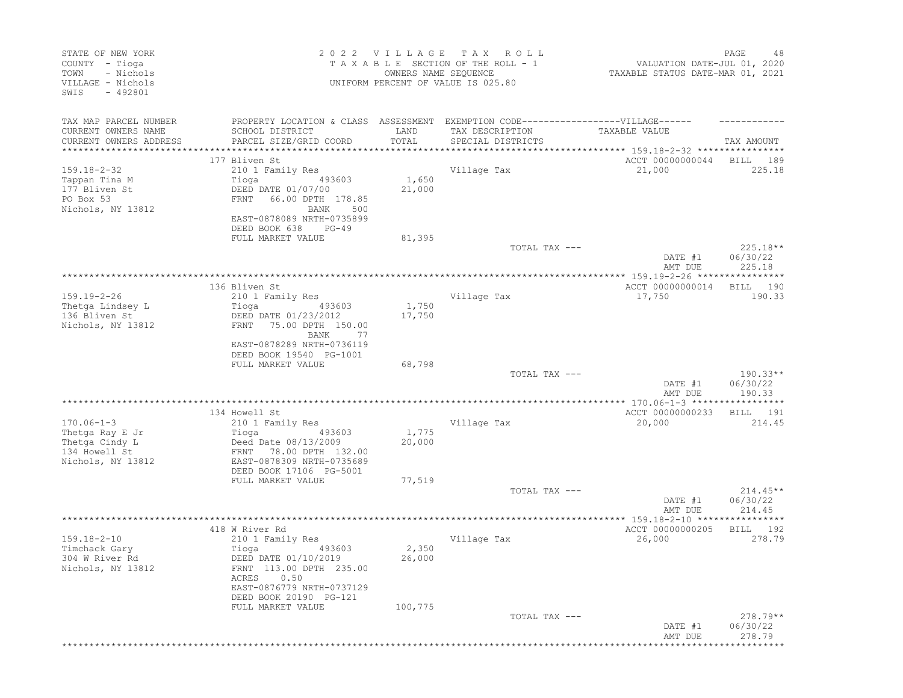| STATE OF NEW YORK<br>COUNTY - Tioga<br>- Nichols<br>TOWN<br>VILLAGE - Nichols<br>SWIS<br>$-492801$ |                                                                                                                         | 2022 VILLAGE<br>OWNERS NAME SEQUENCE | T A X<br>R O L L<br>TAXABLE SECTION OF THE ROLL - 1<br>UNIFORM PERCENT OF VALUE IS 025.80 | VALUATION DATE-JUL 01, 2020<br>TAXABLE STATUS DATE-MAR 01, 2021      | PAGE<br>48                       |
|----------------------------------------------------------------------------------------------------|-------------------------------------------------------------------------------------------------------------------------|--------------------------------------|-------------------------------------------------------------------------------------------|----------------------------------------------------------------------|----------------------------------|
| TAX MAP PARCEL NUMBER<br>CURRENT OWNERS NAME                                                       | PROPERTY LOCATION & CLASS ASSESSMENT EXEMPTION CODE-----------------VILLAGE------<br>SCHOOL DISTRICT                    | LAND                                 | TAX DESCRIPTION                                                                           | TAXABLE VALUE                                                        |                                  |
| CURRENT OWNERS ADDRESS<br>****************                                                         | PARCEL SIZE/GRID COORD                                                                                                  | TOTAL                                | SPECIAL DISTRICTS                                                                         |                                                                      | TAX AMOUNT                       |
|                                                                                                    | 177 Bliven St                                                                                                           |                                      |                                                                                           | ACCT 00000000044                                                     | BILL<br>189                      |
| $159.18 - 2 - 32$                                                                                  | 210 1 Family Res                                                                                                        |                                      | Village Tax                                                                               | 21,000                                                               | 225.18                           |
| Tappan Tina M<br>177 Bliven St<br>PO Box 53<br>Nichols, NY 13812                                   | 493603<br>Tioga<br>DEED DATE 01/07/00<br>66.00 DPTH 178.85<br>FRNT<br>BANK<br>500                                       | 1,650<br>21,000                      |                                                                                           |                                                                      |                                  |
|                                                                                                    | EAST-0878089 NRTH-0735899<br>DEED BOOK 638<br>$PG-49$                                                                   |                                      |                                                                                           |                                                                      |                                  |
|                                                                                                    | FULL MARKET VALUE                                                                                                       | 81,395                               | TOTAL TAX ---                                                                             |                                                                      | $225.18**$                       |
|                                                                                                    |                                                                                                                         |                                      |                                                                                           | DATE #1<br>AMT DUE                                                   | 06/30/22<br>225.18               |
|                                                                                                    |                                                                                                                         |                                      |                                                                                           |                                                                      | *****                            |
| $159.19 - 2 - 26$                                                                                  | 136 Bliven St                                                                                                           |                                      | Village Tax                                                                               | ACCT 00000000014<br>17,750                                           | 190<br>BILL                      |
| Thetga Lindsey L                                                                                   | 210 1 Family Res<br>Tioga<br>493603                                                                                     | 1,750                                |                                                                                           |                                                                      | 190.33                           |
| 136 Bliven St<br>Nichols, NY 13812                                                                 | DEED DATE 01/23/2012<br>75.00 DPTH 150.00<br>FRNT<br>BANK<br>77                                                         | 17,750                               |                                                                                           |                                                                      |                                  |
|                                                                                                    | EAST-0878289 NRTH-0736119<br>DEED BOOK 19540 PG-1001                                                                    |                                      |                                                                                           |                                                                      |                                  |
|                                                                                                    | FULL MARKET VALUE                                                                                                       | 68,798                               | TOTAL TAX ---                                                                             |                                                                      | $190.33**$                       |
|                                                                                                    |                                                                                                                         |                                      |                                                                                           | DATE #1<br>AMT DUE                                                   | 06/30/22<br>190.33               |
|                                                                                                    | 134 Howell St                                                                                                           |                                      |                                                                                           | ACCT 00000000233                                                     | BILL<br>191                      |
| $170.06 - 1 - 3$                                                                                   | 210 1 Family Res                                                                                                        |                                      | Village Tax                                                                               | 20,000                                                               | 214.45                           |
| Thetga Ray E Jr<br>Thetga Cindy L<br>134 Howell St<br>Nichols, NY 13812                            | Tioga<br>493603<br>Deed Date 08/13/2009<br>78.00 DPTH 132.00<br>FRNT<br>EAST-0878309 NRTH-0735689                       | 1,775<br>20,000                      |                                                                                           |                                                                      |                                  |
|                                                                                                    | DEED BOOK 17106 PG-5001                                                                                                 |                                      |                                                                                           |                                                                      |                                  |
|                                                                                                    | FULL MARKET VALUE                                                                                                       | 77,519                               | TOTAL TAX ---                                                                             |                                                                      | $214.45**$                       |
|                                                                                                    |                                                                                                                         |                                      |                                                                                           | DATE #1<br>AMT DUE                                                   | 06/30/22<br>214.45               |
|                                                                                                    | 418 W River Rd                                                                                                          |                                      |                                                                                           | ****************** 159.18-2-10 *****************<br>ACCT 00000000205 | BILL<br>192                      |
| $159.18 - 2 - 10$<br>Timchack Gary                                                                 | 210 1 Family Res<br>Tioga<br>493603                                                                                     | 2,350                                | Village Tax                                                                               | 26,000                                                               | 278.79                           |
| 304 W River Rd<br>Nichols, NY 13812                                                                | DEED DATE 01/10/2019<br>FRNT 113.00 DPTH 235.00<br>0.50<br>ACRES<br>EAST-0876779 NRTH-0737129<br>DEED BOOK 20190 PG-121 | 26,000                               |                                                                                           |                                                                      |                                  |
|                                                                                                    | FULL MARKET VALUE                                                                                                       | 100,775                              |                                                                                           |                                                                      |                                  |
|                                                                                                    |                                                                                                                         |                                      | TOTAL TAX ---                                                                             | DATE #1<br>AMT DUE                                                   | $278.79**$<br>06/30/22<br>278.79 |
|                                                                                                    |                                                                                                                         |                                      |                                                                                           | **********************************                                   |                                  |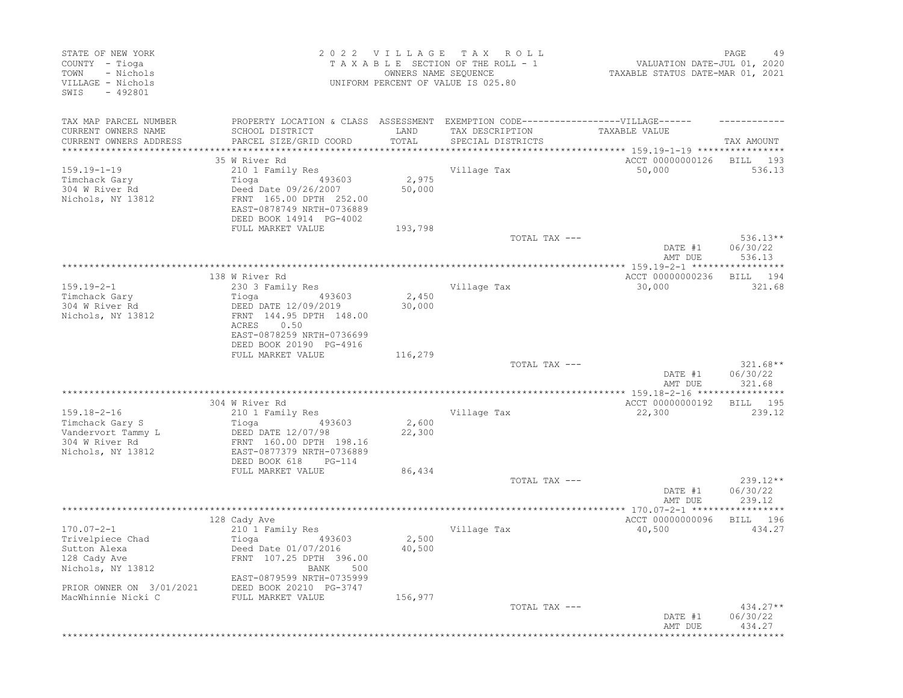| STATE OF NEW YORK<br>COUNTY - Tioga<br>TOWN<br>- Nichols<br>VILLAGE - Nichols<br>$-492801$<br>SWIS |                                                                                   | OWNERS NAME SEQUENCE | 2022 VILLAGE TAX ROLL<br>TAXABLE SECTION OF THE ROLL - 1<br>UNIFORM PERCENT OF VALUE IS 025.80 | VALUATION DATE-JUL 01, 2020<br>TAXABLE STATUS DATE-MAR 01, 2021    | PAGE<br>49                       |
|----------------------------------------------------------------------------------------------------|-----------------------------------------------------------------------------------|----------------------|------------------------------------------------------------------------------------------------|--------------------------------------------------------------------|----------------------------------|
| TAX MAP PARCEL NUMBER                                                                              | PROPERTY LOCATION & CLASS ASSESSMENT EXEMPTION CODE-----------------VILLAGE------ | LAND                 |                                                                                                | TAXABLE VALUE                                                      |                                  |
| CURRENT OWNERS NAME<br>CURRENT OWNERS ADDRESS                                                      | SCHOOL DISTRICT<br>PARCEL SIZE/GRID COORD                                         | TOTAL                | TAX DESCRIPTION<br>SPECIAL DISTRICTS                                                           |                                                                    | TAX AMOUNT                       |
|                                                                                                    | 35 W River Rd                                                                     |                      |                                                                                                | ACCT 00000000126                                                   | BILL<br>193                      |
| $159.19 - 1 - 19$                                                                                  | 210 1 Family Res                                                                  |                      | Village Tax                                                                                    | 50,000                                                             | 536.13                           |
| Timchack Gary<br>304 W River Rd                                                                    | 493603<br>Tioga                                                                   | 2,975<br>50,000      |                                                                                                |                                                                    |                                  |
| Nichols, NY 13812                                                                                  | Deed Date 09/26/2007<br>FRNT 165.00 DPTH 252.00<br>EAST-0878749 NRTH-0736889      |                      |                                                                                                |                                                                    |                                  |
|                                                                                                    | DEED BOOK 14914 PG-4002                                                           |                      |                                                                                                |                                                                    |                                  |
|                                                                                                    | FULL MARKET VALUE                                                                 | 193,798              | TOTAL TAX ---                                                                                  |                                                                    | $536.13**$                       |
|                                                                                                    |                                                                                   |                      |                                                                                                | DATE #1<br>AMT DUE                                                 | 06/30/22<br>536.13               |
|                                                                                                    |                                                                                   |                      |                                                                                                | ************ 159.19-2-1 ******************                         |                                  |
|                                                                                                    | 138 W River Rd                                                                    |                      |                                                                                                | ACCT 00000000236                                                   | BILL 194                         |
| $159.19 - 2 - 1$<br>Timchack Gary                                                                  | 230 3 Family Res<br>Tioga<br>493603                                               | 2,450                | Village Tax                                                                                    | 30,000                                                             | 321.68                           |
| 304 W River Rd                                                                                     | DEED DATE 12/09/2019                                                              | 30,000               |                                                                                                |                                                                    |                                  |
| Nichols, NY 13812                                                                                  | FRNT 144.95 DPTH 148.00<br>ACRES<br>0.50                                          |                      |                                                                                                |                                                                    |                                  |
|                                                                                                    | EAST-0878259 NRTH-0736699<br>DEED BOOK 20190 PG-4916                              |                      |                                                                                                |                                                                    |                                  |
|                                                                                                    | FULL MARKET VALUE                                                                 | 116,279              |                                                                                                |                                                                    |                                  |
|                                                                                                    |                                                                                   |                      | TOTAL TAX ---                                                                                  |                                                                    | $321.68**$                       |
|                                                                                                    |                                                                                   |                      | **********************************                                                             | DATE #1<br>AMT DUE<br>************** 159.18-2-16 ***************** | 06/30/22<br>321.68               |
|                                                                                                    | 304 W River Rd                                                                    |                      |                                                                                                | ACCT 00000000192                                                   | 195<br>BILL                      |
| $159.18 - 2 - 16$                                                                                  | 210 1 Family Res                                                                  |                      | Village Tax                                                                                    | 22,300                                                             | 239.12                           |
| Timchack Gary S                                                                                    | Tioga<br>493603                                                                   | 2,600                |                                                                                                |                                                                    |                                  |
| Vandervort Tammy L                                                                                 | DEED DATE 12/07/98                                                                | 22,300               |                                                                                                |                                                                    |                                  |
| 304 W River Rd<br>Nichols, NY 13812                                                                | FRNT 160.00 DPTH 198.16<br>EAST-0877379 NRTH-0736889                              |                      |                                                                                                |                                                                    |                                  |
|                                                                                                    | DEED BOOK 618<br>PG-114                                                           |                      |                                                                                                |                                                                    |                                  |
|                                                                                                    | FULL MARKET VALUE                                                                 | 86,434               |                                                                                                |                                                                    |                                  |
|                                                                                                    |                                                                                   |                      | TOTAL TAX ---                                                                                  | DATE #1<br>AMT DUE                                                 | $239.12**$<br>06/30/22<br>239.12 |
|                                                                                                    |                                                                                   |                      |                                                                                                | *********** 170.07-2-1 ******                                      |                                  |
|                                                                                                    | 128 Cady Ave                                                                      |                      |                                                                                                | ACCT 00000000096                                                   | BILL 196                         |
| $170.07 - 2 - 1$                                                                                   | 210 1 Family Res                                                                  |                      | Village Tax                                                                                    | 40,500                                                             | 434.27                           |
| Trivelpiece Chad<br>Sutton Alexa                                                                   | 493603<br>Tioga<br>Deed Date 01/07/2016                                           | 2,500<br>40,500      |                                                                                                |                                                                    |                                  |
| 128 Cady Ave                                                                                       | FRNT 107.25 DPTH 396.00                                                           |                      |                                                                                                |                                                                    |                                  |
| Nichols, NY 13812                                                                                  | <b>BANK</b><br>500                                                                |                      |                                                                                                |                                                                    |                                  |
|                                                                                                    | EAST-0879599 NRTH-0735999                                                         |                      |                                                                                                |                                                                    |                                  |
| PRIOR OWNER ON 3/01/2021<br>MacWhinnie Nicki C                                                     | DEED BOOK 20210 PG-3747<br>FULL MARKET VALUE                                      | 156,977              |                                                                                                |                                                                    |                                  |
|                                                                                                    |                                                                                   |                      | TOTAL TAX ---                                                                                  |                                                                    | 434.27**                         |
|                                                                                                    |                                                                                   |                      |                                                                                                | DATE #1<br>AMT DUE                                                 | 06/30/22<br>434.27               |
|                                                                                                    |                                                                                   |                      |                                                                                                |                                                                    |                                  |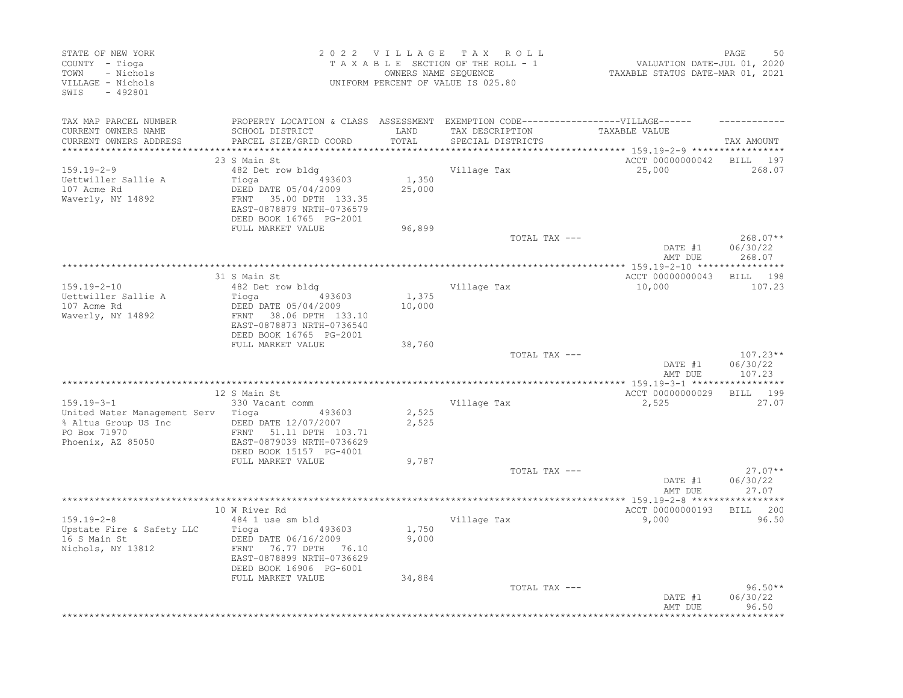| STATE OF NEW YORK<br>COUNTY - Tioga<br>TOWN<br>- Nichols<br>VILLAGE - Nichols<br>SWIS<br>$-492801$ |                                                                                                                                                 |                 | 2022 VILLAGE TAX ROLL<br>TAXABLE SECTION OF THE ROLL - 1<br>OWNERS NAME SEQUENCE<br>UNIFORM PERCENT OF VALUE IS 025.80 | VALUATION DATE-JUL 01, 2020<br>TAXABLE STATUS DATE-MAR 01, 2021 | 50<br>PAGE                       |
|----------------------------------------------------------------------------------------------------|-------------------------------------------------------------------------------------------------------------------------------------------------|-----------------|------------------------------------------------------------------------------------------------------------------------|-----------------------------------------------------------------|----------------------------------|
| TAX MAP PARCEL NUMBER<br>CURRENT OWNERS NAME<br>CURRENT OWNERS ADDRESS<br>***********************  | PROPERTY LOCATION & CLASS ASSESSMENT EXEMPTION CODE-----------------VILLAGE------<br>SCHOOL DISTRICT<br>PARCEL SIZE/GRID COORD                  | LAND<br>TOTAL   | TAX DESCRIPTION<br>SPECIAL DISTRICTS                                                                                   | TAXABLE VALUE                                                   | TAX AMOUNT                       |
|                                                                                                    | 23 S Main St                                                                                                                                    |                 |                                                                                                                        | ACCT 00000000042                                                | BILL 197                         |
| $159.19 - 2 - 9$<br>Uettwiller Sallie A<br>107 Acme Rd<br>Waverly, NY 14892                        | 482 Det row bldg<br>Tioga 493603<br>DEED DATE 05/04/2009<br>FRNT 35.00 DPTH 133.35<br>EAST-0878879 NRTH-0736579<br>DEED BOOK 16765 PG-2001      | 1,350<br>25,000 | Village Tax                                                                                                            | 25,000                                                          | 268.07                           |
|                                                                                                    | FULL MARKET VALUE                                                                                                                               | 96,899          | TOTAL TAX ---                                                                                                          |                                                                 | $268.07**$                       |
|                                                                                                    |                                                                                                                                                 |                 |                                                                                                                        | DATE #1<br>AMT DUE                                              | 06/30/22<br>268.07               |
|                                                                                                    | 31 S Main St                                                                                                                                    |                 |                                                                                                                        | ACCT 00000000043                                                | BILL 198                         |
| $159.19 - 2 - 10$<br>Uettwiller Sallie A<br>107 Acme Rd<br>Waverly, NY 14892                       | 482 Det row bldg<br>Tioga (193603)<br>DEED DATE 05/04/2009<br>FRNT 38.06 DPTH 133.10<br>EAST-0878873 NRTH-0736540<br>DEED BOOK 16765 PG-2001    | 1,375<br>10,000 | Village Tax                                                                                                            | 10,000                                                          | 107.23                           |
|                                                                                                    | FULL MARKET VALUE                                                                                                                               | 38,760          |                                                                                                                        |                                                                 |                                  |
|                                                                                                    |                                                                                                                                                 |                 | TOTAL TAX ---                                                                                                          | DATE #1<br>AMT DUE                                              | $107.23**$<br>06/30/22<br>107.23 |
|                                                                                                    |                                                                                                                                                 |                 |                                                                                                                        |                                                                 |                                  |
| $159.19 - 3 - 1$                                                                                   | 12 S Main St<br>330 Vacant comm                                                                                                                 |                 | Village Tax                                                                                                            | ACCT 00000000029<br>2,525                                       | BILL 199<br>27.07                |
| United Water Management Serv Tioga<br>% Altus Group US Inc<br>PO Box 71970<br>Phoenix, AZ 85050    | 493603<br>DEED DATE 12/07/2007<br>FRNT 51.11 DPTH 103.71<br>EAST-0879039 NRTH-0736629                                                           | 2,525<br>2,525  |                                                                                                                        |                                                                 |                                  |
|                                                                                                    | DEED BOOK 15157 PG-4001<br>FULL MARKET VALUE                                                                                                    | 9,787           |                                                                                                                        |                                                                 |                                  |
|                                                                                                    |                                                                                                                                                 |                 | TOTAL TAX ---                                                                                                          | DATE #1<br>AMT DUE                                              | $27.07**$<br>06/30/22<br>27.07   |
|                                                                                                    | 10 W River Rd                                                                                                                                   |                 |                                                                                                                        | ACCT 00000000193                                                | BILL 200                         |
| $159.19 - 2 - 8$<br>Upstate Fire & Safety LLC<br>16 S Main St<br>Nichols, NY 13812                 | 484 1 use sm bld<br>493603<br>Tioga<br>DEED DATE 06/16/2009<br>76.77 DPTH 76.10<br>FRNT<br>EAST-0878899 NRTH-0736629<br>DEED BOOK 16906 PG-6001 | 1,750<br>9,000  | Village Tax                                                                                                            | 9,000                                                           | 96.50                            |
|                                                                                                    | FULL MARKET VALUE                                                                                                                               | 34,884          | TOTAL TAX ---                                                                                                          | DATE #1<br>AMT DUE                                              | $96.50**$<br>06/30/22<br>96.50   |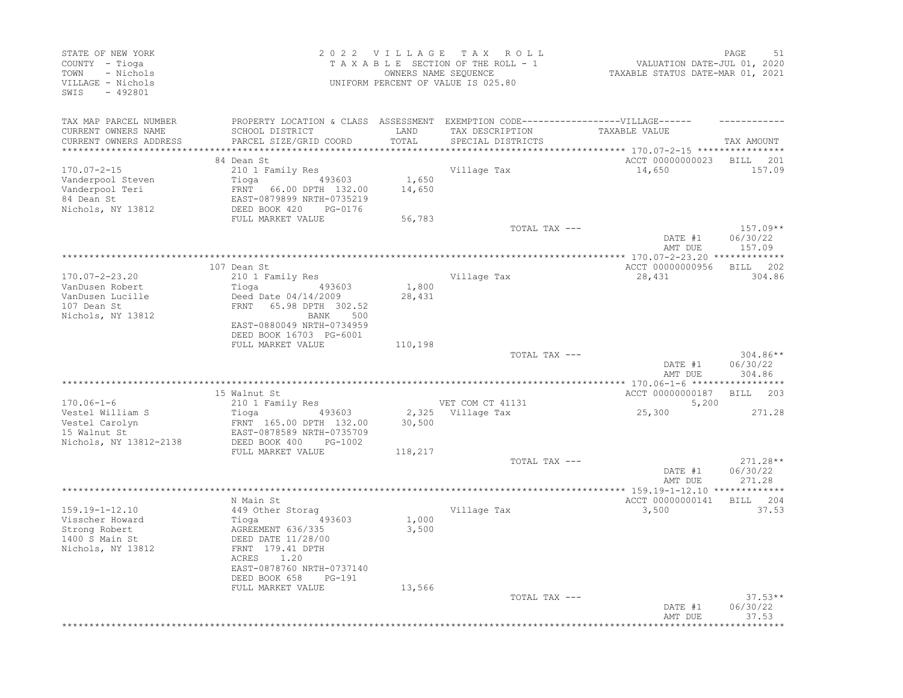| STATE OF NEW YORK<br>COUNTY - Tioga<br>TOWN<br>- Nichols<br>VILLAGE - Nichols<br>SWIS - 492801 |                                                                                                                                |                 | 2022 VILLAGE TAX ROLL<br>TAXABLE SECTION OF THE ROLL - 1<br>OWNERS NAME SEQUENCE<br>UNIFORM PERCENT OF VALUE IS 025.80 | VALUATION DATE-JUL 01, 2020<br>TAXABLE STATUS DATE-MAR 01, 2021 | 51<br>PAGE                       |
|------------------------------------------------------------------------------------------------|--------------------------------------------------------------------------------------------------------------------------------|-----------------|------------------------------------------------------------------------------------------------------------------------|-----------------------------------------------------------------|----------------------------------|
| TAX MAP PARCEL NUMBER<br>CURRENT OWNERS NAME<br>CURRENT OWNERS ADDRESS                         | PROPERTY LOCATION & CLASS ASSESSMENT EXEMPTION CODE-----------------VILLAGE------<br>SCHOOL DISTRICT<br>PARCEL SIZE/GRID COORD | LAND<br>TOTAL   | TAX DESCRIPTION<br>SPECIAL DISTRICTS                                                                                   | TAXABLE VALUE                                                   | TAX AMOUNT                       |
|                                                                                                |                                                                                                                                |                 |                                                                                                                        | ********************** 170.07-2-15 ****************             |                                  |
| $170.07 - 2 - 15$<br>Vanderpool Steven<br>Vanderpool Teri<br>84 Dean St                        | 84 Dean St<br>210 1 Family Res<br>Tioga (193603)<br>FRNT 66.00 DPTH 132.00<br>EAST-0879899 NRTH-0735219                        | 1,650<br>14,650 | Village Tax                                                                                                            | ACCT 00000000023 BILL 201<br>14,650                             | 157.09                           |
| Nichols, NY 13812                                                                              | DEED BOOK 420 PG-0176<br>FULL MARKET VALUE                                                                                     | 56,783          |                                                                                                                        |                                                                 |                                  |
|                                                                                                |                                                                                                                                |                 | TOTAL TAX ---                                                                                                          | DATE #1<br>AMT DUE                                              | $157.09**$<br>06/30/22<br>157.09 |
|                                                                                                |                                                                                                                                |                 |                                                                                                                        |                                                                 |                                  |
| 170.07-2-23.20<br>VanDusen Robert                                                              | 107 Dean St<br>210 1 Family Res                                                                                                | 1,800           | Village Tax                                                                                                            | ACCT 00000000956<br>28,431                                      | BILL 202<br>304.86               |
| VanDusen Lucille<br>107 Dean St<br>Nichols, NY 13812                                           | Deed Date 04/14/2009<br>FRNT 65.98 DPTH 302.52<br>BANK 500<br>EAST-0880049 NRTH-0734959<br>DEED BOOK 16703 PG-6001             | 28,431          |                                                                                                                        |                                                                 |                                  |
|                                                                                                | FULL MARKET VALUE                                                                                                              | 110,198         |                                                                                                                        |                                                                 |                                  |
|                                                                                                |                                                                                                                                |                 | TOTAL TAX ---                                                                                                          | DATE #1<br>AMT DUE                                              | $304.86**$<br>06/30/22<br>304.86 |
|                                                                                                |                                                                                                                                |                 |                                                                                                                        |                                                                 |                                  |
|                                                                                                | 15 Walnut St                                                                                                                   |                 |                                                                                                                        | ACCT 00000000187                                                | BILL 203                         |
| $170.06 - 1 - 6$                                                                               | 210 1 Family Res                                                                                                               |                 | VET COM CT 41131                                                                                                       | 5,200<br>25,300                                                 |                                  |
| Vestel William S<br>Vestel Carolyn<br>15 Walnut St <sup>1</sup><br>Nichols, NY 13812-2138      | Tioga 493603<br>FRNT 165.00 DPTH 132.00<br>EAST-0878589 NRTH-0735709<br>DEED BOOK 400<br>PG-1002                               | 30,500          | 2,325 Village Tax                                                                                                      |                                                                 | 271.28                           |
|                                                                                                | FULL MARKET VALUE                                                                                                              | 118,217         |                                                                                                                        |                                                                 |                                  |
|                                                                                                |                                                                                                                                |                 | TOTAL TAX ---                                                                                                          | DATE #1<br>AMT DUE                                              | $271.28**$<br>06/30/22<br>271.28 |
|                                                                                                |                                                                                                                                |                 |                                                                                                                        |                                                                 |                                  |
| $159.19 - 1 - 12.10$                                                                           | N Main St<br>449 Other Storaq                                                                                                  |                 | Village Tax                                                                                                            | ACCT 00000000141 BILL 204<br>3,500                              | 37.53                            |
| Visscher Howard<br>Strong Robert<br>1400 S Main St<br>Nichols, NY 13812                        | Tioga 49<br>AGREEMENT 636/335<br>493603<br>DEED DATE 11/28/00<br>FRNT 179.41 DPTH<br>ACRES 1.20<br>EAST-0878760 NRTH-0737140   | 1,000<br>3,500  |                                                                                                                        |                                                                 |                                  |
|                                                                                                | DEED BOOK 658<br>PG-191                                                                                                        |                 |                                                                                                                        |                                                                 |                                  |
|                                                                                                | FULL MARKET VALUE                                                                                                              | 13,566          | TOTAL TAX ---                                                                                                          | DATE #1                                                         | $37.53**$<br>06/30/22            |
|                                                                                                |                                                                                                                                |                 |                                                                                                                        | AMT DUE                                                         | 37.53                            |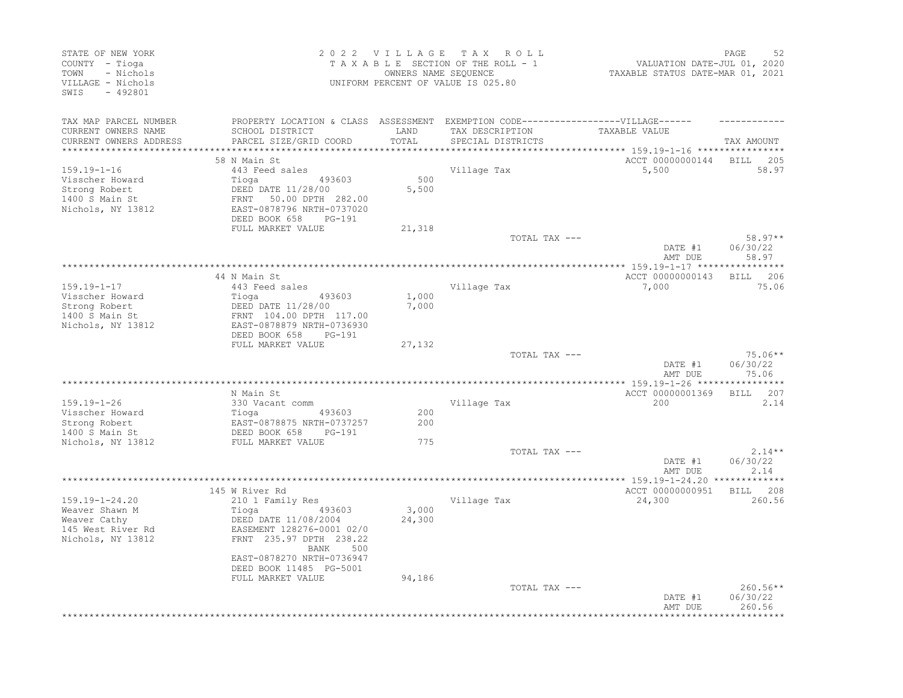| STATE OF NEW YORK<br>COUNTY - Tioga<br>- Nichols<br>TOWN<br>VILLAGE - Nichols<br>SWIS<br>$-492801$ |                                                                                                                                                              | 2022 VILLAGE TAX | ROLL<br>TAXABLE SECTION OF THE ROLL - 1<br>OWNERS NAME SEQUENCE<br>UNIFORM PERCENT OF VALUE IS 025.80 | VALUATION DATE-JUL 01, 2020<br>TAXABLE STATUS DATE-MAR 01, 2021 | PAGE<br>52                     |
|----------------------------------------------------------------------------------------------------|--------------------------------------------------------------------------------------------------------------------------------------------------------------|------------------|-------------------------------------------------------------------------------------------------------|-----------------------------------------------------------------|--------------------------------|
| TAX MAP PARCEL NUMBER<br>CURRENT OWNERS NAME<br>CURRENT OWNERS ADDRESS                             | PROPERTY LOCATION & CLASS ASSESSMENT EXEMPTION CODE-----------------VILLAGE------<br>SCHOOL DISTRICT<br>PARCEL SIZE/GRID COORD                               | LAND<br>TOTAL    | TAX DESCRIPTION<br>SPECIAL DISTRICTS                                                                  | TAXABLE VALUE                                                   | TAX AMOUNT                     |
| **********************                                                                             |                                                                                                                                                              |                  |                                                                                                       | ********************************* 159.19-1-16 ****************  |                                |
| $159.19 - 1 - 16$<br>Visscher Howard<br>Strong Robert<br>1400 S Main St<br>Nichols, NY 13812       | 58 N Main St<br>443 Feed sales<br>Tioga<br>493603<br>DEED DATE 11/28/00<br>50.00 DPTH 282.00<br>FRNT<br>EAST-0878796 NRTH-0737020<br>DEED BOOK 658<br>PG-191 | 500<br>5,500     | Village Tax                                                                                           | ACCT 00000000144<br>5,500                                       | <b>BILL</b><br>205<br>58.97    |
|                                                                                                    | FULL MARKET VALUE                                                                                                                                            | 21,318           |                                                                                                       |                                                                 |                                |
|                                                                                                    |                                                                                                                                                              |                  | TOTAL TAX ---                                                                                         | DATE #1<br>AMT DUE                                              | $58.97**$<br>06/30/22<br>58.97 |
|                                                                                                    |                                                                                                                                                              |                  | ********************                                                                                  | *** 159.19-1-17 ****                                            |                                |
| $159.19 - 1 - 17$<br>Visscher Howard<br>Strong Robert<br>1400 S Main St<br>Nichols, NY 13812       | 44 N Main St<br>443 Feed sales<br>493603<br>Tioga<br>DEED DATE 11/28/00<br>FRNT 104.00 DPTH 117.00<br>EAST-0878879 NRTH-0736930<br>DEED BOOK 658<br>PG-191   | 1,000<br>7,000   | Village Tax                                                                                           | ACCT 00000000143<br>7,000                                       | 206<br><b>BILL</b><br>75.06    |
|                                                                                                    | FULL MARKET VALUE                                                                                                                                            | 27,132           |                                                                                                       |                                                                 |                                |
|                                                                                                    |                                                                                                                                                              |                  | TOTAL TAX ---                                                                                         | DATE #1<br>AMT DUE                                              | $75.06**$<br>06/30/22<br>75.06 |
|                                                                                                    |                                                                                                                                                              |                  |                                                                                                       |                                                                 |                                |
|                                                                                                    | N Main St                                                                                                                                                    |                  |                                                                                                       | ACCT 00000001369                                                | 207<br>BILL                    |
| $159.19 - 1 - 26$                                                                                  | 330 Vacant comm                                                                                                                                              |                  | Village Tax                                                                                           | 200                                                             | 2.14                           |
| Visscher Howard<br>Strong Robert<br>1400 S Main St                                                 | Tioga<br>493603<br>EAST-0878875 NRTH-0737257<br>DEED BOOK 658<br>PG-191                                                                                      | 200<br>200       |                                                                                                       |                                                                 |                                |
| Nichols, NY 13812                                                                                  | FULL MARKET VALUE                                                                                                                                            | 775              |                                                                                                       |                                                                 |                                |
|                                                                                                    |                                                                                                                                                              |                  | TOTAL TAX ---                                                                                         | DATE #1<br>AMT DUE                                              | $2.14**$<br>06/30/22<br>2.14   |
|                                                                                                    |                                                                                                                                                              |                  | *****************************                                                                         | *************** 159.19-1-24.20 **************                   |                                |
| $159.19 - 1 - 24.20$<br>Weaver Shawn M<br>Weaver Cathy<br>145 West River Rd<br>Nichols, NY 13812   | 145 W River Rd<br>210 1 Family Res<br>Tioga<br>493603<br>DEED DATE 11/08/2004<br>EASEMENT 128276-0001 02/0<br>FRNT 235.97 DPTH 238.22<br>BANK<br>500         | 3,000<br>24,300  | Village Tax                                                                                           | ACCT 00000000951<br>24,300                                      | BILL 208<br>260.56             |
|                                                                                                    | EAST-0878270 NRTH-0736947<br>DEED BOOK 11485 PG-5001<br>FULL MARKET VALUE                                                                                    | 94,186           | TOTAL TAX ---                                                                                         | DATE #1                                                         | $260.56**$<br>06/30/22         |
|                                                                                                    |                                                                                                                                                              |                  |                                                                                                       | AMT DUE                                                         | 260.56                         |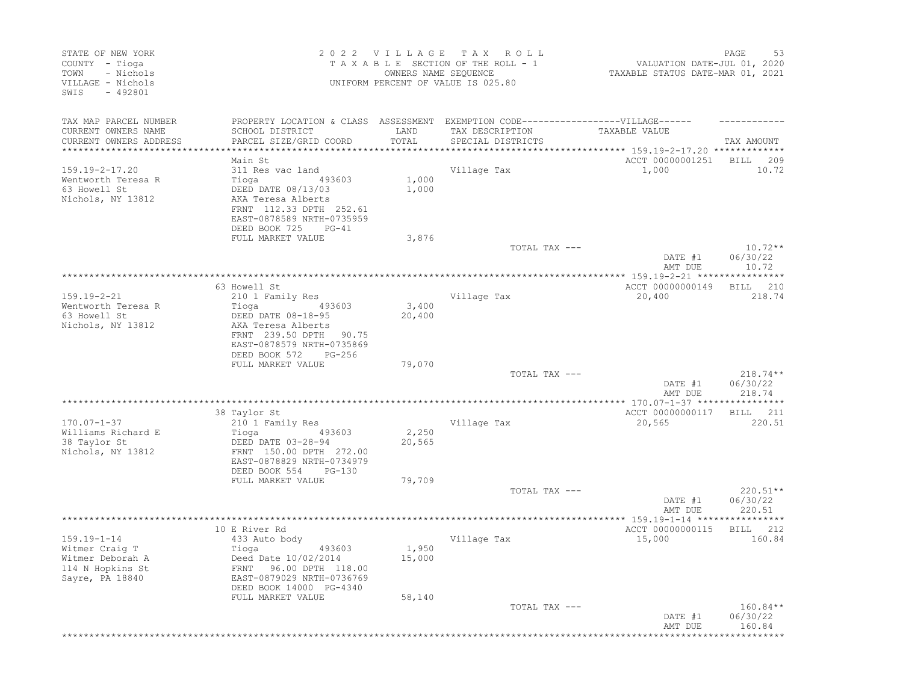| STATE OF NEW YORK<br>COUNTY - Tioga<br>- Nichols<br>TOWN<br>VILLAGE - Nichols<br>$-492801$<br>SWIS |                                                                                   | 2022 VILLAGE TAX | ROLL<br>TAXABLE SECTION OF THE ROLL - 1<br>OWNERS NAME SEQUENCE<br>UNIFORM PERCENT OF VALUE IS 025.80 | VALUATION DATE-JUL 01, 2020<br>TAXABLE STATUS DATE-MAR 01, 2021 | PAGE<br>53            |
|----------------------------------------------------------------------------------------------------|-----------------------------------------------------------------------------------|------------------|-------------------------------------------------------------------------------------------------------|-----------------------------------------------------------------|-----------------------|
| TAX MAP PARCEL NUMBER                                                                              | PROPERTY LOCATION & CLASS ASSESSMENT EXEMPTION CODE-----------------VILLAGE------ |                  |                                                                                                       |                                                                 |                       |
| CURRENT OWNERS NAME                                                                                | SCHOOL DISTRICT                                                                   | LAND             | TAX DESCRIPTION                                                                                       | TAXABLE VALUE                                                   |                       |
| CURRENT OWNERS ADDRESS                                                                             | PARCEL SIZE/GRID COORD                                                            | TOTAL            | SPECIAL DISTRICTS                                                                                     |                                                                 | TAX AMOUNT            |
|                                                                                                    | Main St                                                                           |                  |                                                                                                       | ACCT 00000001251                                                | BILL<br>209           |
| $159.19 - 2 - 17.20$                                                                               | 311 Res vac land                                                                  |                  | Village Tax                                                                                           | 1,000                                                           | 10.72                 |
| Wentworth Teresa R                                                                                 | Tioga<br>493603                                                                   | 1,000            |                                                                                                       |                                                                 |                       |
| 63 Howell St                                                                                       | DEED DATE 08/13/03                                                                | 1,000            |                                                                                                       |                                                                 |                       |
| Nichols, NY 13812                                                                                  | AKA Teresa Alberts                                                                |                  |                                                                                                       |                                                                 |                       |
|                                                                                                    | FRNT 112.33 DPTH 252.61                                                           |                  |                                                                                                       |                                                                 |                       |
|                                                                                                    | EAST-0878589 NRTH-0735959<br>DEED BOOK 725<br>$PG-41$                             |                  |                                                                                                       |                                                                 |                       |
|                                                                                                    | FULL MARKET VALUE                                                                 | 3,876            |                                                                                                       |                                                                 |                       |
|                                                                                                    |                                                                                   |                  | TOTAL TAX ---                                                                                         |                                                                 | $10.72**$             |
|                                                                                                    |                                                                                   |                  |                                                                                                       | DATE #1                                                         | 06/30/22              |
|                                                                                                    |                                                                                   |                  |                                                                                                       | AMT DUE                                                         | 10.72                 |
|                                                                                                    |                                                                                   |                  |                                                                                                       |                                                                 |                       |
| $159.19 - 2 - 21$                                                                                  | 63 Howell St                                                                      |                  |                                                                                                       | ACCT 00000000149<br>20,400                                      | 210<br>BILL<br>218.74 |
| Wentworth Teresa R                                                                                 | 210 1 Family Res<br>493603<br>Tioga                                               | 3,400            | Village Tax                                                                                           |                                                                 |                       |
| 63 Howell St                                                                                       | DEED DATE 08-18-95                                                                | 20,400           |                                                                                                       |                                                                 |                       |
| Nichols, NY 13812                                                                                  | AKA Teresa Alberts                                                                |                  |                                                                                                       |                                                                 |                       |
|                                                                                                    | FRNT 239.50 DPTH 90.75                                                            |                  |                                                                                                       |                                                                 |                       |
|                                                                                                    | EAST-0878579 NRTH-0735869                                                         |                  |                                                                                                       |                                                                 |                       |
|                                                                                                    | DEED BOOK 572<br>$PG-256$                                                         |                  |                                                                                                       |                                                                 |                       |
|                                                                                                    | FULL MARKET VALUE                                                                 | 79,070           | TOTAL TAX ---                                                                                         |                                                                 | $218.74**$            |
|                                                                                                    |                                                                                   |                  |                                                                                                       | DATE #1                                                         | 06/30/22              |
|                                                                                                    |                                                                                   |                  |                                                                                                       | AMT DUE                                                         | 218.74                |
|                                                                                                    |                                                                                   |                  |                                                                                                       |                                                                 |                       |
|                                                                                                    | 38 Taylor St                                                                      |                  |                                                                                                       | ACCT 00000000117                                                | BILL<br>211           |
| $170.07 - 1 - 37$                                                                                  | 210 1 Family Res                                                                  |                  | Village Tax                                                                                           | 20,565                                                          | 220.51                |
| Williams Richard E                                                                                 | 493603<br>Tioga                                                                   | 2,250            |                                                                                                       |                                                                 |                       |
| 38 Taylor St<br>Nichols, NY 13812                                                                  | DEED DATE 03-28-94<br>FRNT 150.00 DPTH 272.00                                     | 20,565           |                                                                                                       |                                                                 |                       |
|                                                                                                    | EAST-0878829 NRTH-0734979                                                         |                  |                                                                                                       |                                                                 |                       |
|                                                                                                    | DEED BOOK 554<br>$PG-130$                                                         |                  |                                                                                                       |                                                                 |                       |
|                                                                                                    | FULL MARKET VALUE                                                                 | 79,709           |                                                                                                       |                                                                 |                       |
|                                                                                                    |                                                                                   |                  | TOTAL TAX ---                                                                                         |                                                                 | $220.51**$            |
|                                                                                                    |                                                                                   |                  |                                                                                                       | DATE #1                                                         | 06/30/22              |
|                                                                                                    |                                                                                   |                  |                                                                                                       | AMT DUE                                                         | 220.51                |
|                                                                                                    | 10 E River Rd                                                                     |                  |                                                                                                       | ACCT 00000000115                                                | BILL<br>212           |
| $159.19 - 1 - 14$                                                                                  | 433 Auto body                                                                     |                  | Village Tax                                                                                           | 15,000                                                          | 160.84                |
| Witmer Craig T                                                                                     | Tioga<br>493603                                                                   | 1,950            |                                                                                                       |                                                                 |                       |
| Witmer Deborah A                                                                                   | Deed Date 10/02/2014                                                              | 15,000           |                                                                                                       |                                                                 |                       |
| 114 N Hopkins St                                                                                   | FRNT 96.00 DPTH 118.00                                                            |                  |                                                                                                       |                                                                 |                       |
| Sayre, PA 18840                                                                                    | EAST-0879029 NRTH-0736769                                                         |                  |                                                                                                       |                                                                 |                       |
|                                                                                                    | DEED BOOK 14000 PG-4340<br>FULL MARKET VALUE                                      | 58,140           |                                                                                                       |                                                                 |                       |
|                                                                                                    |                                                                                   |                  | TOTAL TAX ---                                                                                         |                                                                 | $160.84**$            |
|                                                                                                    |                                                                                   |                  |                                                                                                       | DATE #1                                                         | 06/30/22              |
|                                                                                                    |                                                                                   |                  |                                                                                                       | AMT DUE                                                         | 160.84                |
|                                                                                                    |                                                                                   |                  |                                                                                                       |                                                                 |                       |
|                                                                                                    |                                                                                   |                  |                                                                                                       |                                                                 |                       |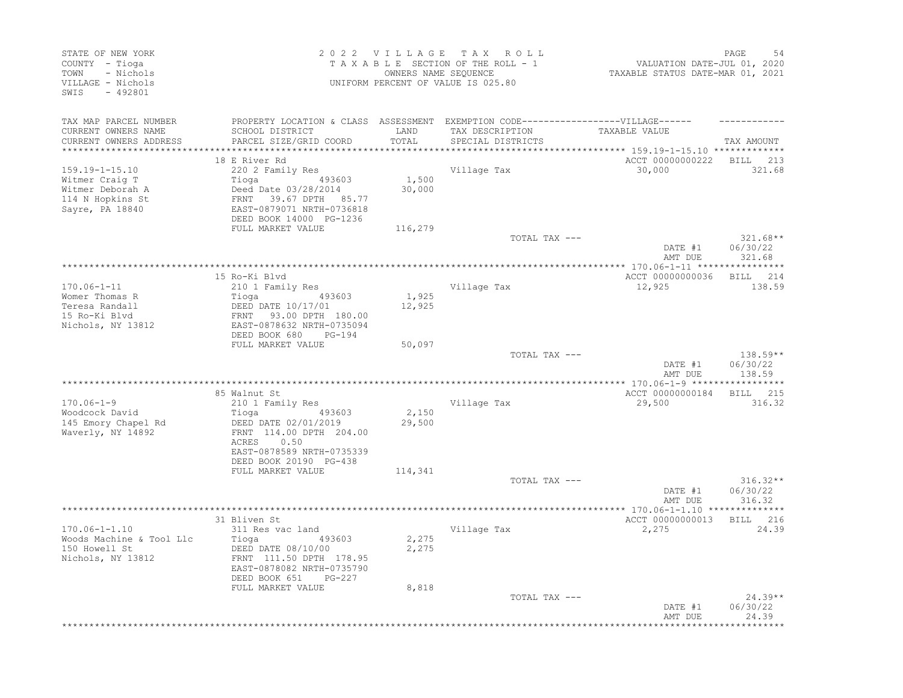| STATE OF NEW YORK<br>COUNTY - Tioga<br>- Nichols<br>TOWN<br>VILLAGE - Nichols<br>SWIS<br>$-492801$ |                                                                                                                                                 |                 | 2022 VILLAGE TAX ROLL<br>TAXABLE SECTION OF THE ROLL - 1<br>OWNERS NAME SEQUENCE<br>UNIFORM PERCENT OF VALUE IS 025.80 | VALUATION DATE-JUL 01, 2020<br>TAXABLE STATUS DATE-MAR 01, 2021      | PAGE<br>-54                      |
|----------------------------------------------------------------------------------------------------|-------------------------------------------------------------------------------------------------------------------------------------------------|-----------------|------------------------------------------------------------------------------------------------------------------------|----------------------------------------------------------------------|----------------------------------|
| TAX MAP PARCEL NUMBER<br>CURRENT OWNERS NAME<br>CURRENT OWNERS ADDRESS                             | PROPERTY LOCATION & CLASS ASSESSMENT EXEMPTION CODE-----------------VILLAGE------<br>SCHOOL DISTRICT<br>PARCEL SIZE/GRID COORD                  | LAND<br>TOTAL   | TAX DESCRIPTION<br>SPECIAL DISTRICTS                                                                                   | TAXABLE VALUE                                                        | TAX AMOUNT                       |
|                                                                                                    | 18 E River Rd                                                                                                                                   |                 |                                                                                                                        | ********** 159.19-1-15.10 *************<br>ACCT 00000000222 BILL 213 |                                  |
| $159.19 - 1 - 15.10$<br>Witmer Craig T<br>Witmer Deborah A<br>114 N Hopkins St<br>Sayre, PA 18840  | 220 2 Family Res<br>493603<br>Tioga<br>Deed Date 03/28/2014<br>39.67 DPTH 85.77<br>FRNT<br>EAST-0879071 NRTH-0736818<br>DEED BOOK 14000 PG-1236 | 1,500<br>30,000 | Village Tax                                                                                                            | 30,000                                                               | 321.68                           |
|                                                                                                    | FULL MARKET VALUE                                                                                                                               | 116,279         |                                                                                                                        |                                                                      |                                  |
|                                                                                                    |                                                                                                                                                 |                 | TOTAL TAX ---                                                                                                          | DATE #1<br>AMT DUE                                                   | $321.68**$<br>06/30/22<br>321.68 |
|                                                                                                    |                                                                                                                                                 |                 |                                                                                                                        |                                                                      |                                  |
| $170.06 - 1 - 11$                                                                                  | 15 Ro-Ki Blvd<br>210 1 Family Res                                                                                                               |                 | Village Tax                                                                                                            | ACCT 00000000036<br>12,925                                           | BILL 214<br>138.59               |
| Womer Thomas R                                                                                     | Tioga<br>493603                                                                                                                                 | 1,925           |                                                                                                                        |                                                                      |                                  |
| Teresa Randall<br>15 Ro-Ki Blvd<br>Nichols, NY 13812                                               | DEED DATE 10/17/01<br>FRNT 93.00 DPTH 180.00<br>EAST-0878632 NRTH-0735094<br>DEED BOOK 680<br>PG-194                                            | 12,925          |                                                                                                                        |                                                                      |                                  |
|                                                                                                    | FULL MARKET VALUE                                                                                                                               | 50,097          |                                                                                                                        |                                                                      |                                  |
|                                                                                                    |                                                                                                                                                 |                 | TOTAL TAX ---                                                                                                          | DATE #1<br>AMT DUE                                                   | 138.59**<br>06/30/22<br>138.59   |
|                                                                                                    |                                                                                                                                                 |                 |                                                                                                                        |                                                                      |                                  |
| $170.06 - 1 - 9$                                                                                   | 85 Walnut St<br>210 1 Family Res                                                                                                                |                 | Village Tax                                                                                                            | ACCT 00000000184<br>29,500                                           | <b>BILL</b><br>215<br>316.32     |
| Woodcock David<br>145 Emory Chapel Rd<br>Waverly, NY 14892                                         | 493603<br>Tioga<br>DEED DATE 02/01/2019<br>FRNT 114.00 DPTH 204.00<br>0.50<br>ACRES                                                             | 2,150<br>29,500 |                                                                                                                        |                                                                      |                                  |
|                                                                                                    | EAST-0878589 NRTH-0735339<br>DEED BOOK 20190 PG-438                                                                                             |                 |                                                                                                                        |                                                                      |                                  |
|                                                                                                    | FULL MARKET VALUE                                                                                                                               | 114,341         |                                                                                                                        |                                                                      |                                  |
|                                                                                                    |                                                                                                                                                 |                 | TOTAL TAX ---                                                                                                          | DATE #1<br>AMT DUE                                                   | $316.32**$<br>06/30/22<br>316.32 |
|                                                                                                    |                                                                                                                                                 |                 |                                                                                                                        |                                                                      |                                  |
| $170.06 - 1 - 1.10$                                                                                | 31 Bliven St                                                                                                                                    |                 |                                                                                                                        | ACCT 00000000013                                                     | BILL 216<br>24.39                |
| Woods Machine & Tool Llc<br>150 Howell St<br>Nichols, NY 13812                                     | 311 Res vac land<br>Tioga<br>493603<br>DEED DATE 08/10/00<br>FRNT 111.50 DPTH 178.95<br>EAST-0878082 NRTH-0735790<br>DEED BOOK 651<br>$PG-227$  | 2,275<br>2,275  | Village Tax                                                                                                            | 2,275                                                                |                                  |
|                                                                                                    | FULL MARKET VALUE                                                                                                                               | 8,818           | TOTAL TAX ---                                                                                                          | DATE #1<br>AMT DUE                                                   | $24.39**$<br>06/30/22<br>24.39   |
|                                                                                                    |                                                                                                                                                 |                 |                                                                                                                        |                                                                      | ***********                      |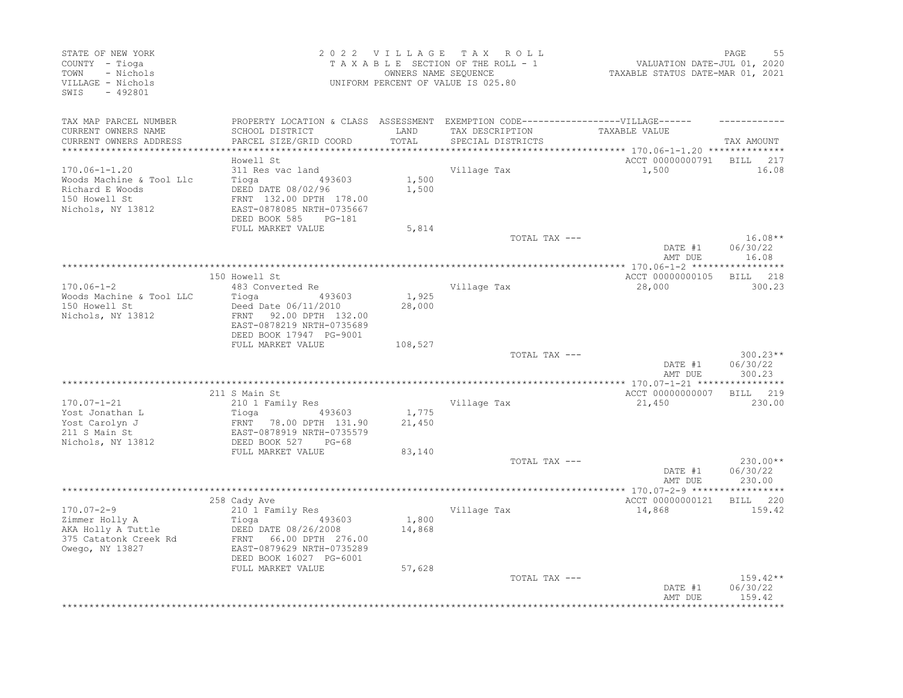| STATE OF NEW YORK<br>COUNTY - Tioga<br>- Nichols<br>TOWN<br>VILLAGE - Nichols<br>$-492801$<br>SWIS       |                                                                                                                                                                                       | 2022 VILLAGE<br>OWNERS NAME SEQUENCE | T A X<br>ROLL<br>TAXABLE SECTION OF THE ROLL - 1<br>UNIFORM PERCENT OF VALUE IS 025.80 | VALUATION DATE-JUL 01, 2020<br>TAXABLE STATUS DATE-MAR 01, 2021 | PAGE<br>55                       |
|----------------------------------------------------------------------------------------------------------|---------------------------------------------------------------------------------------------------------------------------------------------------------------------------------------|--------------------------------------|----------------------------------------------------------------------------------------|-----------------------------------------------------------------|----------------------------------|
| TAX MAP PARCEL NUMBER<br>CURRENT OWNERS NAME<br>CURRENT OWNERS ADDRESS                                   | PROPERTY LOCATION & CLASS ASSESSMENT EXEMPTION CODE-----------------VILLAGE------<br>SCHOOL DISTRICT<br>PARCEL SIZE/GRID COORD                                                        | LAND<br>TOTAL                        | TAX DESCRIPTION<br>SPECIAL DISTRICTS                                                   | TAXABLE VALUE                                                   | TAX AMOUNT                       |
| **************************                                                                               |                                                                                                                                                                                       |                                      |                                                                                        |                                                                 |                                  |
| $170.06 - 1 - 1.20$<br>Woods Machine & Tool Llc<br>Richard E Woods<br>150 Howell St<br>Nichols, NY 13812 | Howell St<br>311 Res vac land<br>Tioga<br>493603<br>DEED DATE 08/02/96<br>FRNT 132.00 DPTH 178.00<br>EAST-0878085 NRTH-0735667<br>DEED BOOK 585<br>PG-181                             | 1,500<br>1,500                       | Village Tax                                                                            | ACCT 00000000791<br>1,500                                       | 217<br>BILL<br>16.08             |
|                                                                                                          | FULL MARKET VALUE                                                                                                                                                                     | 5,814                                |                                                                                        |                                                                 |                                  |
|                                                                                                          |                                                                                                                                                                                       |                                      | TOTAL TAX ---                                                                          | DATE #1<br>AMT DUE                                              | $16.08**$<br>06/30/22<br>16.08   |
|                                                                                                          |                                                                                                                                                                                       |                                      |                                                                                        |                                                                 |                                  |
| $170.06 - 1 - 2$<br>Woods Machine & Tool LLC<br>150 Howell St<br>Nichols, NY 13812                       | 150 Howell St<br>483 Converted Re<br>Tioga<br>493603<br>Deed Date 06/11/2010<br><b>FRNT</b><br>92.00 DPTH 132.00<br>EAST-0878219 NRTH-0735689<br>DEED BOOK 17947 PG-9001              | 1,925<br>28,000                      | Village Tax                                                                            | ACCT 00000000105<br>28,000                                      | BILL<br>218<br>300.23            |
|                                                                                                          | FULL MARKET VALUE                                                                                                                                                                     | 108,527                              | TOTAL TAX ---                                                                          | DATE #1<br>AMT DUE                                              | $300.23**$<br>06/30/22<br>300.23 |
|                                                                                                          |                                                                                                                                                                                       |                                      |                                                                                        |                                                                 |                                  |
| $170.07 - 1 - 21$<br>Yost Jonathan L<br>Yost Carolyn J<br>211 S Main St<br>Nichols, NY 13812             | 211 S Main St<br>210 1 Family Res<br>493603<br>Tioga<br>FRNT<br>78.00 DPTH 131.90<br>EAST-0878919 NRTH-0735579<br>DEED BOOK 527<br>$PG-68$                                            | 1,775<br>21,450                      | Village Tax                                                                            | ACCT 00000000007<br>21,450                                      | 219<br>BILL<br>230.00            |
|                                                                                                          | FULL MARKET VALUE                                                                                                                                                                     | 83,140                               | TOTAL TAX ---                                                                          | DATE #1<br>AMT DUE                                              | 230.00**<br>06/30/22<br>230.00   |
|                                                                                                          |                                                                                                                                                                                       |                                      |                                                                                        | *** 170.07-2-9 ****                                             | ********                         |
| $170.07 - 2 - 9$<br>Zimmer Holly A<br>AKA Holly A Tuttle<br>375 Catatonk Creek Rd<br>Owego, NY 13827     | 258 Cady Ave<br>210 1 Family Res<br>Tioga<br>493603<br>DEED DATE 08/26/2008<br>66.00 DPTH 276.00<br>FRNT<br>EAST-0879629 NRTH-0735289<br>DEED BOOK 16027 PG-6001<br>FULL MARKET VALUE | 1,800<br>14,868<br>57,628            | Village Tax                                                                            | ACCT 00000000121<br>14,868                                      | BILL 220<br>159.42               |
|                                                                                                          |                                                                                                                                                                                       |                                      | TOTAL TAX ---                                                                          | DATE #1<br>AMT DUE                                              | $159.42**$<br>06/30/22<br>159.42 |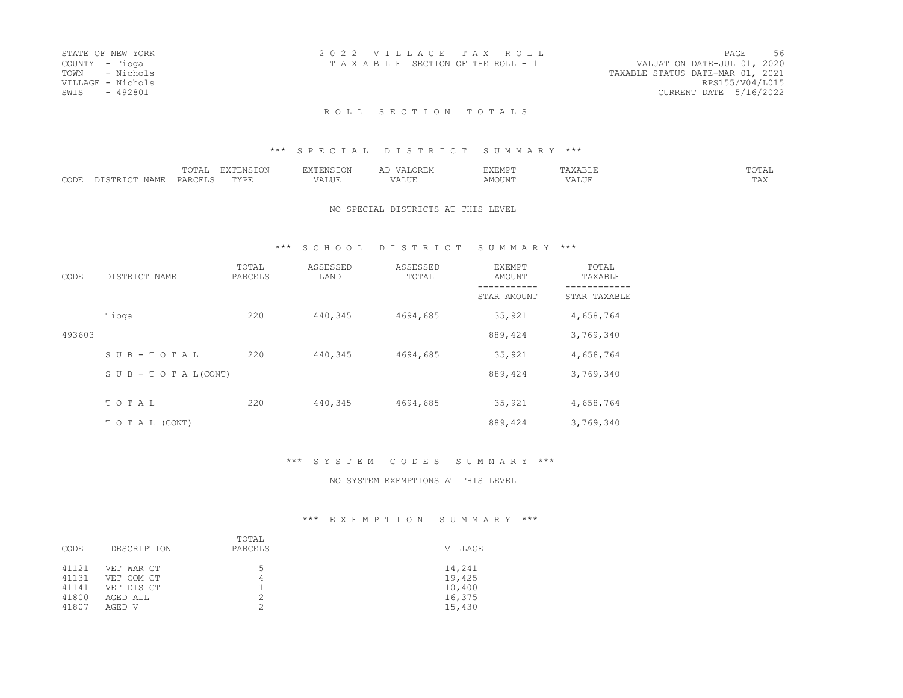| STATE OF NEW YORK | 2022 VILLAGE TAX ROLL                                          | PAGE                   | 56 |
|-------------------|----------------------------------------------------------------|------------------------|----|
| COUNTY - Tioga    | VALUATION DATE-JUL 01, 2020<br>TAXABLE SECTION OF THE ROLL - 1 |                        |    |
| TOWN - Nichols    | TAXABLE STATUS DATE-MAR 01, 2021                               |                        |    |
| VILLAGE - Nichols |                                                                | RPS155/V04/L015        |    |
| SWIS - 492801     |                                                                | CURRENT DATE 5/16/2022 |    |
|                   |                                                                |                        |    |

#### \*\*\* S P E C I A L D I S T R I C T S U M M A R Y \*\*\*

|             |       | $ -$<br>.<br>1 V 1 1 1 1 |         |           | 7FMP'<br>. |     | $m \wedge m \wedge n$<br>ாட<br><b>UILLI</b> |
|-------------|-------|--------------------------|---------|-----------|------------|-----|---------------------------------------------|
| 20T<br>◡◡◡ェ | ≀A MT | レハレ                      | - - - - | $- - - -$ |            | سدد | $\pi \pi \pi$<br>---                        |

#### NO SPECIAL DISTRICTS AT THIS LEVEL

### \*\*\* S C H O O L D I S T R I C T S U M M A R Y \*\*\*

| CODE   | DISTRICT NAME                    | TOTAL<br>PARCELS | ASSESSED<br>LAND | ASSESSED<br>TOTAL | EXEMPT<br>AMOUNT | TOTAL<br>TAXABLE |
|--------|----------------------------------|------------------|------------------|-------------------|------------------|------------------|
|        |                                  |                  |                  |                   | STAR AMOUNT      | STAR TAXABLE     |
|        | Tioga                            | 220              | 440,345          | 4694,685          | 35,921           | 4,658,764        |
| 493603 |                                  |                  |                  |                   | 889,424          | 3,769,340        |
|        | SUB-TOTAL                        | 220              | 440,345          | 4694,685          | 35,921           | 4,658,764        |
|        | $S \cup B - T \cup T A L (CONT)$ |                  |                  |                   | 889, 424         | 3,769,340        |
|        | TOTAL                            | 220              | 440,345          | 4694,685          | 35,921           | 4,658,764        |
|        | TO TAL (CONT)                    |                  |                  |                   | 889,424          | 3,769,340        |

### \*\*\* S Y S T E M C O D E S S U M M A R Y \*\*\*

#### NO SYSTEM EXEMPTIONS AT THIS LEVEL

| CODE                                      | DESCRIPTION                                                  | TOTAL<br>PARCELS | VILLAGE                                        |
|-------------------------------------------|--------------------------------------------------------------|------------------|------------------------------------------------|
| 41121<br>41131<br>41141<br>41800<br>41807 | VET WAR CT<br>VET COM CT<br>VET DIS CT<br>AGED ALL<br>AGED V | 5<br>4           | 14,241<br>19,425<br>10,400<br>16,375<br>15,430 |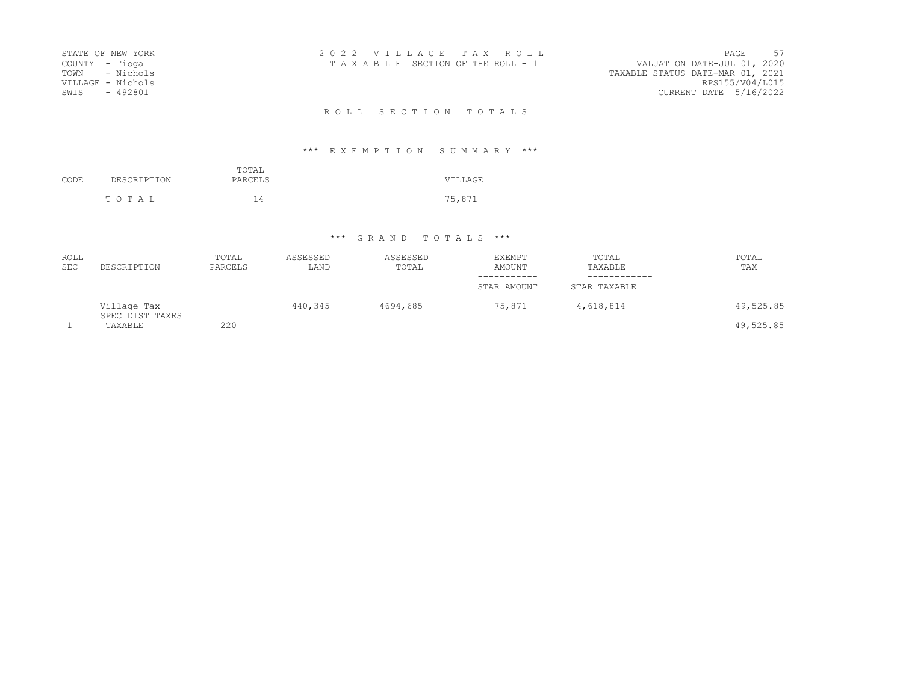| STATE OF NEW YORK<br>COUNTY - Tioga<br>TOWN - Nichols<br>VILLAGE - Nichols<br>SWIS<br>- 492801 | 2022 VILLAGE TAX ROLL<br>TAXABLE SECTION OF THE ROLL - 1 | PAGE 57<br>VALUATION DATE-JUL 01, 2020<br>TAXABLE STATUS DATE-MAR 01, 2021<br>RPS155/V04/L015<br>CURRENT DATE 5/16/2022 |
|------------------------------------------------------------------------------------------------|----------------------------------------------------------|-------------------------------------------------------------------------------------------------------------------------|
|                                                                                                | ROLL SECTION TOTALS                                      |                                                                                                                         |

# \*\*\* E X E M P T I O N S U M M A R Y \*\*\*

| CODE | DESCRIPTION | TOTAL<br>PARCELS | VILLAGE |
|------|-------------|------------------|---------|
|      | TOTAL       | 14               | 75,871  |

## \*\*\* G R A N D T O T A L S \*\*\*

| <b>ROLL</b><br><b>SEC</b> | DESCRIPTION                    | TOTAL<br>PARCELS | ASSESSED<br>LAND | ASSESSED<br>TOTAL | <b>EXEMPT</b><br>AMOUNT | TOTAL<br>TAXABLE | TOTAL<br>TAX |
|---------------------------|--------------------------------|------------------|------------------|-------------------|-------------------------|------------------|--------------|
|                           |                                |                  |                  |                   | STAR AMOUNT             | STAR TAXABLE     |              |
|                           | Village Tax<br>SPEC DIST TAXES |                  | 440,345          | 4694,685          | 75,871                  | 4,618,814        | 49,525.85    |
|                           | TAXABLE                        | 220              |                  |                   |                         |                  | 49,525.85    |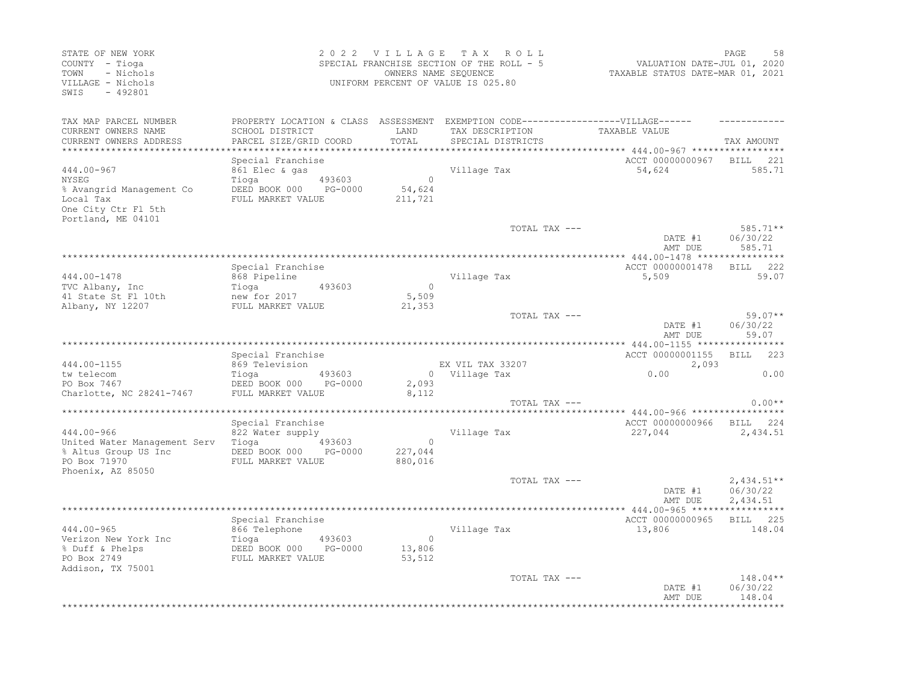| STATE OF NEW YORK<br>COUNTY - Tioga<br>- Nichols<br>TOWN<br>VILLAGE - Nichols<br>SWIS<br>$-492801$        |                                                                                                        | 2022 VILLAGE TAX ROLL<br>SPECIAL FRANCHISE SECTION OF THE ROLL - 5<br>OWNERS NAME SEQUENCE<br>UNIFORM PERCENT OF VALUE IS 025.80 | PAGE<br>VALUATION DATE-JUL 01, 2020<br>TAXABLE STATUS DATE-MAR 01, 2021                                                   |                                                                                   |                                      |
|-----------------------------------------------------------------------------------------------------------|--------------------------------------------------------------------------------------------------------|----------------------------------------------------------------------------------------------------------------------------------|---------------------------------------------------------------------------------------------------------------------------|-----------------------------------------------------------------------------------|--------------------------------------|
| TAX MAP PARCEL NUMBER<br>CURRENT OWNERS NAME<br>CURRENT OWNERS ADDRESS<br>*************************       | SCHOOL DISTRICT<br>PARCEL SIZE/GRID COORD                                                              | LAND<br>TOTAL                                                                                                                    | PROPERTY LOCATION & CLASS ASSESSMENT EXEMPTION CODE-----------------VILLAGE------<br>TAX DESCRIPTION<br>SPECIAL DISTRICTS | TAXABLE VALUE                                                                     | TAX AMOUNT                           |
| 444.00-967<br>NYSEG<br>% Avangrid Management Co<br>Local Tax<br>One City Ctr Fl 5th<br>Portland, ME 04101 | Special Franchise<br>861 Elec & gas<br>493603<br>Tioga<br>DEED BOOK 000 PG-0000<br>FULL MARKET VALUE   | $\overline{0}$<br>54,624<br>211,721                                                                                              | Village Tax                                                                                                               | ACCT 00000000967 BILL<br>54,624                                                   | 221<br>585.71                        |
|                                                                                                           |                                                                                                        |                                                                                                                                  | TOTAL TAX ---                                                                                                             | DATE #1<br>AMT DUE                                                                | 585.71**<br>06/30/22<br>585.71       |
| 444.00-1478<br>TVC Albany, Inc<br>41 State St Fl 10th<br>Albany, NY 12207                                 | Special Franchise<br>868 Pipeline<br>Tioga<br>493603<br>new for 2017<br>FULL MARKET VALUE              | $\overline{0}$<br>5,509<br>21,353                                                                                                | Village Tax<br>TOTAL TAX ---                                                                                              | ACCT 00000001478<br>5,509                                                         | BILL 222<br>59.07<br>$59.07**$       |
|                                                                                                           |                                                                                                        |                                                                                                                                  |                                                                                                                           | DATE #1<br>AMT DUE                                                                | 06/30/22<br>59.07                    |
| 444.00-1155<br>tw telecom<br>PO Box 7467<br>Charlotte, NC 28241-7467                                      | Special Franchise<br>869 Television<br>493603<br>Tioga<br>DEED BOOK 000 PG-0000<br>FULL MARKET VALUE   | 2,093<br>8,112                                                                                                                   | EX VIL TAX 33207<br>0 Village Tax                                                                                         | ACCT 00000001155<br>2,093<br>0.00                                                 | BILL 223<br>0.00                     |
|                                                                                                           |                                                                                                        |                                                                                                                                  | TOTAL TAX ---                                                                                                             |                                                                                   | $0.00**$                             |
| 444.00-966<br>United Water Management Serv<br>% Altus Group US Inc<br>PO Box 71970<br>Phoenix, AZ 85050   | Special Franchise<br>822 Water supply<br>Tioga<br>493603<br>DEED BOOK 000 PG-0000<br>FULL MARKET VALUE | $\circ$<br>227,044<br>880,016                                                                                                    | Village Tax                                                                                                               | *********** 444.00-966 ******************<br>ACCT 00000000966 BILL 224<br>227,044 | 2,434.51                             |
|                                                                                                           |                                                                                                        |                                                                                                                                  | TOTAL TAX ---                                                                                                             | DATE #1<br>AMT DUE                                                                | $2,434.51**$<br>06/30/22<br>2,434.51 |
| 444.00-965<br>Verizon New York Inc<br>% Duff & Phelps<br>PO Box 2749<br>Addison, TX 75001                 | Special Franchise<br>866 Telephone<br>Tioga<br>493603<br>DEED BOOK 000 PG-0000<br>FULL MARKET VALUE    | $\Omega$<br>13,806<br>53,512                                                                                                     | Village Tax                                                                                                               | ACCT 00000000965<br>13,806                                                        | BILL 225<br>148.04                   |
|                                                                                                           |                                                                                                        |                                                                                                                                  | TOTAL TAX ---                                                                                                             | DATE #1<br>AMT DUE                                                                | 148.04**<br>06/30/22<br>148.04       |
|                                                                                                           |                                                                                                        |                                                                                                                                  |                                                                                                                           |                                                                                   |                                      |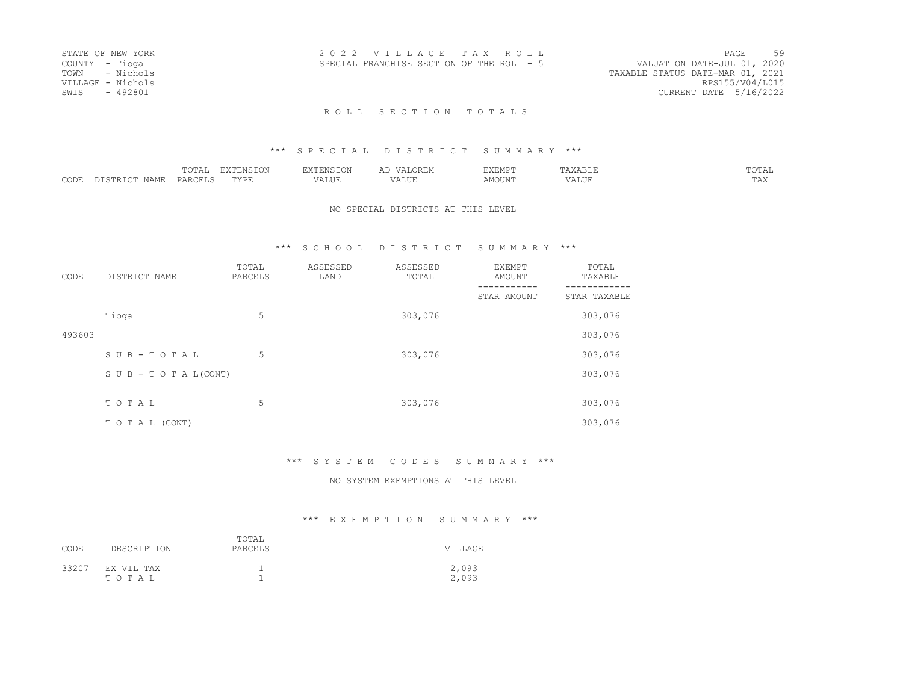| STATE OF NEW YORK | 2022 VILLAGE TAX ROLL                     | PAGE                        | 59 |
|-------------------|-------------------------------------------|-----------------------------|----|
| COUNTY - Tioga    | SPECIAL FRANCHISE SECTION OF THE ROLL - 5 | VALUATION DATE-JUL 01, 2020 |    |
| TOWN - Nichols    | TAXABLE STATUS DATE-MAR 01, 2021          |                             |    |
| VILLAGE - Nichols |                                           | RPS155/V04/L015             |    |
| SWTS - 492801     |                                           | CURRENT DATE 5/16/2022      |    |
|                   |                                           |                             |    |

### \*\*\* S P E C I A L D I S T R I C T S U M M A R Y \*\*\*

|                  |   | ----<br>. 77777                        | ' H' IVI<br>∸∨⊷ |                   | .                             | . .     |                   | $T \cap T \cap T$<br>.<br>. |
|------------------|---|----------------------------------------|-----------------|-------------------|-------------------------------|---------|-------------------|-----------------------------|
| $\cap$ DE:<br>ーー | ╌ | $ \wedge \wedge \neg \neg \neg$<br>ΡΔ⊨ | 757T1           | $- - - -$<br>ALUI | $- - - -$<br>$\cdots$<br>ALUI | MOTTNIA | д<br>۳۰۰ تا سند د | m n tr<br>11 12 1           |

#### NO SPECIAL DISTRICTS AT THIS LEVEL

### \*\*\* S C H O O L D I S T R I C T S U M M A R Y \*\*\*

| CODE   | DISTRICT NAME      | TOTAL<br>PARCELS | ASSESSED<br>LAND | ASSESSED<br>TOTAL | EXEMPT<br><b>AMOUNT</b> | TOTAL<br>TAXABLE |
|--------|--------------------|------------------|------------------|-------------------|-------------------------|------------------|
|        |                    |                  |                  |                   | STAR AMOUNT             | STAR TAXABLE     |
|        | Tioga              | 5                |                  | 303,076           |                         | 303,076          |
| 493603 |                    |                  |                  |                   |                         | 303,076          |
|        | SUB-TOTAL          | 5                |                  | 303,076           |                         | 303,076          |
|        | SUB - TO TAL(CONT) |                  |                  |                   |                         | 303,076          |
|        |                    |                  |                  |                   |                         |                  |
|        | TOTAL              | 5                |                  | 303,076           |                         | 303,076          |
|        | TO TAL (CONT)      |                  |                  |                   |                         | 303,076          |

### \*\*\* S Y S T E M C O D E S S U M M A R Y \*\*\*

#### NO SYSTEM EXEMPTIONS AT THIS LEVEL

| CODE  | DESCRIPTION         | TOTAL<br>PARCELS | VILLAGE        |
|-------|---------------------|------------------|----------------|
| 33207 | EX VIL TAX<br>TOTAL |                  | 2,093<br>2,093 |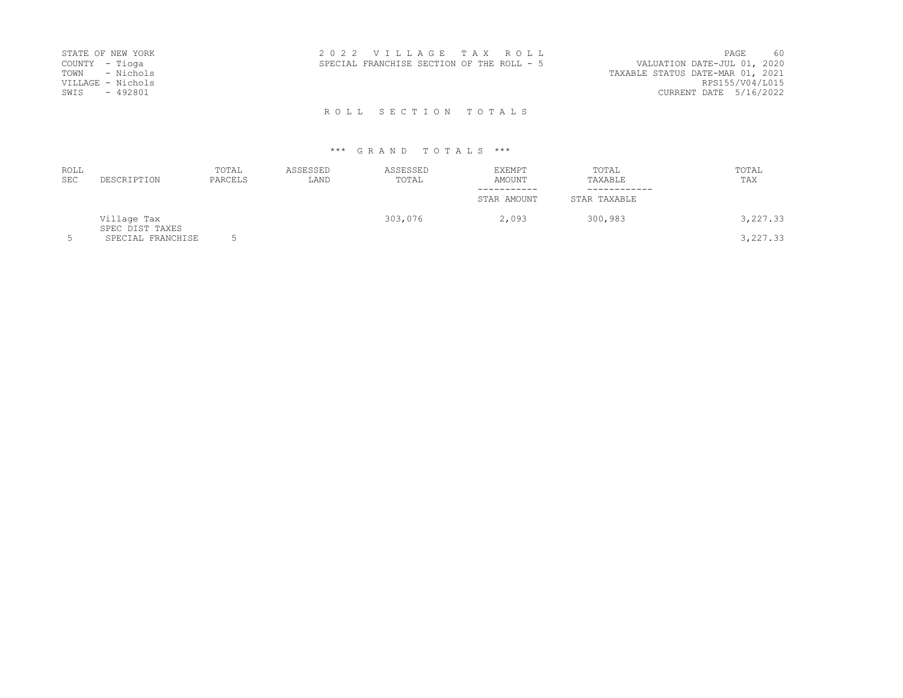| STATE OF NEW YORK | 2022 VILLAGE TAX ROLL                     | 60<br>PAGE                       |
|-------------------|-------------------------------------------|----------------------------------|
| COUNTY - Tioga    | SPECIAL FRANCHISE SECTION OF THE ROLL - 5 | VALUATION DATE-JUL 01, 2020      |
| TOWN - Nichols    |                                           | TAXABLE STATUS DATE-MAR 01, 2021 |
| VILLAGE - Nichols |                                           | RPS155/V04/L015                  |
| - 492801<br>SWIS  |                                           | CURRENT DATE 5/16/2022           |
|                   | ROLL SECTION TOTALS                       |                                  |

### \*\*\* G R A N D T O T A L S \*\*\*

| <b>ROLL</b><br><b>SEC</b> | DESCRIPTION                    | TOTAL<br>PARCELS | ASSESSED<br>LAND | ASSESSED<br>TOTAL | EXEMPT<br>AMOUNT<br>----------- | TOTAL<br>TAXABLE<br>----------- | TOTAL<br>TAX |
|---------------------------|--------------------------------|------------------|------------------|-------------------|---------------------------------|---------------------------------|--------------|
|                           |                                |                  |                  |                   | STAR AMOUNT                     | STAR TAXABLE                    |              |
|                           | Village Tax<br>SPEC DIST TAXES |                  |                  | 303,076           | 2,093                           | 300,983                         | 3,227.33     |
|                           | SPECIAL FRANCHISE              |                  |                  |                   |                                 |                                 | 3,227.33     |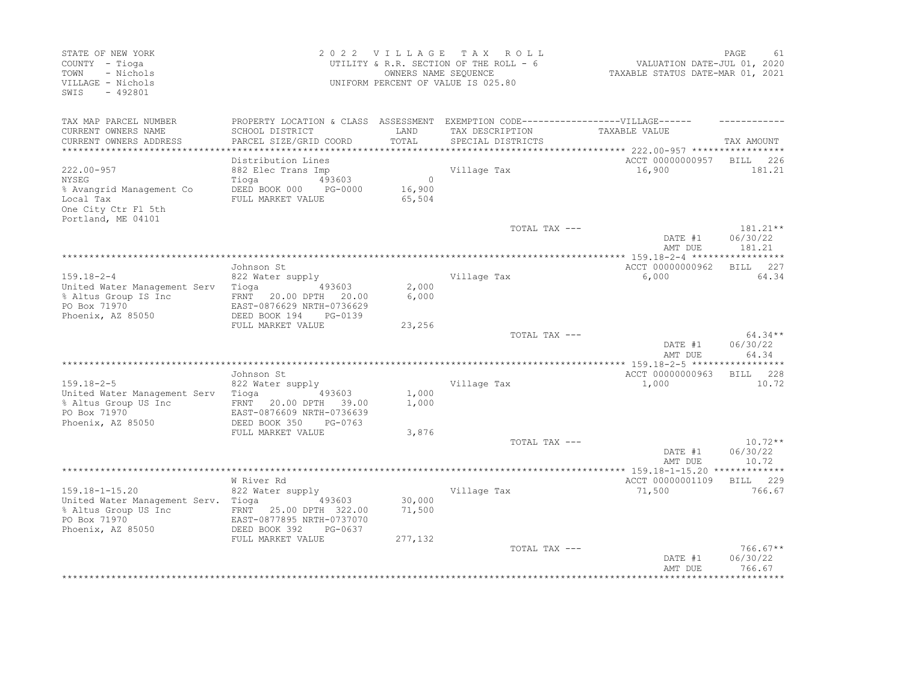| STATE OF NEW YORK<br>COUNTY - Tioga<br>- Nichols<br>TOWN<br>VILLAGE - Nichols<br>$-492801$<br>SWIS                         |                                                                                                                                                  |                             | 2022 VILLAGE TAX ROLL<br>UTILITY & R.R. SECTION OF THE ROLL - 6<br>OWNERS NAME SEQUENCE<br>UNIFORM PERCENT OF VALUE IS 025.80 | VALUATION DATE-JUL 01, 2020<br>TAXABLE STATUS DATE-MAR 01, 2021 | PAGE<br>61                        |
|----------------------------------------------------------------------------------------------------------------------------|--------------------------------------------------------------------------------------------------------------------------------------------------|-----------------------------|-------------------------------------------------------------------------------------------------------------------------------|-----------------------------------------------------------------|-----------------------------------|
| TAX MAP PARCEL NUMBER<br>CURRENT OWNERS NAME<br>CURRENT OWNERS ADDRESS<br>**********************                           | PROPERTY LOCATION & CLASS ASSESSMENT EXEMPTION CODE-----------------VILLAGE------<br>SCHOOL DISTRICT<br>PARCEL SIZE/GRID COORD                   | LAND<br>TOTAL               | TAX DESCRIPTION<br>SPECIAL DISTRICTS                                                                                          | TAXABLE VALUE                                                   | TAX AMOUNT                        |
| $222.00 - 957$<br>NYSEG<br>% Avangrid Management Co<br>Local Tax<br>One City Ctr Fl 5th<br>Portland, ME 04101              | Distribution Lines<br>882 Elec Trans Imp<br>Tioga<br>493603<br>DEED BOOK 000 PG-0000<br>FULL MARKET VALUE                                        | $\circ$<br>16,900<br>65,504 | Village Tax                                                                                                                   | ACCT 00000000957 BILL 226<br>16,900                             | 181.21                            |
|                                                                                                                            |                                                                                                                                                  |                             | TOTAL TAX ---                                                                                                                 | DATE #1<br>AMT DUE                                              | $181.21***$<br>06/30/22<br>181.21 |
|                                                                                                                            |                                                                                                                                                  |                             |                                                                                                                               |                                                                 | ***********<br>227<br>BILL        |
| $159.18 - 2 - 4$<br>United Water Management Serv Tioga<br>% Altus Group IS Inc<br>PO Box 71970<br>Phoenix, AZ 85050        | Johnson St<br>822 Water supply<br>493603<br>FRNT 20.00 DPTH 20.00<br>EAST-0876629 NRTH-0736629<br>DEED BOOK 194<br>PG-0139                       | 2,000<br>6,000              | Village Tax                                                                                                                   | ACCT 00000000962<br>6,000                                       | 64.34                             |
|                                                                                                                            | FULL MARKET VALUE                                                                                                                                | 23,256                      |                                                                                                                               |                                                                 |                                   |
|                                                                                                                            |                                                                                                                                                  |                             | TOTAL TAX ---<br>************************                                                                                     | DATE #1<br>AMT DUE                                              | $64.34**$<br>06/30/22<br>64.34    |
|                                                                                                                            | Johnson St                                                                                                                                       |                             |                                                                                                                               | ** 159.18-2-5 ******<br>ACCT 00000000963                        | BILL 228                          |
| $159.18 - 2 - 5$<br>United Water Management Serv Tioga 693603<br>% Altus Group US Inc<br>PO Box 71970<br>Phoenix, AZ 85050 | 822 Water supply<br>FRNT 20.00 DPTH 39.00<br>EAST-0876609 NRTH-0736639<br>DEED BOOK 350<br>PG-0763                                               | 1,000<br>1,000              | Village Tax                                                                                                                   | 1,000                                                           | 10.72                             |
|                                                                                                                            | FULL MARKET VALUE                                                                                                                                | 3,876                       | TOTAL TAX ---                                                                                                                 | DATE #1                                                         | $10.72**$<br>06/30/22             |
|                                                                                                                            |                                                                                                                                                  |                             |                                                                                                                               | AMT DUE                                                         | 10.72                             |
| $159.18 - 1 - 15.20$<br>United Water Management Serv. Tioga<br>% Altus Group US Inc<br>PO Box 71970<br>Phoenix, AZ 85050   | W River Rd<br>822 Water supply<br>493603<br>FRNT 25.00 DPTH 322.00<br>EAST-0877895 NRTH-0737070<br>DEED BOOK 392<br>PG-0637<br>FULL MARKET VALUE | 30,000<br>71,500<br>277,132 | Village Tax                                                                                                                   | ACCT 00000001109<br>71,500                                      | 229<br>BILL<br>766.67             |
|                                                                                                                            |                                                                                                                                                  |                             | TOTAL TAX ---                                                                                                                 | DATE #1<br>AMT DUE                                              | $766.67**$<br>06/30/22<br>766.67  |
|                                                                                                                            |                                                                                                                                                  |                             |                                                                                                                               |                                                                 |                                   |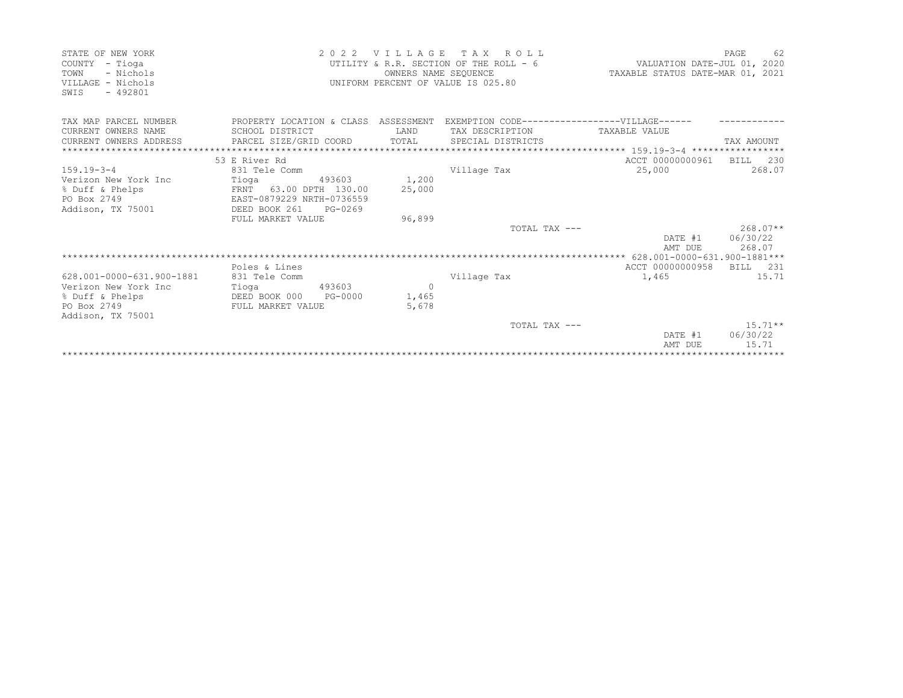| STATE OF NEW YORK<br>COUNTY - Tioga<br>TOWN<br>- Nichols<br>VILLAGE - Nichols<br>SWIS<br>$-492801$ |                                                                                    | OWNERS NAME SEQUENCE | 2022 VILLAGE TAX ROLL<br>UTILITY & R.R. SECTION OF THE ROLL - 6 VALUATION DATE-JUL 01, 2020<br>UNIFORM PERCENT OF VALUE IS 025.80 | TAXABLE STATUS DATE-MAR 01, 2021 | 62<br>PAGE |
|----------------------------------------------------------------------------------------------------|------------------------------------------------------------------------------------|----------------------|-----------------------------------------------------------------------------------------------------------------------------------|----------------------------------|------------|
| TAX MAP PARCEL NUMBER                                                                              | PROPERTY LOCATION & CLASS ASSESSMENT EXEMPTION CODE------------------VILLAGE------ |                      |                                                                                                                                   |                                  |            |
| CURRENT OWNERS NAME                                                                                | SCHOOL DISTRICT                                                                    | LAND                 | TAX DESCRIPTION                                                                                                                   | TAXABLE VALUE                    |            |
| CURRENT OWNERS ADDRESS                                                                             | PARCEL SIZE/GRID COORD                                                             | TOTAL                | SPECIAL DISTRICTS                                                                                                                 |                                  | TAX AMOUNT |
|                                                                                                    |                                                                                    |                      |                                                                                                                                   |                                  |            |
|                                                                                                    | 53 E River Rd                                                                      |                      |                                                                                                                                   | ACCT 00000000961 BILL 230        |            |
| $159.19 - 3 - 4$                                                                                   | 831 Tele Comm                                                                      |                      | Village Tax                                                                                                                       | 25,000                           | 268.07     |
| Verizon New York Inc                                                                               | Tioga (193603)                                                                     | 1,200                |                                                                                                                                   |                                  |            |
| % Duff & Phelps                                                                                    | FRNT 63.00 DPTH 130.00                                                             | 25,000               |                                                                                                                                   |                                  |            |
| PO Box 2749                                                                                        | EAST-0879229 NRTH-0736559                                                          |                      |                                                                                                                                   |                                  |            |
| Addison, TX 75001                                                                                  | DEED BOOK 261<br>PG-0269                                                           |                      |                                                                                                                                   |                                  |            |
|                                                                                                    | FULL MARKET VALUE                                                                  | 96,899               |                                                                                                                                   |                                  |            |
|                                                                                                    |                                                                                    |                      | TOTAL TAX ---                                                                                                                     |                                  | $268.07**$ |
|                                                                                                    |                                                                                    |                      |                                                                                                                                   | DATE #1                          | 06/30/22   |
|                                                                                                    |                                                                                    |                      |                                                                                                                                   | AMT DUE                          | 268.07     |
|                                                                                                    | Poles & Lines                                                                      |                      |                                                                                                                                   | ACCT 00000000958                 | BILL 231   |
| 628.001-0000-631.900-1881                                                                          | 831 Tele Comm                                                                      |                      | Village Tax                                                                                                                       | 1,465                            | 15.71      |
| Verizon New York Inc                                                                               | 493603<br>Tioga                                                                    | $\Omega$             |                                                                                                                                   |                                  |            |
| % Duff & Phelps                                                                                    | DEED BOOK 000<br>PG-0000                                                           | 1,465                |                                                                                                                                   |                                  |            |
| PO Box 2749                                                                                        | FULL MARKET VALUE                                                                  | 5,678                |                                                                                                                                   |                                  |            |
| Addison, TX 75001                                                                                  |                                                                                    |                      |                                                                                                                                   |                                  |            |
|                                                                                                    |                                                                                    |                      | TOTAL TAX ---                                                                                                                     |                                  | $15.71***$ |
|                                                                                                    |                                                                                    |                      |                                                                                                                                   | DATE #1                          | 06/30/22   |
|                                                                                                    |                                                                                    |                      |                                                                                                                                   | AMT DUE                          | 15.71      |
|                                                                                                    |                                                                                    |                      |                                                                                                                                   |                                  |            |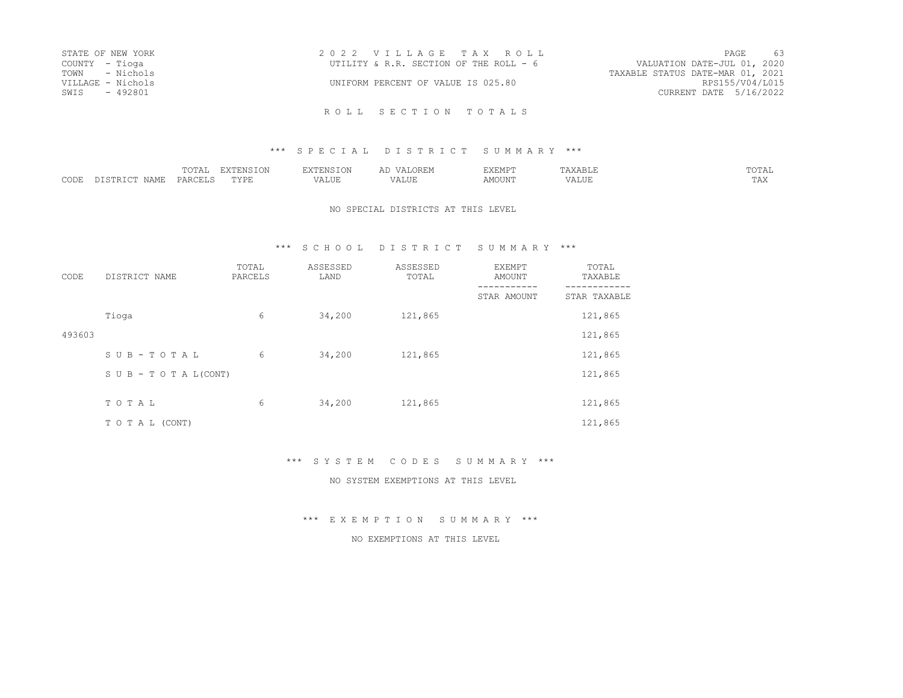| STATE OF NEW YORK | 2022 VILLAGE TAX ROLL                  |                                  | PAGE            | 63 |
|-------------------|----------------------------------------|----------------------------------|-----------------|----|
| COUNTY - Tioga    | UTILITY & R.R. SECTION OF THE ROLL - 6 | VALUATION DATE-JUL 01, 2020      |                 |    |
| TOWN - Nichols    |                                        | TAXABLE STATUS DATE-MAR 01, 2021 |                 |    |
| VILLAGE - Nichols | UNIFORM PERCENT OF VALUE IS 025.80     |                                  | RPS155/V04/L015 |    |
| - 492801<br>SWIS  |                                        | CURRENT DATE 5/16/2022           |                 |    |
|                   |                                        |                                  |                 |    |

#### \*\*\* SPECIAL DISTRICT SUMMARY \*\*\*

|      |                 | $\overline{a}$<br>. | $\Box$<br>- I ON                    | H'NV                            |        | EMP <sup>®</sup><br>------- |         | $m \wedge m \wedge \tau$<br>.<br>◡---- |
|------|-----------------|---------------------|-------------------------------------|---------------------------------|--------|-----------------------------|---------|----------------------------------------|
| CODE | I 2 M F<br>∟יוי | – <del>∟∆ ∟</del>   | $m \cdot r \cdot r$<br>∵V P.<br>--- | $- - - - - - -$<br>د ،<br>תחדרי | $   -$ | MOTIN'                      | .<br>Аш | 1 1 1 1                                |

#### NO SPECIAL DISTRICTS AT THIS LEVEL

### \*\*\* S C H O O L D I S T R I C T S U M M A R Y \*\*\*

| CODE   | DISTRICT NAME                    | TOTAL<br>PARCELS | ASSESSED<br>LAND | ASSESSED<br>TOTAL | <b>EXEMPT</b><br>AMOUNT | TOTAL<br>TAXABLE |
|--------|----------------------------------|------------------|------------------|-------------------|-------------------------|------------------|
|        |                                  |                  |                  |                   | STAR AMOUNT             | STAR TAXABLE     |
|        | Tioga                            | 6                | 34,200           | 121,865           |                         | 121,865          |
| 493603 |                                  |                  |                  |                   |                         | 121,865          |
|        | SUB-TOTAL                        | 6                | 34,200           | 121,865           |                         | 121,865          |
|        | $S \cup B - T \cup T A L (CONT)$ |                  |                  |                   |                         | 121,865          |
|        |                                  |                  |                  |                   |                         |                  |
|        | TOTAL                            | 6                | 34,200           | 121,865           |                         | 121,865          |
|        | TO TAL (CONT)                    |                  |                  |                   |                         | 121,865          |

\*\*\* S Y S T E M C O D E S S U M M A R Y \*\*\*

NO SYSTEM EXEMPTIONS AT THIS LEVEL

\*\*\* E X E M P T I O N S U M M A R Y \*\*\*

#### NO EXEMPTIONS AT THIS LEVEL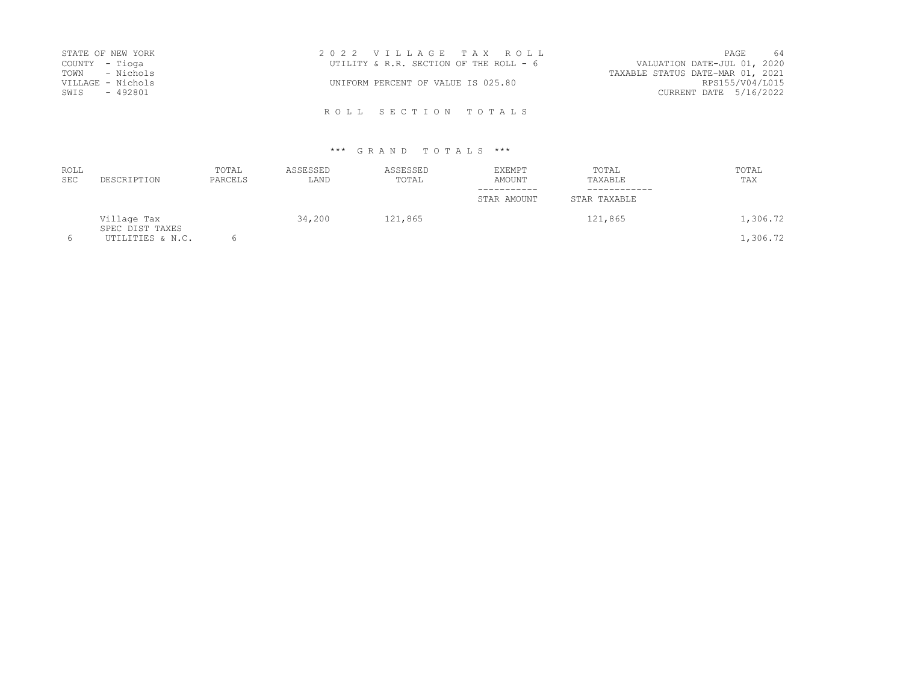| STATE OF NEW YORK | 2022 VILLAGE TAX ROLL                                                 |                        | PAGE | 64 |
|-------------------|-----------------------------------------------------------------------|------------------------|------|----|
| COUNTY – Tioga    | VALUATION DATE-JUL 01, 2020<br>UTILITY & R.R. SECTION OF THE ROLL - 6 |                        |      |    |
| TOWN - Nichols    | TAXABLE STATUS DATE-MAR 01, 2021                                      |                        |      |    |
| VILLAGE - Nichols | UNIFORM PERCENT OF VALUE IS 025.80                                    | RPS155/V04/L015        |      |    |
| SWIS - 492801     |                                                                       | CURRENT DATE 5/16/2022 |      |    |
|                   |                                                                       |                        |      |    |

R O L L S E C T I O N T O T A L S

# \*\*\* G R A N D T O T A L S \*\*\*

| <b>ROLL</b><br><b>SEC</b> | DESCRIPTION                    | TOTAL<br>PARCELS | ASSESSED<br>LAND | ASSESSED<br>TOTAL | <b>EXEMPT</b><br>AMOUNT | TOTAL<br>TAXABLE | TOTAL<br>TAX |
|---------------------------|--------------------------------|------------------|------------------|-------------------|-------------------------|------------------|--------------|
|                           |                                |                  |                  |                   | STAR AMOUNT             | STAR TAXABLE     |              |
|                           | Village Tax<br>SPEC DIST TAXES |                  | 34,200           | 121,865           |                         | 121,865          | 1,306.72     |
| 6                         | UTILITIES & N.C.               |                  |                  |                   |                         |                  | 1,306.72     |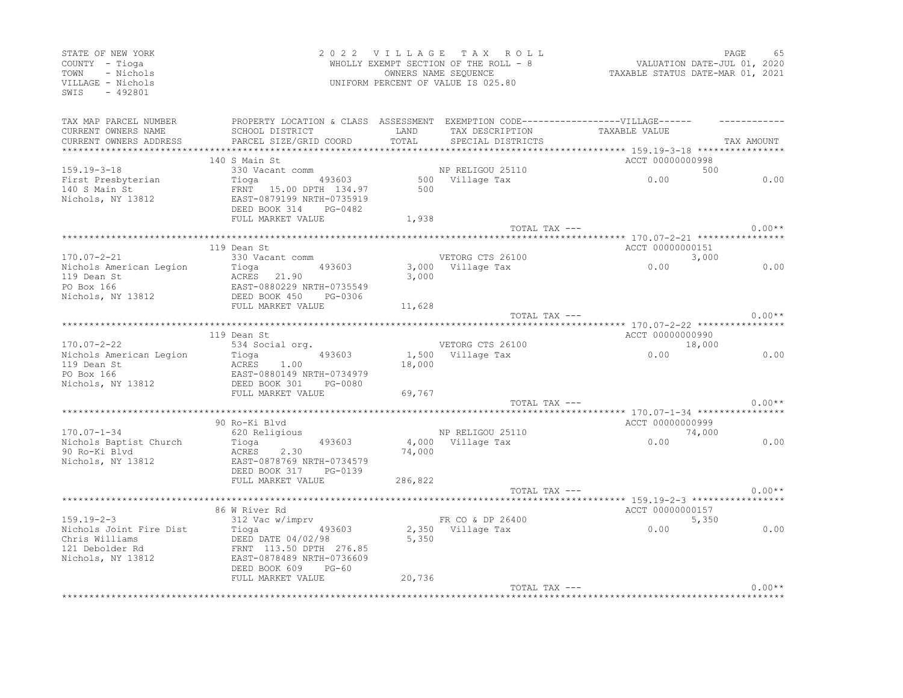| STATE OF NEW YORK<br>COUNTY - Tioga<br>- Nichols<br>TOWN<br>VILLAGE - Nichols<br>SWIS<br>$-492801$ |                                                                                                                                                                                      |         | 2022 VILLAGE TAX ROLL<br>WHOLLY EXEMPT SECTION OF THE ROLL - 8<br>OWNERS NAME SEQUENCE<br>UNIFORM PERCENT OF VALUE IS 025.80 | VALUATION DATE-JUL 01, 2020<br>TAXABLE STATUS DATE-MAR 01, 2021 | PAGE       | 65       |
|----------------------------------------------------------------------------------------------------|--------------------------------------------------------------------------------------------------------------------------------------------------------------------------------------|---------|------------------------------------------------------------------------------------------------------------------------------|-----------------------------------------------------------------|------------|----------|
| TAX MAP PARCEL NUMBER                                                                              | PROPERTY LOCATION & CLASS ASSESSMENT EXEMPTION CODE-----------------VILLAGE------                                                                                                    |         |                                                                                                                              |                                                                 |            |          |
| CURRENT OWNERS NAME<br>CURRENT OWNERS ADDRESS                                                      | SCHOOL DISTRICT LAND<br>PARCEL SIZE/GRID COORD                                                                                                                                       |         | TAX DESCRIPTION TAXABLE VALUE<br>TOTAL SPECIAL DISTRICTS                                                                     |                                                                 | TAX AMOUNT |          |
|                                                                                                    |                                                                                                                                                                                      |         |                                                                                                                              |                                                                 |            |          |
|                                                                                                    | 140 S Main St                                                                                                                                                                        |         |                                                                                                                              | ACCT 00000000998                                                |            |          |
| $159.19 - 3 - 18$                                                                                  |                                                                                                                                                                                      |         |                                                                                                                              | 500<br>0.00                                                     |            |          |
|                                                                                                    |                                                                                                                                                                                      |         |                                                                                                                              |                                                                 |            | 0.00     |
| First Presbyterian<br>140 S Main St<br>Nichols, NY 13812                                           | Tioga 193603 500<br>FRNT 15.00 DPTH 134.97 500<br>EAST-0879199 NRTH-0735919                                                                                                          |         |                                                                                                                              |                                                                 |            |          |
|                                                                                                    | DEED BOOK 314 PG-0482<br>FULL MARKET VALUE                                                                                                                                           | 1,938   |                                                                                                                              |                                                                 |            |          |
|                                                                                                    |                                                                                                                                                                                      |         | TOTAL TAX ---                                                                                                                |                                                                 |            | $0.00**$ |
|                                                                                                    |                                                                                                                                                                                      |         |                                                                                                                              |                                                                 |            |          |
|                                                                                                    | 119 Dean St                                                                                                                                                                          |         |                                                                                                                              | ACCT 00000000151                                                |            |          |
| $170.07 - 2 - 21$                                                                                  | 330 Vacant comm                                                                                                                                                                      |         | VETORG CTS 26100                                                                                                             | 3,000<br>0.00                                                   |            |          |
|                                                                                                    | Nichols American Legion<br>119 Dean St<br>PO Box 166<br>Nichols, NY 13812<br>2007 - Michols, NY 13812<br>2008 - DOOK 450<br>2008 - DOOK 450<br>PG-0306<br>2008 - DOOK 450<br>PG-0306 |         | 3,000 Village Tax                                                                                                            |                                                                 |            | 0.00     |
|                                                                                                    |                                                                                                                                                                                      | 3,000   |                                                                                                                              |                                                                 |            |          |
|                                                                                                    |                                                                                                                                                                                      |         |                                                                                                                              |                                                                 |            |          |
|                                                                                                    | FULL MARKET VALUE                                                                                                                                                                    | 11,628  |                                                                                                                              |                                                                 |            |          |
|                                                                                                    |                                                                                                                                                                                      |         | TOTAL TAX ---                                                                                                                |                                                                 |            | $0.00**$ |
|                                                                                                    |                                                                                                                                                                                      |         |                                                                                                                              |                                                                 |            |          |
|                                                                                                    | 119 Dean St                                                                                                                                                                          |         |                                                                                                                              | ACCT 00000000990                                                |            |          |
| $170.07 - 2 - 22$                                                                                  |                                                                                                                                                                                      |         |                                                                                                                              | 18,000                                                          |            |          |
|                                                                                                    |                                                                                                                                                                                      | 18,000  |                                                                                                                              |                                                                 |            | 0.00     |
|                                                                                                    |                                                                                                                                                                                      |         |                                                                                                                              |                                                                 |            |          |
|                                                                                                    | 1/0.0/-2-22<br>Nichols American Legion Tioga 493603<br>119 Dean St ACRES 1.00<br>PO Box 166 EAST-0880149 NRTH-0734979<br>Nichols, NY 13812 DEED BOOK 301 PG-0080                     |         |                                                                                                                              |                                                                 |            |          |
|                                                                                                    | FULL MARKET VALUE                                                                                                                                                                    | 69,767  |                                                                                                                              |                                                                 |            |          |
|                                                                                                    |                                                                                                                                                                                      |         | TOTAL TAX ---                                                                                                                |                                                                 |            | $0.00**$ |
|                                                                                                    |                                                                                                                                                                                      |         |                                                                                                                              |                                                                 |            |          |
| $170.07 - 1 - 34$                                                                                  | 90 Ro-Ki Blvd<br>620 Religious                                                                                                                                                       |         |                                                                                                                              | ACCT 00000000999                                                |            |          |
| Nichols Baptist Church                                                                             | Tioga <b>de la contrada de la contrada de la contrad</b>                                                                                                                             |         |                                                                                                                              | NP RELIGOU 25110 74,000<br>493603 4,000 Village Tax 0.00        |            | 0.00     |
| 90 Ro-Ki Blvd                                                                                      | ACRES 2.30                                                                                                                                                                           | 74,000  |                                                                                                                              |                                                                 |            |          |
| Nichols, NY 13812                                                                                  | EAST-0878769 NRTH-0734579                                                                                                                                                            |         |                                                                                                                              |                                                                 |            |          |
|                                                                                                    | DEED BOOK 317 PG-0139                                                                                                                                                                |         |                                                                                                                              |                                                                 |            |          |
|                                                                                                    | FULL MARKET VALUE                                                                                                                                                                    | 286,822 |                                                                                                                              |                                                                 |            |          |
|                                                                                                    |                                                                                                                                                                                      |         | TOTAL TAX ---                                                                                                                |                                                                 |            | $0.00**$ |
|                                                                                                    |                                                                                                                                                                                      |         |                                                                                                                              | ******************************** 159.19-2-3 *****************   |            |          |
| $159.19 - 2 - 3$                                                                                   | 86 W River Rd<br>312 Vac w/imprv                                                                                                                                                     |         | FR CO & DP 26400                                                                                                             | ACCT 00000000157<br>5,350                                       |            |          |
| Nichols Joint Fire Dist                                                                            |                                                                                                                                                                                      |         |                                                                                                                              | ER CO & DP 26400<br>2,350 Village Tax 0.00<br>5,350 0.00        |            | 0.00     |
| Chris Williams                                                                                     |                                                                                                                                                                                      | 5,350   |                                                                                                                              |                                                                 |            |          |
| 121 Debolder Rd                                                                                    |                                                                                                                                                                                      |         |                                                                                                                              |                                                                 |            |          |
| Nichols, NY 13812                                                                                  | Tioga 493603<br>DEED DATE 04/02/98<br>PEED DATE 04/02/98<br>FRNT 113.50 DPTH 276.85<br>EAST-0878489 NRTH-0736609<br>DEED ROOK 609 PG-60                                              |         |                                                                                                                              |                                                                 |            |          |
|                                                                                                    | DEED BOOK 609 PG-60                                                                                                                                                                  |         |                                                                                                                              |                                                                 |            |          |
|                                                                                                    | FULL MARKET VALUE                                                                                                                                                                    | 20,736  | TOTAL TAX ---                                                                                                                |                                                                 |            | $0.00**$ |
|                                                                                                    |                                                                                                                                                                                      |         |                                                                                                                              |                                                                 |            |          |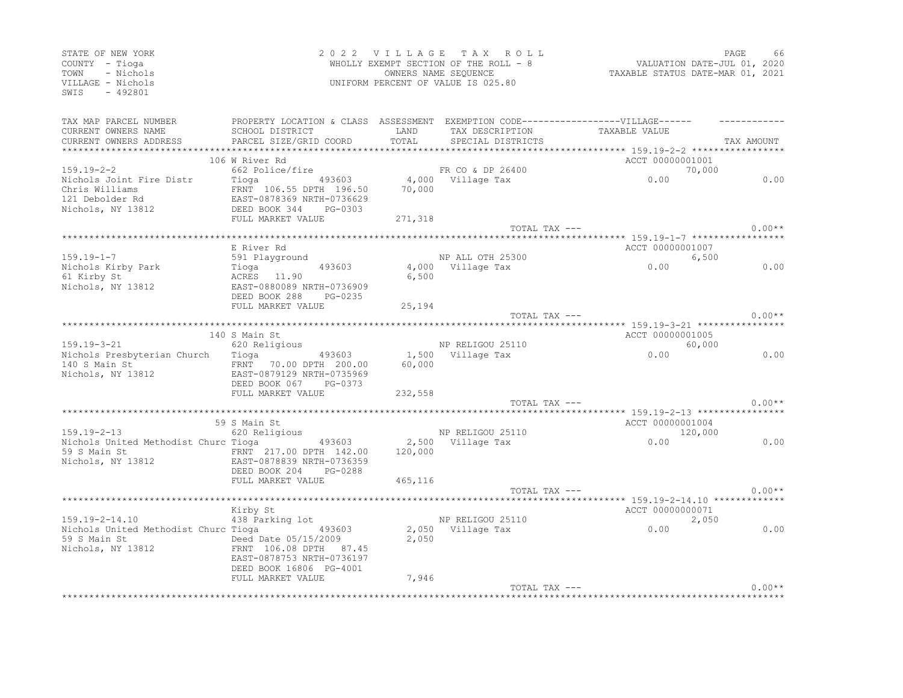| STATE OF NEW YORK<br>COUNTY - Tioga<br>- Nichols<br>TOWN<br>VILLAGE - Nichols<br>SWTS<br>$-492801$ |                                                                                                                                |                   | 2022 VILLAGE TAX ROLL<br>WHOLLY EXEMPT SECTION OF THE ROLL - 8<br>OWNERS NAME SEOUENCE<br>UNIFORM PERCENT OF VALUE IS 025.80 | VALUATION DATE-JUL 01, 2020<br>TAXABLE STATUS DATE-MAR 01, 2021                                       | PAGE   | 66         |
|----------------------------------------------------------------------------------------------------|--------------------------------------------------------------------------------------------------------------------------------|-------------------|------------------------------------------------------------------------------------------------------------------------------|-------------------------------------------------------------------------------------------------------|--------|------------|
| TAX MAP PARCEL NUMBER<br>CURRENT OWNERS NAME<br>CURRENT OWNERS ADDRESS                             | PROPERTY LOCATION & CLASS ASSESSMENT EXEMPTION CODE-----------------VILLAGE------<br>SCHOOL DISTRICT<br>PARCEL SIZE/GRID COORD | LAND<br>TOTAL     | TAX DESCRIPTION<br>SPECIAL DISTRICTS                                                                                         | TAXABLE VALUE                                                                                         |        | TAX AMOUNT |
|                                                                                                    | 106 W River Rd                                                                                                                 |                   |                                                                                                                              | ACCT 00000001001                                                                                      |        |            |
| $159.19 - 2 - 2$<br>Nichols Joint Fire Distr                                                       | 662 Police/fire                                                                                                                |                   | FR CO & DP 26400                                                                                                             | 0.00                                                                                                  | 70,000 | 0.00       |
| Chris Williams<br>121 Debolder Rd<br>Nichols, NY 13812                                             | 493603<br>Tioga<br>FRNT 106.55 DPTH 196.50<br>EAST-0878369 NRTH-0736629<br>DEED BOOK 344 PG-0303<br>FULL MARKET VALUE          | 70,000<br>271,318 | 4,000 Village Tax                                                                                                            |                                                                                                       |        |            |
|                                                                                                    |                                                                                                                                |                   |                                                                                                                              | TOTAL TAX ---                                                                                         |        | $0.00**$   |
|                                                                                                    |                                                                                                                                |                   |                                                                                                                              |                                                                                                       |        |            |
| $159.19 - 1 - 7$                                                                                   | E River Rd<br>591 Playground                                                                                                   |                   | NP ALL OTH 25300                                                                                                             | ACCT 00000001007                                                                                      | 6,500  |            |
| Nichols Kirby Park<br>61 Kirby St<br>Nichols, NY 13812                                             | Tioga<br>ACRES 11.90<br>493603<br>ACRES 11.90<br>EAST-0880089 NRTH-0736909                                                     | 6,500             | 4,000 Village Tax                                                                                                            | 0.00                                                                                                  |        | 0.00       |
|                                                                                                    | DEED BOOK 288 PG-0235<br>FULL MARKET VALUE                                                                                     | 25,194            |                                                                                                                              |                                                                                                       |        |            |
|                                                                                                    |                                                                                                                                |                   | TOTAL TAX ---                                                                                                                |                                                                                                       |        | $0.00**$   |
|                                                                                                    |                                                                                                                                |                   |                                                                                                                              |                                                                                                       |        |            |
| 159.19-3-21                                                                                        | 140 S Main St                                                                                                                  |                   | NP RELIGOU 25110                                                                                                             | ACCT 00000001005                                                                                      |        |            |
| Nichols Presbyterian Church Tioga 193603                                                           | 620 Religious                                                                                                                  |                   | 1,500 Village Tax                                                                                                            | 0.00                                                                                                  | 60,000 | 0.00       |
| 140 S Main St<br>Nichols, NY 13812                                                                 | FRNT 70.00 DPTH 200.00<br>EAST-0879129 NRTH-0735969<br>DEED BOOK 067<br>PG-0373                                                | 60,000            |                                                                                                                              |                                                                                                       |        |            |
|                                                                                                    | FULL MARKET VALUE                                                                                                              | 232,558           |                                                                                                                              |                                                                                                       |        |            |
|                                                                                                    |                                                                                                                                |                   | TOTAL TAX ---                                                                                                                | ******************************** 159.19-2-13 *****************                                        |        | $0.00**$   |
|                                                                                                    | 59 S Main St                                                                                                                   |                   |                                                                                                                              | ACCT 00000001004                                                                                      |        |            |
| $159.19 - 2 - 13$                                                                                  | 620 Religious                                                                                                                  |                   | NP RELIGOU 25110                                                                                                             |                                                                                                       |        |            |
| Nichols United Methodist Churc Tioga 193603<br>59 S Main St<br>Nichols, NY 13812                   | FRNT 217.00 DPTH 142.00<br>EAST-0878839 NRTH-0736359<br>DEED BOOK 204<br>PG-0288                                               | 120,000           | 2,500 Village Tax                                                                                                            | 120,000                                                                                               |        | 0.00       |
|                                                                                                    | FULL MARKET VALUE                                                                                                              | 465,116           |                                                                                                                              |                                                                                                       |        |            |
|                                                                                                    |                                                                                                                                |                   | TOTAL TAX ---                                                                                                                |                                                                                                       |        | $0.00**$   |
|                                                                                                    | Kirby St                                                                                                                       |                   |                                                                                                                              | *********************************159.19-2-14.10 *********************************<br>ACCT 00000000071 |        |            |
| 159.19-2-14.10                                                                                     | 438 Parking lot                                                                                                                |                   |                                                                                                                              |                                                                                                       | 2,050  |            |
| Nichols United Methodist Churc Tioga 493603                                                        | FRNT 106.08 DPTH 87.45<br>EAST-0878753 NRTH-0736197<br>DEED BOOK 16806 PG-4001                                                 | 2,050             |                                                                                                                              | NE RELIGOU 25110<br>2,050 Village Tax 0.00<br>2.050 0.00                                              |        | 0.00       |
|                                                                                                    | FULL MARKET VALUE                                                                                                              | 7,946             |                                                                                                                              |                                                                                                       |        |            |
|                                                                                                    |                                                                                                                                |                   | TOTAL TAX $---$                                                                                                              |                                                                                                       |        | $0.00**$   |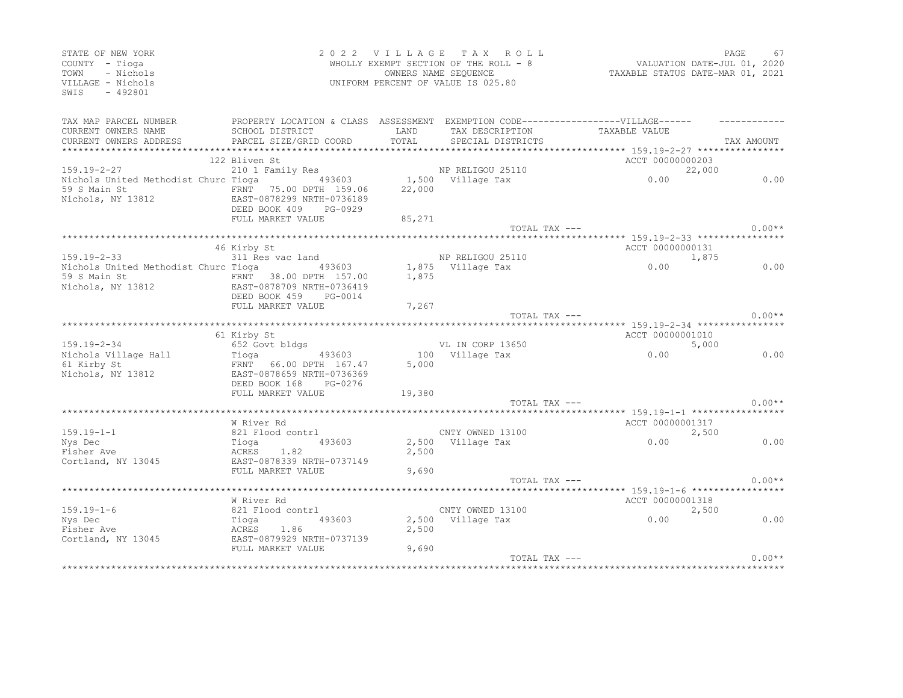| STATE OF NEW YORK<br>COUNTY - Tioga<br>- Nichols<br>TOWN<br>VILLAGE - Nichols<br>SWIS<br>$-492801$ |                                                                                                                   |                | 2022 VILLAGE TAX ROLL<br>WHOLLY EXEMPT SECTION OF THE ROLL - 8<br>OWNERS NAME SEOUENCE<br>UNIFORM PERCENT OF VALUE IS 025.80 | VALUATION DATE-JUL 01, 2020<br>TAXABLE STATUS DATE-MAR 01, 2021                                    | PAGE       | 67       |
|----------------------------------------------------------------------------------------------------|-------------------------------------------------------------------------------------------------------------------|----------------|------------------------------------------------------------------------------------------------------------------------------|----------------------------------------------------------------------------------------------------|------------|----------|
| TAX MAP PARCEL NUMBER<br>CURRENT OWNERS NAME<br>CURRENT OWNERS ADDRESS                             | SCHOOL DISTRICT<br>PARCEL SIZE/GRID COORD                                                                         | LAND<br>TOTAL  | TAX DESCRIPTION<br>SPECIAL DISTRICTS                                                                                         | PROPERTY LOCATION & CLASS ASSESSMENT EXEMPTION CODE-----------------VILLAGE------<br>TAXABLE VALUE | TAX AMOUNT |          |
|                                                                                                    | *****************                                                                                                 |                |                                                                                                                              | ************ 159.19-2-27 **********                                                                |            |          |
|                                                                                                    | 122 Bliven St                                                                                                     |                |                                                                                                                              | ACCT 00000000203                                                                                   |            |          |
| 159.19-2-27<br>Nichols United Methodist Churc Tioga 493603<br>59 S Main St<br>Nichols, NY 13812    | 210 1 Family Res<br>FRNT 75.00 DPTH 159.06<br>EAST-0878299 NRTH-0736189<br>DEED BOOK 409<br>PG-0929               | 22,000         | NP RELIGOU 25110<br>1,500 Village Tax                                                                                        | 0.00                                                                                               | 22,000     | 0.00     |
|                                                                                                    | FULL MARKET VALUE                                                                                                 | 85,271         |                                                                                                                              |                                                                                                    |            |          |
|                                                                                                    |                                                                                                                   |                |                                                                                                                              | TOTAL TAX ---                                                                                      |            | $0.00**$ |
|                                                                                                    | 46 Kirby St                                                                                                       |                |                                                                                                                              | ACCT 00000000131                                                                                   |            |          |
| 159.19-2-33<br>Nichols United Methodist Churc Tioga 493603<br>59 S Main St<br>Nichols, NY 13812    | 311 Res vac land<br>FRNT 38.00 DPTH 157.00<br>EAST-0878709 NRTH-0736419                                           | 1,875          | NP RELIGOU 25110<br>1,875 Village Tax                                                                                        | 0.00                                                                                               | 1,875      | 0.00     |
|                                                                                                    | DEED BOOK 459<br>PG-0014<br>FULL MARKET VALUE                                                                     | 7,267          |                                                                                                                              |                                                                                                    |            |          |
|                                                                                                    |                                                                                                                   |                |                                                                                                                              | TOTAL TAX ---                                                                                      |            | $0.00**$ |
|                                                                                                    | 61 Kirby St                                                                                                       |                |                                                                                                                              | ACCT 00000001010                                                                                   |            |          |
| $159.19 - 2 - 34$<br>Nichols Village Hall<br>61 Kirby St<br>Nichols, NY 13812                      | 652 Govt bldgs<br>Tioga 493603<br>FRNT 66.00 DPTH 167.47<br>EAST-0878659 NRTH-0736369<br>DEED BOOK 168<br>PG-0276 | 5,000          | VL IN CORP 13650<br>100 Village Tax                                                                                          | 0.00                                                                                               | 5,000      | 0.00     |
|                                                                                                    | FULL MARKET VALUE                                                                                                 | 19,380         |                                                                                                                              |                                                                                                    |            |          |
|                                                                                                    |                                                                                                                   |                |                                                                                                                              | TOTAL TAX ---                                                                                      |            | $0.00**$ |
|                                                                                                    |                                                                                                                   |                |                                                                                                                              |                                                                                                    |            |          |
| $159.19 - 1 - 1$<br>Nys Dec                                                                        | W River Rd<br>821 Flood contrl<br>493603<br>Tioga                                                                 |                | CNTY OWNED 13100<br>2,500 Village Tax                                                                                        | ACCT 00000001317<br>0.00                                                                           | 2,500      | 0.00     |
| Fisher Ave<br>Cortland, NY 13045                                                                   | ACRES 1.82<br>EAST-0878339 NRTH-0737149<br>FULL MARKET VALUE                                                      | 2,500<br>9,690 |                                                                                                                              |                                                                                                    |            |          |
|                                                                                                    |                                                                                                                   |                |                                                                                                                              | TOTAL TAX ---                                                                                      |            | $0.00**$ |
|                                                                                                    | W River Rd                                                                                                        |                |                                                                                                                              | ACCT 00000001318                                                                                   |            |          |
| $159.19 - 1 - 6$                                                                                   | 821 Flood contrl                                                                                                  |                | CNTY OWNED 13100                                                                                                             |                                                                                                    | 2,500      |          |
| Nys Dec<br>Fisher Ave<br>Cortland, NY 13045                                                        | Tioga<br>493603<br>ACRES 1.86<br>EAST-0879929 NRTH-0737139                                                        | 2,500          | 2,500 Village Tax                                                                                                            | 0.00                                                                                               |            | 0.00     |
|                                                                                                    | EAST-0072211<br>FULL MARKET VALUE                                                                                 | 9,690          |                                                                                                                              |                                                                                                    |            |          |
|                                                                                                    |                                                                                                                   |                |                                                                                                                              | TOTAL TAX ---                                                                                      |            | $0.00**$ |
|                                                                                                    |                                                                                                                   |                |                                                                                                                              |                                                                                                    |            |          |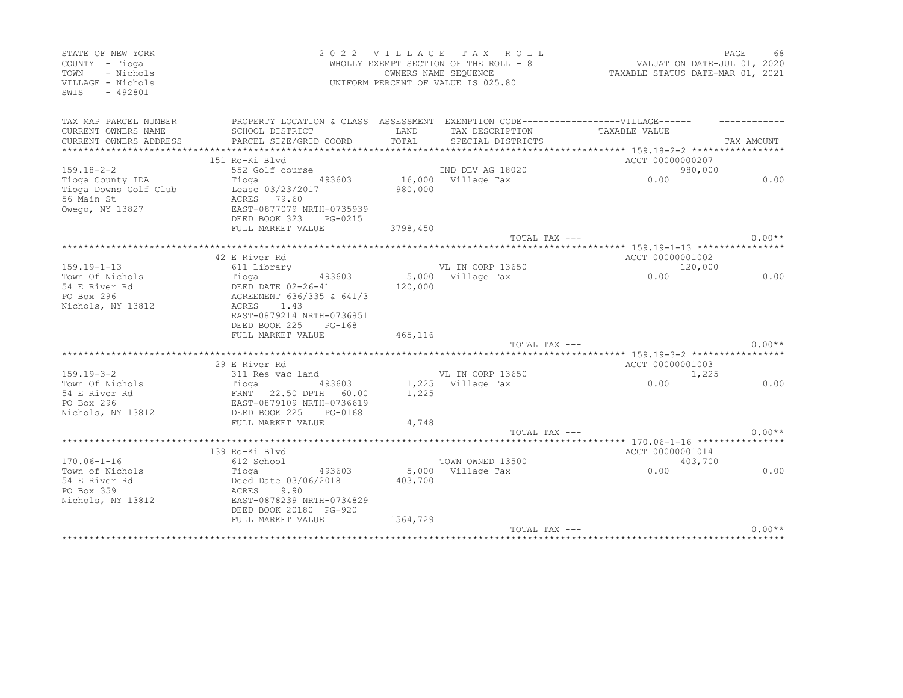| STATE OF NEW YORK<br>COUNTY - Tioga<br>TOWN<br>- Nichols<br>VILLAGE - Nichols<br>SWIS<br>$-492801$ |                                                                                   | 2022 VILLAGE TAX ROLL<br>WHOLLY EXEMPT SECTION OF THE ROLL - 8<br>OWNERS NAME SEQUENCE<br>UNIFORM PERCENT OF VALUE IS 025.80 | VALUATION DATE-JUL 01, 2020<br>TAXABLE STATUS DATE-MAR 01, 2021 | PAGE<br>68                                                     |            |  |
|----------------------------------------------------------------------------------------------------|-----------------------------------------------------------------------------------|------------------------------------------------------------------------------------------------------------------------------|-----------------------------------------------------------------|----------------------------------------------------------------|------------|--|
| TAX MAP PARCEL NUMBER                                                                              | PROPERTY LOCATION & CLASS ASSESSMENT EXEMPTION CODE-----------------VILLAGE------ |                                                                                                                              |                                                                 |                                                                |            |  |
| CURRENT OWNERS NAME                                                                                | SCHOOL DISTRICT                                                                   | <b>TAND</b>                                                                                                                  | TAX DESCRIPTION                                                 | TAXABLE VALUE                                                  |            |  |
| CURRENT OWNERS ADDRESS                                                                             | PARCEL SIZE/GRID COORD                                                            | TOTAL                                                                                                                        | SPECIAL DISTRICTS                                               |                                                                | TAX AMOUNT |  |
|                                                                                                    |                                                                                   |                                                                                                                              |                                                                 |                                                                |            |  |
|                                                                                                    | 151 Ro-Ki Blyd                                                                    |                                                                                                                              |                                                                 | ACCT 00000000207                                               |            |  |
| 159.18-2-2                                                                                         | 552 Golf course                                                                   |                                                                                                                              | IND DEV AG 18020                                                |                                                                | 980,000    |  |
| Tioga County IDA                                                                                   | 493603<br>Tioga                                                                   |                                                                                                                              | 16,000 Village Tax                                              | 0.00                                                           | 0.00       |  |
| Tioga Downs Golf Club                                                                              | Lease 03/23/2017                                                                  | 980,000                                                                                                                      |                                                                 |                                                                |            |  |
| 56 Main St                                                                                         | ACRES 79.60                                                                       |                                                                                                                              |                                                                 |                                                                |            |  |
| Owego, NY 13827                                                                                    | EAST-0877079 NRTH-0735939<br>DEED BOOK 323                                        |                                                                                                                              |                                                                 |                                                                |            |  |
|                                                                                                    | PG-0215<br>FULL MARKET VALUE                                                      | 3798,450                                                                                                                     |                                                                 |                                                                |            |  |
|                                                                                                    |                                                                                   |                                                                                                                              | TOTAL TAX ---                                                   |                                                                | $0.00**$   |  |
|                                                                                                    |                                                                                   |                                                                                                                              |                                                                 |                                                                |            |  |
|                                                                                                    | 42 E River Rd                                                                     |                                                                                                                              |                                                                 | ACCT 00000001002                                               |            |  |
| $159.19 - 1 - 13$                                                                                  | 611 Library                                                                       |                                                                                                                              | VL IN CORP 13650                                                |                                                                | 120,000    |  |
| Town Of Nichols                                                                                    | Tioga<br>493603                                                                   |                                                                                                                              | 5,000 Village Tax                                               | 0.00                                                           | 0.00       |  |
| 54 E River Rd                                                                                      | DEED DATE 02-26-41                                                                | 120,000                                                                                                                      |                                                                 |                                                                |            |  |
| PO Box 296                                                                                         | AGREEMENT 636/335 & 641/3                                                         |                                                                                                                              |                                                                 |                                                                |            |  |
| Nichols, NY 13812                                                                                  | ACRES<br>1.43                                                                     |                                                                                                                              |                                                                 |                                                                |            |  |
|                                                                                                    | EAST-0879214 NRTH-0736851                                                         |                                                                                                                              |                                                                 |                                                                |            |  |
|                                                                                                    | DEED BOOK 225<br>$PG-168$                                                         |                                                                                                                              |                                                                 |                                                                |            |  |
|                                                                                                    | FULL MARKET VALUE                                                                 | 465,116                                                                                                                      |                                                                 |                                                                |            |  |
|                                                                                                    |                                                                                   |                                                                                                                              | TOTAL TAX ---                                                   |                                                                | $0.00**$   |  |
|                                                                                                    | **********************                                                            |                                                                                                                              |                                                                 | *************** 159.19-3-2 *************                       |            |  |
|                                                                                                    | 29 E River Rd                                                                     |                                                                                                                              |                                                                 | ACCT 00000001003                                               |            |  |
| $159.19 - 3 - 2$                                                                                   | 311 Res vac land                                                                  |                                                                                                                              | VL IN CORP 13650                                                |                                                                | 1,225      |  |
| Town Of Nichols                                                                                    | Tioga 493603                                                                      |                                                                                                                              | 1,225 Village Tax                                               | 0.00                                                           | 0.00       |  |
| 54 E River Rd                                                                                      | FRNT 22.50 DPTH 60.00                                                             | 1,225                                                                                                                        |                                                                 |                                                                |            |  |
| PO Box 296                                                                                         | EAST-0879109 NRTH-0736619                                                         |                                                                                                                              |                                                                 |                                                                |            |  |
| Nichols, NY 13812                                                                                  | DEED BOOK 225<br>PG-0168                                                          |                                                                                                                              |                                                                 |                                                                |            |  |
|                                                                                                    | FULL MARKET VALUE                                                                 | 4,748                                                                                                                        |                                                                 |                                                                |            |  |
|                                                                                                    |                                                                                   |                                                                                                                              | TOTAL TAX ---                                                   |                                                                | $0.00**$   |  |
|                                                                                                    | 139 Ro-Ki Blvd                                                                    |                                                                                                                              |                                                                 | ********************************* 170.06-1-16 **************** |            |  |
| $170.06 - 1 - 16$                                                                                  | 612 School                                                                        |                                                                                                                              | TOWN OWNED 13500                                                | ACCT 00000001014                                               | 403,700    |  |
| Town of Nichols                                                                                    | 493603<br>Tioga                                                                   |                                                                                                                              | 5,000 Village Tax                                               | 0.00                                                           | 0.00       |  |
| 54 E River Rd                                                                                      | Deed Date 03/06/2018                                                              | 403,700                                                                                                                      |                                                                 |                                                                |            |  |
| PO Box 359                                                                                         | 9.90<br>ACRES                                                                     |                                                                                                                              |                                                                 |                                                                |            |  |
| Nichols, NY 13812                                                                                  | EAST-0878239 NRTH-0734829                                                         |                                                                                                                              |                                                                 |                                                                |            |  |
|                                                                                                    | DEED BOOK 20180 PG-920                                                            |                                                                                                                              |                                                                 |                                                                |            |  |
|                                                                                                    | FULL MARKET VALUE                                                                 | 1564,729                                                                                                                     |                                                                 |                                                                |            |  |
|                                                                                                    |                                                                                   |                                                                                                                              | $TOTAI, TAX ---$                                                |                                                                | $0.00**$   |  |
|                                                                                                    |                                                                                   |                                                                                                                              |                                                                 |                                                                |            |  |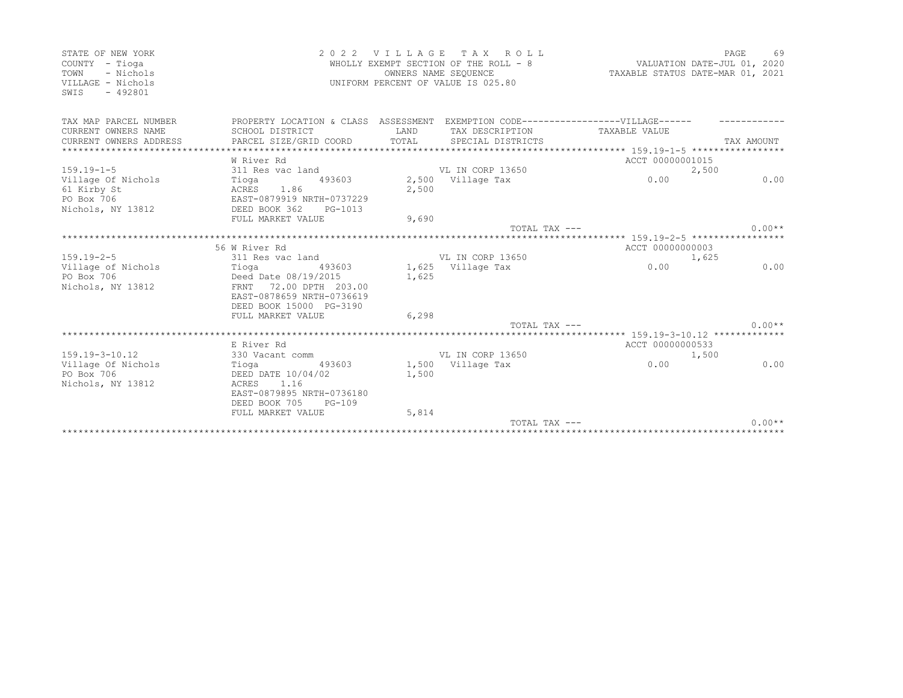| STATE OF NEW YORK<br>COUNTY - Tioga<br>- Nichols<br>TOWN<br>VILLAGE - Nichols<br>$-492801$<br>SWTS | 2 0 2 2                                                                                                                            |                | VILLAGE TAX ROLL<br>WHOLLY EXEMPT SECTION OF THE ROLL - 8<br>OWNERS NAME SEQUENCE<br>UNIFORM PERCENT OF VALUE IS 025.80 | VALUATION DATE-JUL 01, 2020<br>TAXABLE STATUS DATE-MAR 01, 2021 | PAGE       | 69       |
|----------------------------------------------------------------------------------------------------|------------------------------------------------------------------------------------------------------------------------------------|----------------|-------------------------------------------------------------------------------------------------------------------------|-----------------------------------------------------------------|------------|----------|
| TAX MAP PARCEL NUMBER<br>CURRENT OWNERS NAME<br>CURRENT OWNERS ADDRESS                             | PROPERTY LOCATION & CLASS ASSESSMENT<br>SCHOOL DISTRICT<br>PARCEL SIZE/GRID COORD                                                  | LAND<br>TOTAL  | TAX DESCRIPTION<br>SPECIAL DISTRICTS                                                                                    | EXEMPTION CODE------------------VILLAGE------<br>TAXABLE VALUE  | TAX AMOUNT |          |
| $159.19 - 1 - 5$                                                                                   | W River Rd<br>311 Res vac land                                                                                                     |                | VL IN CORP 13650                                                                                                        | ACCT 00000001015                                                | 2,500      |          |
| Village Of Nichols<br>61 Kirby St<br>PO Box 706<br>Nichols, NY 13812                               | Tioga<br>493603<br>1.86<br>ACRES<br>EAST-0879919 NRTH-0737229<br>DEED BOOK 362<br>PG-1013                                          | 2,500          | 2,500 Village Tax                                                                                                       | 0.00                                                            |            | 0.00     |
|                                                                                                    | FULL MARKET VALUE                                                                                                                  | 9,690          | $TOTAI$ , $TAX$ $---$                                                                                                   |                                                                 |            | $0.00**$ |
|                                                                                                    |                                                                                                                                    |                |                                                                                                                         |                                                                 |            |          |
|                                                                                                    | 56 W River Rd                                                                                                                      |                |                                                                                                                         | ACCT 00000000003                                                |            |          |
| $159.19 - 2 - 5$                                                                                   | 311 Res vac land                                                                                                                   |                | VL IN CORP 13650                                                                                                        |                                                                 | 1,625      |          |
| Village of Nichols<br>PO Box 706<br>Nichols, NY 13812                                              | Tioga (193603)<br>Deed Date 08/19/2015<br>FRNT 72.00 DPTH 203.00<br>EAST-0878659 NRTH-0736619<br>DEED BOOK 15000 PG-3190           | 1,625          | 1,625 Village Tax                                                                                                       | 0.00                                                            |            | 0.00     |
|                                                                                                    | FULL MARKET VALUE                                                                                                                  | 6,298          |                                                                                                                         |                                                                 |            | $0.00**$ |
|                                                                                                    |                                                                                                                                    |                | TOTAL TAX ---                                                                                                           |                                                                 |            |          |
| $159.19 - 3 - 10.12$                                                                               | E River Rd<br>330 Vacant comm                                                                                                      |                | VL IN CORP 13650                                                                                                        | ACCT 00000000533                                                | 1,500      |          |
| Village Of Nichols<br>PO Box 706<br>Nichols, NY 13812                                              | Tioga<br>493603<br>DEED DATE 10/04/02<br>ACRES 1.16<br>EAST-0879895 NRTH-0736180<br>DEED BOOK 705<br>$PG-109$<br>FULL MARKET VALUE | 1,500<br>5,814 | 1,500 Village Tax                                                                                                       | 0.00                                                            |            | 0.00     |
|                                                                                                    |                                                                                                                                    |                | $TOTAI. TAX --$                                                                                                         |                                                                 |            | $0.00**$ |
|                                                                                                    |                                                                                                                                    |                |                                                                                                                         |                                                                 |            |          |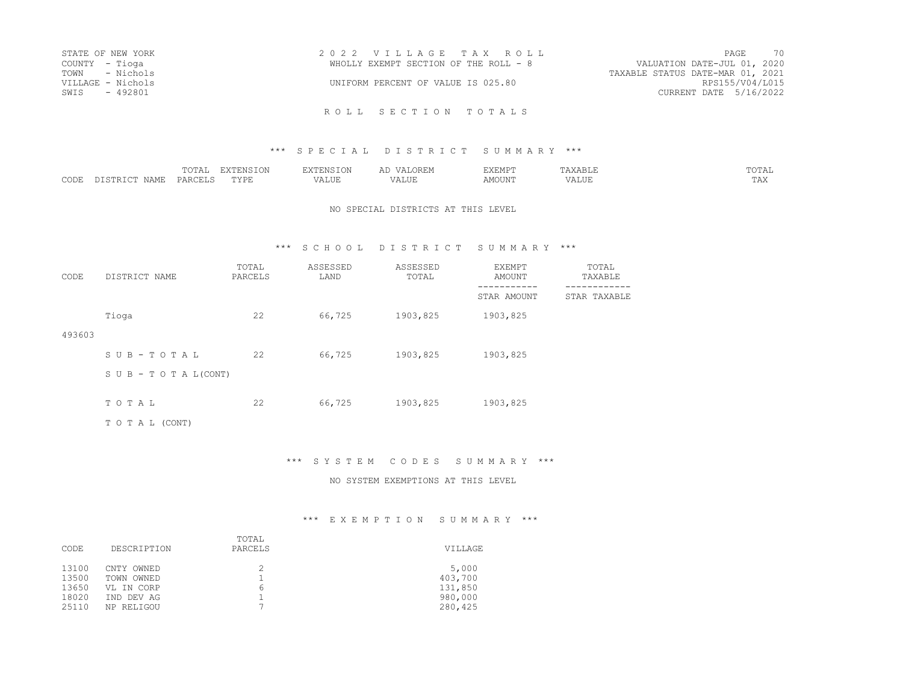|                | STATE OF NEW YORK | 2022 VILLAGE TAX ROLL                 |                                  | 70<br>PAGE      |
|----------------|-------------------|---------------------------------------|----------------------------------|-----------------|
| COUNTY – Tioga |                   | WHOLLY EXEMPT SECTION OF THE ROLL - 8 | VALUATION DATE-JUL 01, 2020      |                 |
|                | TOWN - Nichols    |                                       | TAXABLE STATUS DATE-MAR 01, 2021 |                 |
|                | VILLAGE - Nichols | UNIFORM PERCENT OF VALUE IS 025.80    |                                  | RPS155/V04/L015 |
| SWIS           | - 492801          |                                       | CURRENT DATE 5/16/2022           |                 |

#### \*\*\* S P E C I A L D I S T R I C T S U M M A R Y \*\*\*

|              | ---- |             | $- - - -$   |                  | ים 17 ים<br>ALMF. |                      | $m \wedge m \wedge$<br>.<br><u>U 111</u> |
|--------------|------|-------------|-------------|------------------|-------------------|----------------------|------------------------------------------|
| CODE<br>NAMF | PAR. | <br>- - - - | .<br>۰٬۱٬۱٬ | ----<br><br>ALUI | MOUN.             | $\Delta$ 1<br>ىلىد ، | $m \times r$<br>.                        |

#### NO SPECIAL DISTRICTS AT THIS LEVEL

### \*\*\* S C H O O L D I S T R I C T S U M M A R Y \*\*\*

| CODE   | DISTRICT NAME                    | TOTAL<br>PARCELS | ASSESSED<br>LAND | ASSESSED<br>TOTAL | EXEMPT<br>AMOUNT | TOTAL<br>TAXABLE |
|--------|----------------------------------|------------------|------------------|-------------------|------------------|------------------|
|        |                                  |                  |                  |                   | STAR AMOUNT      | STAR TAXABLE     |
|        | Tioga                            | 22               | 66,725           | 1903,825          | 1903,825         |                  |
| 493603 |                                  |                  |                  |                   |                  |                  |
|        | SUB-TOTAL                        | 22               | 66,725           | 1903,825          | 1903,825         |                  |
|        | $S \cup B - T \cup T A L (CONT)$ |                  |                  |                   |                  |                  |
|        | TOTAL                            | 22               | 66,725           | 1903,825          | 1903,825         |                  |
|        |                                  |                  |                  |                   |                  |                  |
|        | TO TAL (CONT)                    |                  |                  |                   |                  |                  |

### \*\*\* S Y S T E M C O D E S S U M M A R Y \*\*\*

#### NO SYSTEM EXEMPTIONS AT THIS LEVEL

| CODE                                      | DESCRIPTION                                                        | TOTAL<br>PARCELS | VILLAGE                                           |
|-------------------------------------------|--------------------------------------------------------------------|------------------|---------------------------------------------------|
| 13100<br>13500<br>13650<br>18020<br>25110 | CNTY OWNED<br>TOWN OWNED<br>VL IN CORP<br>IND DEV AG<br>NP RELIGOU | 2<br>6<br>⇁      | 5,000<br>403,700<br>131,850<br>980,000<br>280,425 |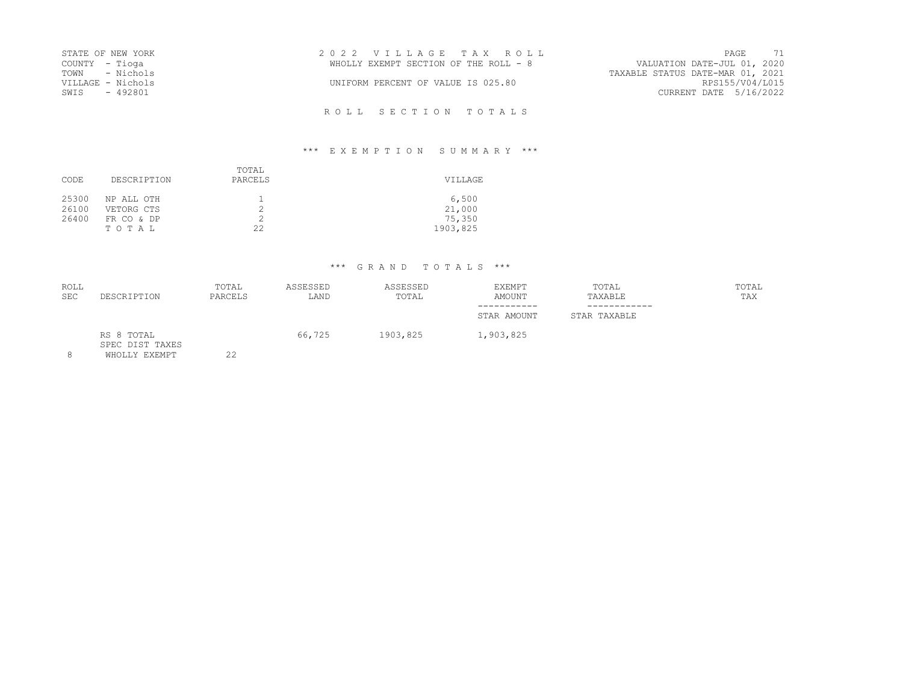| STATE OF NEW YORK |           | 2022 VILLAGE TAX ROLL                 |                                  | PAGE                   | 71 |
|-------------------|-----------|---------------------------------------|----------------------------------|------------------------|----|
| COUNTY – Tioga    |           | WHOLLY EXEMPT SECTION OF THE ROLL - 8 | VALUATION DATE-JUL 01, 2020      |                        |    |
| TOWN - Nichols    |           |                                       | TAXABLE STATUS DATE-MAR 01, 2021 |                        |    |
| VILLAGE - Nichols |           | UNIFORM PERCENT OF VALUE IS 025.80    |                                  | RPS155/V04/L015        |    |
| SWIS              | $-492801$ |                                       |                                  | CURRENT DATE 5/16/2022 |    |

R O L L S E C T I O N T O T A L S

## \*\*\* E X E M P T I O N S U M M A R Y \*\*\*

| CODE                    | DESCRIPTION                                     | TOTAL<br>PARCELS | VILLAGE                               |
|-------------------------|-------------------------------------------------|------------------|---------------------------------------|
| 25300<br>26100<br>26400 | NP ALL OTH<br>VETORG CTS<br>FR CO & DP<br>TOTAL | 22               | 6,500<br>21,000<br>75,350<br>1903,825 |

# \*\*\* G R A N D T O T A L S \*\*\*

| DESCRIPTION                   | TOTAL<br>PARCELS | ASSESSED<br>LAND | ASSESSED<br>TOTAL | EXEMPT<br>AMOUNT | TOTAL<br>TAXABLE | TOTAL<br>TAX |
|-------------------------------|------------------|------------------|-------------------|------------------|------------------|--------------|
|                               |                  |                  |                   | STAR AMOUNT      | STAR TAXABLE     |              |
| RS 8 TOTAL<br>SPEC DIST TAXES |                  | 66,725           | 1903,825          | 1,903,825        |                  |              |
|                               | MILOTIV EVEMBE   | っっ               |                   |                  |                  |              |

8 WHOLLY EXEMPT 22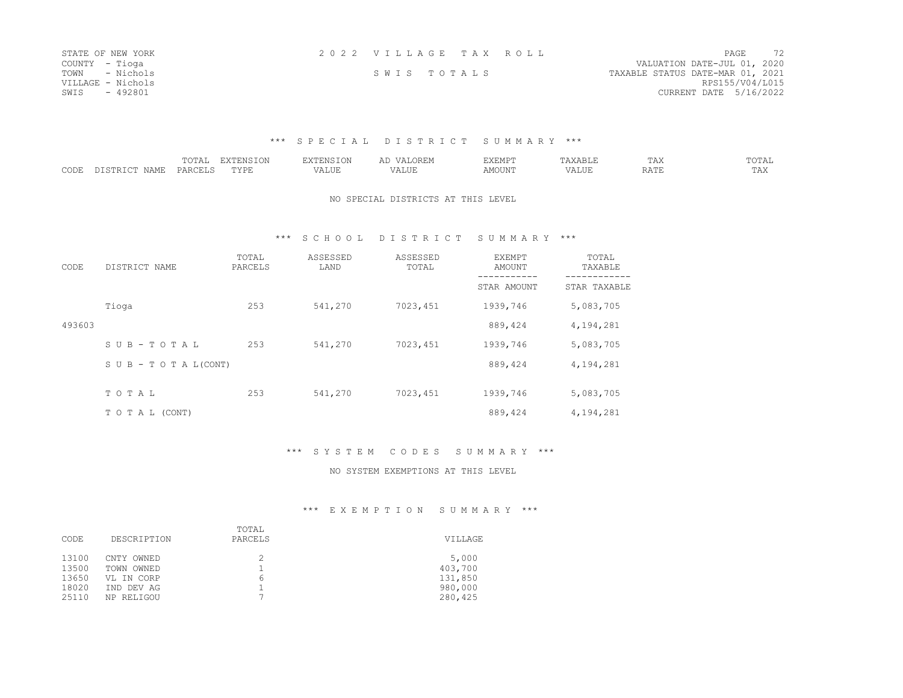| STATE OF NEW YORK | 2022 VILLAGE TAX ROLL |  |                                  | PAGE            | 72 |
|-------------------|-----------------------|--|----------------------------------|-----------------|----|
| COUNTY - Tioga    |                       |  | VALUATION DATE-JUL 01, 2020      |                 |    |
| TOWN - Nichols    | SWIS TOTALS           |  | TAXABLE STATUS DATE-MAR 01, 2021 |                 |    |
| VILLAGE - Nichols |                       |  |                                  | RPS155/V04/L015 |    |
| SWIS<br>- 492801  |                       |  | CURRENT DATE 5/16/2022           |                 |    |

### \*\*\* S P E C I A L D I S T R I C T S U M M A R Y \*\*\*

|                      |     | $m \wedge m$<br>. | $\blacksquare$<br>$ -$ | 'N S  |   |         | $\cdots$ | . .<br>----- | <u>UIII</u> |
|----------------------|-----|-------------------|------------------------|-------|---|---------|----------|--------------|-------------|
| $\sim$ $\sim$ $\sim$ | . . |                   | -----                  | <br>. | . | MOTTNTD |          |              | .           |

### NO SPECIAL DISTRICTS AT THIS LEVEL

### \*\*\* S C H O O L D I S T R I C T S U M M A R Y \*\*\*

| CODE   | DISTRICT NAME                    | TOTAL<br>PARCELS | ASSESSED<br>LAND | ASSESSED<br>TOTAL | EXEMPT<br>AMOUNT | TOTAL<br>TAXABLE |
|--------|----------------------------------|------------------|------------------|-------------------|------------------|------------------|
|        |                                  |                  |                  |                   | STAR AMOUNT      | STAR TAXABLE     |
|        | Tioga                            | 253              | 541,270          | 7023,451          | 1939,746         | 5,083,705        |
| 493603 |                                  |                  |                  |                   | 889,424          | 4,194,281        |
|        | SUB-TOTAL                        | 253              | 541,270          | 7023,451          | 1939,746         | 5,083,705        |
|        | $S \cup B - T \cup T A L (CONT)$ |                  |                  |                   | 889,424          | 4,194,281        |
|        | TO TAL                           | 253              | 541,270          | 7023,451          | 1939,746         | 5,083,705        |
|        | TO TAL (CONT)                    |                  |                  |                   | 889,424          | 4,194,281        |

## \*\*\* S Y S T E M C O D E S S U M M A R Y \*\*\*

#### NO SYSTEM EXEMPTIONS AT THIS LEVEL

| CODE   | DESCRIPTION | TOTAL<br>PARCELS | VILLAGE |
|--------|-------------|------------------|---------|
| 13100  | CNTY OWNED  | b                | 5,000   |
| 13500  | TOWN OWNED  |                  | 403,700 |
| 13650  | VL IN CORP  |                  | 131,850 |
| 18020  | IND DEV AG  |                  | 980,000 |
| 2.5110 | NP RELIGOU  |                  | 280,425 |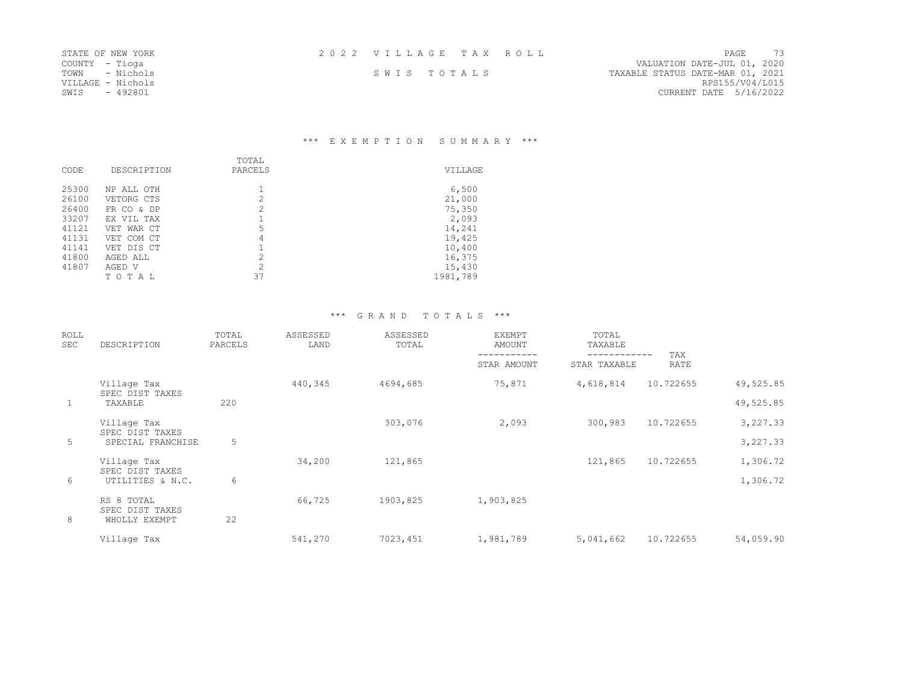| 2022 VILLAGE TAX ROLL |  |  |  |  |  |  |  |  |  |  |  |  |  |  |  |  |  |  |  |  |  |  |
|-----------------------|--|--|--|--|--|--|--|--|--|--|--|--|--|--|--|--|--|--|--|--|--|--|
|-----------------------|--|--|--|--|--|--|--|--|--|--|--|--|--|--|--|--|--|--|--|--|--|--|

| STATE OF NEW IORN |           |
|-------------------|-----------|
| <b>COUNTY</b>     | - Tioga   |
| TOWN              | - Nichols |
| VILLAGE - Nichols |           |
| SWIS              | $-492801$ |

STATE OF NEW YORK 2 0 2 2 V I L L A G E T A X R O L L PAGE 73 COUNTY - Tioga VALUATION DATE-JUL 01, 2020 TOWN - Nichols Sand States States States States States States States Date-Mar 01, 2021 SWIS TOTALS - TAXABLE STATUS DATE-MAR 01, 2021<br>RPS155/V04/L015 CURRENT DATE 5/16/2022

## \*\*\* E X E M P T I O N S U M M A R Y \*\*\*

| CODE  | DESCRIPTION | TOTAL<br>PARCELS | <b>VTLLAGE</b> |
|-------|-------------|------------------|----------------|
| 25300 | NP ALL OTH  |                  | 6,500          |
| 26100 | VETORG CTS  | 2                | 21,000         |
| 26400 | FR CO & DP  | 2                | 75,350         |
| 33207 | EX VII, TAX |                  | 2,093          |
| 41121 | VET WAR CT  | 5                | 14,241         |
| 41131 | VET COM CT  | 4                | 19,425         |
| 41141 | VET DIS CT  |                  | 10,400         |
| 41800 | AGED ALL    | 2                | 16,375         |
| 41807 | AGED V      | 2                | 15,430         |
|       | TO TAI      | 37               | 1981,789       |

## \*\*\* G R A N D T O T A L S \*\*\*

| <b>ROLL</b><br>SEC | DESCRIPTION                    | TOTAL<br>PARCELS | ASSESSED<br>LAND | ASSESSED<br>TOTAL | <b>EXEMPT</b><br>AMOUNT | TOTAL<br>TAXABLE |             |           |
|--------------------|--------------------------------|------------------|------------------|-------------------|-------------------------|------------------|-------------|-----------|
|                    |                                |                  |                  |                   | STAR AMOUNT             | STAR TAXABLE     | TAX<br>RATE |           |
|                    | Village Tax<br>SPEC DIST TAXES |                  | 440,345          | 4694,685          | 75,871                  | 4,618,814        | 10.722655   | 49,525.85 |
| $\mathbf{1}$       | TAXABLE                        | 220              |                  |                   |                         |                  |             | 49,525.85 |
|                    | Village Tax<br>SPEC DIST TAXES |                  |                  | 303,076           | 2,093                   | 300,983          | 10.722655   | 3,227.33  |
| 5                  | SPECIAL FRANCHISE              | 5                |                  |                   |                         |                  |             | 3,227.33  |
|                    | Village Tax<br>SPEC DIST TAXES |                  | 34,200           | 121,865           |                         | 121,865          | 10.722655   | 1,306.72  |
| 6                  | UTILITIES & N.C.               | 6                |                  |                   |                         |                  |             | 1,306.72  |
|                    | RS 8 TOTAL<br>SPEC DIST TAXES  |                  | 66,725           | 1903,825          | 1,903,825               |                  |             |           |
| 8                  | WHOLLY EXEMPT                  | 22               |                  |                   |                         |                  |             |           |
|                    | Village Tax                    |                  | 541,270          | 7023,451          | 1,981,789               | 5,041,662        | 10.722655   | 54,059.90 |